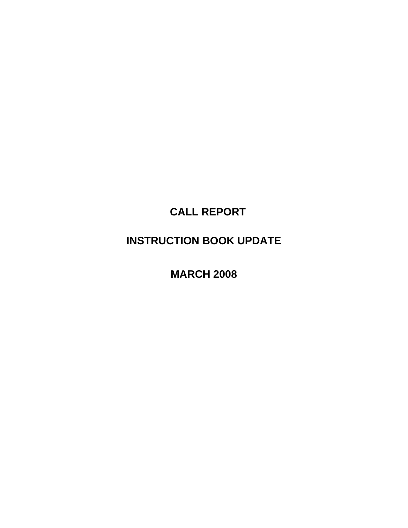# **CALL REPORT**

# **INSTRUCTION BOOK UPDATE**

**MARCH 2008**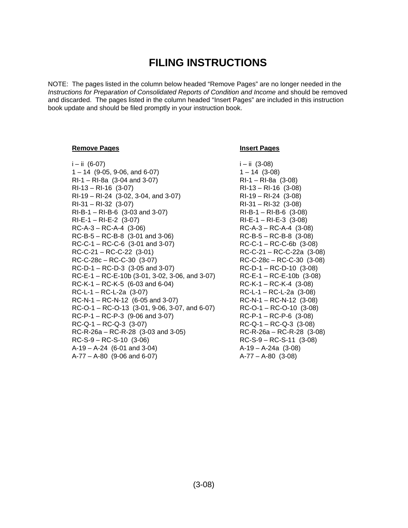# **FILING INSTRUCTIONS**

NOTE: The pages listed in the column below headed "Remove Pages" are no longer needed in the *Instructions for Preparation of Consolidated Reports of Condition and Income and should be removed* and discarded. The pages listed in the column headed "Insert Pages" are included in this instruction book update and should be filed promptly in your instruction book.

#### **Remove Pages Insert Pages**

 i – ii (6-07) i – ii (3-08)  $1 - 14$  (9-05, 9-06, and 6-07) 1 – 14 (3-08) RI-1 – RI-8a (3-04 and 3-07) RI-1 – RI-8a (3-08) RI-13 – RI-16 (3-07) RI-13 – RI-16 (3-08)  $RI-19 - RI-24$  (3-02, 3-04, and 3-07) RI-19 – RI-24 (3-08) RI-31 – RI-32 (3-07) RI-31 – RI-32 (3-08) RI-B-1 – RI-B-6 (3-03 and 3-07) RI-B-1 – RI-B-6 (3-08) RI-E-1 – RI-E-2 (3-07) RI-E-1 – RI-E-3 (3-08) RC-A-3 – RC-A-4 (3-06) RC-A-3 – RC-A-4 (3-08) RC-B-5 – RC-B-8 (3-01 and 3-06) RC-B-5 – RC-B-8 (3-08) RC-C-1 – RC-C-6 (3-01 and 3-07) RC-C-1 – RC-C-6b (3-08) RC-C-21 – RC-C-22 (3-01) RC-C-21 – RC-C-22a (3-08) RC-C-28c – RC-C-30 (3-07) RC-C-28c – RC-C-30 (3-08) RC-D-1 – RC-D-3 (3-05 and 3-07) RC-D-1 – RC-D-10 (3-08) RC-E-1 – RC-E-10b (3-01, 3-02, 3-06, and 3-07) RC-E-1 – RC-E-10b (3-08) RC-K-1 – RC-K-5 (6-03 and 6-04) RC-K-1 – RC-K-4 (3-08) RC-L-1 – RC-L-2a (3-07) RC-L-1 – RC-L-2a (3-08) RC-N-1 – RC-N-12 (6-05 and 3-07) RC-N-1 – RC-N-12 (3-08) RC-O-1 – RC-O-13 (3-01, 9-06, 3-07, and 6-07) RC-O-1 – RC-O-10 (3-08) RC-P-1 – RC-P-3 (9-06 and 3-07) RC-P-1 – RC-P-6 (3-08) RC-Q-1 – RC-Q-3 (3-07) RC-Q-1 – RC-Q-3 (3-08) RC-R-26a – RC-R-28 (3-03 and 3-05) RC-R-26a – RC-R-28 (3-08) RC-S-9 – RC-S-10 (3-06) RC-S-9 – RC-S-11 (3-08) A-19 – A-24 (6-01 and 3-04) A-19 – A-24a (3-08)  $A-77 - A-80$  (9-06 and 6-07)  $A-77 - A-80$  (3-08)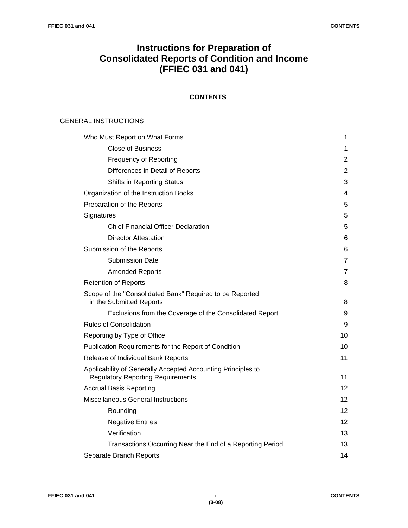## **Instructions for Preparation of Consolidated Reports of Condition and Income (FFIEC 031 and 041)**

#### **CONTENTS**

#### GENERAL INSTRUCTIONS

| Who Must Report on What Forms                                                                            | 1              |
|----------------------------------------------------------------------------------------------------------|----------------|
| <b>Close of Business</b>                                                                                 | 1              |
| <b>Frequency of Reporting</b>                                                                            | $\overline{2}$ |
| Differences in Detail of Reports                                                                         | $\overline{2}$ |
| <b>Shifts in Reporting Status</b>                                                                        | 3              |
| Organization of the Instruction Books                                                                    | 4              |
| Preparation of the Reports                                                                               | 5              |
| Signatures                                                                                               | 5              |
| <b>Chief Financial Officer Declaration</b>                                                               | 5              |
| <b>Director Attestation</b>                                                                              | 6              |
| Submission of the Reports                                                                                | 6              |
| <b>Submission Date</b>                                                                                   | $\overline{7}$ |
| <b>Amended Reports</b>                                                                                   | $\overline{7}$ |
| <b>Retention of Reports</b>                                                                              | 8              |
| Scope of the "Consolidated Bank" Required to be Reported<br>in the Submitted Reports                     | 8              |
| Exclusions from the Coverage of the Consolidated Report                                                  | 9              |
| <b>Rules of Consolidation</b>                                                                            | 9              |
| Reporting by Type of Office                                                                              | 10             |
| Publication Requirements for the Report of Condition                                                     | 10             |
| Release of Individual Bank Reports                                                                       | 11             |
| Applicability of Generally Accepted Accounting Principles to<br><b>Regulatory Reporting Requirements</b> | 11             |
| <b>Accrual Basis Reporting</b>                                                                           | 12             |
| <b>Miscellaneous General Instructions</b>                                                                | 12             |
| Rounding                                                                                                 | 12             |
| <b>Negative Entries</b>                                                                                  | 12             |
| Verification                                                                                             | 13             |
| Transactions Occurring Near the End of a Reporting Period                                                | 13             |
| Separate Branch Reports                                                                                  | 14             |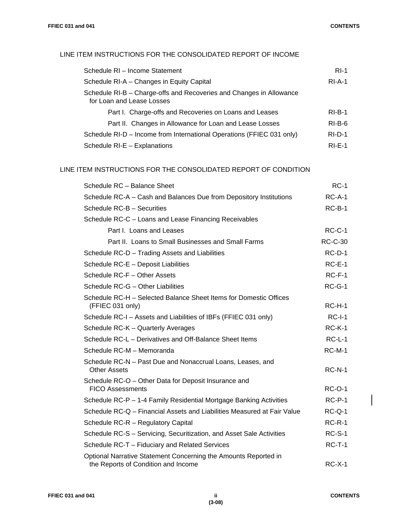### LINE ITEM INSTRUCTIONS FOR THE CONSOLIDATED REPORT OF INCOME

| Schedule RI - Income Statement                                                                   | $RI-1$   |
|--------------------------------------------------------------------------------------------------|----------|
| Schedule RI-A - Changes in Equity Capital                                                        |          |
| Schedule RI-B - Charge-offs and Recoveries and Changes in Allowance<br>for Loan and Lease Losses |          |
| Part I. Charge-offs and Recoveries on Loans and Leases                                           | $RI-B-1$ |
| Part II. Changes in Allowance for Loan and Lease Losses                                          | $RI-B-6$ |
| Schedule RI-D - Income from International Operations (FFIEC 031 only)                            |          |
| Schedule RI-E - Explanations                                                                     |          |

#### LINE ITEM INSTRUCTIONS FOR THE CONSOLIDATED REPORT OF CONDITION

| Schedule RC - Balance Sheet                                                                            |                |
|--------------------------------------------------------------------------------------------------------|----------------|
| Schedule RC-A – Cash and Balances Due from Depository Institutions                                     |                |
| Schedule RC-B - Securities                                                                             |                |
| Schedule RC-C - Loans and Lease Financing Receivables                                                  |                |
| Part I. Loans and Leases                                                                               | $RC-C-1$       |
| Part II. Loans to Small Businesses and Small Farms                                                     | <b>RC-C-30</b> |
| Schedule RC-D - Trading Assets and Liabilities                                                         | $RC-D-1$       |
| Schedule RC-E - Deposit Liabilities                                                                    | $RC-E-1$       |
| Schedule RC-F - Other Assets                                                                           | $RC-F-1$       |
| Schedule RC-G - Other Liabilities                                                                      | $RC-G-1$       |
| Schedule RC-H - Selected Balance Sheet Items for Domestic Offices<br>(FFIEC 031 only)                  | $RC-H-1$       |
| Schedule RC-I - Assets and Liabilities of IBFs (FFIEC 031 only)                                        | $RC-I-1$       |
| Schedule RC-K - Quarterly Averages                                                                     | $RC-K-1$       |
| Schedule RC-L – Derivatives and Off-Balance Sheet Items                                                | $RC-L-1$       |
| Schedule RC-M - Memoranda                                                                              | <b>RC-M-1</b>  |
| Schedule RC-N - Past Due and Nonaccrual Loans, Leases, and<br><b>Other Assets</b>                      | $RC-N-1$       |
| Schedule RC-O - Other Data for Deposit Insurance and<br><b>FICO Assessments</b>                        | <b>RC-O-1</b>  |
| Schedule RC-P - 1-4 Family Residential Mortgage Banking Activities                                     | $RC-P-1$       |
| Schedule RC-Q - Financial Assets and Liabilities Measured at Fair Value                                | $RC-Q-1$       |
| Schedule RC-R - Regulatory Capital                                                                     | $RC-R-1$       |
| Schedule RC-S - Servicing, Securitization, and Asset Sale Activities                                   | <b>RC-S-1</b>  |
| Schedule RC-T - Fiduciary and Related Services                                                         | $RC-T-1$       |
| Optional Narrative Statement Concerning the Amounts Reported in<br>the Reports of Condition and Income | $RC-X-1$       |

 $\overline{\phantom{a}}$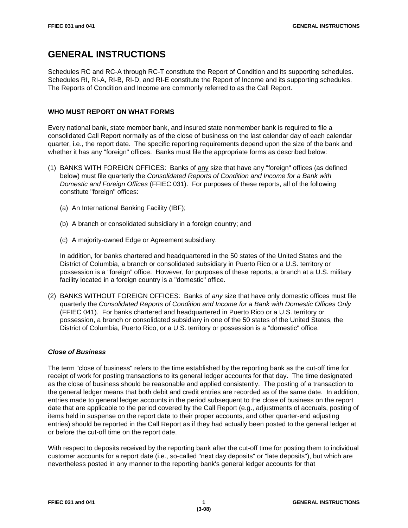## **GENERAL INSTRUCTIONS**

Schedules RC and RC-A through RC-T constitute the Report of Condition and its supporting schedules. Schedules RI, RI-A, RI-B, RI-D, and RI-E constitute the Report of Income and its supporting schedules. The Reports of Condition and Income are commonly referred to as the Call Report.

#### **WHO MUST REPORT ON WHAT FORMS**

Every national bank, state member bank, and insured state nonmember bank is required to file a consolidated Call Report normally as of the close of business on the last calendar day of each calendar quarter, i.e., the report date. The specific reporting requirements depend upon the size of the bank and whether it has any "foreign" offices. Banks must file the appropriate forms as described below:

- (1) BANKS WITH FOREIGN OFFICES: Banks of any size that have any "foreign" offices (as defined below) must file quarterly the *Consolidated Reports of Condition and Income for a Bank with Domestic and Foreign Offices* (FFIEC 031). For purposes of these reports, all of the following constitute "foreign" offices:
	- (a) An International Banking Facility (IBF);
	- (b) A branch or consolidated subsidiary in a foreign country; and
	- (c) A majority-owned Edge or Agreement subsidiary.

 In addition, for banks chartered and headquartered in the 50 states of the United States and the District of Columbia, a branch or consolidated subsidiary in Puerto Rico or a U.S. territory or possession is a "foreign" office. However, for purposes of these reports, a branch at a U.S. military facility located in a foreign country is a "domestic" office.

(2) BANKS WITHOUT FOREIGN OFFICES: Banks of *any* size that have only domestic offices must file quarterly the *Consolidated Reports of Condition and Income for a Bank with Domestic Offices Only*  (FFIEC 041). For banks chartered and headquartered in Puerto Rico or a U.S. territory or possession, a branch or consolidated subsidiary in one of the 50 states of the United States, the District of Columbia, Puerto Rico, or a U.S. territory or possession is a "domestic" office.

#### *Close of Business*

The term "close of business" refers to the time established by the reporting bank as the cut-off time for receipt of work for posting transactions to its general ledger accounts for that day. The time designated as the close of business should be reasonable and applied consistently. The posting of a transaction to the general ledger means that both debit and credit entries are recorded as of the same date. In addition, entries made to general ledger accounts in the period subsequent to the close of business on the report date that are applicable to the period covered by the Call Report (e.g., adjustments of accruals, posting of items held in suspense on the report date to their proper accounts, and other quarter-end adjusting entries) should be reported in the Call Report as if they had actually been posted to the general ledger at or before the cut-off time on the report date.

With respect to deposits received by the reporting bank after the cut-off time for posting them to individual customer accounts for a report date (i.e., so-called "next day deposits" or "late deposits"), but which are nevertheless posted in any manner to the reporting bank's general ledger accounts for that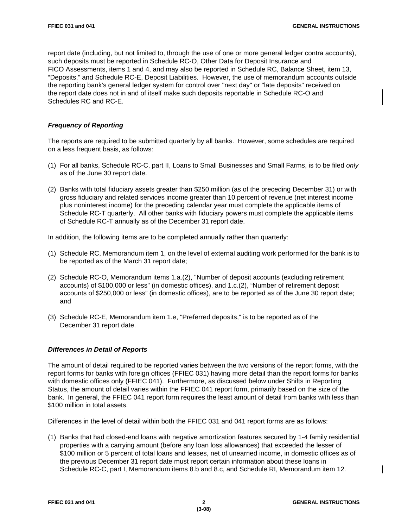report date (including, but not limited to, through the use of one or more general ledger contra accounts), such deposits must be reported in Schedule RC-O, Other Data for Deposit Insurance and FICO Assessments, items 1 and 4, and may also be reported in Schedule RC, Balance Sheet, item 13, "Deposits," and Schedule RC-E, Deposit Liabilities. However, the use of memorandum accounts outside the reporting bank's general ledger system for control over "next day" or "late deposits" received on the report date does not in and of itself make such deposits reportable in Schedule RC-O and Schedules RC and RC-E.

#### *Frequency of Reporting*

The reports are required to be submitted quarterly by all banks. However, some schedules are required on a less frequent basis, as follows:

- (1) For all banks, Schedule RC-C, part II, Loans to Small Businesses and Small Farms, is to be filed *only* as of the June 30 report date.
- (2) Banks with total fiduciary assets greater than \$250 million (as of the preceding December 31) or with gross fiduciary and related services income greater than 10 percent of revenue (net interest income plus noninterest income) for the preceding calendar year must complete the applicable items of Schedule RC-T quarterly. All other banks with fiduciary powers must complete the applicable items of Schedule RC-T annually as of the December 31 report date.

In addition, the following items are to be completed annually rather than quarterly:

- (1) Schedule RC, Memorandum item 1, on the level of external auditing work performed for the bank is to be reported as of the March 31 report date;
- (2) Schedule RC-O, Memorandum items 1.a.(2), "Number of deposit accounts (excluding retirement accounts) of \$100,000 or less" (in domestic offices), and 1.c.(2), "Number of retirement deposit accounts of \$250,000 or less" (in domestic offices), are to be reported as of the June 30 report date; and
- (3) Schedule RC-E, Memorandum item 1.e, "Preferred deposits," is to be reported as of the December 31 report date.

#### *Differences in Detail of Reports*

The amount of detail required to be reported varies between the two versions of the report forms, with the report forms for banks with foreign offices (FFIEC 031) having more detail than the report forms for banks with domestic offices only (FFIEC 041). Furthermore, as discussed below under Shifts in Reporting Status, the amount of detail varies within the FFIEC 041 report form, primarily based on the size of the bank. In general, the FFIEC 041 report form requires the least amount of detail from banks with less than \$100 million in total assets.

Differences in the level of detail within both the FFIEC 031 and 041 report forms are as follows:

(1) Banks that had closed-end loans with negative amortization features secured by 1-4 family residential properties with a carrying amount (before any loan loss allowances) that exceeded the lesser of \$100 million or 5 percent of total loans and leases, net of unearned income, in domestic offices as of the previous December 31 report date must report certain information about these loans in Schedule RC-C, part I, Memorandum items 8.b and 8.c, and Schedule RI, Memorandum item 12.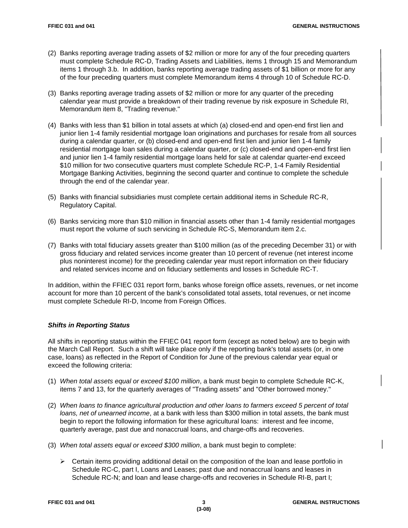- (2) Banks reporting average trading assets of \$2 million or more for any of the four preceding quarters must complete Schedule RC-D, Trading Assets and Liabilities, items 1 through 15 and Memorandum items 1 through 3.b. In addition, banks reporting average trading assets of \$1 billion or more for any of the four preceding quarters must complete Memorandum items 4 through 10 of Schedule RC-D.
- (3) Banks reporting average trading assets of \$2 million or more for any quarter of the preceding calendar year must provide a breakdown of their trading revenue by risk exposure in Schedule RI, Memorandum item 8, "Trading revenue."
- (4) Banks with less than \$1 billion in total assets at which (a) closed-end and open-end first lien and junior lien 1-4 family residential mortgage loan originations and purchases for resale from all sources during a calendar quarter, or (b) closed-end and open-end first lien and junior lien 1-4 family residential mortgage loan sales during a calendar quarter, or (c) closed-end and open-end first lien and junior lien 1-4 family residential mortgage loans held for sale at calendar quarter-end exceed \$10 million for two consecutive quarters must complete Schedule RC-P, 1-4 Family Residential Mortgage Banking Activities, beginning the second quarter and continue to complete the schedule through the end of the calendar year.
- (5) Banks with financial subsidiaries must complete certain additional items in Schedule RC-R, Regulatory Capital.
- (6) Banks servicing more than \$10 million in financial assets other than 1-4 family residential mortgages must report the volume of such servicing in Schedule RC-S, Memorandum item 2.c.
- (7) Banks with total fiduciary assets greater than \$100 million (as of the preceding December 31) or with gross fiduciary and related services income greater than 10 percent of revenue (net interest income plus noninterest income) for the preceding calendar year must report information on their fiduciary and related services income and on fiduciary settlements and losses in Schedule RC-T.

In addition, within the FFIEC 031 report form, banks whose foreign office assets, revenues, or net income account for more than 10 percent of the bank's consolidated total assets, total revenues, or net income must complete Schedule RI-D, Income from Foreign Offices.

#### *Shifts in Reporting Status*

All shifts in reporting status within the FFIEC 041 report form (except as noted below) are to begin with the March Call Report. Such a shift will take place only if the reporting bank's total assets (or, in one case, loans) as reflected in the Report of Condition for June of the previous calendar year equal or exceed the following criteria:

- (1) *When total assets equal or exceed \$100 million*, a bank must begin to complete Schedule RC-K, items 7 and 13, for the quarterly averages of "Trading assets" and "Other borrowed money."
- (2) *When loans to finance agricultural production and other loans to farmers exceed 5 percent of total loans, net of unearned income*, at a bank with less than \$300 million in total assets, the bank must begin to report the following information for these agricultural loans: interest and fee income, quarterly average, past due and nonaccrual loans, and charge-offs and recoveries.
- (3) *When total assets equal or exceed \$300 million*, a bank must begin to complete:
	- $\triangleright$  Certain items providing additional detail on the composition of the loan and lease portfolio in Schedule RC-C, part I, Loans and Leases; past due and nonaccrual loans and leases in Schedule RC-N; and loan and lease charge-offs and recoveries in Schedule RI-B, part I;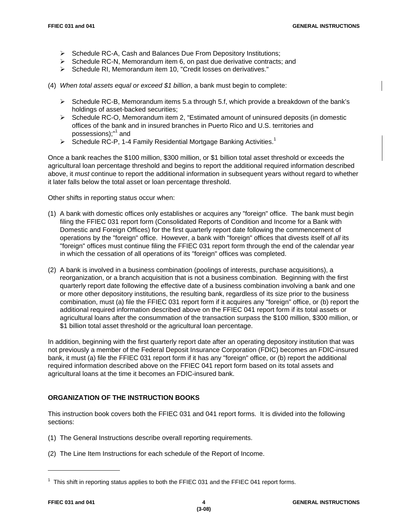- $\triangleright$  Schedule RC-A, Cash and Balances Due From Depository Institutions;
- $\triangleright$  Schedule RC-N, Memorandum item 6, on past due derivative contracts; and
- ¾ Schedule RI, Memorandum item 10, "Credit losses on derivatives."
- (4) *When total assets equal or exceed \$1 billion*, a bank must begin to complete:
	- $\triangleright$  Schedule RC-B, Memorandum items 5.a through 5.f, which provide a breakdown of the bank's holdings of asset-backed securities;
	- ¾ Schedule RC-O, Memorandum item 2, "Estimated amount of uninsured deposits (in domestic offices of the bank and in insured branches in Puerto Rico and U.S. territories and possessions);"<sup>1</sup> and
	- $\triangleright$  Schedule RC-P, 1-4 Family Residential Mortgage Banking Activities.<sup>1</sup>

Once a bank reaches the \$100 million, \$300 million, or \$1 billion total asset threshold or exceeds the agricultural loan percentage threshold and begins to report the additional required information described above, it *must* continue to report the additional information in subsequent years without regard to whether it later falls below the total asset or loan percentage threshold.

Other shifts in reporting status occur when:

- (1) A bank with domestic offices only establishes or acquires any "foreign" office. The bank must begin filing the FFIEC 031 report form (Consolidated Reports of Condition and Income for a Bank with Domestic and Foreign Offices) for the first quarterly report date following the commencement of operations by the "foreign" office. However, a bank with "foreign" offices that divests itself of *all* its "foreign" offices must continue filing the FFIEC 031 report form through the end of the calendar year in which the cessation of all operations of its "foreign" offices was completed.
- (2) A bank is involved in a business combination (poolings of interests, purchase acquisitions), a reorganization, or a branch acquisition that is not a business combination. Beginning with the first quarterly report date following the effective date of a business combination involving a bank and one or more other depository institutions, the resulting bank, regardless of its size prior to the business combination, must (a) file the FFIEC 031 report form if it acquires any "foreign" office, or (b) report the additional required information described above on the FFIEC 041 report form if its total assets or agricultural loans after the consummation of the transaction surpass the \$100 million, \$300 million, or \$1 billion total asset threshold or the agricultural loan percentage.

In addition, beginning with the first quarterly report date after an operating depository institution that was not previously a member of the Federal Deposit Insurance Corporation (FDIC) becomes an FDIC-insured bank, it must (a) file the FFIEC 031 report form if it has any "foreign" office, or (b) report the additional required information described above on the FFIEC 041 report form based on its total assets and agricultural loans at the time it becomes an FDIC-insured bank.

#### **ORGANIZATION OF THE INSTRUCTION BOOKS**

This instruction book covers both the FFIEC 031 and 041 report forms. It is divided into the following sections:

- (1) The General Instructions describe overall reporting requirements.
- (2) The Line Item Instructions for each schedule of the Report of Income.

 $1$  This shift in reporting status applies to both the FFIEC 031 and the FFIEC 041 report forms.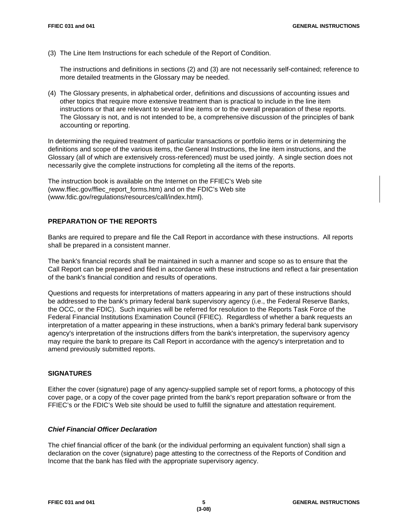(3) The Line Item Instructions for each schedule of the Report of Condition.

 The instructions and definitions in sections (2) and (3) are not necessarily self-contained; reference to more detailed treatments in the Glossary may be needed.

(4) The Glossary presents, in alphabetical order, definitions and discussions of accounting issues and other topics that require more extensive treatment than is practical to include in the line item instructions or that are relevant to several line items or to the overall preparation of these reports. The Glossary is not, and is not intended to be, a comprehensive discussion of the principles of bank accounting or reporting.

In determining the required treatment of particular transactions or portfolio items or in determining the definitions and scope of the various items, the General Instructions, the line item instructions, and the Glossary (all of which are extensively cross-referenced) must be used jointly. A single section does not necessarily give the complete instructions for completing all the items of the reports.

The instruction book is available on the Internet on the FFIEC's Web site (www.ffiec.gov/ffiec\_report\_forms.htm) and on the FDIC's Web site (www.fdic.gov/regulations/resources/call/index.html).

#### **PREPARATION OF THE REPORTS**

Banks are required to prepare and file the Call Report in accordance with these instructions. All reports shall be prepared in a consistent manner.

The bank's financial records shall be maintained in such a manner and scope so as to ensure that the Call Report can be prepared and filed in accordance with these instructions and reflect a fair presentation of the bank's financial condition and results of operations.

Questions and requests for interpretations of matters appearing in any part of these instructions should be addressed to the bank's primary federal bank supervisory agency (i.e., the Federal Reserve Banks, the OCC, or the FDIC). Such inquiries will be referred for resolution to the Reports Task Force of the Federal Financial Institutions Examination Council (FFIEC). Regardless of whether a bank requests an interpretation of a matter appearing in these instructions, when a bank's primary federal bank supervisory agency's interpretation of the instructions differs from the bank's interpretation, the supervisory agency may require the bank to prepare its Call Report in accordance with the agency's interpretation and to amend previously submitted reports.

#### **SIGNATURES**

Either the cover (signature) page of any agency-supplied sample set of report forms, a photocopy of this cover page, or a copy of the cover page printed from the bank's report preparation software or from the FFIEC's or the FDIC's Web site should be used to fulfill the signature and attestation requirement.

#### *Chief Financial Officer Declaration*

The chief financial officer of the bank (or the individual performing an equivalent function) shall sign a declaration on the cover (signature) page attesting to the correctness of the Reports of Condition and Income that the bank has filed with the appropriate supervisory agency.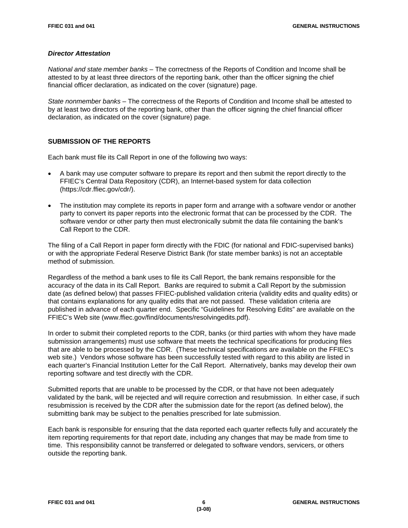#### *Director Attestation*

*National and state member banks* – The correctness of the Reports of Condition and Income shall be attested to by at least three directors of the reporting bank, other than the officer signing the chief financial officer declaration, as indicated on the cover (signature) page.

*State nonmember banks* – The correctness of the Reports of Condition and Income shall be attested to by at least two directors of the reporting bank, other than the officer signing the chief financial officer declaration, as indicated on the cover (signature) page.

#### **SUBMISSION OF THE REPORTS**

Each bank must file its Call Report in one of the following two ways:

- A bank may use computer software to prepare its report and then submit the report directly to the FFIEC's Central Data Repository (CDR), an Internet-based system for data collection (https://cdr.ffiec.gov/cdr/).
- The institution may complete its reports in paper form and arrange with a software vendor or another party to convert its paper reports into the electronic format that can be processed by the CDR. The software vendor or other party then must electronically submit the data file containing the bank's Call Report to the CDR.

The filing of a Call Report in paper form directly with the FDIC (for national and FDIC-supervised banks) or with the appropriate Federal Reserve District Bank (for state member banks) is not an acceptable method of submission.

Regardless of the method a bank uses to file its Call Report, the bank remains responsible for the accuracy of the data in its Call Report. Banks are required to submit a Call Report by the submission date (as defined below) that passes FFIEC-published validation criteria (validity edits and quality edits) or that contains explanations for any quality edits that are not passed. These validation criteria are published in advance of each quarter end. Specific "Guidelines for Resolving Edits" are available on the FFIEC's Web site (www.ffiec.gov/find/documents/resolvingedits.pdf).

In order to submit their completed reports to the CDR, banks (or third parties with whom they have made submission arrangements) must use software that meets the technical specifications for producing files that are able to be processed by the CDR. (These technical specifications are available on the FFIEC's web site.) Vendors whose software has been successfully tested with regard to this ability are listed in each quarter's Financial Institution Letter for the Call Report. Alternatively, banks may develop their own reporting software and test directly with the CDR.

Submitted reports that are unable to be processed by the CDR, or that have not been adequately validated by the bank, will be rejected and will require correction and resubmission. In either case, if such resubmission is received by the CDR after the submission date for the report (as defined below), the submitting bank may be subject to the penalties prescribed for late submission.

Each bank is responsible for ensuring that the data reported each quarter reflects fully and accurately the item reporting requirements for that report date, including any changes that may be made from time to time. This responsibility cannot be transferred or delegated to software vendors, servicers, or others outside the reporting bank.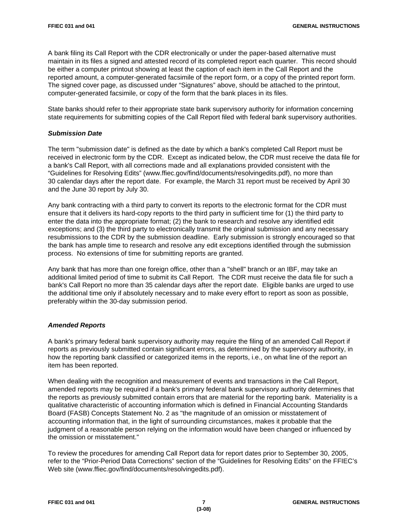A bank filing its Call Report with the CDR electronically or under the paper-based alternative must maintain in its files a signed and attested record of its completed report each quarter. This record should be either a computer printout showing at least the caption of each item in the Call Report and the reported amount, a computer-generated facsimile of the report form, or a copy of the printed report form. The signed cover page, as discussed under "Signatures" above, should be attached to the printout, computer-generated facsimile, or copy of the form that the bank places in its files.

State banks should refer to their appropriate state bank supervisory authority for information concerning state requirements for submitting copies of the Call Report filed with federal bank supervisory authorities.

#### *Submission Date*

The term "submission date" is defined as the date by which a bank's completed Call Report must be received in electronic form by the CDR. Except as indicated below, the CDR must receive the data file for a bank's Call Report, with all corrections made and all explanations provided consistent with the "Guidelines for Resolving Edits" (www.ffiec.gov/find/documents/resolvingedits.pdf), no more than 30 calendar days after the report date. For example, the March 31 report must be received by April 30 and the June 30 report by July 30.

Any bank contracting with a third party to convert its reports to the electronic format for the CDR must ensure that it delivers its hard-copy reports to the third party in sufficient time for (1) the third party to enter the data into the appropriate format; (2) the bank to research and resolve any identified edit exceptions; and (3) the third party to electronically transmit the original submission and any necessary resubmissions to the CDR by the submission deadline. Early submission is strongly encouraged so that the bank has ample time to research and resolve any edit exceptions identified through the submission process. No extensions of time for submitting reports are granted.

Any bank that has more than one foreign office, other than a "shell" branch or an IBF, may take an additional limited period of time to submit its Call Report. The CDR must receive the data file for such a bank's Call Report no more than 35 calendar days after the report date. Eligible banks are urged to use the additional time only if absolutely necessary and to make every effort to report as soon as possible, preferably within the 30-day submission period.

#### *Amended Reports*

A bank's primary federal bank supervisory authority may require the filing of an amended Call Report if reports as previously submitted contain significant errors, as determined by the supervisory authority, in how the reporting bank classified or categorized items in the reports, i.e., on what line of the report an item has been reported.

When dealing with the recognition and measurement of events and transactions in the Call Report, amended reports may be required if a bank's primary federal bank supervisory authority determines that the reports as previously submitted contain errors that are material for the reporting bank. Materiality is a qualitative characteristic of accounting information which is defined in Financial Accounting Standards Board (FASB) Concepts Statement No. 2 as "the magnitude of an omission or misstatement of accounting information that, in the light of surrounding circumstances, makes it probable that the judgment of a reasonable person relying on the information would have been changed or influenced by the omission or misstatement."

To review the procedures for amending Call Report data for report dates prior to September 30, 2005, refer to the "Prior-Period Data Corrections" section of the "Guidelines for Resolving Edits" on the FFIEC's Web site (www.ffiec.gov/find/documents/resolvingedits.pdf).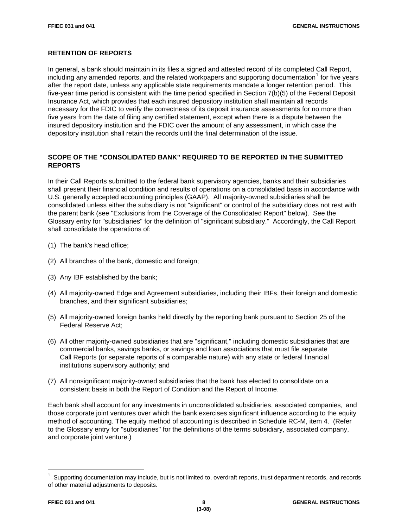#### **RETENTION OF REPORTS**

In general, a bank should maintain in its files a signed and attested record of its completed Call Report, including any amended reports, and the related workpapers and supporting documentation<sup>[1](#page-11-0)</sup> for five years after the report date, unless any applicable state requirements mandate a longer retention period. This five-year time period is consistent with the time period specified in Section 7(b)(5) of the Federal Deposit Insurance Act, which provides that each insured depository institution shall maintain all records necessary for the FDIC to verify the correctness of its deposit insurance assessments for no more than five years from the date of filing any certified statement, except when there is a dispute between the insured depository institution and the FDIC over the amount of any assessment, in which case the depository institution shall retain the records until the final determination of the issue.

#### **SCOPE OF THE "CONSOLIDATED BANK" REQUIRED TO BE REPORTED IN THE SUBMITTED REPORTS**

In their Call Reports submitted to the federal bank supervisory agencies, banks and their subsidiaries shall present their financial condition and results of operations on a consolidated basis in accordance with U.S. generally accepted accounting principles (GAAP). All majority-owned subsidiaries shall be consolidated unless either the subsidiary is not "significant" or control of the subsidiary does not rest with the parent bank (see "Exclusions from the Coverage of the Consolidated Report" below). See the Glossary entry for "subsidiaries" for the definition of "significant subsidiary." Accordingly, the Call Report shall consolidate the operations of:

- (1) The bank's head office;
- (2) All branches of the bank, domestic and foreign;
- (3) Any IBF established by the bank;
- (4) All majority-owned Edge and Agreement subsidiaries, including their IBFs, their foreign and domestic branches, and their significant subsidiaries;
- (5) All majority-owned foreign banks held directly by the reporting bank pursuant to Section 25 of the Federal Reserve Act;
- (6) All other majority-owned subsidiaries that are "significant," including domestic subsidiaries that are commercial banks, savings banks, or savings and loan associations that must file separate Call Reports (or separate reports of a comparable nature) with any state or federal financial institutions supervisory authority; and
- (7) All nonsignificant majority-owned subsidiaries that the bank has elected to consolidate on a consistent basis in both the Report of Condition and the Report of Income.

Each bank shall account for any investments in unconsolidated subsidiaries, associated companies, and those corporate joint ventures over which the bank exercises significant influence according to the equity method of accounting. The equity method of accounting is described in Schedule RC-M, item 4. (Refer to the Glossary entry for "subsidiaries" for the definitions of the terms subsidiary, associated company, and corporate joint venture.)

 $\overline{a}$ 

<span id="page-11-0"></span><sup>1</sup> Supporting documentation may include, but is not limited to, overdraft reports, trust department records, and records of other material adjustments to deposits.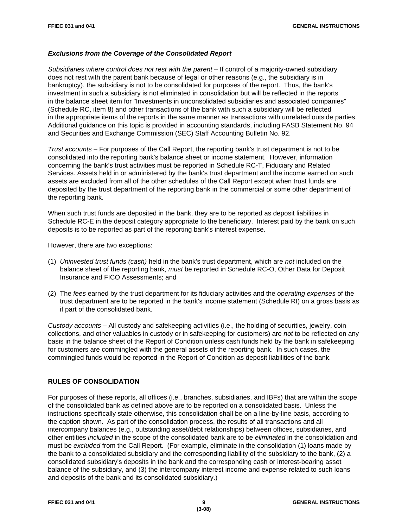#### *Exclusions from the Coverage of the Consolidated Report*

*Subsidiaries where control does not rest with the parent* – If control of a majority-owned subsidiary does not rest with the parent bank because of legal or other reasons (e.g., the subsidiary is in bankruptcy), the subsidiary is not to be consolidated for purposes of the report. Thus, the bank's investment in such a subsidiary is not eliminated in consolidation but will be reflected in the reports in the balance sheet item for "Investments in unconsolidated subsidiaries and associated companies" (Schedule RC, item 8) and other transactions of the bank with such a subsidiary will be reflected in the appropriate items of the reports in the same manner as transactions with unrelated outside parties. Additional guidance on this topic is provided in accounting standards, including FASB Statement No. 94 and Securities and Exchange Commission (SEC) Staff Accounting Bulletin No. 92.

*Trust accounts* – For purposes of the Call Report, the reporting bank's trust department is not to be consolidated into the reporting bank's balance sheet or income statement. However, information concerning the bank's trust activities must be reported in Schedule RC-T, Fiduciary and Related Services. Assets held in or administered by the bank's trust department and the income earned on such assets are excluded from all of the other schedules of the Call Report except when trust funds are deposited by the trust department of the reporting bank in the commercial or some other department of the reporting bank.

When such trust funds are deposited in the bank, they are to be reported as deposit liabilities in Schedule RC-E in the deposit category appropriate to the beneficiary. Interest paid by the bank on such deposits is to be reported as part of the reporting bank's interest expense.

However, there are two exceptions:

- (1) *Uninvested trust funds (cash)* held in the bank's trust department, which are *not* included on the balance sheet of the reporting bank, *must* be reported in Schedule RC-O, Other Data for Deposit Insurance and FICO Assessments; and
- (2) The *fees* earned by the trust department for its fiduciary activities and the *operating expenses* of the trust department are to be reported in the bank's income statement (Schedule RI) on a gross basis as if part of the consolidated bank.

*Custody accounts* – All custody and safekeeping activities (i.e., the holding of securities, jewelry, coin collections, and other valuables in custody or in safekeeping for customers) are *not* to be reflected on any basis in the balance sheet of the Report of Condition unless cash funds held by the bank in safekeeping for customers are commingled with the general assets of the reporting bank. In such cases, the commingled funds would be reported in the Report of Condition as deposit liabilities of the bank.

#### **RULES OF CONSOLIDATION**

For purposes of these reports, all offices (i.e., branches, subsidiaries, and IBFs) that are within the scope of the consolidated bank as defined above are to be reported on a consolidated basis. Unless the instructions specifically state otherwise, this consolidation shall be on a line-by-line basis, according to the caption shown. As part of the consolidation process, the results of all transactions and all intercompany balances (e.g., outstanding asset/debt relationships) between offices, subsidiaries, and other entities *included* in the scope of the consolidated bank are to be *eliminated* in the consolidation and must be *excluded* from the Call Report. (For example, eliminate in the consolidation (1) loans made by the bank to a consolidated subsidiary and the corresponding liability of the subsidiary to the bank, (2) a consolidated subsidiary's deposits in the bank and the corresponding cash or interest-bearing asset balance of the subsidiary, and (3) the intercompany interest income and expense related to such loans and deposits of the bank and its consolidated subsidiary.)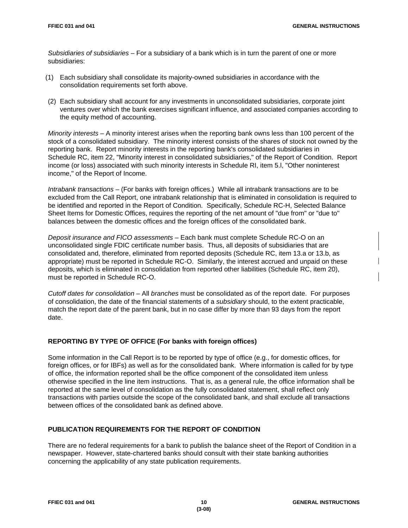$\overline{\phantom{a}}$ 

*Subsidiaries of subsidiaries* – For a subsidiary of a bank which is in turn the parent of one or more subsidiaries:

- (1) Each subsidiary shall consolidate its majority-owned subsidiaries in accordance with the consolidation requirements set forth above.
- (2) Each subsidiary shall account for any investments in unconsolidated subsidiaries, corporate joint ventures over which the bank exercises significant influence, and associated companies according to the equity method of accounting.

*Minority interests* – A minority interest arises when the reporting bank owns less than 100 percent of the stock of a consolidated subsidiary. The minority interest consists of the shares of stock not owned by the reporting bank. Report minority interests in the reporting bank's consolidated subsidiaries in Schedule RC, item 22, "Minority interest in consolidated subsidiaries," of the Report of Condition. Report income (or loss) associated with such minority interests in Schedule RI, item 5.l, "Other noninterest income," of the Report of Income.

*Intrabank transactions* – (For banks with foreign offices.) While all intrabank transactions are to be excluded from the Call Report, one intrabank relationship that is eliminated in consolidation is required to be identified and reported in the Report of Condition. Specifically, Schedule RC-H, Selected Balance Sheet Items for Domestic Offices, requires the reporting of the net amount of "due from" or "due to" balances between the domestic offices and the foreign offices of the consolidated bank.

*Deposit insurance and FICO assessments* – Each bank must complete Schedule RC-O on an unconsolidated single FDIC certificate number basis. Thus, all deposits of subsidiaries that are consolidated and, therefore, eliminated from reported deposits (Schedule RC, item 13.a or 13.b, as appropriate) must be reported in Schedule RC-O. Similarly, the interest accrued and unpaid on these deposits, which is eliminated in consolidation from reported other liabilities (Schedule RC, item 20), must be reported in Schedule RC-O.

*Cutoff dates for consolidation* – All *branches* must be consolidated as of the report date. For purposes of consolidation, the date of the financial statements of a *subsidiary* should, to the extent practicable, match the report date of the parent bank, but in no case differ by more than 93 days from the report date.

#### **REPORTING BY TYPE OF OFFICE (For banks with foreign offices)**

Some information in the Call Report is to be reported by type of office (e.g., for domestic offices, for foreign offices, or for IBFs) as well as for the consolidated bank. Where information is called for by type of office, the information reported shall be the office component of the consolidated item unless otherwise specified in the line item instructions. That is, as a general rule, the office information shall be reported at the same level of consolidation as the fully consolidated statement, shall reflect only transactions with parties outside the scope of the consolidated bank, and shall exclude all transactions between offices of the consolidated bank as defined above.

#### **PUBLICATION REQUIREMENTS FOR THE REPORT OF CONDITION**

There are no federal requirements for a bank to publish the balance sheet of the Report of Condition in a newspaper. However, state-chartered banks should consult with their state banking authorities concerning the applicability of any state publication requirements.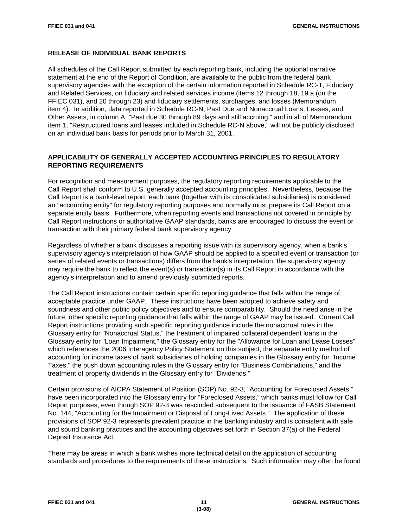#### **RELEASE OF INDIVIDUAL BANK REPORTS**

All schedules of the Call Report submitted by each reporting bank, including the optional narrative statement at the end of the Report of Condition, are available to the public from the federal bank supervisory agencies with the exception of the certain information reported in Schedule RC-T, Fiduciary and Related Services, on fiduciary and related services income (items 12 through 18, 19.a (on the FFIEC 031), and 20 through 23) and fiduciary settlements, surcharges, and losses (Memorandum item 4). In addition, data reported in Schedule RC-N, Past Due and Nonaccrual Loans, Leases, and Other Assets, in column A, "Past due 30 through 89 days and still accruing," and in all of Memorandum item 1, "Restructured loans and leases included in Schedule RC-N above," will not be publicly disclosed on an individual bank basis for periods prior to March 31, 2001.

#### **APPLICABILITY OF GENERALLY ACCEPTED ACCOUNTING PRINCIPLES TO REGULATORY REPORTING REQUIREMENTS**

For recognition and measurement purposes, the regulatory reporting requirements applicable to the Call Report shall conform to U.S. generally accepted accounting principles. Nevertheless, because the Call Report is a bank-level report, each bank (together with its consolidated subsidiaries) is considered an "accounting entity" for regulatory reporting purposes and normally must prepare its Call Report on a separate entity basis. Furthermore, when reporting events and transactions not covered in principle by Call Report instructions or authoritative GAAP standards, banks are encouraged to discuss the event or transaction with their primary federal bank supervisory agency.

Regardless of whether a bank discusses a reporting issue with its supervisory agency, when a bank's supervisory agency's interpretation of how GAAP should be applied to a specified event or transaction (or series of related events or transactions) differs from the bank's interpretation, the supervisory agency may require the bank to reflect the event(s) or transaction(s) in its Call Report in accordance with the agency's interpretation and to amend previously submitted reports.

The Call Report instructions contain certain specific reporting guidance that falls within the range of acceptable practice under GAAP. These instructions have been adopted to achieve safety and soundness and other public policy objectives and to ensure comparability. Should the need arise in the future, other specific reporting guidance that falls within the range of GAAP may be issued. Current Call Report instructions providing such specific reporting guidance include the nonaccrual rules in the Glossary entry for "Nonaccrual Status," the treatment of impaired collateral dependent loans in the Glossary entry for "Loan Impairment," the Glossary entry for the "Allowance for Loan and Lease Losses" which references the 2006 Interagency Policy Statement on this subject, the separate entity method of accounting for income taxes of bank subsidiaries of holding companies in the Glossary entry for "Income Taxes," the push down accounting rules in the Glossary entry for "Business Combinations," and the treatment of property dividends in the Glossary entry for "Dividends."

Certain provisions of AICPA Statement of Position (SOP) No. 92-3, "Accounting for Foreclosed Assets," have been incorporated into the Glossary entry for "Foreclosed Assets," which banks must follow for Call Report purposes, even though SOP 92-3 was rescinded subsequent to the issuance of FASB Statement No. 144, "Accounting for the Impairment or Disposal of Long-Lived Assets." The application of these provisions of SOP 92-3 represents prevalent practice in the banking industry and is consistent with safe and sound banking practices and the accounting objectives set forth in Section 37(a) of the Federal Deposit Insurance Act.

There may be areas in which a bank wishes more technical detail on the application of accounting standards and procedures to the requirements of these instructions. Such information may often be found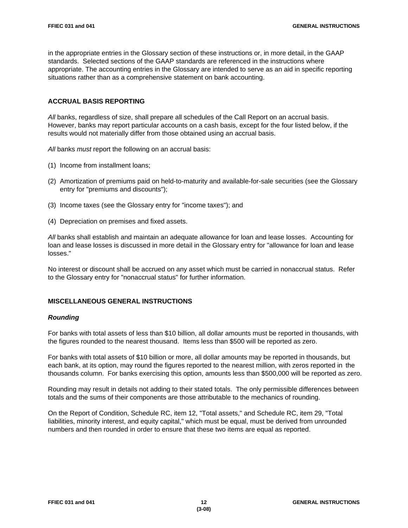in the appropriate entries in the Glossary section of these instructions or, in more detail, in the GAAP standards. Selected sections of the GAAP standards are referenced in the instructions where appropriate. The accounting entries in the Glossary are intended to serve as an aid in specific reporting situations rather than as a comprehensive statement on bank accounting.

#### **ACCRUAL BASIS REPORTING**

All banks, regardless of size, shall prepare all schedules of the Call Report on an accrual basis. However, banks may report particular accounts on a cash basis, except for the four listed below, if the results would not materially differ from those obtained using an accrual basis.

All banks *must* report the following on an accrual basis:

- (1) Income from installment loans;
- (2) Amortization of premiums paid on held-to-maturity and available-for-sale securities (see the Glossary entry for "premiums and discounts");
- (3) Income taxes (see the Glossary entry for "income taxes"); and
- (4) Depreciation on premises and fixed assets.

*All* banks shall establish and maintain an adequate allowance for loan and lease losses. Accounting for loan and lease losses is discussed in more detail in the Glossary entry for "allowance for loan and lease losses."

No interest or discount shall be accrued on any asset which must be carried in nonaccrual status. Refer to the Glossary entry for "nonaccrual status" for further information.

#### **MISCELLANEOUS GENERAL INSTRUCTIONS**

#### *Rounding*

For banks with total assets of less than \$10 billion, all dollar amounts must be reported in thousands, with the figures rounded to the nearest thousand. Items less than \$500 will be reported as zero.

For banks with total assets of \$10 billion or more, all dollar amounts may be reported in thousands, but each bank, at its option, may round the figures reported to the nearest million, with zeros reported in the thousands column. For banks exercising this option, amounts less than \$500,000 will be reported as zero.

Rounding may result in details not adding to their stated totals. The only permissible differences between totals and the sums of their components are those attributable to the mechanics of rounding.

On the Report of Condition, Schedule RC, item 12, "Total assets," and Schedule RC, item 29, "Total liabilities, minority interest, and equity capital," which must be equal, must be derived from unrounded numbers and then rounded in order to ensure that these two items are equal as reported.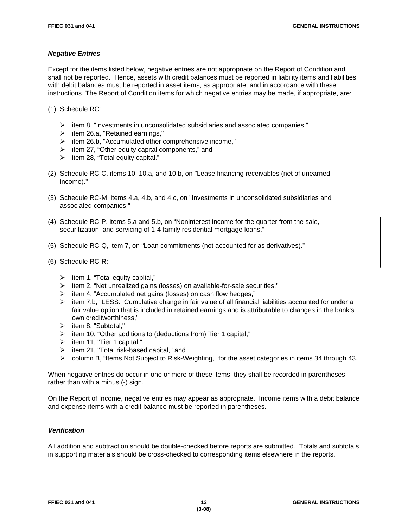#### *Negative Entries*

Except for the items listed below, negative entries are not appropriate on the Report of Condition and shall not be reported. Hence, assets with credit balances must be reported in liability items and liabilities with debit balances must be reported in asset items, as appropriate, and in accordance with these instructions. The Report of Condition items for which negative entries may be made, if appropriate, are:

- (1) Schedule RC:
	- $\geq$  item 8, "Investments in unconsolidated subsidiaries and associated companies,"
	- $\triangleright$  item 26.a, "Retained earnings,"
	- ¾ item 26.b, "Accumulated other comprehensive income,"
	- $\triangleright$  item 27, "Other equity capital components," and
	- $\triangleright$  item 28, "Total equity capital."
- (2) Schedule RC-C, items 10, 10.a, and 10.b, on "Lease financing receivables (net of unearned income)."
- (3) Schedule RC-M, items 4.a, 4.b, and 4.c, on "Investments in unconsolidated subsidiaries and associated companies."
- (4) Schedule RC-P, items 5.a and 5.b, on "Noninterest income for the quarter from the sale, securitization, and servicing of 1-4 family residential mortgage loans."
- (5) Schedule RC-Q, item 7, on "Loan commitments (not accounted for as derivatives)."
- (6) Schedule RC-R:
	- $\triangleright$  item 1, "Total equity capital,"
	- ¾ item 2, "Net unrealized gains (losses) on available-for-sale securities,"
	- ¾ item 4, "Accumulated net gains (losses) on cash flow hedges,"
	- $\triangleright$  item 7.b, "LESS: Cumulative change in fair value of all financial liabilities accounted for under a fair value option that is included in retained earnings and is attributable to changes in the bank's own creditworthiness,"
	- $\triangleright$  item 8, "Subtotal,"
	- ¾ item 10, "Other additions to (deductions from) Tier 1 capital,"
	- $\triangleright$  item 11, "Tier 1 capital,"
	- $\geq$  item 21, "Total risk-based capital," and
	- $\triangleright$  column B, "Items Not Subject to Risk-Weighting," for the asset categories in items 34 through 43.

When negative entries do occur in one or more of these items, they shall be recorded in parentheses rather than with a minus (-) sign.

On the Report of Income, negative entries may appear as appropriate. Income items with a debit balance and expense items with a credit balance must be reported in parentheses.

#### *Verification*

All addition and subtraction should be double-checked before reports are submitted. Totals and subtotals in supporting materials should be cross-checked to corresponding items elsewhere in the reports.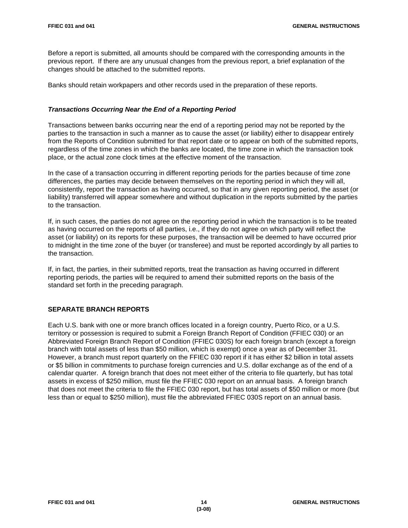Before a report is submitted, all amounts should be compared with the corresponding amounts in the previous report. If there are any unusual changes from the previous report, a brief explanation of the changes should be attached to the submitted reports.

Banks should retain workpapers and other records used in the preparation of these reports.

#### *Transactions Occurring Near the End of a Reporting Period*

Transactions between banks occurring near the end of a reporting period may not be reported by the parties to the transaction in such a manner as to cause the asset (or liability) either to disappear entirely from the Reports of Condition submitted for that report date or to appear on both of the submitted reports, regardless of the time zones in which the banks are located, the time zone in which the transaction took place, or the actual zone clock times at the effective moment of the transaction.

In the case of a transaction occurring in different reporting periods for the parties because of time zone differences, the parties may decide between themselves on the reporting period in which they will all, consistently, report the transaction as having occurred, so that in any given reporting period, the asset (or liability) transferred will appear somewhere and without duplication in the reports submitted by the parties to the transaction.

If, in such cases, the parties do not agree on the reporting period in which the transaction is to be treated as having occurred on the reports of all parties, i.e., if they do not agree on which party will reflect the asset (or liability) on its reports for these purposes, the transaction will be deemed to have occurred prior to midnight in the time zone of the buyer (or transferee) and must be reported accordingly by all parties to the transaction.

If, in fact, the parties, in their submitted reports, treat the transaction as having occurred in different reporting periods, the parties will be required to amend their submitted reports on the basis of the standard set forth in the preceding paragraph.

#### **SEPARATE BRANCH REPORTS**

Each U.S. bank with one or more branch offices located in a foreign country, Puerto Rico, or a U.S. territory or possession is required to submit a Foreign Branch Report of Condition (FFIEC 030) or an Abbreviated Foreign Branch Report of Condition (FFIEC 030S) for each foreign branch (except a foreign branch with total assets of less than \$50 million, which is exempt) once a year as of December 31. However, a branch must report quarterly on the FFIEC 030 report if it has either \$2 billion in total assets or \$5 billion in commitments to purchase foreign currencies and U.S. dollar exchange as of the end of a calendar quarter. A foreign branch that does not meet either of the criteria to file quarterly, but has total assets in excess of \$250 million, must file the FFIEC 030 report on an annual basis. A foreign branch that does not meet the criteria to file the FFIEC 030 report, but has total assets of \$50 million or more (but less than or equal to \$250 million), must file the abbreviated FFIEC 030S report on an annual basis.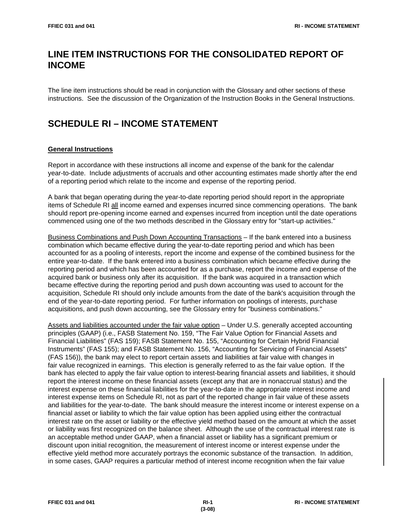# **LINE ITEM INSTRUCTIONS FOR THE CONSOLIDATED REPORT OF INCOME**

The line item instructions should be read in conjunction with the Glossary and other sections of these instructions. See the discussion of the Organization of the Instruction Books in the General Instructions.

# **SCHEDULE RI – INCOME STATEMENT**

#### **General Instructions**

Report in accordance with these instructions all income and expense of the bank for the calendar year-to-date. Include adjustments of accruals and other accounting estimates made shortly after the end of a reporting period which relate to the income and expense of the reporting period.

A bank that began operating during the year-to-date reporting period should report in the appropriate items of Schedule RI all income earned and expenses incurred since commencing operations. The bank should report pre-opening income earned and expenses incurred from inception until the date operations commenced using one of the two methods described in the Glossary entry for "start-up activities."

Business Combinations and Push Down Accounting Transactions – If the bank entered into a business combination which became effective during the year-to-date reporting period and which has been accounted for as a pooling of interests, report the income and expense of the combined business for the entire year-to-date. If the bank entered into a business combination which became effective during the reporting period and which has been accounted for as a purchase, report the income and expense of the acquired bank or business only after its acquisition. If the bank was acquired in a transaction which became effective during the reporting period and push down accounting was used to account for the acquisition, Schedule RI should only include amounts from the date of the bank's acquisition through the end of the year-to-date reporting period. For further information on poolings of interests, purchase acquisitions, and push down accounting, see the Glossary entry for "business combinations."

Assets and liabilities accounted under the fair value option – Under U.S. generally accepted accounting principles (GAAP) (i.e., FASB Statement No. 159, "The Fair Value Option for Financial Assets and Financial Liabilities" (FAS 159); FASB Statement No. 155, "Accounting for Certain Hybrid Financial Instruments" (FAS 155); and FASB Statement No. 156, "Accounting for Servicing of Financial Assets" (FAS 156)), the bank may elect to report certain assets and liabilities at fair value with changes in fair value recognized in earnings. This election is generally referred to as the fair value option. If the bank has elected to apply the fair value option to interest-bearing financial assets and liabilities, it should report the interest income on these financial assets (except any that are in nonaccrual status) and the interest expense on these financial liabilities for the year-to-date in the appropriate interest income and interest expense items on Schedule RI, not as part of the reported change in fair value of these assets and liabilities for the year-to-date. The bank should measure the interest income or interest expense on a financial asset or liability to which the fair value option has been applied using either the contractual interest rate on the asset or liability or the effective yield method based on the amount at which the asset or liability was first recognized on the balance sheet. Although the use of the contractual interest rate is an acceptable method under GAAP, when a financial asset or liability has a significant premium or discount upon initial recognition, the measurement of interest income or interest expense under the effective yield method more accurately portrays the economic substance of the transaction. In addition, in some cases, GAAP requires a particular method of interest income recognition when the fair value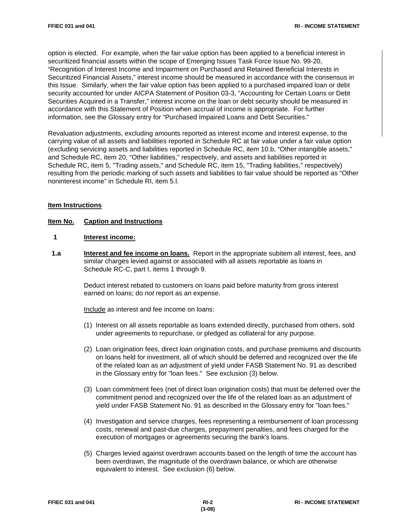option is elected. For example, when the fair value option has been applied to a beneficial interest in securitized financial assets within the scope of Emerging Issues Task Force Issue No. 99-20, "Recognition of Interest Income and Impairment on Purchased and Retained Beneficial Interests in Securitized Financial Assets," interest income should be measured in accordance with the consensus in this Issue. Similarly, when the fair value option has been applied to a purchased impaired loan or debt security accounted for under AICPA Statement of Position 03-3, "Accounting for Certain Loans or Debt Securities Acquired in a Transfer," interest income on the loan or debt security should be measured in accordance with this Statement of Position when accrual of income is appropriate. For further information, see the Glossary entry for "Purchased Impaired Loans and Debt Securities."

Revaluation adjustments, excluding amounts reported as interest income and interest expense, to the carrying value of all assets and liabilities reported in Schedule RC at fair value under a fair value option (excluding servicing assets and liabilities reported in Schedule RC, item 10.b, "Other intangible assets," and Schedule RC, item 20, "Other liabilities," respectively, and assets and liabilities reported in Schedule RC, item 5, "Trading assets," and Schedule RC, item 15, "Trading liabilities," respectively) resulting from the periodic marking of such assets and liabilities to fair value should be reported as "Other noninterest income" in Schedule RI, item 5.l.

#### **Item Instructions**

#### **Item No. Caption and Instructions**

#### **1 Interest income:**

**1.a** Interest and fee income on loans. Report in the appropriate subitem all interest, fees, and similar charges levied against or associated with all assets reportable as loans in Schedule RC-C, part I, items 1 through 9.

> Deduct interest rebated to customers on loans paid before maturity from gross interest earned on loans; do *not* report as an expense.

Include as interest and fee income on loans:

- (1) Interest on all assets reportable as loans extended directly, purchased from others, sold under agreements to repurchase, or pledged as collateral for any purpose.
- (2) Loan origination fees, direct loan origination costs, and purchase premiums and discounts on loans held for investment, all of which should be deferred and recognized over the life of the related loan as an adjustment of yield under FASB Statement No. 91 as described in the Glossary entry for "loan fees." See exclusion (3) below.
- (3) Loan commitment fees (net of direct loan origination costs) that must be deferred over the commitment period and recognized over the life of the related loan as an adjustment of yield under FASB Statement No. 91 as described in the Glossary entry for "loan fees."
- (4) Investigation and service charges, fees representing a reimbursement of loan processing costs, renewal and past-due charges, prepayment penalties, and fees charged for the execution of mortgages or agreements securing the bank's loans.
- (5) Charges levied against overdrawn accounts based on the length of time the account has been overdrawn, the magnitude of the overdrawn balance, or which are otherwise equivalent to interest. See exclusion (6) below.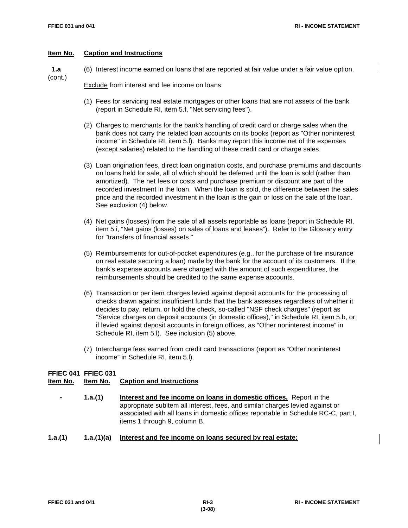**1.a** (6) Interest income earned on loans that are reported at fair value under a fair value option.

(cont.)

Exclude from interest and fee income on loans:

- (1) Fees for servicing real estate mortgages or other loans that are not assets of the bank (report in Schedule RI, item 5.f, "Net servicing fees").
- (2) Charges to merchants for the bank's handling of credit card or charge sales when the bank does not carry the related loan accounts on its books (report as "Other noninterest income" in Schedule RI, item 5.l). Banks may report this income net of the expenses (except salaries) related to the handling of these credit card or charge sales.
- (3) Loan origination fees, direct loan origination costs, and purchase premiums and discounts on loans held for sale, all of which should be deferred until the loan is sold (rather than amortized). The net fees or costs and purchase premium or discount are part of the recorded investment in the loan. When the loan is sold, the difference between the sales price and the recorded investment in the loan is the gain or loss on the sale of the loan. See exclusion (4) below.
- (4) Net gains (losses) from the sale of all assets reportable as loans (report in Schedule RI, item 5.i, "Net gains (losses) on sales of loans and leases"). Refer to the Glossary entry for "transfers of financial assets."
- (5) Reimbursements for out-of-pocket expenditures (e.g., for the purchase of fire insurance on real estate securing a loan) made by the bank for the account of its customers. If the bank's expense accounts were charged with the amount of such expenditures, the reimbursements should be credited to the same expense accounts.
- (6) Transaction or per item charges levied against deposit accounts for the processing of checks drawn against insufficient funds that the bank assesses regardless of whether it decides to pay, return, or hold the check, so-called "NSF check charges" (report as "Service charges on deposit accounts (in domestic offices)," in Schedule RI, item 5.b, or, if levied against deposit accounts in foreign offices, as "Other noninterest income" in Schedule RI, item 5.l). See inclusion (5) above.
- (7) Interchange fees earned from credit card transactions (report as "Other noninterest income" in Schedule RI, item 5.l).

#### **FFIEC 041 FFIEC 031**

#### **Item No. Item No. Caption and Instructions**

- **1.a.(1) Interest and fee income on loans in domestic offices.** Report in the appropriate subitem all interest, fees, and similar charges levied against or associated with all loans in domestic offices reportable in Schedule RC-C, part I, items 1 through 9, column B.
- **1.a.(1) 1.a.(1)(a) Interest and fee income on loans secured by real estate:**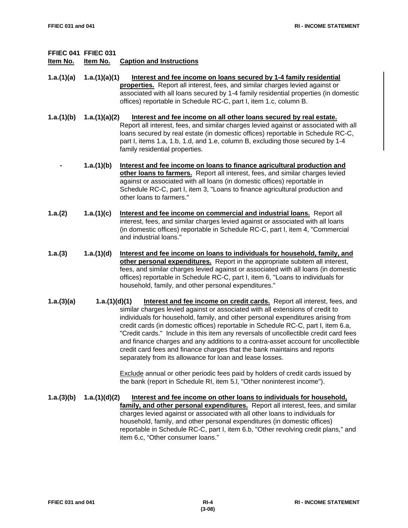**FFIEC 041 FFIEC 031** 

#### **Item No. Item No. Caption and Instructions**

- **1.a.(1)(a) 1.a.(1)(a)(1) Interest and fee income on loans secured by 1-4 family residential properties.** Report all interest, fees, and similar charges levied against or associated with all loans secured by 1-4 family residential properties (in domestic offices) reportable in Schedule RC-C, part I, item 1.c, column B.
- **1.a.(1)(b) 1.a.(1)(a)(2) Interest and fee income on all other loans secured by real estate.** Report all interest, fees, and similar charges levied against or associated with all loans secured by real estate (in domestic offices) reportable in Schedule RC-C, part I, items 1.a, 1.b, 1.d, and 1.e, column B, excluding those secured by 1-4 family residential properties.
	- **- 1.a.(1)(b) Interest and fee income on loans to finance agricultural production and other loans to farmers.** Report all interest, fees, and similar charges levied against or associated with all loans (in domestic offices) reportable in Schedule RC-C, part I, item 3, "Loans to finance agricultural production and other loans to farmers."
- **1.a.(2) 1.a.(1)(c) Interest and fee income on commercial and industrial loans.** Report all interest, fees, and similar charges levied against or associated with all loans (in domestic offices) reportable in Schedule RC-C, part I, item 4, "Commercial and industrial loans."
- **1.a.(3) 1.a.(1)(d) Interest and fee income on loans to individuals for household, family, and other personal expenditures.** Report in the appropriate subitem all interest, fees, and similar charges levied against or associated with all loans (in domestic offices) reportable in Schedule RC-C, part I, item 6, "Loans to individuals for household, family, and other personal expenditures."
- **1.a.(3)(a) 1.a.(1)(d)(1)** Interest and fee income on credit cards. Report all interest, fees, and similar charges levied against or associated with all extensions of credit to individuals for household, family, and other personal expenditures arising from credit cards (in domestic offices) reportable in Schedule RC-C, part I, item 6.a, "Credit cards." Include in this item any reversals of uncollectible credit card fees and finance charges and any additions to a contra-asset account for uncollectible credit card fees and finance charges that the bank maintains and reports separately from its allowance for loan and lease losses.

 Exclude annual or other periodic fees paid by holders of credit cards issued by the bank (report in Schedule RI, item 5.l, "Other noninterest income").

**1.a.(3)(b) 1.a.(1)(d)(2) Interest and fee income on other loans to individuals for household, family, and other personal expenditures.** Report all interest, fees, and similar charges levied against or associated with all other loans to individuals for household, family, and other personal expenditures (in domestic offices) reportable in Schedule RC-C, part I, item 6.b, "Other revolving credit plans," and item 6.c, "Other consumer loans."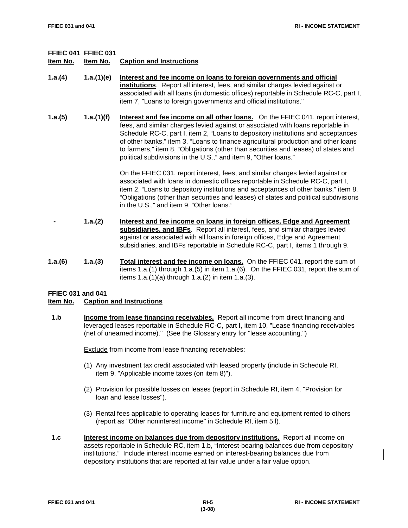#### **FFIEC 041 FFIEC 031**

#### **Item No. Item No. Caption and Instructions**

- **1.a.(4) 1.a.(1)(e) Interest and fee income on loans to foreign governments and official institutions**. Report all interest, fees, and similar charges levied against or associated with all loans (in domestic offices) reportable in Schedule RC-C, part I, item 7, "Loans to foreign governments and official institutions."
- **1.a.(5) 1.a.(1)(f) Interest and fee income on all other loans.** On the FFIEC 041, report interest, fees, and similar charges levied against or associated with loans reportable in Schedule RC-C, part I, item 2, "Loans to depository institutions and acceptances of other banks," item 3, "Loans to finance agricultural production and other loans to farmers," item 8, "Obligations (other than securities and leases) of states and political subdivisions in the U.S.," and item 9, "Other loans."

On the FFIEC 031, report interest, fees, and similar charges levied against or associated with loans in domestic offices reportable in Schedule RC-C, part I, item 2, "Loans to depository institutions and acceptances of other banks," item 8, "Obligations (other than securities and leases) of states and political subdivisions in the U.S.," and item 9, "Other loans."

- **1.a.(2) Interest and fee income on loans in foreign offices, Edge and Agreement subsidiaries, and IBFs**. Report all interest, fees, and similar charges levied against or associated with all loans in foreign offices, Edge and Agreement subsidiaries, and IBFs reportable in Schedule RC-C, part I, items 1 through 9.
- **1.a.(6) 1.a.(3) Total interest and fee income on loans.** On the FFIEC 041, report the sum of items 1.a.(1) through 1.a.(5) in item 1.a.(6). On the FFIEC 031, report the sum of items 1.a.(1)(a) through 1.a.(2) in item 1.a.(3).

#### **FFIEC 031 and 041**

#### **Item No. Caption and Instructions**

**1.b Income from lease financing receivables.** Report all income from direct financing and leveraged leases reportable in Schedule RC-C, part I, item 10, "Lease financing receivables (net of unearned income)." (See the Glossary entry for "lease accounting.")

Exclude from income from lease financing receivables:

- (1) Any investment tax credit associated with leased property (include in Schedule RI, item 9, "Applicable income taxes (on item 8)").
- (2) Provision for possible losses on leases (report in Schedule RI, item 4, "Provision for loan and lease losses").
- (3) Rental fees applicable to operating leases for furniture and equipment rented to others (report as "Other noninterest income" in Schedule RI, item 5.l).
- **1.c Interest income on balances due from depository institutions.** Report all income on assets reportable in Schedule RC, item 1.b, "Interest-bearing balances due from depository institutions." Include interest income earned on interest-bearing balances due from depository institutions that are reported at fair value under a fair value option.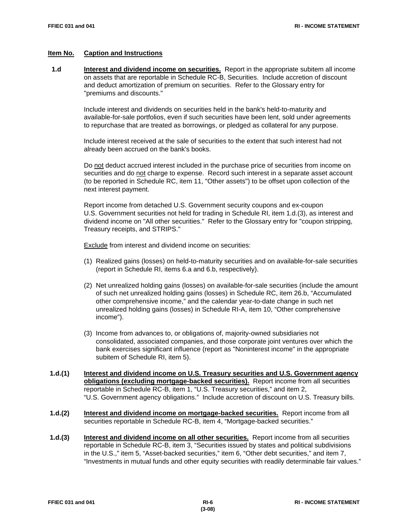**1.d** Interest and dividend income on securities. Report in the appropriate subitem all income on assets that are reportable in Schedule RC-B, Securities. Include accretion of discount and deduct amortization of premium on securities. Refer to the Glossary entry for "premiums and discounts."

> Include interest and dividends on securities held in the bank's held-to-maturity and available-for-sale portfolios, even if such securities have been lent, sold under agreements to repurchase that are treated as borrowings, or pledged as collateral for any purpose.

Include interest received at the sale of securities to the extent that such interest had not already been accrued on the bank's books.

Do not deduct accrued interest included in the purchase price of securities from income on securities and do not charge to expense. Record such interest in a separate asset account (to be reported in Schedule RC, item 11, "Other assets") to be offset upon collection of the next interest payment.

Report income from detached U.S. Government security coupons and ex-coupon U.S. Government securities not held for trading in Schedule RI, item 1.d.(3), as interest and dividend income on "All other securities." Refer to the Glossary entry for "coupon stripping, Treasury receipts, and STRIPS."

**Exclude** from interest and dividend income on securities:

- (1) Realized gains (losses) on held-to-maturity securities and on available-for-sale securities (report in Schedule RI, items 6.a and 6.b, respectively).
- (2) Net unrealized holding gains (losses) on available-for-sale securities (include the amount of such net unrealized holding gains (losses) in Schedule RC, item 26.b, "Accumulated other comprehensive income," and the calendar year-to-date change in such net unrealized holding gains (losses) in Schedule RI-A, item 10, "Other comprehensive income").
- (3) Income from advances to, or obligations of, majority-owned subsidiaries not consolidated, associated companies, and those corporate joint ventures over which the bank exercises significant influence (report as "Noninterest income" in the appropriate subitem of Schedule RI, item 5).
- **1.d.(1) Interest and dividend income on U.S. Treasury securities and U.S. Government agency obligations (excluding mortgage-backed securities).** Report income from all securities reportable in Schedule RC-B, item 1, "U.S. Treasury securities," and item 2, "U.S. Government agency obligations." Include accretion of discount on U.S. Treasury bills.
- **1.d.(2) Interest and dividend income on mortgage-backed securities.** Report income from all securities reportable in Schedule RC-B, item 4, "Mortgage-backed securities."
- **1.d.(3) Interest and dividend income on all other securities.** Report income from all securities reportable in Schedule RC-B, item 3, "Securities issued by states and political subdivisions in the U.S.," item 5, "Asset-backed securities," item 6, "Other debt securities," and item 7, "Investments in mutual funds and other equity securities with readily determinable fair values."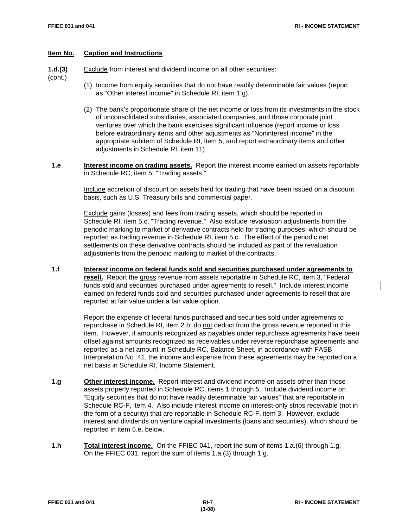**1.d.(3)** Exclude from interest and dividend income on all other securities:

(cont.)

- (1) Income from equity securities that do not have readily determinable fair values (report as "Other interest income" in Schedule RI, item 1.g).
- (2) The bank's proportionate share of the net income or loss from its investments in the stock of unconsolidated subsidiaries, associated companies, and those corporate joint ventures over which the bank exercises significant influence (report income or loss before extraordinary items and other adjustments as "Noninterest income" in the appropriate subitem of Schedule RI, item 5, and report extraordinary items and other adjustments in Schedule RI, item 11).
- **1.e Interest income on trading assets.** Report the interest income earned on assets reportable in Schedule RC, item 5, "Trading assets."

Include accretion of discount on assets held for trading that have been issued on a discount basis, such as U.S. Treasury bills and commercial paper.

Exclude gains (losses) and fees from trading assets, which should be reported in Schedule RI, item 5.c, "Trading revenue." Also exclude revaluation adjustments from the periodic marking to market of derivative contracts held for trading purposes, which should be reported as trading revenue in Schedule RI, item 5.c. The effect of the periodic net settlements on these derivative contracts should be included as part of the revaluation adjustments from the periodic marking to market of the contracts.

 **1.f Interest income on federal funds sold and securities purchased under agreements to resell.** Report the gross revenue from assets reportable in Schedule RC, item 3, "Federal funds sold and securities purchased under agreements to resell." Include interest income earned on federal funds sold and securities purchased under agreements to resell that are reported at fair value under a fair value option.

> Report the expense of federal funds purchased and securities sold under agreements to repurchase in Schedule RI, item 2.b; do not deduct from the gross revenue reported in this item. However, if amounts recognized as payables under repurchase agreements have been offset against amounts recognized as receivables under reverse repurchase agreements and reported as a net amount in Schedule RC, Balance Sheet, in accordance with FASB Interpretation No. 41, the income and expense from these agreements may be reported on a net basis in Schedule RI, Income Statement.

- **1.g Other interest income.** Report interest and dividend income on assets other than those assets properly reported in Schedule RC, items 1 through 5. Include dividend income on "Equity securities that do not have readily determinable fair values" that are reportable in Schedule RC-F, item 4. Also include interest income on interest-only strips receivable (not in the form of a security) that are reportable in Schedule RC-F, item 3. However, exclude interest and dividends on venture capital investments (loans and securities), which should be reported in item 5.e, below.
- **1.h Total interest income.** On the FFIEC 041, report the sum of items 1.a.(6) through 1.g. On the FFIEC 031, report the sum of items 1.a.(3) through 1.g.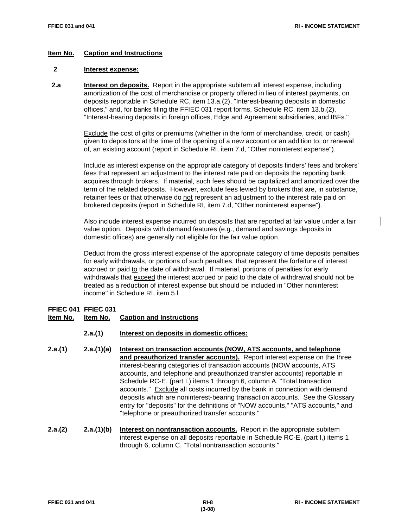#### **2 Interest expense:**

**2.a Interest on deposits.** Report in the appropriate subitem all interest expense, including amortization of the cost of merchandise or property offered in lieu of interest payments, on deposits reportable in Schedule RC, item 13.a.(2), "Interest-bearing deposits in domestic offices," and, for banks filing the FFIEC 031 report forms, Schedule RC, item 13.b.(2), "Interest-bearing deposits in foreign offices, Edge and Agreement subsidiaries, and IBFs."

> Exclude the cost of gifts or premiums (whether in the form of merchandise, credit, or cash) given to depositors at the time of the opening of a new account or an addition to, or renewal of, an existing account (report in Schedule RI, item 7.d, "Other noninterest expense").

Include as interest expense on the appropriate category of deposits finders' fees and brokers' fees that represent an adjustment to the interest rate paid on deposits the reporting bank acquires through brokers. If material, such fees should be capitalized and amortized over the term of the related deposits. However, exclude fees levied by brokers that are, in substance, retainer fees or that otherwise do not represent an adjustment to the interest rate paid on brokered deposits (report in Schedule RI, item 7.d, "Other noninterest expense").

Also include interest expense incurred on deposits that are reported at fair value under a fair value option. Deposits with demand features (e.g., demand and savings deposits in domestic offices) are generally not eligible for the fair value option.

Deduct from the gross interest expense of the appropriate category of time deposits penalties for early withdrawals, or portions of such penalties, that represent the forfeiture of interest accrued or paid to the date of withdrawal. If material, portions of penalties for early withdrawals that exceed the interest accrued or paid to the date of withdrawal should not be treated as a reduction of interest expense but should be included in "Other noninterest income" in Schedule RI, item 5.l.

#### **FFIEC 041 FFIEC 031**

#### **Item No. Item No. Caption and Instructions**

#### **2.a.(1) Interest on deposits in domestic offices:**

- **2.a.(1) 2.a.(1)(a) Interest on transaction accounts (NOW, ATS accounts, and telephone and preauthorized transfer accounts).** Report interest expense on the three interest-bearing categories of transaction accounts (NOW accounts, ATS accounts, and telephone and preauthorized transfer accounts) reportable in Schedule RC-E, (part I,) items 1 through 6, column A, "Total transaction accounts." Exclude all costs incurred by the bank in connection with demand deposits which are noninterest-bearing transaction accounts. See the Glossary entry for "deposits" for the definitions of "NOW accounts," "ATS accounts," and "telephone or preauthorized transfer accounts."
- **2.a.(2) 2.a.(1)(b) Interest on nontransaction accounts.** Report in the appropriate subitem interest expense on all deposits reportable in Schedule RC-E, (part I,) items 1 through 6, column C, "Total nontransaction accounts."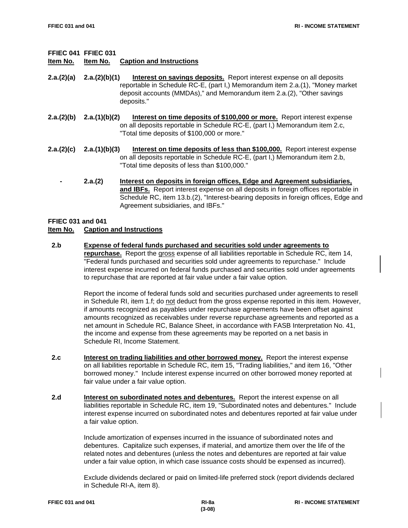**FFIEC 041 FFIEC 031** 

#### **Item No. Item No. Caption and Instructions**

- **2.a.(2)(a) 2.a.(2)(b)(1) Interest on savings deposits.** Report interest expense on all deposits reportable in Schedule RC-E, (part I,) Memorandum item 2.a.(1), "Money market deposit accounts (MMDAs)," and Memorandum item 2.a.(2), "Other savings deposits."
- **2.a.(2)(b) 2.a.(1)(b)(2) Interest on time deposits of \$100,000 or more.** Report interest expense on all deposits reportable in Schedule RC-E, (part I,) Memorandum item 2.c, "Total time deposits of \$100,000 or more."
- **2.a.(2)(c) 2.a.(1)(b)(3) Interest on time deposits of less than \$100,000.** Report interest expense on all deposits reportable in Schedule RC-E, (part I,) Memorandum item 2.b, "Total time deposits of less than \$100,000."
	- **2.a.(2) Interest on deposits in foreign offices, Edge and Agreement subsidiaries, and IBFs.** Report interest expense on all deposits in foreign offices reportable in Schedule RC, item 13.b.(2), "Interest-bearing deposits in foreign offices, Edge and Agreement subsidiaries, and IBFs."

#### **FFIEC 031 and 041**

#### **Item No. Caption and Instructions**

 **2.b Expense of federal funds purchased and securities sold under agreements to repurchase.** Report the gross expense of all liabilities reportable in Schedule RC, item 14, "Federal funds purchased and securities sold under agreements to repurchase." Include interest expense incurred on federal funds purchased and securities sold under agreements to repurchase that are reported at fair value under a fair value option.

> Report the income of federal funds sold and securities purchased under agreements to resell in Schedule RI, item 1.f; do not deduct from the gross expense reported in this item. However, if amounts recognized as payables under repurchase agreements have been offset against amounts recognized as receivables under reverse repurchase agreements and reported as a net amount in Schedule RC, Balance Sheet, in accordance with FASB Interpretation No. 41, the income and expense from these agreements may be reported on a net basis in Schedule RI, Income Statement.

- **2.c** Interest on trading liabilities and other borrowed money. Report the interest expense on all liabilities reportable in Schedule RC, item 15, "Trading liabilities," and item 16, "Other borrowed money." Include interest expense incurred on other borrowed money reported at fair value under a fair value option.
- **2.d Interest on subordinated notes and debentures.** Report the interest expense on all liabilities reportable in Schedule RC, item 19, "Subordinated notes and debentures." Include interest expense incurred on subordinated notes and debentures reported at fair value under a fair value option.

Include amortization of expenses incurred in the issuance of subordinated notes and debentures. Capitalize such expenses, if material, and amortize them over the life of the related notes and debentures (unless the notes and debentures are reported at fair value under a fair value option, in which case issuance costs should be expensed as incurred).

Exclude dividends declared or paid on limited-life preferred stock (report dividends declared in Schedule RI-A, item 8).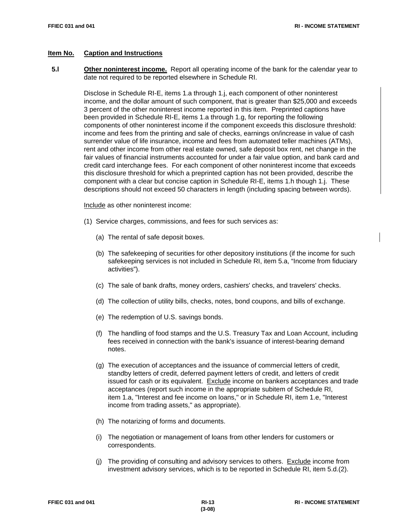**5.l Other noninterest income.** Report all operating income of the bank for the calendar year to date not required to be reported elsewhere in Schedule RI.

> Disclose in Schedule RI-E, items 1.a through 1.j, each component of other noninterest income, and the dollar amount of such component, that is greater than \$25,000 and exceeds 3 percent of the other noninterest income reported in this item. Preprinted captions have been provided in Schedule RI-E, items 1.a through 1.g, for reporting the following components of other noninterest income if the component exceeds this disclosure threshold: income and fees from the printing and sale of checks, earnings on/increase in value of cash surrender value of life insurance, income and fees from automated teller machines (ATMs), rent and other income from other real estate owned, safe deposit box rent, net change in the fair values of financial instruments accounted for under a fair value option, and bank card and credit card interchange fees. For each component of other noninterest income that exceeds this disclosure threshold for which a preprinted caption has not been provided, describe the component with a clear but concise caption in Schedule RI-E, items 1.h though 1.j. These descriptions should not exceed 50 characters in length (including spacing between words).

Include as other noninterest income:

- (1) Service charges, commissions, and fees for such services as:
	- (a) The rental of safe deposit boxes.
	- (b) The safekeeping of securities for other depository institutions (if the income for such safekeeping services is not included in Schedule RI, item 5.a, "Income from fiduciary activities").
	- (c) The sale of bank drafts, money orders, cashiers' checks, and travelers' checks.
	- (d) The collection of utility bills, checks, notes, bond coupons, and bills of exchange.
	- (e) The redemption of U.S. savings bonds.
	- (f) The handling of food stamps and the U.S. Treasury Tax and Loan Account, including fees received in connection with the bank's issuance of interest-bearing demand notes.
	- (g) The execution of acceptances and the issuance of commercial letters of credit, standby letters of credit, deferred payment letters of credit, and letters of credit issued for cash or its equivalent. Exclude income on bankers acceptances and trade acceptances (report such income in the appropriate subitem of Schedule RI, item 1.a, "Interest and fee income on loans," or in Schedule RI, item 1.e, "Interest income from trading assets," as appropriate).
	- (h) The notarizing of forms and documents.
	- (i) The negotiation or management of loans from other lenders for customers or correspondents.
	- (j) The providing of consulting and advisory services to others. Exclude income from investment advisory services, which is to be reported in Schedule RI, item 5.d.(2).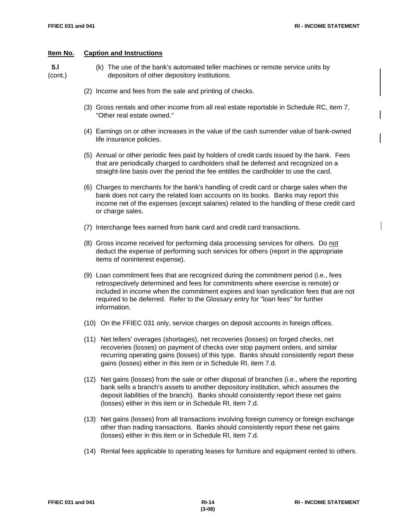- **5.l** (k) The use of the bank's automated teller machines or remote service units by (cont.) depositors of other depository institutions.
	- (2) Income and fees from the sale and printing of checks.
	- (3) Gross rentals and other income from all real estate reportable in Schedule RC, item 7, "Other real estate owned."
	- (4) Earnings on or other increases in the value of the cash surrender value of bank-owned life insurance policies.
	- (5) Annual or other periodic fees paid by holders of credit cards issued by the bank. Fees that are periodically charged to cardholders shall be deferred and recognized on a straight-line basis over the period the fee entitles the cardholder to use the card.
	- (6) Charges to merchants for the bank's handling of credit card or charge sales when the bank does not carry the related loan accounts on its books. Banks may report this income net of the expenses (except salaries) related to the handling of these credit card or charge sales.
	- (7) Interchange fees earned from bank card and credit card transactions.
	- (8) Gross income received for performing data processing services for others. Do not deduct the expense of performing such services for others (report in the appropriate items of noninterest expense).
	- (9) Loan commitment fees that are recognized during the commitment period (i.e., fees retrospectively determined and fees for commitments where exercise is remote) or included in income when the commitment expires and loan syndication fees that are not required to be deferred. Refer to the Glossary entry for "loan fees" for further information.
	- (10) On the FFIEC 031 only, service charges on deposit accounts in foreign offices.
	- (11) Net tellers' overages (shortages), net recoveries (losses) on forged checks, net recoveries (losses) on payment of checks over stop payment orders, and similar recurring operating gains (losses) of this type. Banks should consistently report these gains (losses) either in this item or in Schedule RI, item 7.d.
	- (12) Net gains (losses) from the sale or other disposal of branches (i.e., where the reporting bank sells a branch's assets to another depository institution, which assumes the deposit liabilities of the branch). Banks should consistently report these net gains (losses) either in this item or in Schedule RI, item 7.d.
	- (13) Net gains (losses) from all transactions involving foreign currency or foreign exchange other than trading transactions. Banks should consistently report these net gains (losses) either in this item or in Schedule RI, item 7.d.
	- (14) Rental fees applicable to operating leases for furniture and equipment rented to others.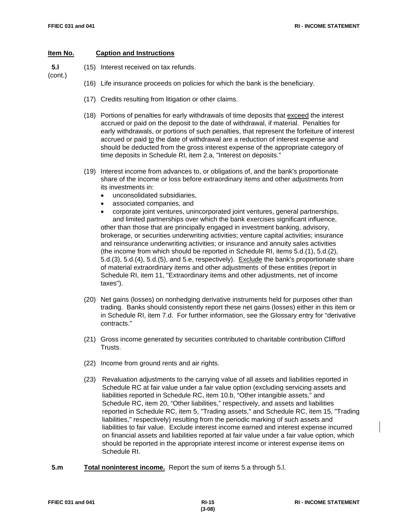- **5.l** (15) Interest received on tax refunds.
- (cont.)
- (16) Life insurance proceeds on policies for which the bank is the beneficiary.
- (17) Credits resulting from litigation or other claims.
- (18) Portions of penalties for early withdrawals of time deposits that exceed the interest accrued or paid on the deposit to the date of withdrawal, if material. Penalties for early withdrawals, or portions of such penalties, that represent the forfeiture of interest accrued or paid to the date of withdrawal are a reduction of interest expense and should be deducted from the gross interest expense of the appropriate category of time deposits in Schedule RI, item 2.a, "Interest on deposits."
- (19) Interest income from advances to, or obligations of, and the bank's proportionate share of the income or loss before extraordinary items and other adjustments from its investments in:
	- unconsolidated subsidiaries,
	- associated companies, and
	- corporate joint ventures, unincorporated joint ventures, general partnerships, and limited partnerships over which the bank exercises significant influence, other than those that are principally engaged in investment banking, advisory, brokerage, or securities underwriting activities; venture capital activities; insurance and reinsurance underwriting activities; or insurance and annuity sales activities (the income from which should be reported in Schedule RI, items 5.d.(1), 5.d.(2), 5.d.(3), 5.d.(4), 5.d.(5), and 5.e, respectively). Exclude the bank's proportionate share of material extraordinary items and other adjustments of these entities (report in Schedule RI, item 11, "Extraordinary items and other adjustments, net of income taxes").
- (20) Net gains (losses) on nonhedging derivative instruments held for purposes other than trading. Banks should consistently report these net gains (losses) either in this item or in Schedule RI, item 7.d. For further information, see the Glossary entry for "derivative contracts."
- (21) Gross income generated by securities contributed to charitable contribution Clifford **Trusts**
- (22) Income from ground rents and air rights.
- (23) Revaluation adjustments to the carrying value of all assets and liabilities reported in Schedule RC at fair value under a fair value option (excluding servicing assets and liabilities reported in Schedule RC, item 10.b, "Other intangible assets," and Schedule RC, item 20, "Other liabilities," respectively, and assets and liabilities reported in Schedule RC, item 5, "Trading assets," and Schedule RC, item 15, "Trading liabilities," respectively) resulting from the periodic marking of such assets and liabilities to fair value. Exclude interest income earned and interest expense incurred on financial assets and liabilities reported at fair value under a fair value option, which should be reported in the appropriate interest income or interest expense items on Schedule RI.
- **5.m Total noninterest income.** Report the sum of items 5.a through 5.l.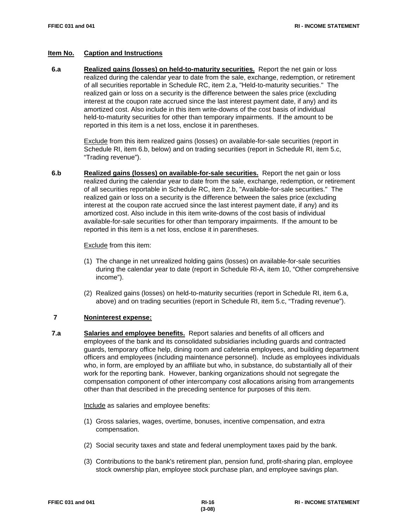**6.a Realized gains (losses) on held-to-maturity securities.** Report the net gain or loss realized during the calendar year to date from the sale, exchange, redemption, or retirement of all securities reportable in Schedule RC, item 2.a, "Held-to-maturity securities." The realized gain or loss on a security is the difference between the sales price (excluding interest at the coupon rate accrued since the last interest payment date, if any) and its amortized cost. Also include in this item write-downs of the cost basis of individual held-to-maturity securities for other than temporary impairments. If the amount to be reported in this item is a net loss, enclose it in parentheses.

> Exclude from this item realized gains (losses) on available-for-sale securities (report in Schedule RI, item 6.b, below) and on trading securities (report in Schedule RI, item 5.c, "Trading revenue").

 **6.b Realized gains (losses) on available-for-sale securities.** Report the net gain or loss realized during the calendar year to date from the sale, exchange, redemption, or retirement of all securities reportable in Schedule RC, item 2.b, "Available-for-sale securities." The realized gain or loss on a security is the difference between the sales price (excluding interest at the coupon rate accrued since the last interest payment date, if any) and its amortized cost. Also include in this item write-downs of the cost basis of individual available-for-sale securities for other than temporary impairments. If the amount to be reported in this item is a net loss, enclose it in parentheses.

Exclude from this item:

- (1) The change in net unrealized holding gains (losses) on available-for-sale securities during the calendar year to date (report in Schedule RI-A, item 10, "Other comprehensive income").
- (2) Realized gains (losses) on held-to-maturity securities (report in Schedule RI, item 6.a, above) and on trading securities (report in Schedule RI, item 5.c, "Trading revenue").

#### **7 Noninterest expense:**

 **7.a Salaries and employee benefits.** Report salaries and benefits of all officers and employees of the bank and its consolidated subsidiaries including guards and contracted guards, temporary office help, dining room and cafeteria employees, and building department officers and employees (including maintenance personnel). Include as employees individuals who, in form, are employed by an affiliate but who, in substance, do substantially all of their work for the reporting bank. However, banking organizations should not segregate the compensation component of other intercompany cost allocations arising from arrangements other than that described in the preceding sentence for purposes of this item.

Include as salaries and employee benefits:

- (1) Gross salaries, wages, overtime, bonuses, incentive compensation, and extra compensation.
- (2) Social security taxes and state and federal unemployment taxes paid by the bank.
- (3) Contributions to the bank's retirement plan, pension fund, profit-sharing plan, employee stock ownership plan, employee stock purchase plan, and employee savings plan.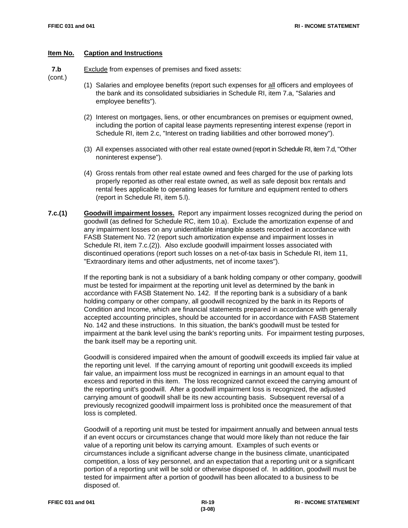**7.b** Exclude from expenses of premises and fixed assets:

(cont.)

- (1) Salaries and employee benefits (report such expenses for all officers and employees of the bank and its consolidated subsidiaries in Schedule RI, item 7.a, "Salaries and employee benefits").
- (2) Interest on mortgages, liens, or other encumbrances on premises or equipment owned, including the portion of capital lease payments representing interest expense (report in Schedule RI, item 2.c, "Interest on trading liabilities and other borrowed money").
- (3) All expenses associated with other real estate owned (report in Schedule RI, item 7.d, "Other noninterest expense").
- (4) Gross rentals from other real estate owned and fees charged for the use of parking lots properly reported as other real estate owned, as well as safe deposit box rentals and rental fees applicable to operating leases for furniture and equipment rented to others (report in Schedule RI, item 5.l).
- **7.c.(1) Goodwill impairment losses.** Report any impairment losses recognized during the period on goodwill (as defined for Schedule RC, item 10.a). Exclude the amortization expense of and any impairment losses on any unidentifiable intangible assets recorded in accordance with FASB Statement No. 72 (report such amortization expense and impairment losses in Schedule RI, item 7.c.(2)). Also exclude goodwill impairment losses associated with discontinued operations (report such losses on a net-of-tax basis in Schedule RI, item 11, "Extraordinary items and other adjustments, net of income taxes").

 If the reporting bank is not a subsidiary of a bank holding company or other company, goodwill must be tested for impairment at the reporting unit level as determined by the bank in accordance with FASB Statement No. 142. If the reporting bank is a subsidiary of a bank holding company or other company, all goodwill recognized by the bank in its Reports of Condition and Income, which are financial statements prepared in accordance with generally accepted accounting principles, should be accounted for in accordance with FASB Statement No. 142 and these instructions. In this situation, the bank's goodwill must be tested for impairment at the bank level using the bank's reporting units. For impairment testing purposes, the bank itself may be a reporting unit.

 Goodwill is considered impaired when the amount of goodwill exceeds its implied fair value at the reporting unit level. If the carrying amount of reporting unit goodwill exceeds its implied fair value, an impairment loss must be recognized in earnings in an amount equal to that excess and reported in this item. The loss recognized cannot exceed the carrying amount of the reporting unit's goodwill. After a goodwill impairment loss is recognized, the adjusted carrying amount of goodwill shall be its new accounting basis. Subsequent reversal of a previously recognized goodwill impairment loss is prohibited once the measurement of that loss is completed.

 Goodwill of a reporting unit must be tested for impairment annually and between annual tests if an event occurs or circumstances change that would more likely than not reduce the fair value of a reporting unit below its carrying amount. Examples of such events or circumstances include a significant adverse change in the business climate, unanticipated competition, a loss of key personnel, and an expectation that a reporting unit or a significant portion of a reporting unit will be sold or otherwise disposed of. In addition, goodwill must be tested for impairment after a portion of goodwill has been allocated to a business to be disposed of.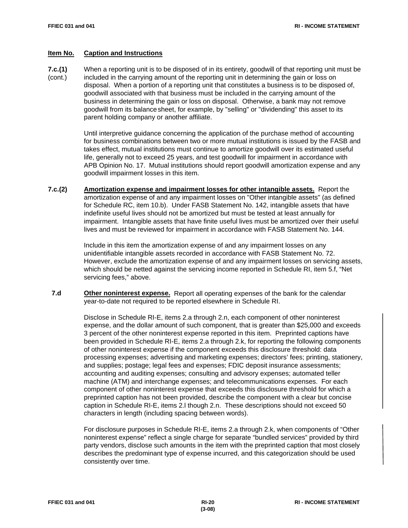**7.c.(1)** When a reporting unit is to be disposed of in its entirety, goodwill of that reporting unit must be

(cont.) included in the carrying amount of the reporting unit in determining the gain or loss on disposal. When a portion of a reporting unit that constitutes a business is to be disposed of, goodwill associated with that business must be included in the carrying amount of the business in determining the gain or loss on disposal. Otherwise, a bank may not remove goodwill from its balance sheet, for example, by "selling" or "dividending" this asset to its parent holding company or another affiliate.

> Until interpretive guidance concerning the application of the purchase method of accounting for business combinations between two or more mutual institutions is issued by the FASB and takes effect, mutual institutions must continue to amortize goodwill over its estimated useful life, generally not to exceed 25 years, and test goodwill for impairment in accordance with APB Opinion No. 17. Mutual institutions should report goodwill amortization expense and any goodwill impairment losses in this item.

**7.c.(2) Amortization expense and impairment losses for other intangible assets.** Report the amortization expense of and any impairment losses on "Other intangible assets" (as defined for Schedule RC, item 10.b). Under FASB Statement No. 142, intangible assets that have indefinite useful lives should not be amortized but must be tested at least annually for impairment. Intangible assets that have finite useful lives must be amortized over their useful lives and must be reviewed for impairment in accordance with FASB Statement No. 144.

> Include in this item the amortization expense of and any impairment losses on any unidentifiable intangible assets recorded in accordance with FASB Statement No. 72. However, exclude the amortization expense of and any impairment losses on servicing assets, which should be netted against the servicing income reported in Schedule RI, item 5.f, "Net servicing fees," above.

 **7.d Other noninterest expense.** Report all operating expenses of the bank for the calendar year-to-date not required to be reported elsewhere in Schedule RI.

> Disclose in Schedule RI-E, items 2.a through 2.n, each component of other noninterest expense, and the dollar amount of such component, that is greater than \$25,000 and exceeds 3 percent of the other noninterest expense reported in this item. Preprinted captions have been provided in Schedule RI-E, items 2.a through 2.k, for reporting the following components of other noninterest expense if the component exceeds this disclosure threshold: data processing expenses; advertising and marketing expenses; directors' fees; printing, stationery, and supplies; postage; legal fees and expenses; FDIC deposit insurance assessments; accounting and auditing expenses; consulting and advisory expenses; automated teller machine (ATM) and interchange expenses; and telecommunications expenses. For each component of other noninterest expense that exceeds this disclosure threshold for which a preprinted caption has not been provided, describe the component with a clear but concise caption in Schedule RI-E, items 2.l though 2.n. These descriptions should not exceed 50 characters in length (including spacing between words).

> For disclosure purposes in Schedule RI-E, items 2.a through 2.k, when components of "Other noninterest expense" reflect a single charge for separate "bundled services" provided by third party vendors, disclose such amounts in the item with the preprinted caption that most closely describes the predominant type of expense incurred, and this categorization should be used consistently over time.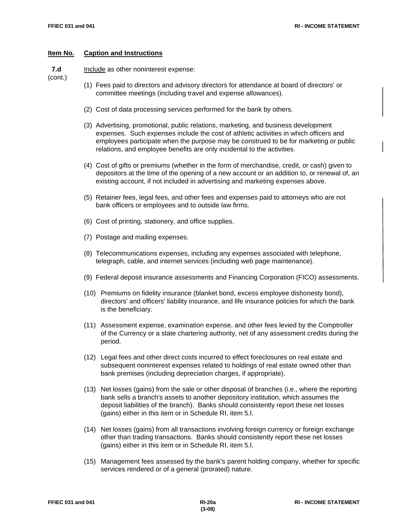**7.d** Include as other noninterest expense:

(cont.)

- (1) Fees paid to directors and advisory directors for attendance at board of directors' or committee meetings (including travel and expense allowances).
- (2) Cost of data processing services performed for the bank by others.
- (3) Advertising, promotional, public relations, marketing, and business development expenses. Such expenses include the cost of athletic activities in which officers and employees participate when the purpose may be construed to be for marketing or public relations, and employee benefits are only incidental to the activities.
- (4) Cost of gifts or premiums (whether in the form of merchandise, credit, or cash) given to depositors at the time of the opening of a new account or an addition to, or renewal of, an existing account, if not included in advertising and marketing expenses above.
- (5) Retainer fees, legal fees, and other fees and expenses paid to attorneys who are not bank officers or employees and to outside law firms.
- (6) Cost of printing, stationery, and office supplies.
- (7) Postage and mailing expenses.
- (8) Telecommunications expenses, including any expenses associated with telephone, telegraph, cable, and internet services (including web page maintenance).
- (9) Federal deposit insurance assessments and Financing Corporation (FICO) assessments.
- (10) Premiums on fidelity insurance (blanket bond, excess employee dishonesty bond), directors' and officers' liability insurance, and life insurance policies for which the bank is the beneficiary.
- (11) Assessment expense, examination expense, and other fees levied by the Comptroller of the Currency or a state chartering authority, net of any assessment credits during the period.
- (12) Legal fees and other direct costs incurred to effect foreclosures on real estate and subsequent noninterest expenses related to holdings of real estate owned other than bank premises (including depreciation charges, if appropriate).
- (13) Net losses (gains) from the sale or other disposal of branches (i.e., where the reporting bank sells a branch's assets to another depository institution, which assumes the deposit liabilities of the branch). Banks should consistently report these net losses (gains) either in this item or in Schedule RI, item 5.l.
- (14) Net losses (gains) from all transactions involving foreign currency or foreign exchange other than trading transactions. Banks should consistently report these net losses (gains) either in this item or in Schedule RI, item 5.l.
- (15) Management fees assessed by the bank's parent holding company, whether for specific services rendered or of a general (prorated) nature.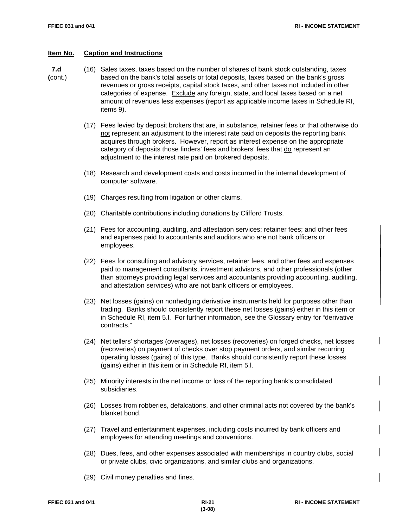- **7.d** (16) Sales taxes, taxes based on the number of shares of bank stock outstanding, taxes **(**cont.) based on the bank's total assets or total deposits, taxes based on the bank's gross revenues or gross receipts, capital stock taxes, and other taxes not included in other categories of expense. Exclude any foreign, state, and local taxes based on a net amount of revenues less expenses (report as applicable income taxes in Schedule RI, items 9).
	- (17) Fees levied by deposit brokers that are, in substance, retainer fees or that otherwise do not represent an adjustment to the interest rate paid on deposits the reporting bank acquires through brokers. However, report as interest expense on the appropriate category of deposits those finders' fees and brokers' fees that do represent an adjustment to the interest rate paid on brokered deposits.
	- (18) Research and development costs and costs incurred in the internal development of computer software.
	- (19) Charges resulting from litigation or other claims.
	- (20) Charitable contributions including donations by Clifford Trusts.
	- (21) Fees for accounting, auditing, and attestation services; retainer fees; and other fees and expenses paid to accountants and auditors who are not bank officers or employees.
	- (22) Fees for consulting and advisory services, retainer fees, and other fees and expenses paid to management consultants, investment advisors, and other professionals (other than attorneys providing legal services and accountants providing accounting, auditing, and attestation services) who are not bank officers or employees.
	- (23) Net losses (gains) on nonhedging derivative instruments held for purposes other than trading. Banks should consistently report these net losses (gains) either in this item or in Schedule RI, item 5.l. For further information, see the Glossary entry for "derivative contracts."
	- (24) Net tellers' shortages (overages), net losses (recoveries) on forged checks, net losses (recoveries) on payment of checks over stop payment orders, and similar recurring operating losses (gains) of this type. Banks should consistently report these losses (gains) either in this item or in Schedule RI, item 5.l.
	- (25) Minority interests in the net income or loss of the reporting bank's consolidated subsidiaries.
	- (26) Losses from robberies, defalcations, and other criminal acts not covered by the bank's blanket bond.
	- (27) Travel and entertainment expenses, including costs incurred by bank officers and employees for attending meetings and conventions.
	- (28) Dues, fees, and other expenses associated with memberships in country clubs, social or private clubs, civic organizations, and similar clubs and organizations.
	- (29) Civil money penalties and fines.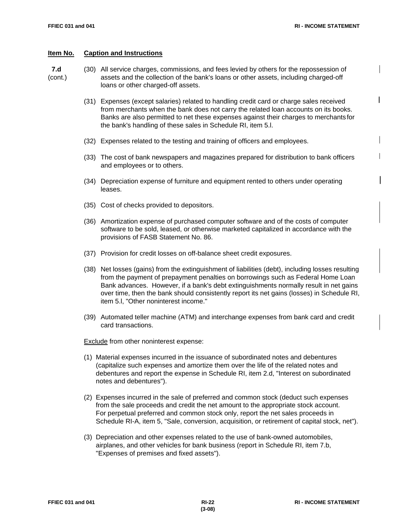$\overline{\phantom{a}}$ 

#### **Item No. Caption and Instructions**

 **7.d** (30) All service charges, commissions, and fees levied by others for the repossession of (cont.) assets and the collection of the bank's loans or other assets, including charged-off loans or other charged-off assets.

- (31) Expenses (except salaries) related to handling credit card or charge sales received from merchants when the bank does not carry the related loan accounts on its books. Banks are also permitted to net these expenses against their charges to merchants for the bank's handling of these sales in Schedule RI, item 5.l.
- (32) Expenses related to the testing and training of officers and employees.
- (33) The cost of bank newspapers and magazines prepared for distribution to bank officers and employees or to others.
- (34) Depreciation expense of furniture and equipment rented to others under operating leases.
- (35) Cost of checks provided to depositors.
- (36) Amortization expense of purchased computer software and of the costs of computer software to be sold, leased, or otherwise marketed capitalized in accordance with the provisions of FASB Statement No. 86.
- (37) Provision for credit losses on off-balance sheet credit exposures.
- (38) Net losses (gains) from the extinguishment of liabilities (debt), including losses resulting from the payment of prepayment penalties on borrowings such as Federal Home Loan Bank advances. However, if a bank's debt extinguishments normally result in net gains over time, then the bank should consistently report its net gains (losses) in Schedule RI, item 5.l, "Other noninterest income."
- (39) Automated teller machine (ATM) and interchange expenses from bank card and credit card transactions.

**Exclude** from other noninterest expense:

- (1) Material expenses incurred in the issuance of subordinated notes and debentures (capitalize such expenses and amortize them over the life of the related notes and debentures and report the expense in Schedule RI, item 2.d, "Interest on subordinated notes and debentures").
- (2) Expenses incurred in the sale of preferred and common stock (deduct such expenses from the sale proceeds and credit the net amount to the appropriate stock account. For perpetual preferred and common stock only, report the net sales proceeds in Schedule RI-A, item 5, "Sale, conversion, acquisition, or retirement of capital stock, net").
- (3) Depreciation and other expenses related to the use of bank-owned automobiles, airplanes, and other vehicles for bank business (report in Schedule RI, item 7.b, "Expenses of premises and fixed assets").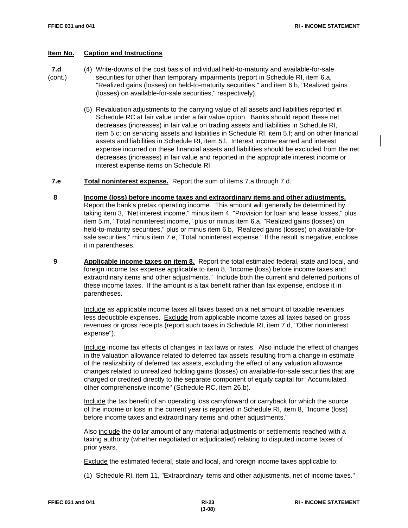- **7.d** (4) Write-downs of the cost basis of individual held-to-maturity and available-for-sale (cont.) securities for other than temporary impairments (report in Schedule RI, item 6.a, "Realized gains (losses) on held-to-maturity securities," and item 6.b, "Realized gains (losses) on available-for-sale securities," respectively).
	- (5) Revaluation adjustments to the carrying value of all assets and liabilities reported in Schedule RC at fair value under a fair value option. Banks should report these net decreases (increases) in fair value on trading assets and liabilities in Schedule RI, item 5.c; on servicing assets and liabilities in Schedule RI, item 5.f; and on other financial assets and liabilities in Schedule RI, item 5.l. Interest income earned and interest expense incurred on these financial assets and liabilities should be excluded from the net decreases (increases) in fair value and reported in the appropriate interest income or interest expense items on Schedule RI.
- **7.e Total noninterest expense.** Report the sum of items 7.a through 7.d.
- **8 Income (loss) before income taxes and extraordinary items and other adjustments.** Report the bank's pretax operating income. This amount will generally be determined by taking item 3, "Net interest income," minus item 4, "Provision for loan and lease losses," plus item 5.m, "Total noninterest income," plus or minus item 6.a, "Realized gains (losses) on held-to-maturity securities," plus or minus item 6.b, "Realized gains (losses) on available-forsale securities," minus item 7.e, "Total noninterest expense." If the result is negative, enclose it in parentheses.
- **9 Applicable income taxes on item 8.** Report the total estimated federal, state and local, and foreign income tax expense applicable to item 8, "Income (loss) before income taxes and extraordinary items and other adjustments." Include both the current and deferred portions of these income taxes. If the amount is a tax benefit rather than tax expense, enclose it in parentheses.

 Include as applicable income taxes all taxes based on a net amount of taxable revenues less deductible expenses. Exclude from applicable income taxes all taxes based on gross revenues or gross receipts (report such taxes in Schedule RI, item 7.d, "Other noninterest expense").

Include income tax effects of changes in tax laws or rates. Also include the effect of changes in the valuation allowance related to deferred tax assets resulting from a change in estimate of the realizability of deferred tax assets, excluding the effect of any valuation allowance changes related to unrealized holding gains (losses) on available-for-sale securities that are charged or credited directly to the separate component of equity capital for "Accumulated other comprehensive income" (Schedule RC, item 26.b).

 Include the tax benefit of an operating loss carryforward or carryback for which the source of the income or loss in the current year is reported in Schedule RI, item 8, "Income (loss) before income taxes and extraordinary items and other adjustments."

 Also include the dollar amount of any material adjustments or settlements reached with a taxing authority (whether negotiated or adjudicated) relating to disputed income taxes of prior years.

Exclude the estimated federal, state and local, and foreign income taxes applicable to:

(1) Schedule RI, item 11, "Extraordinary items and other adjustments, net of income taxes."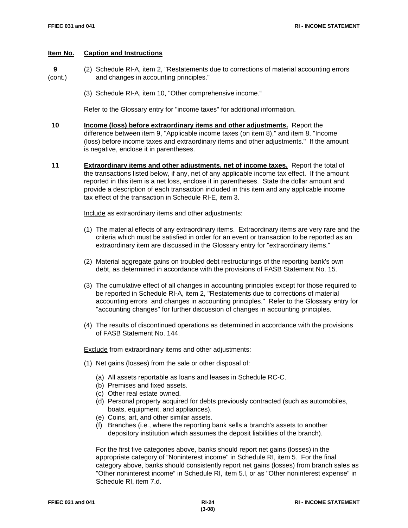- **9** (2) Schedule RI-A, item 2, "Restatements due to corrections of material accounting errors (cont.) and changes in accounting principles."
	- (3) Schedule RI-A, item 10, "Other comprehensive income."

Refer to the Glossary entry for "income taxes" for additional information.

- **10 Income (loss) before extraordinary items and other adjustments.** Report the difference between item 9, "Applicable income taxes (on item 8)," and item 8, "Income (loss) before income taxes and extraordinary items and other adjustments." If the amount is negative, enclose it in parentheses.
- **11 Extraordinary items and other adjustments, net of income taxes.** Report the total of the transactions listed below, if any, net of any applicable income tax effect. If the amount reported in this item is a net loss, enclose it in parentheses. State the dollar amount and provide a description of each transaction included in this item and any applicable income tax effect of the transaction in Schedule RI-E, item 3.

Include as extraordinary items and other adjustments:

- (1) The material effects of any extraordinary items. Extraordinary items are very rare and the criteria which must be satisfied in order for an event or transaction to be reported as an extraordinary item are discussed in the Glossary entry for "extraordinary items."
- (2) Material aggregate gains on troubled debt restructurings of the reporting bank's own debt, as determined in accordance with the provisions of FASB Statement No. 15.
- (3) The cumulative effect of all changes in accounting principles except for those required to be reported in Schedule RI-A, item 2, "Restatements due to corrections of material accounting errors and changes in accounting principles." Refer to the Glossary entry for "accounting changes" for further discussion of changes in accounting principles.
- (4) The results of discontinued operations as determined in accordance with the provisions of FASB Statement No. 144.

Exclude from extraordinary items and other adjustments:

- (1) Net gains (losses) from the sale or other disposal of:
	- (a) All assets reportable as loans and leases in Schedule RC-C.
	- (b) Premises and fixed assets.
	- (c) Other real estate owned.
	- (d) Personal property acquired for debts previously contracted (such as automobiles, boats, equipment, and appliances).
	- (e) Coins, art, and other similar assets.
	- (f) Branches (i.e., where the reporting bank sells a branch's assets to another depository institution which assumes the deposit liabilities of the branch).

 For the first five categories above, banks should report net gains (losses) in the appropriate category of "Noninterest income" in Schedule RI, item 5. For the final category above, banks should consistently report net gains (losses) from branch sales as "Other noninterest income" in Schedule RI, item 5.l, or as "Other noninterest expense" in Schedule RI, item 7.d.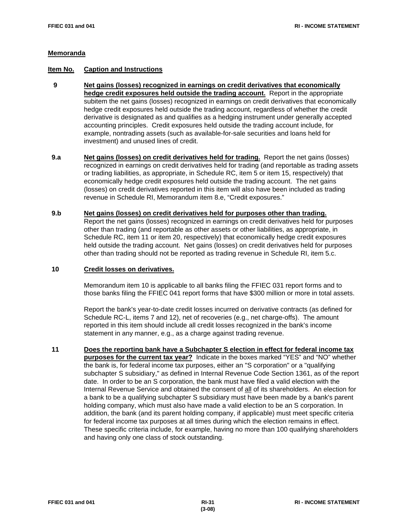# **Memoranda**

## **Item No. Caption and Instructions**

- **9 Net gains (losses) recognized in earnings on credit derivatives that economically hedge credit exposures held outside the trading account.** Report in the appropriate subitem the net gains (losses) recognized in earnings on credit derivatives that economically hedge credit exposures held outside the trading account, regardless of whether the credit derivative is designated as and qualifies as a hedging instrument under generally accepted accounting principles. Credit exposures held outside the trading account include, for example, nontrading assets (such as available-for-sale securities and loans held for investment) and unused lines of credit.
- **9.a Net gains (losses) on credit derivatives held for trading.** Report the net gains (losses) recognized in earnings on credit derivatives held for trading (and reportable as trading assets or trading liabilities, as appropriate, in Schedule RC, item 5 or item 15, respectively) that economically hedge credit exposures held outside the trading account. The net gains (losses) on credit derivatives reported in this item will also have been included as trading revenue in Schedule RI, Memorandum item 8.e, "Credit exposures."
- **9.b Net gains (losses) on credit derivatives held for purposes other than trading.** Report the net gains (losses) recognized in earnings on credit derivatives held for purposes other than trading (and reportable as other assets or other liabilities, as appropriate, in Schedule RC, item 11 or item 20, respectively) that economically hedge credit exposures held outside the trading account. Net gains (losses) on credit derivatives held for purposes other than trading should not be reported as trading revenue in Schedule RI, item 5.c.

## **10 Credit losses on derivatives.**

Memorandum item 10 is applicable to all banks filing the FFIEC 031 report forms and to those banks filing the FFIEC 041 report forms that have \$300 million or more in total assets.

Report the bank's year-to-date credit losses incurred on derivative contracts (as defined for Schedule RC-L, items 7 and 12), net of recoveries (e.g., net charge-offs). The amount reported in this item should include all credit losses recognized in the bank's income statement in any manner, e.g., as a charge against trading revenue.

 **11 Does the reporting bank have a Subchapter S election in effect for federal income tax purposes for the current tax year?** Indicate in the boxes marked "YES" and "NO" whether the bank is, for federal income tax purposes, either an "S corporation" or a "qualifying subchapter S subsidiary," as defined in Internal Revenue Code Section 1361, as of the report date. In order to be an S corporation, the bank must have filed a valid election with the Internal Revenue Service and obtained the consent of all of its shareholders. An election for a bank to be a qualifying subchapter S subsidiary must have been made by a bank's parent holding company, which must also have made a valid election to be an S corporation. In addition, the bank (and its parent holding company, if applicable) must meet specific criteria for federal income tax purposes at all times during which the election remains in effect. These specific criteria include, for example, having no more than 100 qualifying shareholders and having only one class of stock outstanding.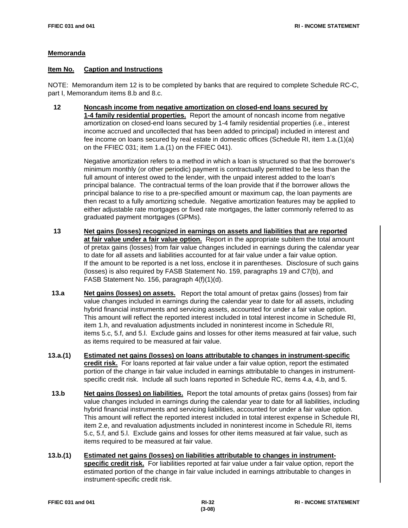# **Memoranda**

# **Item No. Caption and Instructions**

NOTE: Memorandum item 12 is to be completed by banks that are required to complete Schedule RC-C, part I, Memorandum items 8.b and 8.c.

 **12 Noncash income from negative amortization on closed-end loans secured by 1-4 family residential properties.** Report the amount of noncash income from negative amortization on closed-end loans secured by 1-4 family residential properties (i.e., interest income accrued and uncollected that has been added to principal) included in interest and fee income on loans secured by real estate in domestic offices (Schedule RI, item 1.a.(1)(a) on the FFIEC 031; item 1.a.(1) on the FFIEC 041).

> Negative amortization refers to a method in which a loan is structured so that the borrower's minimum monthly (or other periodic) payment is contractually permitted to be less than the full amount of interest owed to the lender, with the unpaid interest added to the loan's principal balance. The contractual terms of the loan provide that if the borrower allows the principal balance to rise to a pre-specified amount or maximum cap, the loan payments are then recast to a fully amortizing schedule. Negative amortization features may be applied to either adjustable rate mortgages or fixed rate mortgages, the latter commonly referred to as graduated payment mortgages (GPMs).

- **13 Net gains (losses) recognized in earnings on assets and liabilities that are reported at fair value under a fair value option.** Report in the appropriate subitem the total amount of pretax gains (losses) from fair value changes included in earnings during the calendar year to date for all assets and liabilities accounted for at fair value under a fair value option. If the amount to be reported is a net loss, enclose it in parentheses. Disclosure of such gains (losses) is also required by FASB Statement No. 159, paragraphs 19 and C7(b), and FASB Statement No. 156, paragraph 4(f)(1)(d).
- **13.a Net gains (losses) on assets.** Report the total amount of pretax gains (losses) from fair value changes included in earnings during the calendar year to date for all assets, including hybrid financial instruments and servicing assets, accounted for under a fair value option. This amount will reflect the reported interest included in total interest income in Schedule RI, item 1.h, and revaluation adjustments included in noninterest income in Schedule RI, items 5.c, 5.f, and 5.l. Exclude gains and losses for other items measured at fair value, such as items required to be measured at fair value.
- **13.a.(1) Estimated net gains (losses) on loans attributable to changes in instrument-specific credit risk.** For loans reported at fair value under a fair value option, report the estimated portion of the change in fair value included in earnings attributable to changes in instrumentspecific credit risk. Include all such loans reported in Schedule RC, items 4.a, 4.b, and 5.
- **13.b Net gains (losses) on liabilities.** Report the total amounts of pretax gains (losses) from fair value changes included in earnings during the calendar year to date for all liabilities, including hybrid financial instruments and servicing liabilities, accounted for under a fair value option. This amount will reflect the reported interest included in total interest expense in Schedule RI, item 2.e, and revaluation adjustments included in noninterest income in Schedule RI, items 5.c, 5.f, and 5.l. Exclude gains and losses for other items measured at fair value, such as items required to be measured at fair value.
- **13.b.(1) Estimated net gains (losses) on liabilities attributable to changes in instrumentspecific credit risk.** For liabilities reported at fair value under a fair value option, report the estimated portion of the change in fair value included in earnings attributable to changes in instrument-specific credit risk.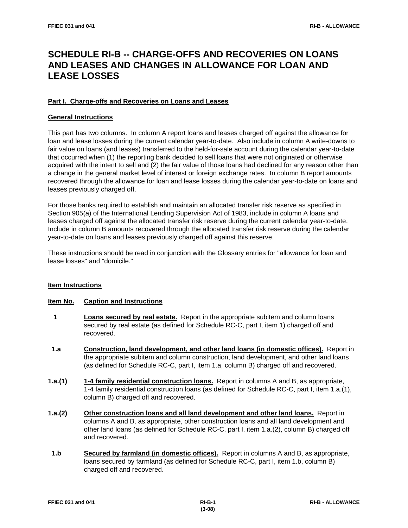# **SCHEDULE RI-B -- CHARGE-OFFS AND RECOVERIES ON LOANS AND LEASES AND CHANGES IN ALLOWANCE FOR LOAN AND LEASE LOSSES**

# **Part I. Charge-offs and Recoveries on Loans and Leases**

# **General Instructions**

This part has two columns. In column A report loans and leases charged off against the allowance for loan and lease losses during the current calendar year-to-date. Also include in column A write-downs to fair value on loans (and leases) transferred to the held-for-sale account during the calendar year-to-date that occurred when (1) the reporting bank decided to sell loans that were not originated or otherwise acquired with the intent to sell and (2) the fair value of those loans had declined for any reason other than a change in the general market level of interest or foreign exchange rates. In column B report amounts recovered through the allowance for loan and lease losses during the calendar year-to-date on loans and leases previously charged off.

For those banks required to establish and maintain an allocated transfer risk reserve as specified in Section 905(a) of the International Lending Supervision Act of 1983, include in column A loans and leases charged off against the allocated transfer risk reserve during the current calendar year-to-date. Include in column B amounts recovered through the allocated transfer risk reserve during the calendar year-to-date on loans and leases previously charged off against this reserve.

These instructions should be read in conjunction with the Glossary entries for "allowance for loan and lease losses" and "domicile."

## **Item Instructions**

## **Item No. Caption and Instructions**

- **1 Loans secured by real estate.** Report in the appropriate subitem and column loans secured by real estate (as defined for Schedule RC-C, part I, item 1) charged off and recovered.
- **1.a Construction, land development, and other land loans (in domestic offices).** Report in the appropriate subitem and column construction, land development, and other land loans (as defined for Schedule RC-C, part I, item 1.a, column B) charged off and recovered.
- **1.a.(1) 1-4 family residential construction loans.** Report in columns A and B, as appropriate, 1-4 family residential construction loans (as defined for Schedule RC-C, part I, item 1.a.(1), column B) charged off and recovered.
- **1.a.(2) Other construction loans and all land development and other land loans.** Report in columns A and B, as appropriate, other construction loans and all land development and other land loans (as defined for Schedule RC-C, part I, item 1.a.(2), column B) charged off and recovered.
- **1.b Secured by farmland (in domestic offices).** Report in columns A and B, as appropriate, loans secured by farmland (as defined for Schedule RC-C, part I, item 1.b, column B) charged off and recovered.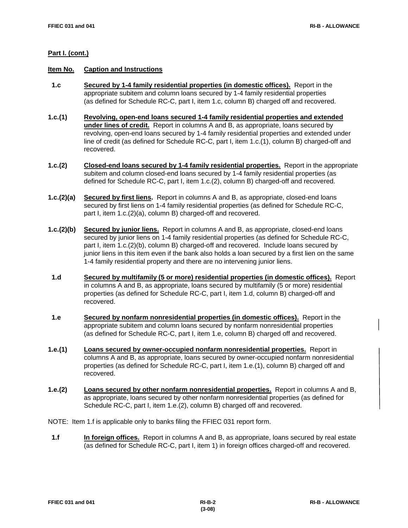## **Item No. Caption and Instructions**

- **1.c Secured by 1-4 family residential properties (in domestic offices).** Report in the appropriate subitem and column loans secured by 1-4 family residential properties (as defined for Schedule RC-C, part I, item 1.c, column B) charged off and recovered.
- **1.c.(1) Revolving, open-end loans secured 1-4 family residential properties and extended under lines of credit.** Report in columns A and B, as appropriate, loans secured by revolving, open-end loans secured by 1-4 family residential properties and extended under line of credit (as defined for Schedule RC-C, part I, item 1.c.(1), column B) charged-off and recovered.
- **1.c.(2) Closed-end loans secured by 1-4 family residential properties.** Report in the appropriate subitem and column closed-end loans secured by 1-4 family residential properties (as defined for Schedule RC-C, part I, item 1.c.(2), column B) charged-off and recovered.
- **1.c.(2)(a) Secured by first liens.** Report in columns A and B, as appropriate, closed-end loans secured by first liens on 1-4 family residential properties (as defined for Schedule RC-C, part I, item 1.c.(2)(a), column B) charged-off and recovered.
- **1.c.(2)(b) Secured by junior liens.** Report in columns A and B, as appropriate, closed-end loans secured by junior liens on 1-4 family residential properties (as defined for Schedule RC-C, part I, item 1.c.(2)(b), column B) charged-off and recovered. Include loans secured by junior liens in this item even if the bank also holds a loan secured by a first lien on the same 1-4 family residential property and there are no intervening junior liens.
- **1.d Secured by multifamily (5 or more) residential properties (in domestic offices).** Report in columns A and B, as appropriate, loans secured by multifamily (5 or more) residential properties (as defined for Schedule RC-C, part I, item 1.d, column B) charged-off and recovered.
- **1.e Secured by nonfarm nonresidential properties (in domestic offices).** Report in the appropriate subitem and column loans secured by nonfarm nonresidential properties (as defined for Schedule RC-C, part I, item 1.e, column B) charged off and recovered.
- **1.e.(1) Loans secured by owner-occupied nonfarm nonresidential properties.** Report in columns A and B, as appropriate, loans secured by owner-occupied nonfarm nonresidential properties (as defined for Schedule RC-C, part I, item 1.e.(1), column B) charged off and recovered.
- **1.e.(2) Loans secured by other nonfarm nonresidential properties.** Report in columns A and B, as appropriate, loans secured by other nonfarm nonresidential properties (as defined for Schedule RC-C, part I, item 1.e.(2), column B) charged off and recovered.
- NOTE: Item 1.f is applicable only to banks filing the FFIEC 031 report form.
- **1.f In foreign offices.** Report in columns A and B, as appropriate, loans secured by real estate (as defined for Schedule RC-C, part I, item 1) in foreign offices charged-off and recovered.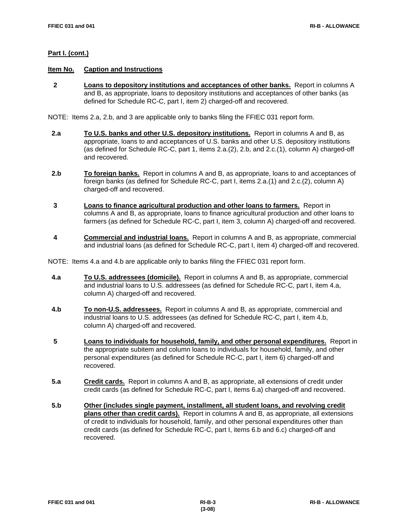#### **Item No. Caption and Instructions**

 **2 Loans to depository institutions and acceptances of other banks.** Report in columns A and B, as appropriate, loans to depository institutions and acceptances of other banks (as defined for Schedule RC-C, part I, item 2) charged-off and recovered.

NOTE: Items 2.a, 2.b, and 3 are applicable only to banks filing the FFIEC 031 report form.

- **2.a To U.S. banks and other U.S. depository institutions.** Report in columns A and B, as appropriate, loans to and acceptances of U.S. banks and other U.S. depository institutions (as defined for Schedule RC-C, part 1, items 2.a.(2), 2.b, and 2.c.(1), column A) charged-off and recovered.
- **2.b To foreign banks.** Report in columns A and B, as appropriate, loans to and acceptances of foreign banks (as defined for Schedule RC-C, part I, items 2.a.(1) and 2.c.(2), column A) charged-off and recovered.
- **3 Loans to finance agricultural production and other loans to farmers.** Report in columns A and B, as appropriate, loans to finance agricultural production and other loans to farmers (as defined for Schedule RC-C, part I, item 3, column A) charged-off and recovered.
- **4 Commercial and industrial loans.** Report in columns A and B, as appropriate, commercial and industrial loans (as defined for Schedule RC-C, part I, item 4) charged-off and recovered.

NOTE: Items 4.a and 4.b are applicable only to banks filing the FFIEC 031 report form.

- **4.a To U.S. addressees (domicile).** Report in columns A and B, as appropriate, commercial and industrial loans to U.S. addressees (as defined for Schedule RC-C, part I, item 4.a, column A) charged-off and recovered.
- **4.b To non-U.S. addressees.** Report in columns A and B, as appropriate, commercial and industrial loans to U.S. addressees (as defined for Schedule RC-C, part I, item 4.b, column A) charged-off and recovered.
- **5** Loans to individuals for household, family, and other personal expenditures. Report in the appropriate subitem and column loans to individuals for household, family, and other personal expenditures (as defined for Schedule RC-C, part I, item 6) charged-off and recovered.
- **5.a Credit cards.** Report in columns A and B, as appropriate, all extensions of credit under credit cards (as defined for Schedule RC-C, part I, items 6.a) charged-off and recovered.
- **5.b Other (includes single payment, installment, all student loans, and revolving credit plans other than credit cards).** Report in columns A and B, as appropriate, all extensions of credit to individuals for household, family, and other personal expenditures other than credit cards (as defined for Schedule RC-C, part I, items 6.b and 6.c) charged-off and recovered.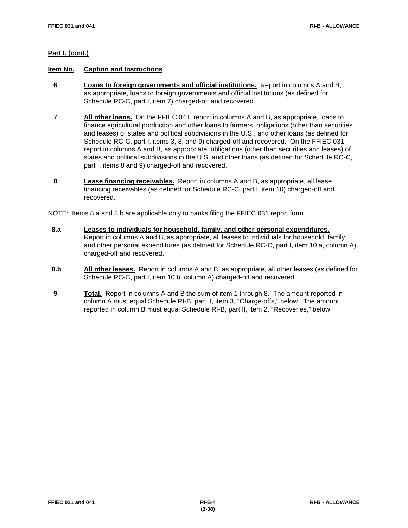#### **Item No. Caption and Instructions**

- **6 Loans to foreign governments and official institutions.** Report in columns A and B, as appropriate, loans to foreign governments and official institutions (as defined for Schedule RC-C, part I, item 7) charged-off and recovered.
- **7 All other loans.** On the FFIEC 041, report in columns A and B, as appropriate, loans to finance agricultural production and other loans to farmers, obligations (other than securities and leases) of states and political subdivisions in the U.S., and other loans (as defined for Schedule RC-C, part I, items 3, 8, and 9) charged-off and recovered. On the FFIEC 031, report in columns A and B, as appropriate, obligations (other than securities and leases) of states and political subdivisions in the U.S. and other loans (as defined for Schedule RC-C, part I, items 8 and 9) charged-off and recovered.
- **8 Lease financing receivables.** Report in columns A and B, as appropriate, all lease financing receivables (as defined for Schedule RC-C, part I, item 10) charged-off and recovered.
- NOTE: Items 8.a and 8.b are applicable only to banks filing the FFIEC 031 report form.
- **8.a Leases to individuals for household, family, and other personal expenditures.** Report in columns A and B, as appropriate, all leases to individuals for household, family, and other personal expenditures (as defined for Schedule RC-C, part I, item 10.a, column A) charged-off and recovered.
- **8.b All other leases.** Report in columns A and B, as appropriate, all other leases (as defined for Schedule RC-C, part I, item 10.b, column A) charged-off and recovered.
- **9** Total. Report in columns A and B the sum of item 1 through 8. The amount reported in column A must equal Schedule RI-B, part II, item 3, "Charge-offs," below. The amount reported in column B must equal Schedule RI-B, part II, item 2, "Recoveries," below.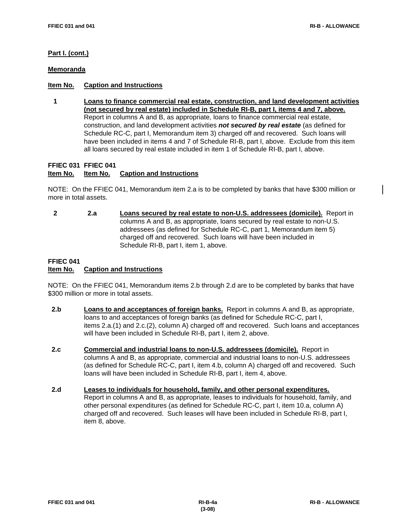#### **Memoranda**

#### **Item No. Caption and Instructions**

 **1 Loans to finance commercial real estate, construction, and land development activities (not secured by real estate) included in Schedule RI-B, part I, items 4 and 7, above.** Report in columns A and B, as appropriate, loans to finance commercial real estate, construction, and land development activities *not secured by real estate* (as defined for Schedule RC-C, part I, Memorandum item 3) charged off and recovered. Such loans will have been included in items 4 and 7 of Schedule RI-B, part I, above. Exclude from this item all loans secured by real estate included in item 1 of Schedule RI-B, part I, above.

**FFIEC 031 FFIEC 041** 

#### **Item No. Item No. Caption and Instructions**

NOTE: On the FFIEC 041, Memorandum item 2.a is to be completed by banks that have \$300 million or more in total assets.

 **2 2.a Loans secured by real estate to non-U.S. addressees (domicile).** Report in columns A and B, as appropriate, loans secured by real estate to non-U.S. addressees (as defined for Schedule RC-C, part 1, Memorandum item 5) charged off and recovered. Such loans will have been included in Schedule RI-B, part I, item 1, above.

#### **FFIEC 041 Item No. Caption and Instructions**

NOTE: On the FFIEC 041, Memorandum items 2.b through 2.d are to be completed by banks that have \$300 million or more in total assets.

- **2.b Loans to and acceptances of foreign banks.** Report in columns A and B, as appropriate, loans to and acceptances of foreign banks (as defined for Schedule RC-C, part I, items 2.a.(1) and 2.c.(2), column A) charged off and recovered. Such loans and acceptances will have been included in Schedule RI-B, part I, item 2, above.
- **2.c Commercial and industrial loans to non-U.S. addressees (domicile).** Report in columns A and B, as appropriate, commercial and industrial loans to non-U.S. addressees (as defined for Schedule RC-C, part I, item 4.b, column A) charged off and recovered. Such loans will have been included in Schedule RI-B, part I, item 4, above.
- **2.d Leases to individuals for household, family, and other personal expenditures.** Report in columns A and B, as appropriate, leases to individuals for household, family, and other personal expenditures (as defined for Schedule RC-C, part I, item 10.a, column A) charged off and recovered. Such leases will have been included in Schedule RI-B, part I, item 8, above.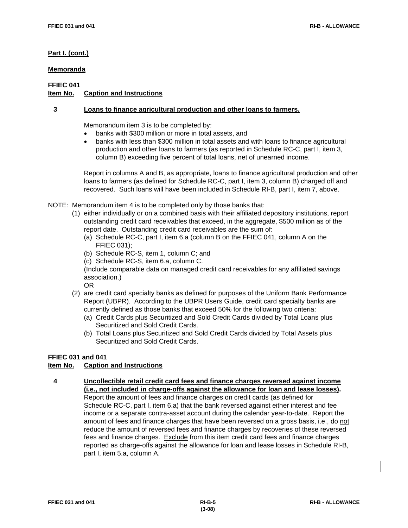## **Memoranda**

# **FFIEC 041**

# **Item No. Caption and Instructions**

## **3 Loans to finance agricultural production and other loans to farmers.**

Memorandum item 3 is to be completed by:

- banks with \$300 million or more in total assets, and
- banks with less than \$300 million in total assets and with loans to finance agricultural production and other loans to farmers (as reported in Schedule RC-C, part I, item 3, column B) exceeding five percent of total loans, net of unearned income.

Report in columns A and B, as appropriate, loans to finance agricultural production and other loans to farmers (as defined for Schedule RC-C, part I, item 3, column B) charged off and recovered. Such loans will have been included in Schedule RI-B, part I, item 7, above.

- NOTE: Memorandum item 4 is to be completed only by those banks that:
	- (1) either individually or on a combined basis with their affiliated depository institutions, report outstanding credit card receivables that exceed, in the aggregate, \$500 million as of the report date. Outstanding credit card receivables are the sum of:
		- (a) Schedule RC-C, part I, item 6.a (column B on the FFIEC 041, column A on the FFIEC 031);
		- (b) Schedule RC-S, item 1, column C; and
		- (c) Schedule RC-S, item 6.a, column C.

(Include comparable data on managed credit card receivables for any affiliated savings association.)

OR

- (2) are credit card specialty banks as defined for purposes of the Uniform Bank Performance Report (UBPR). According to the UBPR Users Guide, credit card specialty banks are currently defined as those banks that exceed 50% for the following two criteria:
	- (a) Credit Cards plus Securitized and Sold Credit Cards divided by Total Loans plus Securitized and Sold Credit Cards.
	- (b) Total Loans plus Securitized and Sold Credit Cards divided by Total Assets plus Securitized and Sold Credit Cards.

#### **FFIEC 031 and 041**

## **Item No. Caption and Instructions**

 **4 Uncollectible retail credit card fees and finance charges reversed against income (i.e., not included in charge-offs against the allowance for loan and lease losses).** Report the amount of fees and finance charges on credit cards (as defined for Schedule RC-C, part I, item 6.a) that the bank reversed against either interest and fee income or a separate contra-asset account during the calendar year-to-date. Report the amount of fees and finance charges that have been reversed on a gross basis, i.e., do not reduce the amount of reversed fees and finance charges by recoveries of these reversed fees and finance charges. Exclude from this item credit card fees and finance charges reported as charge-offs against the allowance for loan and lease losses in Schedule RI-B, part I, item 5.a, column A.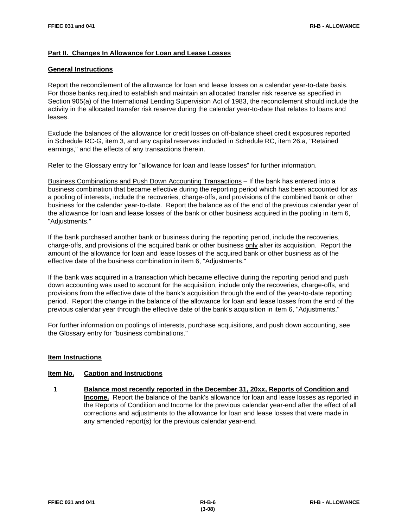# **Part II. Changes In Allowance for Loan and Lease Losses**

## **General Instructions**

Report the reconcilement of the allowance for loan and lease losses on a calendar year-to-date basis. For those banks required to establish and maintain an allocated transfer risk reserve as specified in Section 905(a) of the International Lending Supervision Act of 1983, the reconcilement should include the activity in the allocated transfer risk reserve during the calendar year-to-date that relates to loans and leases.

Exclude the balances of the allowance for credit losses on off-balance sheet credit exposures reported in Schedule RC-G, item 3, and any capital reserves included in Schedule RC, item 26.a, "Retained earnings," and the effects of any transactions therein.

Refer to the Glossary entry for "allowance for loan and lease losses" for further information.

Business Combinations and Push Down Accounting Transactions – If the bank has entered into a business combination that became effective during the reporting period which has been accounted for as a pooling of interests, include the recoveries, charge-offs, and provisions of the combined bank or other business for the calendar year-to-date. Report the balance as of the end of the previous calendar year of the allowance for loan and lease losses of the bank or other business acquired in the pooling in item 6, "Adjustments."

If the bank purchased another bank or business during the reporting period, include the recoveries, charge-offs, and provisions of the acquired bank or other business only after its acquisition. Report the amount of the allowance for loan and lease losses of the acquired bank or other business as of the effective date of the business combination in item 6, "Adjustments."

If the bank was acquired in a transaction which became effective during the reporting period and push down accounting was used to account for the acquisition, include only the recoveries, charge-offs, and provisions from the effective date of the bank's acquisition through the end of the year-to-date reporting period. Report the change in the balance of the allowance for loan and lease losses from the end of the previous calendar year through the effective date of the bank's acquisition in item 6, "Adjustments."

For further information on poolings of interests, purchase acquisitions, and push down accounting, see the Glossary entry for "business combinations."

## **Item Instructions**

#### **Item No. Caption and Instructions**

 **1 Balance most recently reported in the December 31, 20xx, Reports of Condition and Income.** Report the balance of the bank's allowance for loan and lease losses as reported in the Reports of Condition and Income for the previous calendar year-end after the effect of all corrections and adjustments to the allowance for loan and lease losses that were made in any amended report(s) for the previous calendar year-end.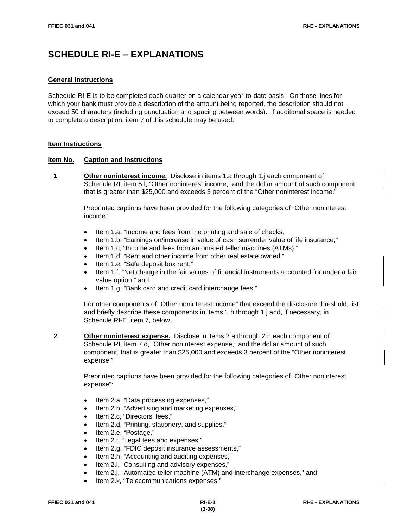# **SCHEDULE RI-E – EXPLANATIONS**

# **General Instructions**

Schedule RI-E is to be completed each quarter on a calendar year-to-date basis. On those lines for which your bank must provide a description of the amount being reported, the description should not exceed 50 characters (including punctuation and spacing between words). If additional space is needed to complete a description, item 7 of this schedule may be used.

## **Item Instructions**

## **Item No. Caption and Instructions**

**1 Other noninterest income.** Disclose in items 1.a through 1.j each component of Schedule RI, item 5.l, "Other noninterest income," and the dollar amount of such component, that is greater than \$25,000 and exceeds 3 percent of the "Other noninterest income."

> Preprinted captions have been provided for the following categories of "Other noninterest income":

- Item 1.a, "Income and fees from the printing and sale of checks,"
- Item 1.b, "Earnings on/increase in value of cash surrender value of life insurance,"
- Item 1.c, "Income and fees from automated teller machines (ATMs),"
- Item 1.d, "Rent and other income from other real estate owned,"
- Item 1.e, "Safe deposit box rent,"
- Item 1.f, "Net change in the fair values of financial instruments accounted for under a fair value option," and
- Item 1.g, "Bank card and credit card interchange fees."

For other components of "Other noninterest income" that exceed the disclosure threshold, list and briefly describe these components in items 1.h through 1.j and, if necessary, in Schedule RI-E, item 7, below.

 **2 Other noninterest expense.** Disclose in items 2.a through 2.n each component of Schedule RI, item 7.d, "Other noninterest expense," and the dollar amount of such component, that is greater than \$25,000 and exceeds 3 percent of the "Other noninterest expense."

> Preprinted captions have been provided for the following categories of "Other noninterest expense":

- Item 2.a, "Data processing expenses,"
- Item 2.b, "Advertising and marketing expenses,"
- Item 2.c, "Directors' fees,"
- Item 2.d, "Printing, stationery, and supplies,"
- Item 2.e, "Postage,"
- Item 2.f, "Legal fees and expenses,"
- Item 2.g, "FDIC deposit insurance assessments,"
- Item 2.h, "Accounting and auditing expenses,"
- Item 2.i, "Consulting and advisory expenses,"
- Item 2.j, "Automated teller machine (ATM) and interchange expenses," and
- Item 2.k, "Telecommunications expenses."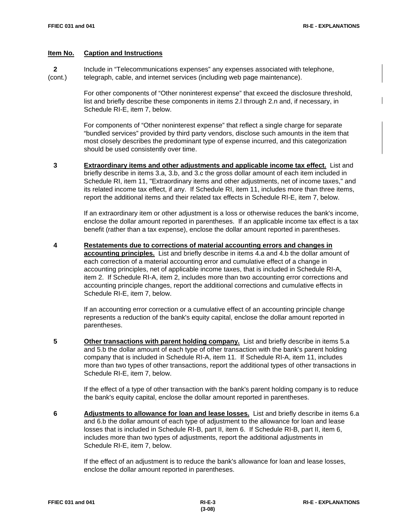**2** Include in "Telecommunications expenses" any expenses associated with telephone, (cont.) telegraph, cable, and internet services (including web page maintenance).

> For other components of "Other noninterest expense" that exceed the disclosure threshold, list and briefly describe these components in items 2.l through 2.n and, if necessary, in Schedule RI-E, item 7, below.

For components of "Other noninterest expense" that reflect a single charge for separate "bundled services" provided by third party vendors, disclose such amounts in the item that most closely describes the predominant type of expense incurred, and this categorization should be used consistently over time.

 **3 Extraordinary items and other adjustments and applicable income tax effect.** List and briefly describe in items 3.a, 3.b, and 3.c the gross dollar amount of each item included in Schedule RI, item 11, "Extraordinary items and other adjustments, net of income taxes," and its related income tax effect, if any. If Schedule RI, item 11, includes more than three items, report the additional items and their related tax effects in Schedule RI-E, item 7, below.

 If an extraordinary item or other adjustment is a loss or otherwise reduces the bank's income, enclose the dollar amount reported in parentheses. If an applicable income tax effect is a tax benefit (rather than a tax expense), enclose the dollar amount reported in parentheses.

 **4 Restatements due to corrections of material accounting errors and changes in accounting principles.** List and briefly describe in items 4.a and 4.b the dollar amount of each correction of a material accounting error and cumulative effect of a change in accounting principles, net of applicable income taxes, that is included in Schedule RI-A, item 2. If Schedule RI-A, item 2, includes more than two accounting error corrections and accounting principle changes, report the additional corrections and cumulative effects in Schedule RI-E, item 7, below.

> If an accounting error correction or a cumulative effect of an accounting principle change represents a reduction of the bank's equity capital, enclose the dollar amount reported in parentheses.

 **5 Other transactions with parent holding company.** List and briefly describe in items 5.a and 5.b the dollar amount of each type of other transaction with the bank's parent holding company that is included in Schedule RI-A, item 11. If Schedule RI-A, item 11, includes more than two types of other transactions, report the additional types of other transactions in Schedule RI-E, item 7, below.

If the effect of a type of other transaction with the bank's parent holding company is to reduce the bank's equity capital, enclose the dollar amount reported in parentheses.

 **6 Adjustments to allowance for loan and lease losses.** List and briefly describe in items 6.a and 6.b the dollar amount of each type of adjustment to the allowance for loan and lease losses that is included in Schedule RI-B, part II, item 6. If Schedule RI-B, part II, item 6, includes more than two types of adjustments, report the additional adjustments in Schedule RI-E, item 7, below.

If the effect of an adjustment is to reduce the bank's allowance for loan and lease losses, enclose the dollar amount reported in parentheses.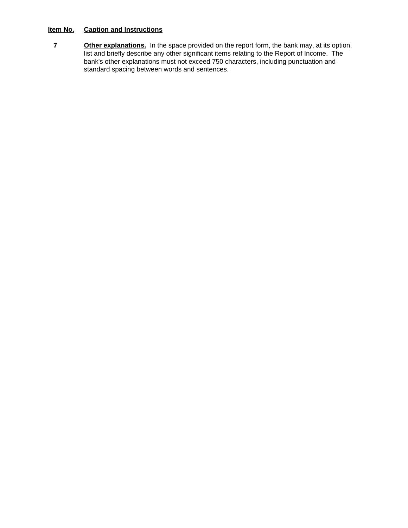**7** Other explanations. In the space provided on the report form, the bank may, at its option, list and briefly describe any other significant items relating to the Report of Income. The bank's other explanations must not exceed 750 characters, including punctuation and standard spacing between words and sentences.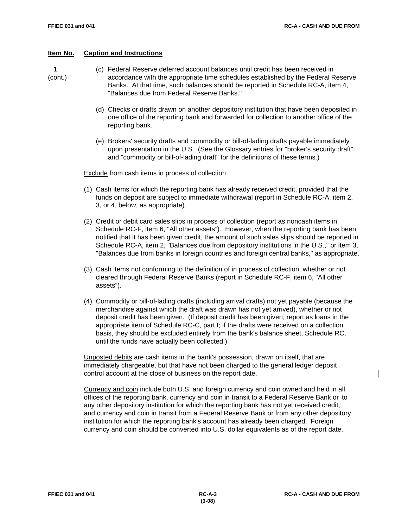- **1** (c) Federal Reserve deferred account balances until credit has been received in (cont.) accordance with the appropriate time schedules established by the Federal Reserve Banks. At that time, such balances should be reported in Schedule RC-A, item 4, "Balances due from Federal Reserve Banks."
	- (d) Checks or drafts drawn on another depository institution that have been deposited in one office of the reporting bank and forwarded for collection to another office of the reporting bank.
	- (e) Brokers' security drafts and commodity or bill-of-lading drafts payable immediately upon presentation in the U.S. (See the Glossary entries for "broker's security draft" and "commodity or bill-of-lading draft" for the definitions of these terms.)

Exclude from cash items in process of collection:

- (1) Cash items for which the reporting bank has already received credit, provided that the funds on deposit are subject to immediate withdrawal (report in Schedule RC-A, item 2, 3, or 4, below, as appropriate).
- (2) Credit or debit card sales slips in process of collection (report as noncash items in Schedule RC-F, item 6, "All other assets"). However, when the reporting bank has been notified that it has been given credit, the amount of such sales slips should be reported in Schedule RC-A, item 2, "Balances due from depository institutions in the U.S.," or item 3, "Balances due from banks in foreign countries and foreign central banks," as appropriate.
- (3) Cash items not conforming to the definition of in process of collection, whether or not cleared through Federal Reserve Banks (report in Schedule RC-F, item 6, "All other assets").
- (4) Commodity or bill-of-lading drafts (including arrival drafts) not yet payable (because the merchandise against which the draft was drawn has not yet arrived), whether or not deposit credit has been given. (If deposit credit has been given, report as loans in the appropriate item of Schedule RC-C, part I; if the drafts were received on a collection basis, they should be excluded entirely from the bank's balance sheet, Schedule RC, until the funds have actually been collected.)

 Unposted debits are cash items in the bank's possession, drawn on itself, that are immediately chargeable, but that have not been charged to the general ledger deposit control account at the close of business on the report date.

 Currency and coin include both U.S. and foreign currency and coin owned and held in all offices of the reporting bank, currency and coin in transit to a Federal Reserve Bank or to any other depository institution for which the reporting bank has not yet received credit, and currency and coin in transit from a Federal Reserve Bank or from any other depository institution for which the reporting bank's account has already been charged. Foreign currency and coin should be converted into U.S. dollar equivalents as of the report date.

 $\overline{\phantom{a}}$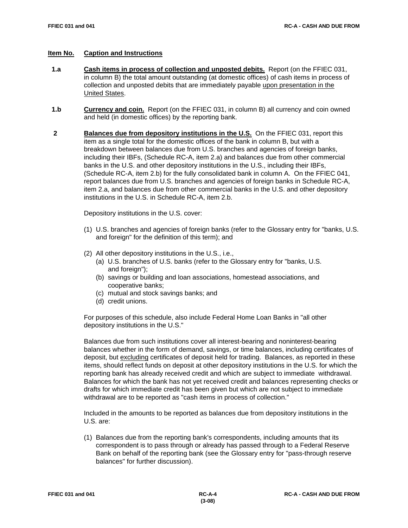- **1.a Cash items in process of collection and unposted debits.** Report (on the FFIEC 031, in column B) the total amount outstanding (at domestic offices) of cash items in process of collection and unposted debits that are immediately payable upon presentation in the United States.
- **1.b Currency and coin.** Report (on the FFIEC 031, in column B) all currency and coin owned and held (in domestic offices) by the reporting bank.
- **2 Balances due from depository institutions in the U.S.** On the FFIEC 031, report this item as a single total for the domestic offices of the bank in column B, but with a breakdown between balances due from U.S. branches and agencies of foreign banks, including their IBFs, (Schedule RC-A, item 2.a) and balances due from other commercial banks in the U.S. and other depository institutions in the U.S., including their IBFs, (Schedule RC-A, item 2.b) for the fully consolidated bank in column A. On the FFIEC 041, report balances due from U.S. branches and agencies of foreign banks in Schedule RC-A, item 2.a, and balances due from other commercial banks in the U.S. and other depository institutions in the U.S. in Schedule RC-A, item 2.b.

Depository institutions in the U.S. cover:

- (1) U.S. branches and agencies of foreign banks (refer to the Glossary entry for "banks, U.S. and foreign" for the definition of this term); and
- (2) All other depository institutions in the U.S., i.e.,
	- (a) U.S. branches of U.S. banks (refer to the Glossary entry for "banks, U.S. and foreign");
	- (b) savings or building and loan associations, homestead associations, and cooperative banks;
	- (c) mutual and stock savings banks; and
	- (d) credit unions.

 For purposes of this schedule, also include Federal Home Loan Banks in "all other depository institutions in the U.S."

 Balances due from such institutions cover all interest-bearing and noninterest-bearing balances whether in the form of demand, savings, or time balances, including certificates of deposit, but excluding certificates of deposit held for trading. Balances, as reported in these items, should reflect funds on deposit at other depository institutions in the U.S. for which the reporting bank has already received credit and which are subject to immediate withdrawal. Balances for which the bank has not yet received credit and balances representing checks or drafts for which immediate credit has been given but which are not subject to immediate withdrawal are to be reported as "cash items in process of collection."

 Included in the amounts to be reported as balances due from depository institutions in the U.S. are:

 (1) Balances due from the reporting bank's correspondents, including amounts that its correspondent is to pass through or already has passed through to a Federal Reserve Bank on behalf of the reporting bank (see the Glossary entry for "pass-through reserve balances" for further discussion).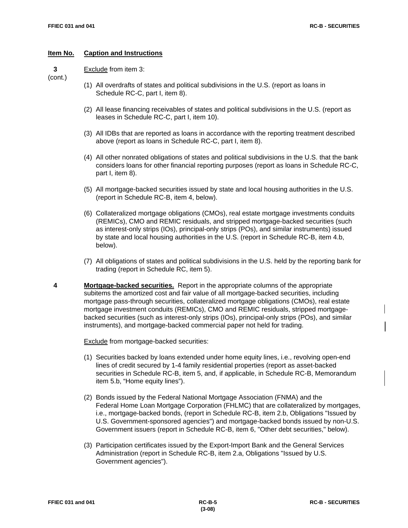**3** Exclude from item 3:

(cont.)

- (1) All overdrafts of states and political subdivisions in the U.S. (report as loans in Schedule RC-C, part I, item 8).
- (2) All lease financing receivables of states and political subdivisions in the U.S. (report as leases in Schedule RC-C, part I, item 10).
- (3) All IDBs that are reported as loans in accordance with the reporting treatment described above (report as loans in Schedule RC-C, part I, item 8).
- (4) All other nonrated obligations of states and political subdivisions in the U.S. that the bank considers loans for other financial reporting purposes (report as loans in Schedule RC-C, part I, item 8).
- (5) All mortgage-backed securities issued by state and local housing authorities in the U.S. (report in Schedule RC-B, item 4, below).
- (6) Collateralized mortgage obligations (CMOs), real estate mortgage investments conduits (REMICs), CMO and REMIC residuals, and stripped mortgage-backed securities (such as interest-only strips (IOs), principal-only strips (POs), and similar instruments) issued by state and local housing authorities in the U.S. (report in Schedule RC-B, item 4.b, below).
- (7) All obligations of states and political subdivisions in the U.S. held by the reporting bank for trading (report in Schedule RC, item 5).
- **4 Mortgage-backed securities.** Report in the appropriate columns of the appropriate subitems the amortized cost and fair value of all mortgage-backed securities, including mortgage pass-through securities, collateralized mortgage obligations (CMOs), real estate mortgage investment conduits (REMICs), CMO and REMIC residuals, stripped mortgagebacked securities (such as interest-only strips (IOs), principal-only strips (POs), and similar instruments), and mortgage-backed commercial paper not held for trading.

**Exclude from mortgage-backed securities:** 

- (1) Securities backed by loans extended under home equity lines, i.e., revolving open-end lines of credit secured by 1-4 family residential properties (report as asset-backed securities in Schedule RC-B, item 5, and, if applicable, in Schedule RC-B, Memorandum item 5.b, "Home equity lines").
- (2) Bonds issued by the Federal National Mortgage Association (FNMA) and the Federal Home Loan Mortgage Corporation (FHLMC) that are collateralized by mortgages, i.e., mortgage-backed bonds, (report in Schedule RC-B, item 2.b, Obligations "Issued by U.S. Government-sponsored agencies") and mortgage-backed bonds issued by non-U.S. Government issuers (report in Schedule RC-B, item 6, "Other debt securities," below).
- (3) Participation certificates issued by the Export-Import Bank and the General Services Administration (report in Schedule RC-B, item 2.a, Obligations "Issued by U.S. Government agencies").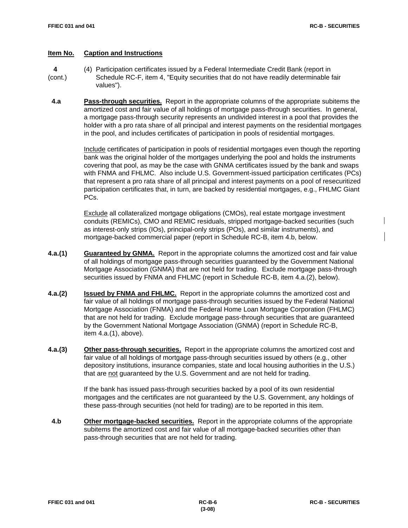$\mathsf{l}$ 

#### **Item No. Caption and Instructions**

- **4** (4) Participation certificates issued by a Federal Intermediate Credit Bank (report in (cont.) Schedule RC-F, item 4, "Equity securities that do not have readily determinable fair values").
- **4.a Pass-through securities.** Report in the appropriate columns of the appropriate subitems the amortized cost and fair value of all holdings of mortgage pass-through securities. In general, a mortgage pass-through security represents an undivided interest in a pool that provides the holder with a pro rata share of all principal and interest payments on the residential mortgages in the pool, and includes certificates of participation in pools of residential mortgages.

 Include certificates of participation in pools of residential mortgages even though the reporting bank was the original holder of the mortgages underlying the pool and holds the instruments covering that pool, as may be the case with GNMA certificates issued by the bank and swaps with FNMA and FHLMC. Also include U.S. Government-issued participation certificates (PCs) that represent a pro rata share of all principal and interest payments on a pool of resecuritized participation certificates that, in turn, are backed by residential mortgages, e.g., FHLMC Giant PCs.

 Exclude all collateralized mortgage obligations (CMOs), real estate mortgage investment conduits (REMICs), CMO and REMIC residuals, stripped mortgage-backed securities (such as interest-only strips (IOs), principal-only strips (POs), and similar instruments), and mortgage-backed commercial paper (report in Schedule RC-B, item 4.b, below.

- **4.a.(1) Guaranteed by GNMA.** Report in the appropriate columns the amortized cost and fair value of all holdings of mortgage pass-through securities guaranteed by the Government National Mortgage Association (GNMA) that are not held for trading. Exclude mortgage pass-through securities issued by FNMA and FHLMC (report in Schedule RC-B, item 4.a.(2), below).
- **4.a.(2) Issued by FNMA and FHLMC.** Report in the appropriate columns the amortized cost and fair value of all holdings of mortgage pass-through securities issued by the Federal National Mortgage Association (FNMA) and the Federal Home Loan Mortgage Corporation (FHLMC) that are not held for trading. Exclude mortgage pass-through securities that are guaranteed by the Government National Mortgage Association (GNMA) (report in Schedule RC-B, item 4.a.(1), above).
- **4.a.(3) Other pass-through securities.** Report in the appropriate columns the amortized cost and fair value of all holdings of mortgage pass-through securities issued by others (e.g., other depository institutions, insurance companies, state and local housing authorities in the U.S.) that are not guaranteed by the U.S. Government and are not held for trading.

 If the bank has issued pass-through securities backed by a pool of its own residential mortgages and the certificates are not guaranteed by the U.S. Government, any holdings of these pass-through securities (not held for trading) are to be reported in this item.

 **4.b Other mortgage-backed securities.** Report in the appropriate columns of the appropriate subitems the amortized cost and fair value of all mortgage-backed securities other than pass-through securities that are not held for trading.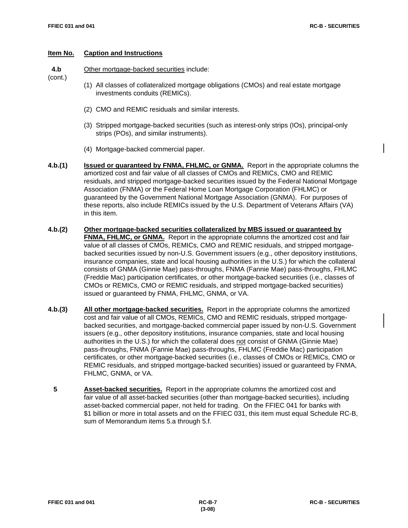#### **4.b** Other mortgage-backed securities include:

(cont.)

- (1) All classes of collateralized mortgage obligations (CMOs) and real estate mortgage investments conduits (REMICs).
- (2) CMO and REMIC residuals and similar interests.
- (3) Stripped mortgage-backed securities (such as interest-only strips (IOs), principal-only strips (POs), and similar instruments).
- (4) Mortgage-backed commercial paper.
- **4.b.(1) Issued or guaranteed by FNMA, FHLMC, or GNMA.** Report in the appropriate columns the amortized cost and fair value of all classes of CMOs and REMICs, CMO and REMIC residuals, and stripped mortgage-backed securities issued by the Federal National Mortgage Association (FNMA) or the Federal Home Loan Mortgage Corporation (FHLMC) or guaranteed by the Government National Mortgage Association (GNMA). For purposes of these reports, also include REMICs issued by the U.S. Department of Veterans Affairs (VA) in this item.
- **4.b.(2) Other mortgage-backed securities collateralized by MBS issued or guaranteed by FNMA, FHLMC, or GNMA.** Report in the appropriate columns the amortized cost and fair value of all classes of CMOs, REMICs, CMO and REMIC residuals, and stripped mortgagebacked securities issued by non-U.S. Government issuers (e.g., other depository institutions, insurance companies, state and local housing authorities in the U.S.) for which the collateral consists of GNMA (Ginnie Mae) pass-throughs, FNMA (Fannie Mae) pass-throughs, FHLMC (Freddie Mac) participation certificates, or other mortgage-backed securities (i.e., classes of CMOs or REMICs, CMO or REMIC residuals, and stripped mortgage-backed securities) issued or guaranteed by FNMA, FHLMC, GNMA, or VA.
- **4.b.(3) All other mortgage-backed securities.** Report in the appropriate columns the amortized cost and fair value of all CMOs, REMICs, CMO and REMIC residuals, stripped mortgagebacked securities, and mortgage-backed commercial paper issued by non-U.S. Government issuers (e.g., other depository institutions, insurance companies, state and local housing authorities in the U.S.) for which the collateral does not consist of GNMA (Ginnie Mae) pass-throughs, FNMA (Fannie Mae) pass-throughs, FHLMC (Freddie Mac) participation certificates, or other mortgage-backed securities (i.e., classes of CMOs or REMICs, CMO or REMIC residuals, and stripped mortgage-backed securities) issued or guaranteed by FNMA, FHLMC, GNMA, or VA.
- **5 Asset-backed securities.** Report in the appropriate columns the amortized cost and fair value of all asset-backed securities (other than mortgage-backed securities), including asset-backed commercial paper, not held for trading. On the FFIEC 041 for banks with \$1 billion or more in total assets and on the FFIEC 031, this item must equal Schedule RC-B, sum of Memorandum items 5.a through 5.f.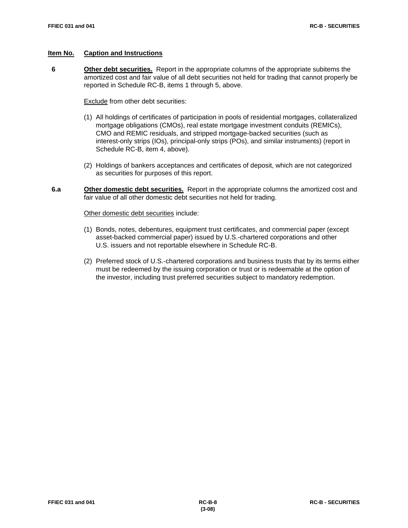**6** Other debt securities. Report in the appropriate columns of the appropriate subitems the amortized cost and fair value of all debt securities not held for trading that cannot properly be reported in Schedule RC-B, items 1 through 5, above.

Exclude from other debt securities:

- (1) All holdings of certificates of participation in pools of residential mortgages, collateralized mortgage obligations (CMOs), real estate mortgage investment conduits (REMICs), CMO and REMIC residuals, and stripped mortgage-backed securities (such as interest-only strips (IOs), principal-only strips (POs), and similar instruments) (report in Schedule RC-B, item 4, above).
- (2) Holdings of bankers acceptances and certificates of deposit, which are not categorized as securities for purposes of this report.
- **6.a Other domestic debt securities.** Report in the appropriate columns the amortized cost and fair value of all other domestic debt securities not held for trading.

Other domestic debt securities include:

- (1) Bonds, notes, debentures, equipment trust certificates, and commercial paper (except asset-backed commercial paper) issued by U.S.-chartered corporations and other U.S. issuers and not reportable elsewhere in Schedule RC-B.
- (2) Preferred stock of U.S.-chartered corporations and business trusts that by its terms either must be redeemed by the issuing corporation or trust or is redeemable at the option of the investor, including trust preferred securities subject to mandatory redemption.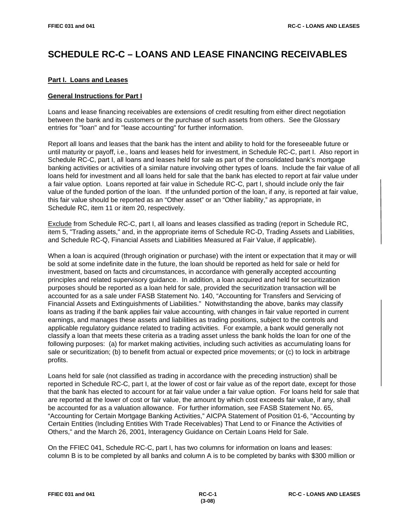# **SCHEDULE RC-C – LOANS AND LEASE FINANCING RECEIVABLES**

# **Part I. Loans and Leases**

# **General Instructions for Part I**

Loans and lease financing receivables are extensions of credit resulting from either direct negotiation between the bank and its customers or the purchase of such assets from others. See the Glossary entries for "loan" and for "lease accounting" for further information.

Report all loans and leases that the bank has the intent and ability to hold for the foreseeable future or until maturity or payoff, i.e., loans and leases held for investment, in Schedule RC-C, part I. Also report in Schedule RC-C, part I, all loans and leases held for sale as part of the consolidated bank's mortgage banking activities or activities of a similar nature involving other types of loans. Include the fair value of all loans held for investment and all loans held for sale that the bank has elected to report at fair value under a fair value option. Loans reported at fair value in Schedule RC-C, part I, should include only the fair value of the funded portion of the loan. If the unfunded portion of the loan, if any, is reported at fair value, this fair value should be reported as an "Other asset" or an "Other liability," as appropriate, in Schedule RC, item 11 or item 20, respectively.

Exclude from Schedule RC-C, part I, all loans and leases classified as trading (report in Schedule RC, item 5, "Trading assets," and, in the appropriate items of Schedule RC-D, Trading Assets and Liabilities, and Schedule RC-Q, Financial Assets and Liabilities Measured at Fair Value, if applicable).

When a loan is acquired (through origination or purchase) with the intent or expectation that it may or will be sold at some indefinite date in the future, the loan should be reported as held for sale or held for investment, based on facts and circumstances, in accordance with generally accepted accounting principles and related supervisory guidance. In addition, a loan acquired and held for securitization purposes should be reported as a loan held for sale, provided the securitization transaction will be accounted for as a sale under FASB Statement No. 140, "Accounting for Transfers and Servicing of Financial Assets and Extinguishments of Liabilities." Notwithstanding the above, banks may classify loans as trading if the bank applies fair value accounting, with changes in fair value reported in current earnings, and manages these assets and liabilities as trading positions, subject to the controls and applicable regulatory guidance related to trading activities. For example, a bank would generally not classify a loan that meets these criteria as a trading asset unless the bank holds the loan for one of the following purposes: (a) for market making activities, including such activities as accumulating loans for sale or securitization; (b) to benefit from actual or expected price movements; or (c) to lock in arbitrage profits.

Loans held for sale (not classified as trading in accordance with the preceding instruction) shall be reported in Schedule RC-C, part I, at the lower of cost or fair value as of the report date, except for those that the bank has elected to account for at fair value under a fair value option. For loans held for sale that are reported at the lower of cost or fair value, the amount by which cost exceeds fair value, if any, shall be accounted for as a valuation allowance. For further information, see FASB Statement No. 65, "Accounting for Certain Mortgage Banking Activities," AICPA Statement of Position 01-6, "Accounting by Certain Entities (Including Entities With Trade Receivables) That Lend to or Finance the Activities of Others," and the March 26, 2001, Interagency Guidance on Certain Loans Held for Sale.

On the FFIEC 041, Schedule RC-C, part I, has two columns for information on loans and leases: column B is to be completed by all banks and column A is to be completed by banks with \$300 million or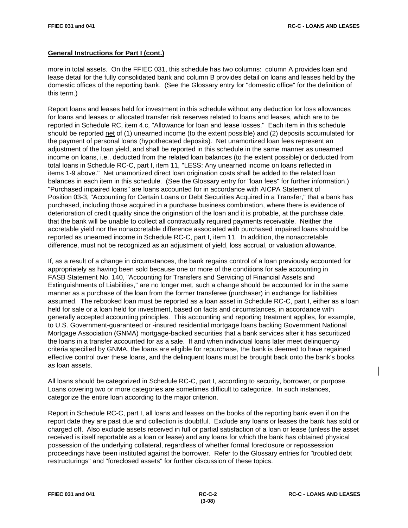# **General Instructions for Part I (cont.)**

more in total assets. On the FFIEC 031, this schedule has two columns: column A provides loan and lease detail for the fully consolidated bank and column B provides detail on loans and leases held by the domestic offices of the reporting bank. (See the Glossary entry for "domestic office" for the definition of this term.)

Report loans and leases held for investment in this schedule without any deduction for loss allowances for loans and leases or allocated transfer risk reserves related to loans and leases, which are to be reported in Schedule RC, item 4.c, "Allowance for loan and lease losses." Each item in this schedule should be reported net of (1) unearned income (to the extent possible) and (2) deposits accumulated for the payment of personal loans (hypothecated deposits). Net unamortized loan fees represent an adjustment of the loan yield, and shall be reported in this schedule in the same manner as unearned income on loans, i.e., deducted from the related loan balances (to the extent possible) or deducted from total loans in Schedule RC-C, part I, item 11, "LESS: Any unearned income on loans reflected in items 1-9 above." Net unamortized direct loan origination costs shall be added to the related loan balances in each item in this schedule. (See the Glossary entry for "loan fees" for further information.) "Purchased impaired loans" are loans accounted for in accordance with AICPA Statement of Position 03-3, "Accounting for Certain Loans or Debt Securities Acquired in a Transfer," that a bank has purchased, including those acquired in a purchase business combination, where there is evidence of deterioration of credit quality since the origination of the loan and it is probable, at the purchase date, that the bank will be unable to collect all contractually required payments receivable. Neither the accretable yield nor the nonaccretable difference associated with purchased impaired loans should be reported as unearned income in Schedule RC-C, part I, item 11. In addition, the nonaccretable difference, must not be recognized as an adjustment of yield, loss accrual, or valuation allowance.

If, as a result of a change in circumstances, the bank regains control of a loan previously accounted for appropriately as having been sold because one or more of the conditions for sale accounting in FASB Statement No. 140, "Accounting for Transfers and Servicing of Financial Assets and Extinguishments of Liabilities," are no longer met, such a change should be accounted for in the same manner as a purchase of the loan from the former transferee (purchaser) in exchange for liabilities assumed. The rebooked loan must be reported as a loan asset in Schedule RC-C, part I, either as a loan held for sale or a loan held for investment, based on facts and circumstances, in accordance with generally accepted accounting principles. This accounting and reporting treatment applies, for example, to U.S. Government-guaranteed or -insured residential mortgage loans backing Government National Mortgage Association (GNMA) mortgage-backed securities that a bank services after it has securitized the loans in a transfer accounted for as a sale. If and when individual loans later meet delinquency criteria specified by GNMA, the loans are eligible for repurchase, the bank is deemed to have regained effective control over these loans, and the delinquent loans must be brought back onto the bank's books as loan assets.

All loans should be categorized in Schedule RC-C, part I, according to security, borrower, or purpose. Loans covering two or more categories are sometimes difficult to categorize. In such instances, categorize the entire loan according to the major criterion.

Report in Schedule RC-C, part I, all loans and leases on the books of the reporting bank even if on the report date they are past due and collection is doubtful. Exclude any loans or leases the bank has sold or charged off. Also exclude assets received in full or partial satisfaction of a loan or lease (unless the asset received is itself reportable as a loan or lease) and any loans for which the bank has obtained physical possession of the underlying collateral, regardless of whether formal foreclosure or repossession proceedings have been instituted against the borrower. Refer to the Glossary entries for "troubled debt restructurings" and "foreclosed assets" for further discussion of these topics.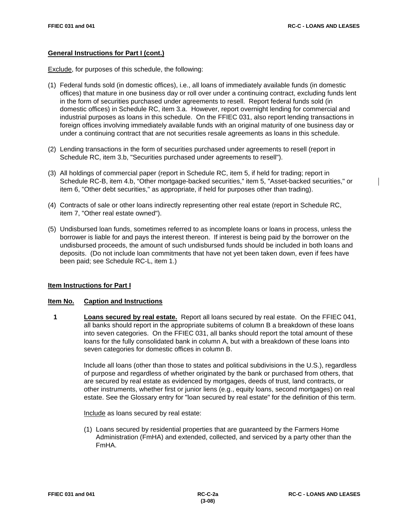$\overline{\phantom{a}}$ 

# **General Instructions for Part I (cont.)**

Exclude, for purposes of this schedule, the following:

- (1) Federal funds sold (in domestic offices), i.e., all loans of immediately available funds (in domestic offices) that mature in one business day or roll over under a continuing contract, excluding funds lent in the form of securities purchased under agreements to resell. Report federal funds sold (in domestic offices) in Schedule RC, item 3.a. However, report overnight lending for commercial and industrial purposes as loans in this schedule. On the FFIEC 031, also report lending transactions in foreign offices involving immediately available funds with an original maturity of one business day or under a continuing contract that are not securities resale agreements as loans in this schedule.
- (2) Lending transactions in the form of securities purchased under agreements to resell (report in Schedule RC, item 3.b, "Securities purchased under agreements to resell").
- (3) All holdings of commercial paper (report in Schedule RC, item 5, if held for trading; report in Schedule RC-B, item 4.b, "Other mortgage-backed securities," item 5, "Asset-backed securities," or item 6, "Other debt securities," as appropriate, if held for purposes other than trading).
- (4) Contracts of sale or other loans indirectly representing other real estate (report in Schedule RC, item 7, "Other real estate owned").
- (5) Undisbursed loan funds, sometimes referred to as incomplete loans or loans in process, unless the borrower is liable for and pays the interest thereon. If interest is being paid by the borrower on the undisbursed proceeds, the amount of such undisbursed funds should be included in both loans and deposits. (Do not include loan commitments that have not yet been taken down, even if fees have been paid; see Schedule RC-L, item 1.)

## **Item Instructions for Part I**

## **Item No. Caption and Instructions**

 **1 Loans secured by real estate.** Report all loans secured by real estate. On the FFIEC 041, all banks should report in the appropriate subitems of column B a breakdown of these loans into seven categories. On the FFIEC 031, all banks should report the total amount of these loans for the fully consolidated bank in column A, but with a breakdown of these loans into seven categories for domestic offices in column B.

> Include all loans (other than those to states and political subdivisions in the U.S.), regardless of purpose and regardless of whether originated by the bank or purchased from others, that are secured by real estate as evidenced by mortgages, deeds of trust, land contracts, or other instruments, whether first or junior liens (e.g., equity loans, second mortgages) on real estate. See the Glossary entry for "loan secured by real estate" for the definition of this term.

Include as loans secured by real estate:

(1) Loans secured by residential properties that are guaranteed by the Farmers Home Administration (FmHA) and extended, collected, and serviced by a party other than the FmHA.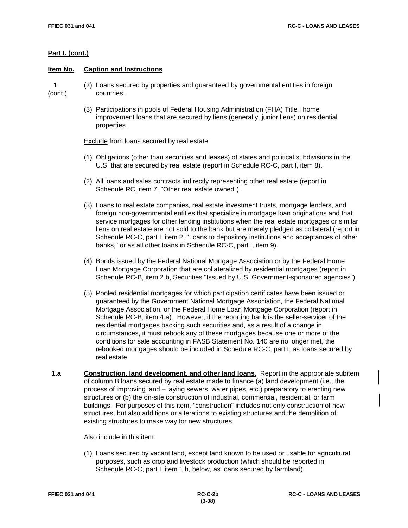#### **Item No. Caption and Instructions**

 **1** (2) Loans secured by properties and guaranteed by governmental entities in foreign (cont.) countries.

> (3) Participations in pools of Federal Housing Administration (FHA) Title I home improvement loans that are secured by liens (generally, junior liens) on residential properties.

Exclude from loans secured by real estate:

- (1) Obligations (other than securities and leases) of states and political subdivisions in the U.S. that are secured by real estate (report in Schedule RC-C, part I, item 8).
- (2) All loans and sales contracts indirectly representing other real estate (report in Schedule RC, item 7, "Other real estate owned").
- (3) Loans to real estate companies, real estate investment trusts, mortgage lenders, and foreign non-governmental entities that specialize in mortgage loan originations and that service mortgages for other lending institutions when the real estate mortgages or similar liens on real estate are not sold to the bank but are merely pledged as collateral (report in Schedule RC-C, part I, item 2, "Loans to depository institutions and acceptances of other banks," or as all other loans in Schedule RC-C, part I, item 9).
- (4) Bonds issued by the Federal National Mortgage Association or by the Federal Home Loan Mortgage Corporation that are collateralized by residential mortgages (report in Schedule RC-B, item 2.b, Securities "Issued by U.S. Government-sponsored agencies").
- (5) Pooled residential mortgages for which participation certificates have been issued or guaranteed by the Government National Mortgage Association, the Federal National Mortgage Association, or the Federal Home Loan Mortgage Corporation (report in Schedule RC-B, item 4.a). However, if the reporting bank is the seller-servicer of the residential mortgages backing such securities and, as a result of a change in circumstances, it must rebook any of these mortgages because one or more of the conditions for sale accounting in FASB Statement No. 140 are no longer met, the rebooked mortgages should be included in Schedule RC-C, part I, as loans secured by real estate.
- **1.a Construction, land development, and other land loans.** Report in the appropriate subitem of column B loans secured by real estate made to finance (a) land development (i.e., the process of improving land – laying sewers, water pipes, etc.) preparatory to erecting new structures or (b) the on-site construction of industrial, commercial, residential, or farm buildings. For purposes of this item, "construction" includes not only construction of new structures, but also additions or alterations to existing structures and the demolition of existing structures to make way for new structures.

Also include in this item:

(1) Loans secured by vacant land, except land known to be used or usable for agricultural purposes, such as crop and livestock production (which should be reported in Schedule RC-C, part I, item 1.b, below, as loans secured by farmland).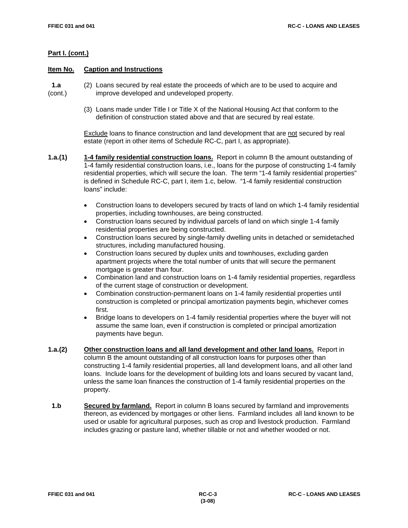#### **Item No. Caption and Instructions**

- **1.a** (2) Loans secured by real estate the proceeds of which are to be used to acquire and (cont.) improve developed and undeveloped property.
	- (3) Loans made under Title I or Title X of the National Housing Act that conform to the definition of construction stated above and that are secured by real estate.

 Exclude loans to finance construction and land development that are not secured by real estate (report in other items of Schedule RC-C, part I, as appropriate).

- **1.a.(1)** 1-4 family residential construction loans. Report in column B the amount outstanding of 1-4 family residential construction loans, i.e., loans for the purpose of constructing 1-4 family residential properties, which will secure the loan. The term "1-4 family residential properties" is defined in Schedule RC-C, part I, item 1.c, below. "1-4 family residential construction loans" include:
	- Construction loans to developers secured by tracts of land on which 1-4 family residential properties, including townhouses, are being constructed.
	- Construction loans secured by individual parcels of land on which single 1-4 family residential properties are being constructed.
	- Construction loans secured by single-family dwelling units in detached or semidetached structures, including manufactured housing.
	- Construction loans secured by duplex units and townhouses, excluding garden apartment projects where the total number of units that will secure the permanent mortgage is greater than four.
	- Combination land and construction loans on 1-4 family residential properties, regardless of the current stage of construction or development.
	- Combination construction-permanent loans on 1-4 family residential properties until construction is completed or principal amortization payments begin, whichever comes first.
	- Bridge loans to developers on 1-4 family residential properties where the buyer will not assume the same loan, even if construction is completed or principal amortization payments have begun.
- **1.a.(2) Other construction loans and all land development and other land loans.** Report in column B the amount outstanding of all construction loans for purposes other than constructing 1-4 family residential properties, all land development loans, and all other land loans. Include loans for the development of building lots and loans secured by vacant land, unless the same loan finances the construction of 1-4 family residential properties on the property.
- **1.b Secured by farmland.** Report in column B loans secured by farmland and improvements thereon, as evidenced by mortgages or other liens. Farmland includes all land known to be used or usable for agricultural purposes, such as crop and livestock production. Farmland includes grazing or pasture land, whether tillable or not and whether wooded or not.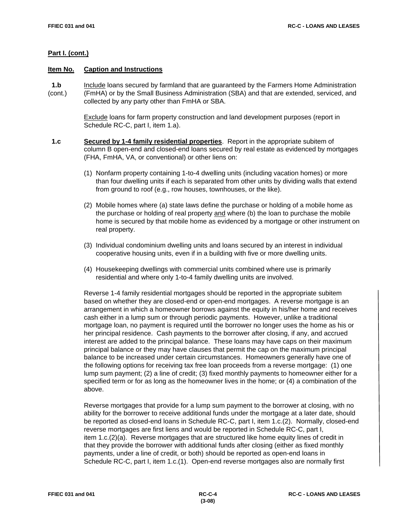#### **Item No. Caption and Instructions**

**1.b** Include loans secured by farmland that are quaranteed by the Farmers Home Administration (cont.) (FmHA) or by the Small Business Administration (SBA) and that are extended, serviced, and collected by any party other than FmHA or SBA.

> Exclude loans for farm property construction and land development purposes (report in Schedule RC-C, part I, item 1.a).

- **1.c Secured by 1-4 family residential properties**. Report in the appropriate subitem of column B open-end and closed-end loans secured by real estate as evidenced by mortgages (FHA, FmHA, VA, or conventional) or other liens on:
	- (1) Nonfarm property containing 1-to-4 dwelling units (including vacation homes) or more than four dwelling units if each is separated from other units by dividing walls that extend from ground to roof (e.g., row houses, townhouses, or the like).
	- (2) Mobile homes where (a) state laws define the purchase or holding of a mobile home as the purchase or holding of real property and where (b) the loan to purchase the mobile home is secured by that mobile home as evidenced by a mortgage or other instrument on real property.
	- (3) Individual condominium dwelling units and loans secured by an interest in individual cooperative housing units, even if in a building with five or more dwelling units.
	- (4) Housekeeping dwellings with commercial units combined where use is primarily residential and where only 1-to-4 family dwelling units are involved.

Reverse 1-4 family residential mortgages should be reported in the appropriate subitem based on whether they are closed-end or open-end mortgages. A reverse mortgage is an arrangement in which a homeowner borrows against the equity in his/her home and receives cash either in a lump sum or through periodic payments. However, unlike a traditional mortgage loan, no payment is required until the borrower no longer uses the home as his or her principal residence. Cash payments to the borrower after closing, if any, and accrued interest are added to the principal balance. These loans may have caps on their maximum principal balance or they may have clauses that permit the cap on the maximum principal balance to be increased under certain circumstances. Homeowners generally have one of the following options for receiving tax free loan proceeds from a reverse mortgage: (1) one lump sum payment; (2) a line of credit; (3) fixed monthly payments to homeowner either for a specified term or for as long as the homeowner lives in the home; or (4) a combination of the above.

Reverse mortgages that provide for a lump sum payment to the borrower at closing, with no ability for the borrower to receive additional funds under the mortgage at a later date, should be reported as closed-end loans in Schedule RC-C, part I, item 1.c.(2). Normally, closed-end reverse mortgages are first liens and would be reported in Schedule RC-C, part I, item 1.c.(2)(a). Reverse mortgages that are structured like home equity lines of credit in that they provide the borrower with additional funds after closing (either as fixed monthly payments, under a line of credit, or both) should be reported as open-end loans in Schedule RC-C, part I, item 1.c.(1). Open-end reverse mortgages also are normally first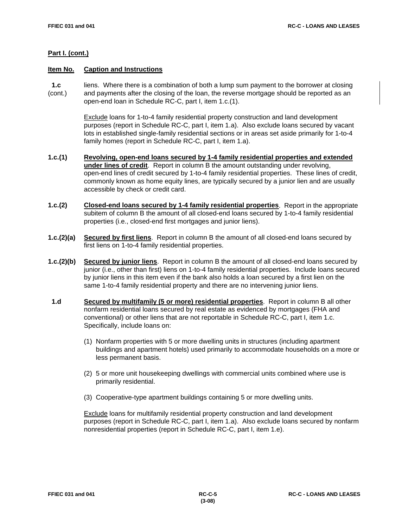#### **Item No. Caption and Instructions**

 **1.c** liens. Where there is a combination of both a lump sum payment to the borrower at closing (cont.) and payments after the closing of the loan, the reverse mortgage should be reported as an open-end loan in Schedule RC-C, part I, item 1.c.(1).

> Exclude loans for 1-to-4 family residential property construction and land development purposes (report in Schedule RC-C, part I, item 1.a). Also exclude loans secured by vacant lots in established single-family residential sections or in areas set aside primarily for 1-to-4 family homes (report in Schedule RC-C, part I, item 1.a).

- **1.c.(1) Revolving, open-end loans secured by 1-4 family residential properties and extended under lines of credit**. Report in column B the amount outstanding under revolving, open-end lines of credit secured by 1-to-4 family residential properties. These lines of credit, commonly known as home equity lines, are typically secured by a junior lien and are usually accessible by check or credit card.
- **1.c.(2) Closed-end loans secured by 1-4 family residential properties**. Report in the appropriate subitem of column B the amount of all closed-end loans secured by 1-to-4 family residential properties (i.e., closed-end first mortgages and junior liens).
- **1.c.(2)(a) Secured by first liens**. Report in column B the amount of all closed-end loans secured by first liens on 1-to-4 family residential properties.
- **1.c.(2)(b) Secured by junior liens**. Report in column B the amount of all closed-end loans secured by junior (i.e., other than first) liens on 1-to-4 family residential properties. Include loans secured by junior liens in this item even if the bank also holds a loan secured by a first lien on the same 1-to-4 family residential property and there are no intervening junior liens.
- **1.d Secured by multifamily (5 or more) residential properties**. Report in column B all other nonfarm residential loans secured by real estate as evidenced by mortgages (FHA and conventional) or other liens that are not reportable in Schedule RC-C, part I, item 1.c. Specifically, include loans on:
	- (1) Nonfarm properties with 5 or more dwelling units in structures (including apartment buildings and apartment hotels) used primarily to accommodate households on a more or less permanent basis.
	- (2) 5 or more unit housekeeping dwellings with commercial units combined where use is primarily residential.
	- (3) Cooperative-type apartment buildings containing 5 or more dwelling units.

 Exclude loans for multifamily residential property construction and land development purposes (report in Schedule RC-C, part I, item 1.a). Also exclude loans secured by nonfarm nonresidential properties (report in Schedule RC-C, part I, item 1.e).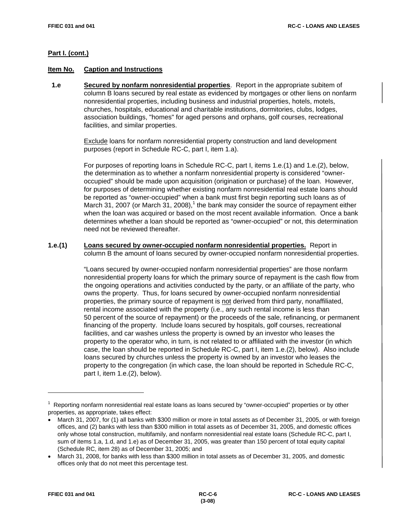#### **Item No. Caption and Instructions**

 **1.e Secured by nonfarm nonresidential properties**. Report in the appropriate subitem of column B loans secured by real estate as evidenced by mortgages or other liens on nonfarm nonresidential properties, including business and industrial properties, hotels, motels, churches, hospitals, educational and charitable institutions, dormitories, clubs, lodges, association buildings, "homes" for aged persons and orphans, golf courses, recreational facilities, and similar properties.

> Exclude loans for nonfarm nonresidential property construction and land development purposes (report in Schedule RC-C, part I, item 1.a).

For purposes of reporting loans in Schedule RC-C, part I, items 1.e.(1) and 1.e.(2), below, the determination as to whether a nonfarm nonresidential property is considered "owneroccupied" should be made upon acquisition (origination or purchase) of the loan. However, for purposes of determining whether existing nonfarm nonresidential real estate loans should be reported as "owner-occupied" when a bank must first begin reporting such loans as of March 31, 2007 (or March 31, 2008),<sup>1</sup> the bank may consider the source of repayment either when the loan was acquired or based on the most recent available information. Once a bank determines whether a loan should be reported as "owner-occupied" or not, this determination need not be reviewed thereafter.

**1.e.(1) Loans secured by owner-occupied nonfarm nonresidential properties.** Report in column B the amount of loans secured by owner-occupied nonfarm nonresidential properties.

> "Loans secured by owner-occupied nonfarm nonresidential properties" are those nonfarm nonresidential property loans for which the primary source of repayment is the cash flow from the ongoing operations and activities conducted by the party, or an affiliate of the party, who owns the property. Thus, for loans secured by owner-occupied nonfarm nonresidential properties, the primary source of repayment is not derived from third party, nonaffiliated, rental income associated with the property (i.e., any such rental income is less than 50 percent of the source of repayment) or the proceeds of the sale, refinancing, or permanent financing of the property. Include loans secured by hospitals, golf courses, recreational facilities, and car washes unless the property is owned by an investor who leases the property to the operator who, in turn, is not related to or affiliated with the investor (in which case, the loan should be reported in Schedule RC-C, part I, item 1.e.(2), below). Also include loans secured by churches unless the property is owned by an investor who leases the property to the congregation (in which case, the loan should be reported in Schedule RC-C, part I, item 1.e.(2), below).

 $\overline{a}$ 

<sup>&</sup>lt;sup>1</sup> Reporting nonfarm nonresidential real estate loans as loans secured by "owner-occupied" properties or by other properties, as appropriate, takes effect:

<sup>•</sup> March 31, 2007, for (1) all banks with \$300 million or more in total assets as of December 31, 2005, or with foreign offices, and (2) banks with less than \$300 million in total assets as of December 31, 2005, and domestic offices only whose total construction, multifamily, and nonfarm nonresidential real estate loans (Schedule RC-C, part I, sum of items 1.a, 1.d, and 1.e) as of December 31, 2005, was greater than 150 percent of total equity capital (Schedule RC, item 28) as of December 31, 2005; and

<sup>•</sup> March 31, 2008, for banks with less than \$300 million in total assets as of December 31, 2005, and domestic offices only that do not meet this percentage test.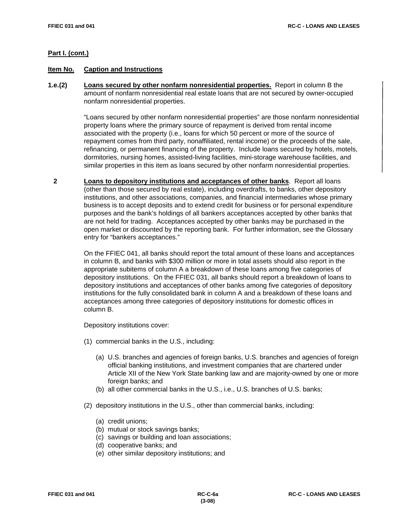#### **Item No. Caption and Instructions**

**1.e.(2) Loans secured by other nonfarm nonresidential properties.** Report in column B the amount of nonfarm nonresidential real estate loans that are not secured by owner-occupied nonfarm nonresidential properties.

> "Loans secured by other nonfarm nonresidential properties" are those nonfarm nonresidential property loans where the primary source of repayment is derived from rental income associated with the property (i.e., loans for which 50 percent or more of the source of repayment comes from third party, nonaffiliated, rental income) or the proceeds of the sale, refinancing, or permanent financing of the property. Include loans secured by hotels, motels, dormitories, nursing homes, assisted-living facilities, mini-storage warehouse facilities, and similar properties in this item as loans secured by other nonfarm nonresidential properties.

 **2 Loans to depository institutions and acceptances of other banks**. Report all loans (other than those secured by real estate), including overdrafts, to banks, other depository institutions, and other associations, companies, and financial intermediaries whose primary business is to accept deposits and to extend credit for business or for personal expenditure purposes and the bank's holdings of all bankers acceptances accepted by other banks that are not held for trading. Acceptances accepted by other banks may be purchased in the open market or discounted by the reporting bank. For further information, see the Glossary entry for "bankers acceptances."

On the FFIEC 041, all banks should report the total amount of these loans and acceptances in column B, and banks with \$300 million or more in total assets should also report in the appropriate subitems of column A a breakdown of these loans among five categories of depository institutions. On the FFIEC 031, all banks should report a breakdown of loans to depository institutions and acceptances of other banks among five categories of depository institutions for the fully consolidated bank in column A and a breakdown of these loans and acceptances among three categories of depository institutions for domestic offices in column B.

Depository institutions cover:

- (1) commercial banks in the U.S., including:
	- (a) U.S. branches and agencies of foreign banks, U.S. branches and agencies of foreign official banking institutions, and investment companies that are chartered under Article XII of the New York State banking law and are majority-owned by one or more foreign banks; and
	- (b) all other commercial banks in the U.S., i.e., U.S. branches of U.S. banks;
- (2) depository institutions in the U.S., other than commercial banks, including:
	- (a) credit unions;
	- (b) mutual or stock savings banks;
	- (c) savings or building and loan associations;
	- (d) cooperative banks; and
	- (e) other similar depository institutions; and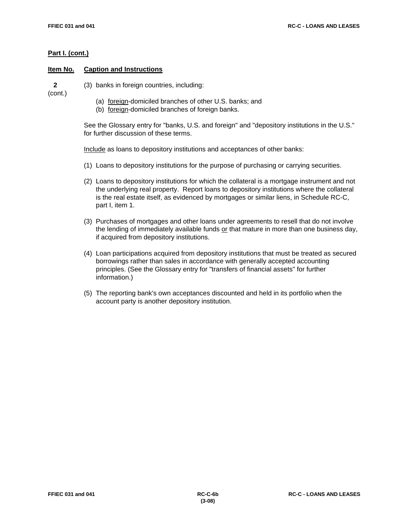#### **Item No. Caption and Instructions**

(cont.)

**2** (3) banks in foreign countries, including:

- (a) foreign-domiciled branches of other U.S. banks; and
- (b) foreign-domiciled branches of foreign banks.

See the Glossary entry for "banks, U.S. and foreign" and "depository institutions in the U.S." for further discussion of these terms.

Include as loans to depository institutions and acceptances of other banks:

- (1) Loans to depository institutions for the purpose of purchasing or carrying securities.
- (2) Loans to depository institutions for which the collateral is a mortgage instrument and not the underlying real property. Report loans to depository institutions where the collateral is the real estate itself, as evidenced by mortgages or similar liens, in Schedule RC-C, part I, item 1.
- (3) Purchases of mortgages and other loans under agreements to resell that do not involve the lending of immediately available funds or that mature in more than one business day, if acquired from depository institutions.
- (4) Loan participations acquired from depository institutions that must be treated as secured borrowings rather than sales in accordance with generally accepted accounting principles. (See the Glossary entry for "transfers of financial assets" for further information.)
- (5) The reporting bank's own acceptances discounted and held in its portfolio when the account party is another depository institution.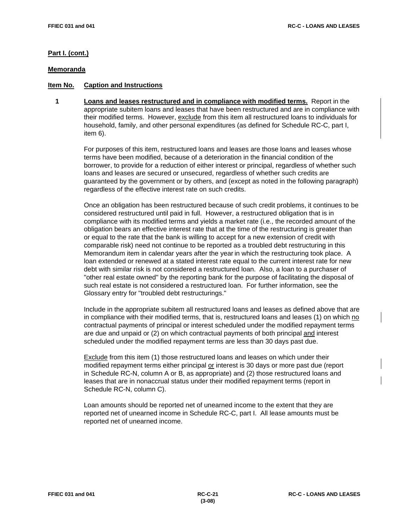#### **Memoranda**

## **Item No. Caption and Instructions**

 **1 Loans and leases restructured and in compliance with modified terms.** Report in the appropriate subitem loans and leases that have been restructured and are in compliance with their modified terms. However, exclude from this item all restructured loans to individuals for household, family, and other personal expenditures (as defined for Schedule RC-C, part I, item 6).

For purposes of this item, restructured loans and leases are those loans and leases whose terms have been modified, because of a deterioration in the financial condition of the borrower, to provide for a reduction of either interest or principal, regardless of whether such loans and leases are secured or unsecured, regardless of whether such credits are guaranteed by the government or by others, and (except as noted in the following paragraph) regardless of the effective interest rate on such credits.

Once an obligation has been restructured because of such credit problems, it continues to be considered restructured until paid in full. However, a restructured obligation that is in compliance with its modified terms and yields a market rate (i.e., the recorded amount of the obligation bears an effective interest rate that at the time of the restructuring is greater than or equal to the rate that the bank is willing to accept for a new extension of credit with comparable risk) need not continue to be reported as a troubled debt restructuring in this Memorandum item in calendar years after the year in which the restructuring took place. A loan extended or renewed at a stated interest rate equal to the current interest rate for new debt with similar risk is not considered a restructured loan. Also, a loan to a purchaser of "other real estate owned" by the reporting bank for the purpose of facilitating the disposal of such real estate is not considered a restructured loan. For further information, see the Glossary entry for "troubled debt restructurings."

Include in the appropriate subitem all restructured loans and leases as defined above that are in compliance with their modified terms, that is, restructured loans and leases (1) on which no contractual payments of principal or interest scheduled under the modified repayment terms are due and unpaid or (2) on which contractual payments of both principal and interest scheduled under the modified repayment terms are less than 30 days past due.

 Exclude from this item (1) those restructured loans and leases on which under their modified repayment terms either principal or interest is 30 days or more past due (report in Schedule RC-N, column A or B, as appropriate) and (2) those restructured loans and leases that are in nonaccrual status under their modified repayment terms (report in Schedule RC-N, column C).

Loan amounts should be reported net of unearned income to the extent that they are reported net of unearned income in Schedule RC-C, part I. All lease amounts must be reported net of unearned income.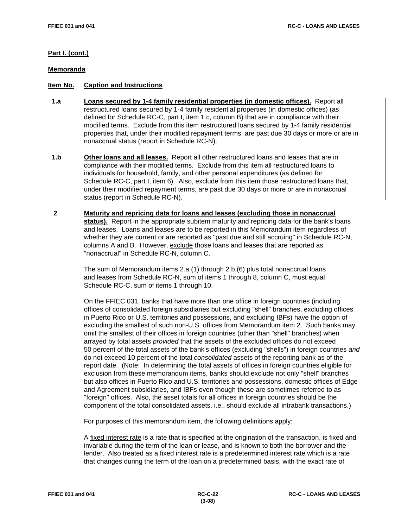#### **Memoranda**

#### **Item No. Caption and Instructions**

- **1.a Loans secured by 1-4 family residential properties (in domestic offices).** Report all restructured loans secured by 1-4 family residential properties (in domestic offices) (as defined for Schedule RC-C, part I, item 1.c, column B) that are in compliance with their modified terms. Exclude from this item restructured loans secured by 1-4 family residential properties that, under their modified repayment terms, are past due 30 days or more or are in nonaccrual status (report in Schedule RC-N).
- **1.b Other loans and all leases.** Report all other restructured loans and leases that are in compliance with their modified terms. Exclude from this item all restructured loans to individuals for household, family, and other personal expenditures (as defined for Schedule RC-C, part I, item 6). Also, exclude from this item those restructured loans that, under their modified repayment terms, are past due 30 days or more or are in nonaccrual status (report in Schedule RC-N).
- **2 Maturity and repricing data for loans and leases (excluding those in nonaccrual status).** Report in the appropriate subitem maturity and repricing data for the bank's loans and leases. Loans and leases are to be reported in this Memorandum item regardless of whether they are current or are reported as "past due and still accruing" in Schedule RC-N, columns A and B. However, exclude those loans and leases that are reported as "nonaccrual" in Schedule RC-N, column C.

The sum of Memorandum items 2.a.(1) through 2.b.(6) plus total nonaccrual loans and leases from Schedule RC-N, sum of items 1 through 8, column C, must equal Schedule RC-C, sum of items 1 through 10.

On the FFIEC 031, banks that have more than one office in foreign countries (including offices of consolidated foreign subsidiaries but excluding "shell" branches, excluding offices in Puerto Rico or U.S. territories and possessions, and excluding IBFs) have the option of excluding the smallest of such non-U.S. offices from Memorandum item 2. Such banks may omit the smallest of their offices in foreign countries (other than "shell" branches) when arrayed by total assets *provided* that the assets of the excluded offices do not exceed 50 percent of the total assets of the bank's offices (excluding "shells") in foreign countries *and* do not exceed 10 percent of the total *consolidated* assets of the reporting bank as of the report date. (Note: In determining the total assets of offices in foreign countries eligible for exclusion from these memorandum items, banks should exclude not only "shell" branches but also offices in Puerto Rico and U.S. territories and possessions, domestic offices of Edge and Agreement subsidiaries, and IBFs even though these are sometimes referred to as "foreign" offices. Also, the asset totals for all offices in foreign countries should be the component of the total consolidated assets, i.e., should exclude all intrabank transactions.)

For purposes of this memorandum item, the following definitions apply:

A fixed interest rate is a rate that is specified at the origination of the transaction, is fixed and invariable during the term of the loan or lease, and is known to both the borrower and the lender. Also treated as a fixed interest rate is a predetermined interest rate which is a rate that changes during the term of the loan on a predetermined basis, with the exact rate of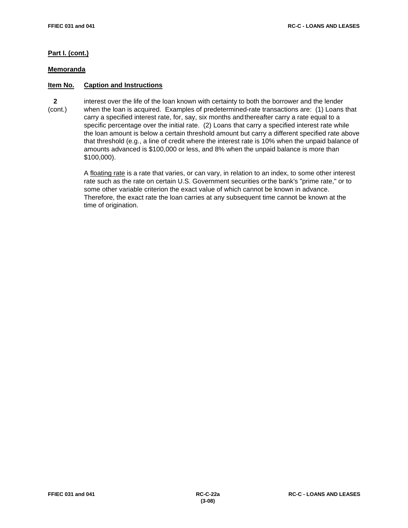#### **Memoranda**

#### **Item No. Caption and Instructions**

 **2** interest over the life of the loan known with certainty to both the borrower and the lender (cont.) when the loan is acquired. Examples of predetermined-rate transactions are: (1) Loans that carry a specified interest rate, for, say, six months and thereafter carry a rate equal to a specific percentage over the initial rate. (2) Loans that carry a specified interest rate while the loan amount is below a certain threshold amount but carry a different specified rate above that threshold (e.g., a line of credit where the interest rate is 10% when the unpaid balance of amounts advanced is \$100,000 or less, and 8% when the unpaid balance is more than \$100,000).

> A floating rate is a rate that varies, or can vary, in relation to an index, to some other interest rate such as the rate on certain U.S. Government securities or the bank's "prime rate," or to some other variable criterion the exact value of which cannot be known in advance. Therefore, the exact rate the loan carries at any subsequent time cannot be known at the time of origination.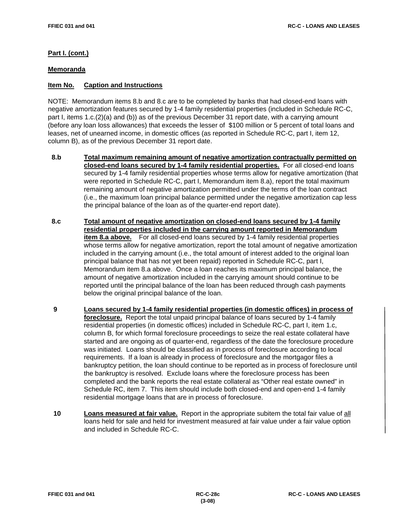#### **Memoranda**

#### **Item No. Caption and Instructions**

NOTE: Memorandum items 8.b and 8.c are to be completed by banks that had closed-end loans with negative amortization features secured by 1-4 family residential properties (included in Schedule RC-C, part I, items 1.c.(2)(a) and (b)) as of the previous December 31 report date, with a carrying amount (before any loan loss allowances) that exceeds the lesser of \$100 million or 5 percent of total loans and leases, net of unearned income, in domestic offices (as reported in Schedule RC-C, part I, item 12, column B), as of the previous December 31 report date.

- **8.b Total maximum remaining amount of negative amortization contractually permitted on closed-end loans secured by 1-4 family residential properties.** For all closed-end loans secured by 1-4 family residential properties whose terms allow for negative amortization (that were reported in Schedule RC-C, part I, Memorandum item 8.a), report the total maximum remaining amount of negative amortization permitted under the terms of the loan contract (i.e., the maximum loan principal balance permitted under the negative amortization cap less the principal balance of the loan as of the quarter-end report date).
- **8.c Total amount of negative amortization on closed-end loans secured by 1-4 family residential properties included in the carrying amount reported in Memorandum item 8.a above.** For all closed-end loans secured by 1-4 family residential properties whose terms allow for negative amortization, report the total amount of negative amortization included in the carrying amount (i.e., the total amount of interest added to the original loan principal balance that has not yet been repaid) reported in Schedule RC-C, part I, Memorandum item 8.a above. Once a loan reaches its maximum principal balance, the amount of negative amortization included in the carrying amount should continue to be reported until the principal balance of the loan has been reduced through cash payments below the original principal balance of the loan.
- **9 Loans secured by 1-4 family residential properties (in domestic offices) in process of foreclosure.** Report the total unpaid principal balance of loans secured by 1-4 family residential properties (in domestic offices) included in Schedule RC-C, part I, item 1.c, column B, for which formal foreclosure proceedings to seize the real estate collateral have started and are ongoing as of quarter-end, regardless of the date the foreclosure procedure was initiated. Loans should be classified as in process of foreclosure according to local requirements. If a loan is already in process of foreclosure and the mortgagor files a bankruptcy petition, the loan should continue to be reported as in process of foreclosure until the bankruptcy is resolved. Exclude loans where the foreclosure process has been completed and the bank reports the real estate collateral as "Other real estate owned" in Schedule RC, item 7. This item should include both closed-end and open-end 1-4 family residential mortgage loans that are in process of foreclosure.
- **10 Loans measured at fair value.** Report in the appropriate subitem the total fair value of all loans held for sale and held for investment measured at fair value under a fair value option and included in Schedule RC-C.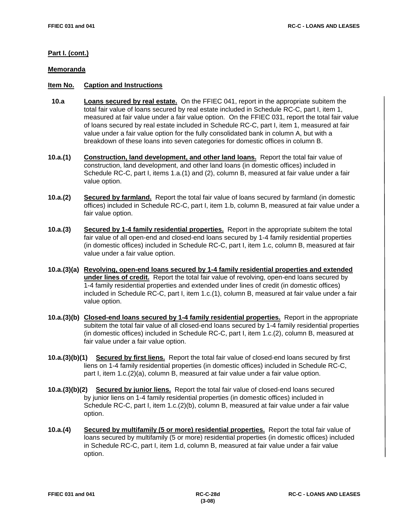#### **Memoranda**

- **10.a** Loans secured by real estate. On the FFIEC 041, report in the appropriate subitem the total fair value of loans secured by real estate included in Schedule RC-C, part I, item 1, measured at fair value under a fair value option. On the FFIEC 031, report the total fair value of loans secured by real estate included in Schedule RC-C, part I, item 1, measured at fair value under a fair value option for the fully consolidated bank in column A, but with a breakdown of these loans into seven categories for domestic offices in column B.
- **10.a.(1) Construction, land development, and other land loans.** Report the total fair value of construction, land development, and other land loans (in domestic offices) included in Schedule RC-C, part I, items 1.a.(1) and (2), column B, measured at fair value under a fair value option.
- **10.a.(2) Secured by farmland.** Report the total fair value of loans secured by farmland (in domestic offices) included in Schedule RC-C, part I, item 1.b, column B, measured at fair value under a fair value option.
- **10.a.(3) Secured by 1-4 family residential properties.** Report in the appropriate subitem the total fair value of all open-end and closed-end loans secured by 1-4 family residential properties (in domestic offices) included in Schedule RC-C, part I, item 1.c, column B, measured at fair value under a fair value option.
- **10.a.(3)(a) Revolving, open-end loans secured by 1-4 family residential properties and extended under lines of credit.** Report the total fair value of revolving, open-end loans secured by 1-4 family residential properties and extended under lines of credit (in domestic offices) included in Schedule RC-C, part I, item 1.c.(1), column B, measured at fair value under a fair value option.
- **10.a.(3)(b) Closed-end loans secured by 1-4 family residential properties.** Report in the appropriate subitem the total fair value of all closed-end loans secured by 1-4 family residential properties (in domestic offices) included in Schedule RC-C, part I, item 1.c.(2), column B, measured at fair value under a fair value option.
- **10.a.(3)(b)(1) Secured by first liens.** Report the total fair value of closed-end loans secured by first liens on 1-4 family residential properties (in domestic offices) included in Schedule RC-C, part I, item 1.c.(2)(a), column B, measured at fair value under a fair value option.
- **10.a.(3)(b)(2) Secured by junior liens.** Report the total fair value of closed-end loans secured by junior liens on 1-4 family residential properties (in domestic offices) included in Schedule RC-C, part I, item 1.c.(2)(b), column B, measured at fair value under a fair value option.
- **10.a.(4) Secured by multifamily (5 or more) residential properties.** Report the total fair value of loans secured by multifamily (5 or more) residential properties (in domestic offices) included in Schedule RC-C, part I, item 1.d, column B, measured at fair value under a fair value option.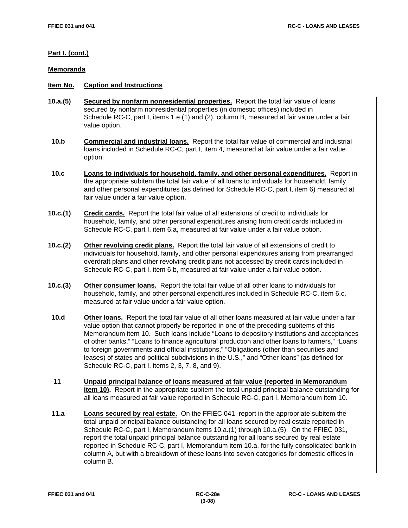#### **Memoranda**

- **10.a.(5) Secured by nonfarm nonresidential properties.** Report the total fair value of loans secured by nonfarm nonresidential properties (in domestic offices) included in Schedule RC-C, part I, items 1.e.(1) and (2), column B, measured at fair value under a fair value option.
- **10.b Commercial and industrial loans.** Report the total fair value of commercial and industrial loans included in Schedule RC-C, part I, item 4, measured at fair value under a fair value option.
- **10.c Loans to individuals for household, family, and other personal expenditures.** Report in the appropriate subitem the total fair value of all loans to individuals for household, family, and other personal expenditures (as defined for Schedule RC-C, part I, item 6) measured at fair value under a fair value option.
- **10.c.(1) Credit cards.** Report the total fair value of all extensions of credit to individuals for household, family, and other personal expenditures arising from credit cards included in Schedule RC-C, part I, item 6.a, measured at fair value under a fair value option.
- **10.c.(2)** Other revolving credit plans. Report the total fair value of all extensions of credit to individuals for household, family, and other personal expenditures arising from prearranged overdraft plans and other revolving credit plans not accessed by credit cards included in Schedule RC-C, part I, item 6.b, measured at fair value under a fair value option.
- **10.c.(3)** Other consumer loans. Report the total fair value of all other loans to individuals for household, family, and other personal expenditures included in Schedule RC-C, item 6.c, measured at fair value under a fair value option.
- **10.d Other loans.** Report the total fair value of all other loans measured at fair value under a fair value option that cannot properly be reported in one of the preceding subitems of this Memorandum item 10. Such loans include "Loans to depository institutions and acceptances of other banks," "Loans to finance agricultural production and other loans to farmers," "Loans to foreign governments and official institutions," "Obligations (other than securities and leases) of states and political subdivisions in the U.S.," and "Other loans" (as defined for Schedule RC-C, part I, items 2, 3, 7, 8, and 9).
- **11 Unpaid principal balance of loans measured at fair value (reported in Memorandum item 10).** Report in the appropriate subitem the total unpaid principal balance outstanding for all loans measured at fair value reported in Schedule RC-C, part I, Memorandum item 10.
- **11.a Loans secured by real estate.** On the FFIEC 041, report in the appropriate subitem the total unpaid principal balance outstanding for all loans secured by real estate reported in Schedule RC-C, part I, Memorandum items 10.a.(1) through 10.a.(5). On the FFIEC 031, report the total unpaid principal balance outstanding for all loans secured by real estate reported in Schedule RC-C, part I, Memorandum item 10.a, for the fully consolidated bank in column A, but with a breakdown of these loans into seven categories for domestic offices in column B.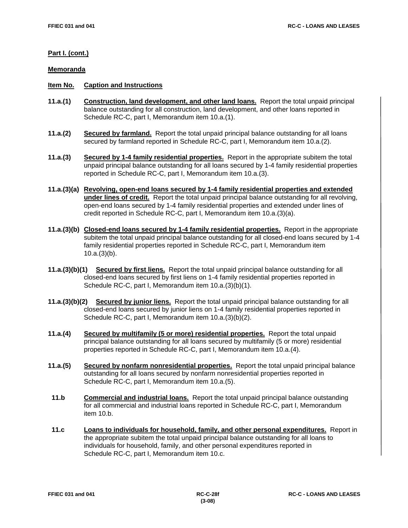#### **Memoranda**

- **11.a.(1) Construction, land development, and other land loans.** Report the total unpaid principal balance outstanding for all construction, land development, and other loans reported in Schedule RC-C, part I, Memorandum item 10.a.(1).
- **11.a.(2) Secured by farmland.** Report the total unpaid principal balance outstanding for all loans secured by farmland reported in Schedule RC-C, part I, Memorandum item 10.a.(2).
- **11.a.(3) Secured by 1-4 family residential properties.** Report in the appropriate subitem the total unpaid principal balance outstanding for all loans secured by 1-4 family residential properties reported in Schedule RC-C, part I, Memorandum item 10.a.(3).
- **11.a.(3)(a) Revolving, open-end loans secured by 1-4 family residential properties and extended under lines of credit.** Report the total unpaid principal balance outstanding for all revolving, open-end loans secured by 1-4 family residential properties and extended under lines of credit reported in Schedule RC-C, part I, Memorandum item 10.a.(3)(a).
- **11.a.(3)(b) Closed-end loans secured by 1-4 family residential properties.** Report in the appropriate subitem the total unpaid principal balance outstanding for all closed-end loans secured by 1-4 family residential properties reported in Schedule RC-C, part I, Memorandum item 10.a.(3)(b).
- **11.a.(3)(b)(1) Secured by first liens.** Report the total unpaid principal balance outstanding for all closed-end loans secured by first liens on 1-4 family residential properties reported in Schedule RC-C, part I, Memorandum item 10.a.(3)(b)(1).
- **11.a.(3)(b)(2) Secured by junior liens.** Report the total unpaid principal balance outstanding for all closed-end loans secured by junior liens on 1-4 family residential properties reported in Schedule RC-C, part I, Memorandum item 10.a.(3)(b)(2).
- **11.a.(4)** Secured by multifamily (5 or more) residential properties. Report the total unpaid principal balance outstanding for all loans secured by multifamily (5 or more) residential properties reported in Schedule RC-C, part I, Memorandum item 10.a.(4).
- **11.a.(5) Secured by nonfarm nonresidential properties.** Report the total unpaid principal balance outstanding for all loans secured by nonfarm nonresidential properties reported in Schedule RC-C, part I, Memorandum item 10.a.(5).
- **11.b Commercial and industrial loans.** Report the total unpaid principal balance outstanding for all commercial and industrial loans reported in Schedule RC-C, part I, Memorandum item 10.b.
- **11.c Loans to individuals for household, family, and other personal expenditures.** Report in the appropriate subitem the total unpaid principal balance outstanding for all loans to individuals for household, family, and other personal expenditures reported in Schedule RC-C, part I, Memorandum item 10.c.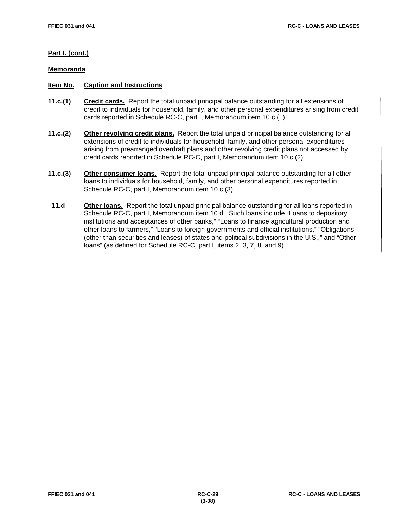#### **Memoranda**

- **11.c.(1)** Credit cards. Report the total unpaid principal balance outstanding for all extensions of credit to individuals for household, family, and other personal expenditures arising from credit cards reported in Schedule RC-C, part I, Memorandum item 10.c.(1).
- **11.c.(2) Other revolving credit plans.** Report the total unpaid principal balance outstanding for all extensions of credit to individuals for household, family, and other personal expenditures arising from prearranged overdraft plans and other revolving credit plans not accessed by credit cards reported in Schedule RC-C, part I, Memorandum item 10.c.(2).
- **11.c.(3) Other consumer loans.** Report the total unpaid principal balance outstanding for all other loans to individuals for household, family, and other personal expenditures reported in Schedule RC-C, part I, Memorandum item 10.c.(3).
- 11.d **Other loans.** Report the total unpaid principal balance outstanding for all loans reported in Schedule RC-C, part I, Memorandum item 10.d. Such loans include "Loans to depository institutions and acceptances of other banks," "Loans to finance agricultural production and other loans to farmers," "Loans to foreign governments and official institutions," "Obligations (other than securities and leases) of states and political subdivisions in the U.S.," and "Other loans" (as defined for Schedule RC-C, part I, items 2, 3, 7, 8, and 9).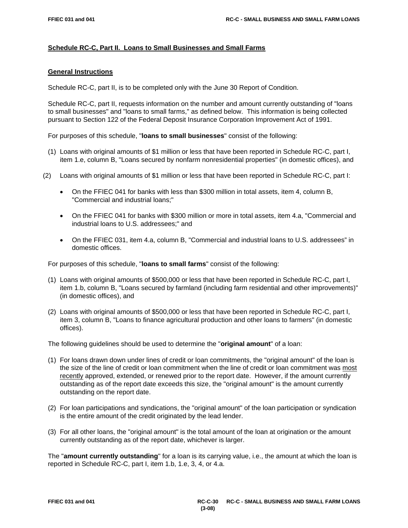## **Schedule RC-C, Part II. Loans to Small Businesses and Small Farms**

## **General Instructions**

Schedule RC-C, part II, is to be completed only with the June 30 Report of Condition.

Schedule RC-C, part II, requests information on the number and amount currently outstanding of "loans to small businesses" and "loans to small farms," as defined below. This information is being collected pursuant to Section 122 of the Federal Deposit Insurance Corporation Improvement Act of 1991.

For purposes of this schedule, "**loans to small businesses**" consist of the following:

- (1) Loans with original amounts of \$1 million or less that have been reported in Schedule RC-C, part I, item 1.e, column B, "Loans secured by nonfarm nonresidential properties" (in domestic offices), and
- (2) Loans with original amounts of \$1 million or less that have been reported in Schedule RC-C, part I:
	- On the FFIEC 041 for banks with less than \$300 million in total assets, item 4, column B, "Commercial and industrial loans;"
	- On the FFIEC 041 for banks with \$300 million or more in total assets, item 4.a, "Commercial and industrial loans to U.S. addressees;" and
	- On the FFIEC 031, item 4.a, column B, "Commercial and industrial loans to U.S. addressees" in domestic offices.

For purposes of this schedule, "**loans to small farms**" consist of the following:

- (1) Loans with original amounts of \$500,000 or less that have been reported in Schedule RC-C, part I, item 1.b, column B, "Loans secured by farmland (including farm residential and other improvements)" (in domestic offices), and
- (2) Loans with original amounts of \$500,000 or less that have been reported in Schedule RC-C, part I, item 3, column B, "Loans to finance agricultural production and other loans to farmers" (in domestic offices).

The following guidelines should be used to determine the "**original amount**" of a loan:

- (1) For loans drawn down under lines of credit or loan commitments, the "original amount" of the loan is the size of the line of credit or loan commitment when the line of credit or loan commitment was most recently approved, extended, or renewed prior to the report date. However, if the amount currently outstanding as of the report date exceeds this size, the "original amount" is the amount currently outstanding on the report date.
- (2) For loan participations and syndications, the "original amount" of the loan participation or syndication is the entire amount of the credit originated by the lead lender.
- (3) For all other loans, the "original amount" is the total amount of the loan at origination or the amount currently outstanding as of the report date, whichever is larger.

The "**amount currently outstanding**" for a loan is its carrying value, i.e., the amount at which the loan is reported in Schedule RC-C, part I, item 1.b, 1.e, 3, 4, or 4.a.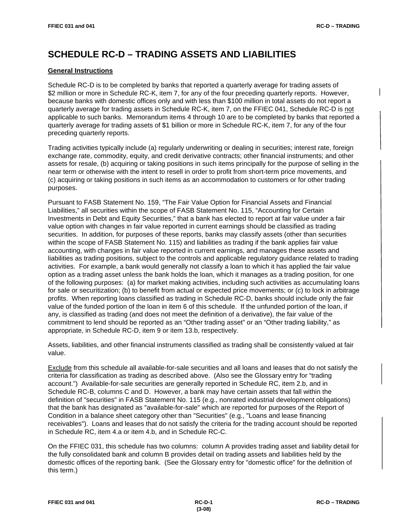## **SCHEDULE RC-D – TRADING ASSETS AND LIABILITIES**

## **General Instructions**

Schedule RC-D is to be completed by banks that reported a quarterly average for trading assets of \$2 million or more in Schedule RC-K, item 7, for any of the four preceding quarterly reports. However, because banks with domestic offices only and with less than \$100 million in total assets do not report a quarterly average for trading assets in Schedule RC-K, item 7, on the FFIEC 041, Schedule RC-D is not applicable to such banks. Memorandum items 4 through 10 are to be completed by banks that reported a quarterly average for trading assets of \$1 billion or more in Schedule RC-K, item 7, for any of the four preceding quarterly reports.

Trading activities typically include (a) regularly underwriting or dealing in securities; interest rate, foreign exchange rate, commodity, equity, and credit derivative contracts; other financial instruments; and other assets for resale, (b) acquiring or taking positions in such items principally for the purpose of selling in the near term or otherwise with the intent to resell in order to profit from short-term price movements, and (c) acquiring or taking positions in such items as an accommodation to customers or for other trading purposes.

Pursuant to FASB Statement No. 159, "The Fair Value Option for Financial Assets and Financial Liabilities," all securities within the scope of FASB Statement No. 115, "Accounting for Certain Investments in Debt and Equity Securities," that a bank has elected to report at fair value under a fair value option with changes in fair value reported in current earnings should be classified as trading securities. In addition, for purposes of these reports, banks may classify assets (other than securities within the scope of FASB Statement No. 115) and liabilities as trading if the bank applies fair value accounting, with changes in fair value reported in current earnings, and manages these assets and liabilities as trading positions, subject to the controls and applicable regulatory guidance related to trading activities. For example, a bank would generally not classify a loan to which it has applied the fair value option as a trading asset unless the bank holds the loan, which it manages as a trading position, for one of the following purposes: (a) for market making activities, including such activities as accumulating loans for sale or securitization; (b) to benefit from actual or expected price movements; or (c) to lock in arbitrage profits. When reporting loans classified as trading in Schedule RC-D, banks should include only the fair value of the funded portion of the loan in item 6 of this schedule. If the unfunded portion of the loan, if any, is classified as trading (and does not meet the definition of a derivative), the fair value of the commitment to lend should be reported as an "Other trading asset" or an "Other trading liability," as appropriate, in Schedule RC-D, item 9 or item 13.b, respectively.

Assets, liabilities, and other financial instruments classified as trading shall be consistently valued at fair value.

Exclude from this schedule all available-for-sale securities and all loans and leases that do not satisfy the criteria for classification as trading as described above. (Also see the Glossary entry for "trading account.") Available-for-sale securities are generally reported in Schedule RC, item 2.b, and in Schedule RC-B, columns C and D. However, a bank may have certain assets that fall within the definition of "securities" in FASB Statement No. 115 (e.g., nonrated industrial development obligations) that the bank has designated as "available-for-sale" which are reported for purposes of the Report of Condition in a balance sheet category other than "Securities" (e.g., "Loans and lease financing receivables"). Loans and leases that do not satisfy the criteria for the trading account should be reported in Schedule RC, item 4.a or item 4.b, and in Schedule RC-C.

On the FFIEC 031, this schedule has two columns: column A provides trading asset and liability detail for the fully consolidated bank and column B provides detail on trading assets and liabilities held by the domestic offices of the reporting bank. (See the Glossary entry for "domestic office" for the definition of this term.)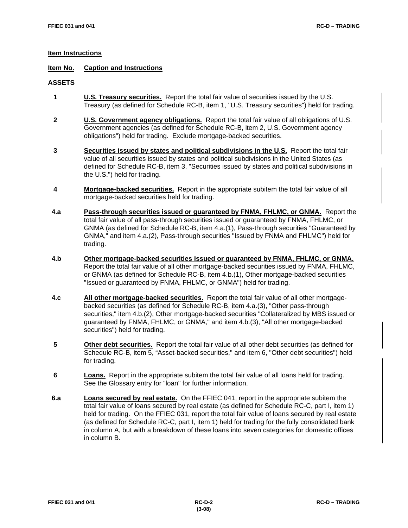### **Item Instructions**

## **Item No. Caption and Instructions**

## **ASSETS**

- **1 U.S. Treasury securities.** Report the total fair value of securities issued by the U.S. Treasury (as defined for Schedule RC-B, item 1, "U.S. Treasury securities") held for trading.
- **2 U.S. Government agency obligations.** Report the total fair value of all obligations of U.S. Government agencies (as defined for Schedule RC-B, item 2, U.S. Government agency obligations") held for trading. Exclude mortgage-backed securities.
- **3 Securities issued by states and political subdivisions in the U.S.** Report the total fair value of all securities issued by states and political subdivisions in the United States (as defined for Schedule RC-B, item 3, "Securities issued by states and political subdivisions in the U.S.") held for trading.
- **4 Mortgage-backed securities.** Report in the appropriate subitem the total fair value of all mortgage-backed securities held for trading.
- **4.a Pass-through securities issued or guaranteed by FNMA, FHLMC, or GNMA.** Report the total fair value of all pass-through securities issued or guaranteed by FNMA, FHLMC, or GNMA (as defined for Schedule RC-B, item 4.a.(1), Pass-through securities "Guaranteed by GNMA," and item 4.a.(2), Pass-through securities "Issued by FNMA and FHLMC") held for trading.
- **4.b Other mortgage-backed securities issued or guaranteed by FNMA, FHLMC, or GNMA.** Report the total fair value of all other mortgage-backed securities issued by FNMA, FHLMC, or GNMA (as defined for Schedule RC-B, item 4.b.(1), Other mortgage-backed securities "Issued or guaranteed by FNMA, FHLMC, or GNMA") held for trading.
- **4.c All other mortgage-backed securities.** Report the total fair value of all other mortgagebacked securities (as defined for Schedule RC-B, item 4.a.(3), "Other pass-through securities," item 4.b.(2), Other mortgage-backed securities "Collateralized by MBS issued or guaranteed by FNMA, FHLMC, or GNMA," and item 4.b.(3), "All other mortgage-backed securities") held for trading.
- **5 Other debt securities.** Report the total fair value of all other debt securities (as defined for Schedule RC-B, item 5, "Asset-backed securities," and item 6, "Other debt securities") held for trading.
- **6 Loans.** Report in the appropriate subitem the total fair value of all loans held for trading. See the Glossary entry for "loan" for further information.
- **6.a Loans secured by real estate.** On the FFIEC 041, report in the appropriate subitem the total fair value of loans secured by real estate (as defined for Schedule RC-C, part I, item 1) held for trading. On the FFIEC 031, report the total fair value of loans secured by real estate (as defined for Schedule RC-C, part I, item 1) held for trading for the fully consolidated bank in column A, but with a breakdown of these loans into seven categories for domestic offices in column B.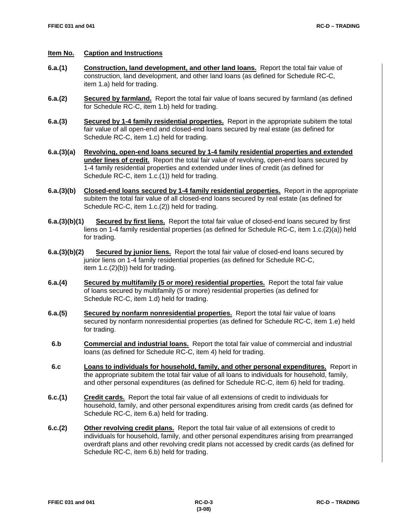- **6.a.(1) Construction, land development, and other land loans.** Report the total fair value of construction, land development, and other land loans (as defined for Schedule RC-C, item 1.a) held for trading.
- **6.a.(2) Secured by farmland.** Report the total fair value of loans secured by farmland (as defined for Schedule RC-C, item 1.b) held for trading.
- **6.a.(3) Secured by 1-4 family residential properties.** Report in the appropriate subitem the total fair value of all open-end and closed-end loans secured by real estate (as defined for Schedule RC-C, item 1.c) held for trading.
- **6.a.(3)(a) Revolving, open-end loans secured by 1-4 family residential properties and extended under lines of credit.** Report the total fair value of revolving, open-end loans secured by 1-4 family residential properties and extended under lines of credit (as defined for Schedule RC-C, item 1.c.(1)) held for trading.
- **6.a.(3)(b) Closed-end loans secured by 1-4 family residential properties.** Report in the appropriate subitem the total fair value of all closed-end loans secured by real estate (as defined for Schedule RC-C, item 1.c.(2)) held for trading.
- **6.a.(3)(b)(1) Secured by first liens.** Report the total fair value of closed-end loans secured by first liens on 1-4 family residential properties (as defined for Schedule RC-C, item 1.c.(2)(a)) held for trading.
- **6.a.(3)(b)(2) Secured by junior liens.** Report the total fair value of closed-end loans secured by junior liens on 1-4 family residential properties (as defined for Schedule RC-C, item 1.c.(2)(b)) held for trading.
- **6.a.(4) Secured by multifamily (5 or more) residential properties.** Report the total fair value of loans secured by multifamily (5 or more) residential properties (as defined for Schedule RC-C, item 1.d) held for trading.
- **6.a.(5) Secured by nonfarm nonresidential properties.** Report the total fair value of loans secured by nonfarm nonresidential properties (as defined for Schedule RC-C, item 1.e) held for trading.
- **6.b** Commercial and industrial loans. Report the total fair value of commercial and industrial loans (as defined for Schedule RC-C, item 4) held for trading.
- **6.c Loans to individuals for household, family, and other personal expenditures.** Report in the appropriate subitem the total fair value of all loans to individuals for household, family, and other personal expenditures (as defined for Schedule RC-C, item 6) held for trading.
- **6.c.(1) Credit cards.** Report the total fair value of all extensions of credit to individuals for household, family, and other personal expenditures arising from credit cards (as defined for Schedule RC-C, item 6.a) held for trading.
- **6.c.(2) Other revolving credit plans.** Report the total fair value of all extensions of credit to individuals for household, family, and other personal expenditures arising from prearranged overdraft plans and other revolving credit plans not accessed by credit cards (as defined for Schedule RC-C, item 6.b) held for trading.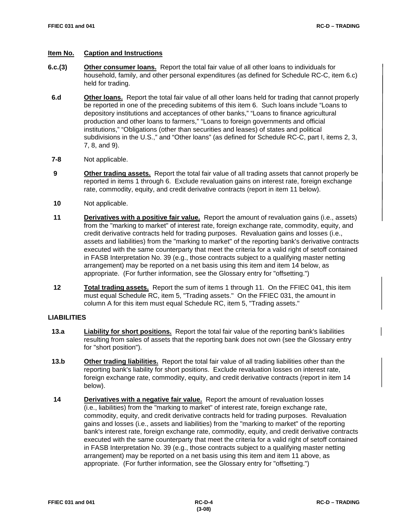- **6.c.(3) Other consumer loans.** Report the total fair value of all other loans to individuals for household, family, and other personal expenditures (as defined for Schedule RC-C, item 6.c) held for trading.
- **6.d Other loans.** Report the total fair value of all other loans held for trading that cannot properly be reported in one of the preceding subitems of this item 6. Such loans include "Loans to depository institutions and acceptances of other banks," "Loans to finance agricultural production and other loans to farmers," "Loans to foreign governments and official institutions," "Obligations (other than securities and leases) of states and political subdivisions in the U.S.," and "Other loans" (as defined for Schedule RC-C, part I, items 2, 3, 7, 8, and 9).
- **7-8** Not applicable.
- **9** Other trading assets. Report the total fair value of all trading assets that cannot properly be reported in items 1 through 6. Exclude revaluation gains on interest rate, foreign exchange rate, commodity, equity, and credit derivative contracts (report in item 11 below).
- **10** Not applicable.
- **11 Derivatives with a positive fair value.** Report the amount of revaluation gains (i.e., assets) from the "marking to market" of interest rate, foreign exchange rate, commodity, equity, and credit derivative contracts held for trading purposes. Revaluation gains and losses (i.e., assets and liabilities) from the "marking to market" of the reporting bank's derivative contracts executed with the same counterparty that meet the criteria for a valid right of setoff contained in FASB Interpretation No. 39 (e.g., those contracts subject to a qualifying master netting arrangement) may be reported on a net basis using this item and item 14 below, as appropriate. (For further information, see the Glossary entry for "offsetting.")
- **12 Total trading assets.** Report the sum of items 1 through 11. On the FFIEC 041, this item must equal Schedule RC, item 5, "Trading assets." On the FFIEC 031, the amount in column A for this item must equal Schedule RC, item 5, "Trading assets."

## **LIABILITIES**

- **13.a Liability for short positions.** Report the total fair value of the reporting bank's liabilities resulting from sales of assets that the reporting bank does not own (see the Glossary entry for "short position").
- **13.b Other trading liabilities.** Report the total fair value of all trading liabilities other than the reporting bank's liability for short positions. Exclude revaluation losses on interest rate, foreign exchange rate, commodity, equity, and credit derivative contracts (report in item 14 below).
- **14** Derivatives with a negative fair value. Report the amount of revaluation losses (i.e., liabilities) from the "marking to market" of interest rate, foreign exchange rate, commodity, equity, and credit derivative contracts held for trading purposes. Revaluation gains and losses (i.e., assets and liabilities) from the "marking to market" of the reporting bank's interest rate, foreign exchange rate, commodity, equity, and credit derivative contracts executed with the same counterparty that meet the criteria for a valid right of setoff contained in FASB Interpretation No. 39 (e.g., those contracts subject to a qualifying master netting arrangement) may be reported on a net basis using this item and item 11 above, as appropriate. (For further information, see the Glossary entry for "offsetting.")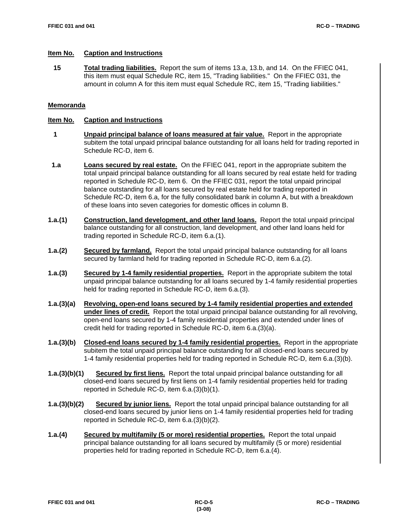**15 Total trading liabilities.** Report the sum of items 13.a, 13.b, and 14. On the FFIEC 041, this item must equal Schedule RC, item 15, "Trading liabilities." On the FFIEC 031, the amount in column A for this item must equal Schedule RC, item 15, "Trading liabilities."

## **Memoranda**

- **1 Unpaid principal balance of loans measured at fair value.** Report in the appropriate subitem the total unpaid principal balance outstanding for all loans held for trading reported in Schedule RC-D, item 6.
- **1.a Loans secured by real estate.** On the FFIEC 041, report in the appropriate subitem the total unpaid principal balance outstanding for all loans secured by real estate held for trading reported in Schedule RC-D, item 6. On the FFIEC 031, report the total unpaid principal balance outstanding for all loans secured by real estate held for trading reported in Schedule RC-D, item 6.a, for the fully consolidated bank in column A, but with a breakdown of these loans into seven categories for domestic offices in column B.
- **1.a.(1) Construction, land development, and other land loans.** Report the total unpaid principal balance outstanding for all construction, land development, and other land loans held for trading reported in Schedule RC-D, item 6.a.(1).
- **1.a.(2) Secured by farmland.** Report the total unpaid principal balance outstanding for all loans secured by farmland held for trading reported in Schedule RC-D, item 6.a.(2).
- **1.a.(3) Secured by 1-4 family residential properties.** Report in the appropriate subitem the total unpaid principal balance outstanding for all loans secured by 1-4 family residential properties held for trading reported in Schedule RC-D, item 6.a.(3).
- **1.a.(3)(a) Revolving, open-end loans secured by 1-4 family residential properties and extended under lines of credit.** Report the total unpaid principal balance outstanding for all revolving, open-end loans secured by 1-4 family residential properties and extended under lines of credit held for trading reported in Schedule RC-D, item 6.a.(3)(a).
- **1.a.(3)(b) Closed-end loans secured by 1-4 family residential properties.** Report in the appropriate subitem the total unpaid principal balance outstanding for all closed-end loans secured by 1-4 family residential properties held for trading reported in Schedule RC-D, item 6.a.(3)(b).
- **1.a.(3)(b)(1) Secured by first liens.** Report the total unpaid principal balance outstanding for all closed-end loans secured by first liens on 1-4 family residential properties held for trading reported in Schedule RC-D, item 6.a.(3)(b)(1).
- **1.a.(3)(b)(2) Secured by junior liens.** Report the total unpaid principal balance outstanding for all closed-end loans secured by junior liens on 1-4 family residential properties held for trading reported in Schedule RC-D, item 6.a.(3)(b)(2).
- **1.a.(4) Secured by multifamily (5 or more) residential properties.** Report the total unpaid principal balance outstanding for all loans secured by multifamily (5 or more) residential properties held for trading reported in Schedule RC-D, item 6.a.(4).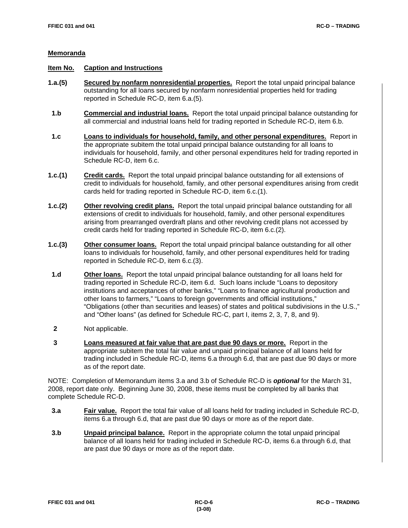#### **Item No. Caption and Instructions**

- **1.a.(5) Secured by nonfarm nonresidential properties.** Report the total unpaid principal balance outstanding for all loans secured by nonfarm nonresidential properties held for trading reported in Schedule RC-D, item 6.a.(5).
- **1.b Commercial and industrial loans.** Report the total unpaid principal balance outstanding for all commercial and industrial loans held for trading reported in Schedule RC-D, item 6.b.
- **1.c Loans to individuals for household, family, and other personal expenditures.** Report in the appropriate subitem the total unpaid principal balance outstanding for all loans to individuals for household, family, and other personal expenditures held for trading reported in Schedule RC-D, item 6.c.
- **1.c.(1) Credit cards.** Report the total unpaid principal balance outstanding for all extensions of credit to individuals for household, family, and other personal expenditures arising from credit cards held for trading reported in Schedule RC-D, item 6.c.(1).
- **1.c.(2) Other revolving credit plans.** Report the total unpaid principal balance outstanding for all extensions of credit to individuals for household, family, and other personal expenditures arising from prearranged overdraft plans and other revolving credit plans not accessed by credit cards held for trading reported in Schedule RC-D, item 6.c.(2).
- **1.c.(3) Other consumer loans.** Report the total unpaid principal balance outstanding for all other loans to individuals for household, family, and other personal expenditures held for trading reported in Schedule RC-D, item 6.c.(3).
- **1.d** Other loans. Report the total unpaid principal balance outstanding for all loans held for trading reported in Schedule RC-D, item 6.d. Such loans include "Loans to depository institutions and acceptances of other banks," "Loans to finance agricultural production and other loans to farmers," "Loans to foreign governments and official institutions," "Obligations (other than securities and leases) of states and political subdivisions in the U.S.," and "Other loans" (as defined for Schedule RC-C, part I, items 2, 3, 7, 8, and 9).
- **2** Not applicable.
- **3 Loans measured at fair value that are past due 90 days or more.** Report in the appropriate subitem the total fair value and unpaid principal balance of all loans held for trading included in Schedule RC-D, items 6.a through 6.d, that are past due 90 days or more as of the report date.

NOTE: Completion of Memorandum items 3.a and 3.b of Schedule RC-D is *optional* for the March 31, 2008, report date only. Beginning June 30, 2008, these items must be completed by all banks that complete Schedule RC-D.

- **3.a Fair value.** Report the total fair value of all loans held for trading included in Schedule RC-D, items 6.a through 6.d, that are past due 90 days or more as of the report date.
- **3.b Unpaid principal balance.** Report in the appropriate column the total unpaid principal balance of all loans held for trading included in Schedule RC-D, items 6.a through 6.d, that are past due 90 days or more as of the report date.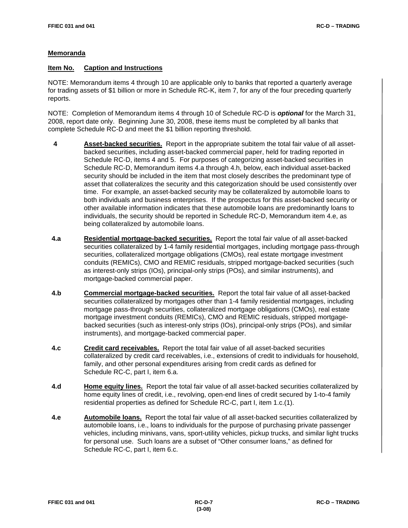## **Item No. Caption and Instructions**

NOTE: Memorandum items 4 through 10 are applicable only to banks that reported a quarterly average for trading assets of \$1 billion or more in Schedule RC-K, item 7, for any of the four preceding quarterly reports.

NOTE: Completion of Memorandum items 4 through 10 of Schedule RC-D is *optional* for the March 31, 2008, report date only. Beginning June 30, 2008, these items must be completed by all banks that complete Schedule RC-D and meet the \$1 billion reporting threshold.

- **4 Asset-backed securities.** Report in the appropriate subitem the total fair value of all assetbacked securities, including asset-backed commercial paper, held for trading reported in Schedule RC-D, items 4 and 5. For purposes of categorizing asset-backed securities in Schedule RC-D, Memorandum items 4.a through 4.h, below, each individual asset-backed security should be included in the item that most closely describes the predominant type of asset that collateralizes the security and this categorization should be used consistently over time. For example, an asset-backed security may be collateralized by automobile loans to both individuals and business enterprises. If the prospectus for this asset-backed security or other available information indicates that these automobile loans are predominantly loans to individuals, the security should be reported in Schedule RC-D, Memorandum item 4.e, as being collateralized by automobile loans.
- **4.a** Residential mortgage-backed securities. Report the total fair value of all asset-backed securities collateralized by 1-4 family residential mortgages, including mortgage pass-through securities, collateralized mortgage obligations (CMOs), real estate mortgage investment conduits (REMICs), CMO and REMIC residuals, stripped mortgage-backed securities (such as interest-only strips (IOs), principal-only strips (POs), and similar instruments), and mortgage-backed commercial paper.
- **4.b Commercial mortgage-backed securities.** Report the total fair value of all asset-backed securities collateralized by mortgages other than 1-4 family residential mortgages, including mortgage pass-through securities, collateralized mortgage obligations (CMOs), real estate mortgage investment conduits (REMICs), CMO and REMIC residuals, stripped mortgagebacked securities (such as interest-only strips (IOs), principal-only strips (POs), and similar instruments), and mortgage-backed commercial paper.
- **4.c Credit card receivables.** Report the total fair value of all asset-backed securities collateralized by credit card receivables, i.e., extensions of credit to individuals for household, family, and other personal expenditures arising from credit cards as defined for Schedule RC-C, part I, item 6.a.
- **4.d Home equity lines.** Report the total fair value of all asset-backed securities collateralized by home equity lines of credit, i.e., revolving, open-end lines of credit secured by 1-to-4 family residential properties as defined for Schedule RC-C, part I, item 1.c.(1).
- **4.e Automobile loans.** Report the total fair value of all asset-backed securities collateralized by automobile loans, i.e., loans to individuals for the purpose of purchasing private passenger vehicles, including minivans, vans, sport-utility vehicles, pickup trucks, and similar light trucks for personal use. Such loans are a subset of "Other consumer loans," as defined for Schedule RC-C, part I, item 6.c.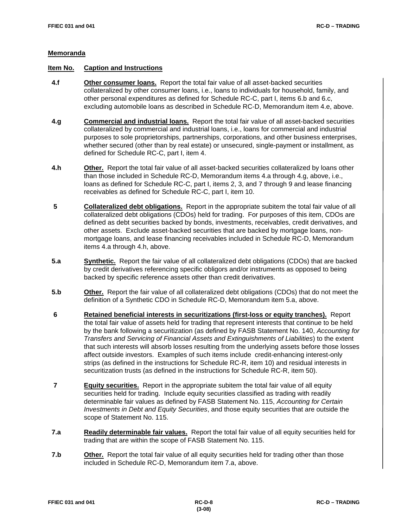- **4.f Other consumer loans.** Report the total fair value of all asset-backed securities collateralized by other consumer loans, i.e., loans to individuals for household, family, and other personal expenditures as defined for Schedule RC-C, part I, items 6.b and 6.c, excluding automobile loans as described in Schedule RC-D, Memorandum item 4.e, above.
- **4.g Commercial and industrial loans.** Report the total fair value of all asset-backed securities collateralized by commercial and industrial loans, i.e., loans for commercial and industrial purposes to sole proprietorships, partnerships, corporations, and other business enterprises, whether secured (other than by real estate) or unsecured, single-payment or installment, as defined for Schedule RC-C, part I, item 4.
- **4.h Other.** Report the total fair value of all asset-backed securities collateralized by loans other than those included in Schedule RC-D, Memorandum items 4.a through 4.g, above, i.e., loans as defined for Schedule RC-C, part I, items 2, 3, and 7 through 9 and lease financing receivables as defined for Schedule RC-C, part I, item 10.
- **5 Collateralized debt obligations.** Report in the appropriate subitem the total fair value of all collateralized debt obligations (CDOs) held for trading. For purposes of this item, CDOs are defined as debt securities backed by bonds, investments, receivables, credit derivatives, and other assets. Exclude asset-backed securities that are backed by mortgage loans, nonmortgage loans, and lease financing receivables included in Schedule RC-D, Memorandum items 4.a through 4.h, above.
- **5.a Synthetic.** Report the fair value of all collateralized debt obligations (CDOs) that are backed by credit derivatives referencing specific obligors and/or instruments as opposed to being backed by specific reference assets other than credit derivatives.
- **5.b Other.** Report the fair value of all collateralized debt obligations (CDOs) that do not meet the definition of a Synthetic CDO in Schedule RC-D, Memorandum item 5.a, above.
- **6 Retained beneficial interests in securitizations (first-loss or equity tranches).** Report the total fair value of assets held for trading that represent interests that continue to be held by the bank following a securitization (as defined by FASB Statement No. 140, *Accounting for Transfers and Servicing of Financial Assets and Extinguishments of Liabilities*) to the extent that such interests will absorb losses resulting from the underlying assets before those losses affect outside investors. Examples of such items include credit-enhancing interest-only strips (as defined in the instructions for Schedule RC-R, item 10) and residual interests in securitization trusts (as defined in the instructions for Schedule RC-R, item 50).
- **7 Equity securities.** Report in the appropriate subitem the total fair value of all equity securities held for trading. Include equity securities classified as trading with readily determinable fair values as defined by FASB Statement No. 115, *Accounting for Certain Investments in Debt and Equity Securities*, and those equity securities that are outside the scope of Statement No. 115.
- **7.a Readily determinable fair values.** Report the total fair value of all equity securities held for trading that are within the scope of FASB Statement No. 115.
- **7.b** Other. Report the total fair value of all equity securities held for trading other than those included in Schedule RC-D, Memorandum item 7.a, above.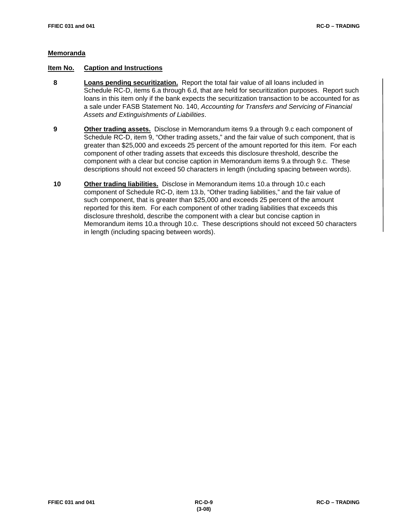- **8 Loans pending securitization.** Report the total fair value of all loans included in Schedule RC-D, items 6.a through 6.d, that are held for securitization purposes. Report such loans in this item only if the bank expects the securitization transaction to be accounted for as a sale under FASB Statement No. 140, *Accounting for Transfers and Servicing of Financial Assets and Extinguishments of Liabilities*.
- **9 Other trading assets.** Disclose in Memorandum items 9.a through 9.c each component of Schedule RC-D, item 9, "Other trading assets," and the fair value of such component, that is greater than \$25,000 and exceeds 25 percent of the amount reported for this item. For each component of other trading assets that exceeds this disclosure threshold, describe the component with a clear but concise caption in Memorandum items 9.a through 9.c. These descriptions should not exceed 50 characters in length (including spacing between words).
- **10 Other trading liabilities.** Disclose in Memorandum items 10.a through 10.c each component of Schedule RC-D, item 13.b, "Other trading liabilities," and the fair value of such component, that is greater than \$25,000 and exceeds 25 percent of the amount reported for this item. For each component of other trading liabilities that exceeds this disclosure threshold, describe the component with a clear but concise caption in Memorandum items 10.a through 10.c. These descriptions should not exceed 50 characters in length (including spacing between words).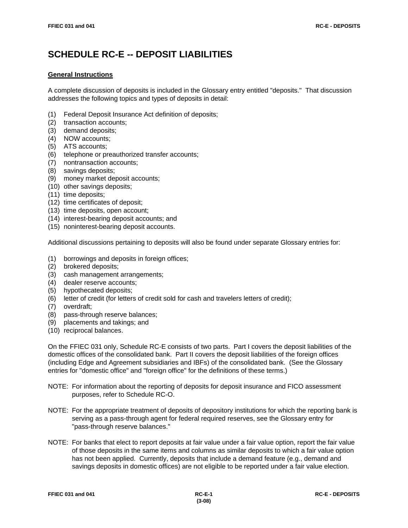# **SCHEDULE RC-E -- DEPOSIT LIABILITIES**

## **General Instructions**

A complete discussion of deposits is included in the Glossary entry entitled "deposits." That discussion addresses the following topics and types of deposits in detail:

- (1) Federal Deposit Insurance Act definition of deposits;
- (2) transaction accounts;
- (3) demand deposits;
- (4) NOW accounts;
- (5) ATS accounts;
- (6) telephone or preauthorized transfer accounts;
- (7) nontransaction accounts;
- (8) savings deposits;
- (9) money market deposit accounts;
- (10) other savings deposits;
- (11) time deposits;
- (12) time certificates of deposit;
- (13) time deposits, open account;
- (14) interest-bearing deposit accounts; and
- (15) noninterest-bearing deposit accounts.

Additional discussions pertaining to deposits will also be found under separate Glossary entries for:

- (1) borrowings and deposits in foreign offices;
- (2) brokered deposits;
- (3) cash management arrangements;
- (4) dealer reserve accounts;
- (5) hypothecated deposits;
- (6) letter of credit (for letters of credit sold for cash and travelers letters of credit);
- (7) overdraft;
- (8) pass-through reserve balances;
- (9) placements and takings; and
- (10) reciprocal balances.

On the FFIEC 031 only, Schedule RC-E consists of two parts. Part I covers the deposit liabilities of the domestic offices of the consolidated bank. Part II covers the deposit liabilities of the foreign offices (including Edge and Agreement subsidiaries and IBFs) of the consolidated bank. (See the Glossary entries for "domestic office" and "foreign office" for the definitions of these terms.)

- NOTE: For information about the reporting of deposits for deposit insurance and FICO assessment purposes, refer to Schedule RC-O.
- NOTE: For the appropriate treatment of deposits of depository institutions for which the reporting bank is serving as a pass-through agent for federal required reserves, see the Glossary entry for "pass-through reserve balances."
- NOTE: For banks that elect to report deposits at fair value under a fair value option, report the fair value of those deposits in the same items and columns as similar deposits to which a fair value option has not been applied. Currently, deposits that include a demand feature (e.g., demand and savings deposits in domestic offices) are not eligible to be reported under a fair value election.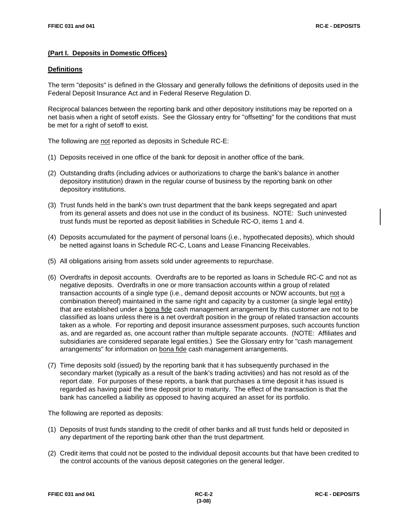## **(Part I. Deposits in Domestic Offices)**

## **Definitions**

The term "deposits" is defined in the Glossary and generally follows the definitions of deposits used in the Federal Deposit Insurance Act and in Federal Reserve Regulation D.

Reciprocal balances between the reporting bank and other depository institutions may be reported on a net basis when a right of setoff exists. See the Glossary entry for "offsetting" for the conditions that must be met for a right of setoff to exist.

The following are not reported as deposits in Schedule RC-E:

- (1) Deposits received in one office of the bank for deposit in another office of the bank.
- (2) Outstanding drafts (including advices or authorizations to charge the bank's balance in another depository institution) drawn in the regular course of business by the reporting bank on other depository institutions.
- (3) Trust funds held in the bank's own trust department that the bank keeps segregated and apart from its general assets and does not use in the conduct of its business. NOTE: Such uninvested trust funds must be reported as deposit liabilities in Schedule RC-O, items 1 and 4.
- (4) Deposits accumulated for the payment of personal loans (i.e., hypothecated deposits), which should be netted against loans in Schedule RC-C, Loans and Lease Financing Receivables.
- (5) All obligations arising from assets sold under agreements to repurchase.
- (6) Overdrafts in deposit accounts. Overdrafts are to be reported as loans in Schedule RC-C and not as negative deposits. Overdrafts in one or more transaction accounts within a group of related transaction accounts of a single type (i.e., demand deposit accounts or NOW accounts, but not a combination thereof) maintained in the same right and capacity by a customer (a single legal entity) that are established under a bona fide cash management arrangement by this customer are not to be classified as loans unless there is a net overdraft position in the group of related transaction accounts taken as a whole. For reporting and deposit insurance assessment purposes, such accounts function as, and are regarded as, one account rather than multiple separate accounts. (NOTE: Affiliates and subsidiaries are considered separate legal entities.) See the Glossary entry for "cash management arrangements" for information on bona fide cash management arrangements.
- (7) Time deposits sold (issued) by the reporting bank that it has subsequently purchased in the secondary market (typically as a result of the bank's trading activities) and has not resold as of the report date. For purposes of these reports, a bank that purchases a time deposit it has issued is regarded as having paid the time deposit prior to maturity. The effect of the transaction is that the bank has cancelled a liability as opposed to having acquired an asset for its portfolio.

The following are reported as deposits:

- (1) Deposits of trust funds standing to the credit of other banks and all trust funds held or deposited in any department of the reporting bank other than the trust department.
- (2) Credit items that could not be posted to the individual deposit accounts but that have been credited to the control accounts of the various deposit categories on the general ledger.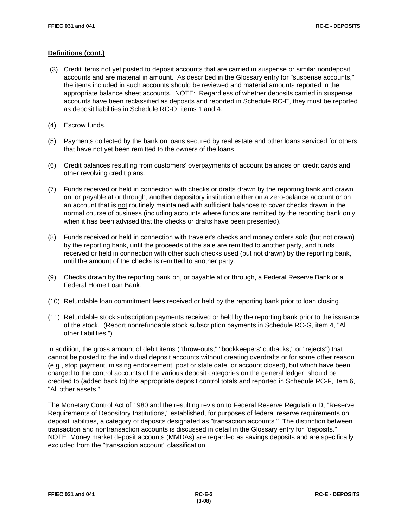## **Definitions (cont.)**

- (3) Credit items not yet posted to deposit accounts that are carried in suspense or similar nondeposit accounts and are material in amount. As described in the Glossary entry for "suspense accounts," the items included in such accounts should be reviewed and material amounts reported in the appropriate balance sheet accounts. NOTE: Regardless of whether deposits carried in suspense accounts have been reclassified as deposits and reported in Schedule RC-E, they must be reported as deposit liabilities in Schedule RC-O, items 1 and 4.
- (4) Escrow funds.
- (5) Payments collected by the bank on loans secured by real estate and other loans serviced for others that have not yet been remitted to the owners of the loans.
- (6) Credit balances resulting from customers' overpayments of account balances on credit cards and other revolving credit plans.
- (7) Funds received or held in connection with checks or drafts drawn by the reporting bank and drawn on, or payable at or through, another depository institution either on a zero-balance account or on an account that is not routinely maintained with sufficient balances to cover checks drawn in the normal course of business (including accounts where funds are remitted by the reporting bank only when it has been advised that the checks or drafts have been presented).
- (8) Funds received or held in connection with traveler's checks and money orders sold (but not drawn) by the reporting bank, until the proceeds of the sale are remitted to another party, and funds received or held in connection with other such checks used (but not drawn) by the reporting bank, until the amount of the checks is remitted to another party.
- (9) Checks drawn by the reporting bank on, or payable at or through, a Federal Reserve Bank or a Federal Home Loan Bank.
- (10) Refundable loan commitment fees received or held by the reporting bank prior to loan closing.
- (11) Refundable stock subscription payments received or held by the reporting bank prior to the issuance of the stock. (Report nonrefundable stock subscription payments in Schedule RC-G, item 4, "All other liabilities.")

In addition, the gross amount of debit items ("throw-outs," "bookkeepers' cutbacks," or "rejects") that cannot be posted to the individual deposit accounts without creating overdrafts or for some other reason (e.g., stop payment, missing endorsement, post or stale date, or account closed), but which have been charged to the control accounts of the various deposit categories on the general ledger, should be credited to (added back to) the appropriate deposit control totals and reported in Schedule RC-F, item 6, "All other assets."

The Monetary Control Act of 1980 and the resulting revision to Federal Reserve Regulation D, "Reserve Requirements of Depository Institutions," established, for purposes of federal reserve requirements on deposit liabilities, a category of deposits designated as "transaction accounts." The distinction between transaction and nontransaction accounts is discussed in detail in the Glossary entry for "deposits." NOTE: Money market deposit accounts (MMDAs) are regarded as savings deposits and are specifically excluded from the "transaction account" classification.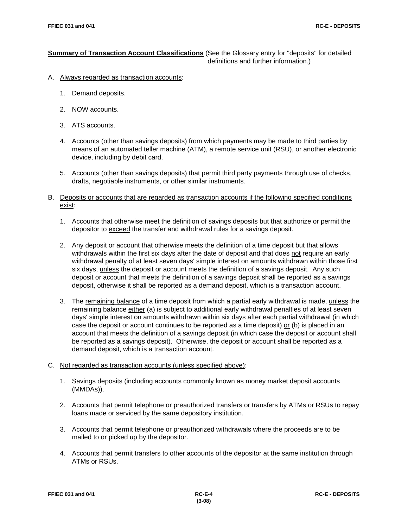## **Summary of Transaction Account Classifications** (See the Glossary entry for "deposits" for detailed definitions and further information.)

- A. Always regarded as transaction accounts:
	- 1. Demand deposits.
	- 2. NOW accounts.
	- 3. ATS accounts.
	- 4. Accounts (other than savings deposits) from which payments may be made to third parties by means of an automated teller machine (ATM), a remote service unit (RSU), or another electronic device, including by debit card.
	- 5. Accounts (other than savings deposits) that permit third party payments through use of checks, drafts, negotiable instruments, or other similar instruments.
- B. Deposits or accounts that are regarded as transaction accounts if the following specified conditions exist:
	- 1. Accounts that otherwise meet the definition of savings deposits but that authorize or permit the depositor to exceed the transfer and withdrawal rules for a savings deposit.
	- 2. Any deposit or account that otherwise meets the definition of a time deposit but that allows withdrawals within the first six days after the date of deposit and that does not require an early withdrawal penalty of at least seven days' simple interest on amounts withdrawn within those first six days, unless the deposit or account meets the definition of a savings deposit. Any such deposit or account that meets the definition of a savings deposit shall be reported as a savings deposit, otherwise it shall be reported as a demand deposit, which is a transaction account.
	- 3. The remaining balance of a time deposit from which a partial early withdrawal is made, unless the remaining balance either (a) is subject to additional early withdrawal penalties of at least seven days' simple interest on amounts withdrawn within six days after each partial withdrawal (in which case the deposit or account continues to be reported as a time deposit) or (b) is placed in an account that meets the definition of a savings deposit (in which case the deposit or account shall be reported as a savings deposit). Otherwise, the deposit or account shall be reported as a demand deposit, which is a transaction account.
- C. Not regarded as transaction accounts (unless specified above):
	- 1. Savings deposits (including accounts commonly known as money market deposit accounts (MMDAs)).
	- 2. Accounts that permit telephone or preauthorized transfers or transfers by ATMs or RSUs to repay loans made or serviced by the same depository institution.
	- 3. Accounts that permit telephone or preauthorized withdrawals where the proceeds are to be mailed to or picked up by the depositor.
	- 4. Accounts that permit transfers to other accounts of the depositor at the same institution through ATMs or RSUs.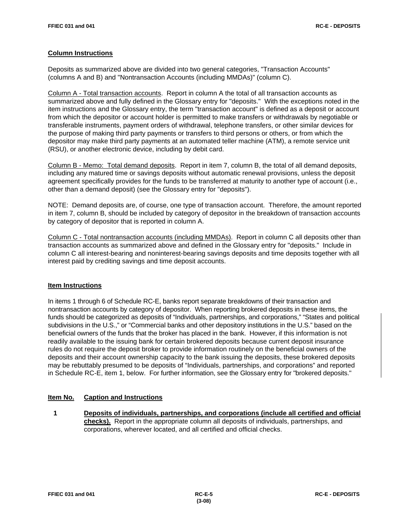## **Column Instructions**

Deposits as summarized above are divided into two general categories, "Transaction Accounts" (columns A and B) and "Nontransaction Accounts (including MMDAs)" (column C).

Column A - Total transaction accounts. Report in column A the total of all transaction accounts as summarized above and fully defined in the Glossary entry for "deposits." With the exceptions noted in the item instructions and the Glossary entry, the term "transaction account" is defined as a deposit or account from which the depositor or account holder is permitted to make transfers or withdrawals by negotiable or transferable instruments, payment orders of withdrawal, telephone transfers, or other similar devices for the purpose of making third party payments or transfers to third persons or others, or from which the depositor may make third party payments at an automated teller machine (ATM), a remote service unit (RSU), or another electronic device, including by debit card.

Column B - Memo: Total demand deposits. Report in item 7, column B, the total of all demand deposits, including any matured time or savings deposits without automatic renewal provisions, unless the deposit agreement specifically provides for the funds to be transferred at maturity to another type of account (i.e., other than a demand deposit) (see the Glossary entry for "deposits").

NOTE: Demand deposits are, of course, one type of transaction account. Therefore, the amount reported in item 7, column B, should be included by category of depositor in the breakdown of transaction accounts by category of depositor that is reported in column A.

Column C - Total nontransaction accounts (including MMDAs). Report in column C all deposits other than transaction accounts as summarized above and defined in the Glossary entry for "deposits." Include in column C all interest-bearing and noninterest-bearing savings deposits and time deposits together with all interest paid by crediting savings and time deposit accounts.

## **Item Instructions**

In items 1 through 6 of Schedule RC-E, banks report separate breakdowns of their transaction and nontransaction accounts by category of depositor. When reporting brokered deposits in these items, the funds should be categorized as deposits of "Individuals, partnerships, and corporations," "States and political subdivisions in the U.S.," or "Commercial banks and other depository institutions in the U.S." based on the beneficial owners of the funds that the broker has placed in the bank. However, if this information is not readily available to the issuing bank for certain brokered deposits because current deposit insurance rules do not require the deposit broker to provide information routinely on the beneficial owners of the deposits and their account ownership capacity to the bank issuing the deposits, these brokered deposits may be rebuttably presumed to be deposits of "Individuals, partnerships, and corporations" and reported in Schedule RC-E, item 1, below. For further information, see the Glossary entry for "brokered deposits."

## **Item No. Caption and Instructions**

 **1 Deposits of individuals, partnerships, and corporations (include all certified and official checks).** Report in the appropriate column all deposits of individuals, partnerships, and corporations, wherever located, and all certified and official checks.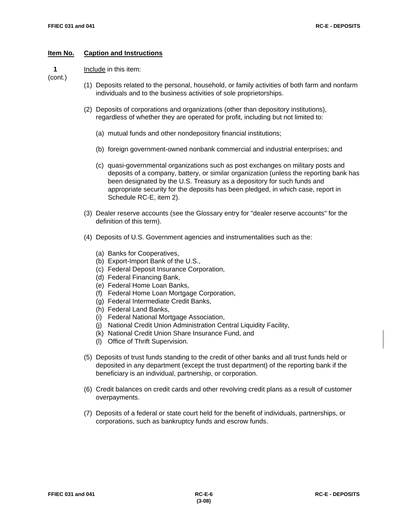**1 Include** in this item:

(cont.)

- (1) Deposits related to the personal, household, or family activities of both farm and nonfarm individuals and to the business activities of sole proprietorships.
- (2) Deposits of corporations and organizations (other than depository institutions), regardless of whether they are operated for profit, including but not limited to:
	- (a) mutual funds and other nondepository financial institutions;
	- (b) foreign government-owned nonbank commercial and industrial enterprises; and
	- (c) quasi-governmental organizations such as post exchanges on military posts and deposits of a company, battery, or similar organization (unless the reporting bank has been designated by the U.S. Treasury as a depository for such funds and appropriate security for the deposits has been pledged, in which case, report in Schedule RC-E, item 2).
- (3) Dealer reserve accounts (see the Glossary entry for "dealer reserve accounts" for the definition of this term).
- (4) Deposits of U.S. Government agencies and instrumentalities such as the:
	- (a) Banks for Cooperatives,
	- (b) Export-Import Bank of the U.S.,
	- (c) Federal Deposit Insurance Corporation,
	- (d) Federal Financing Bank,
	- (e) Federal Home Loan Banks,
	- (f) Federal Home Loan Mortgage Corporation,
	- (g) Federal Intermediate Credit Banks,
	- (h) Federal Land Banks,
	- (i) Federal National Mortgage Association,
	- (j) National Credit Union Administration Central Liquidity Facility,
	- (k) National Credit Union Share Insurance Fund, and
	- (l) Office of Thrift Supervision.
- (5) Deposits of trust funds standing to the credit of other banks and all trust funds held or deposited in any department (except the trust department) of the reporting bank if the beneficiary is an individual, partnership, or corporation.
- (6) Credit balances on credit cards and other revolving credit plans as a result of customer overpayments.
- (7) Deposits of a federal or state court held for the benefit of individuals, partnerships, or corporations, such as bankruptcy funds and escrow funds.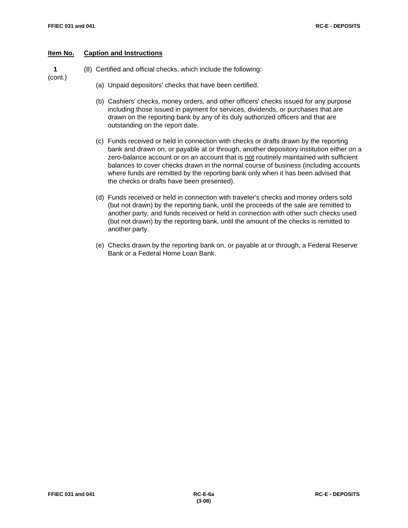```
 1 (8) Certified and official checks, which include the following:
```
(cont.)

- (a) Unpaid depositors' checks that have been certified.
- (b) Cashiers' checks, money orders, and other officers' checks issued for any purpose including those issued in payment for services, dividends, or purchases that are drawn on the reporting bank by any of its duly authorized officers and that are outstanding on the report date.
- (c) Funds received or held in connection with checks or drafts drawn by the reporting bank and drawn on, or payable at or through, another depository institution either on a zero-balance account or on an account that is not routinely maintained with sufficient balances to cover checks drawn in the normal course of business (including accounts where funds are remitted by the reporting bank only when it has been advised that the checks or drafts have been presented).
- (d) Funds received or held in connection with traveler's checks and money orders sold (but not drawn) by the reporting bank, until the proceeds of the sale are remitted to another party, and funds received or held in connection with other such checks used (but not drawn) by the reporting bank, until the amount of the checks is remitted to another party.
- (e) Checks drawn by the reporting bank on, or payable at or through, a Federal Reserve Bank or a Federal Home Loan Bank.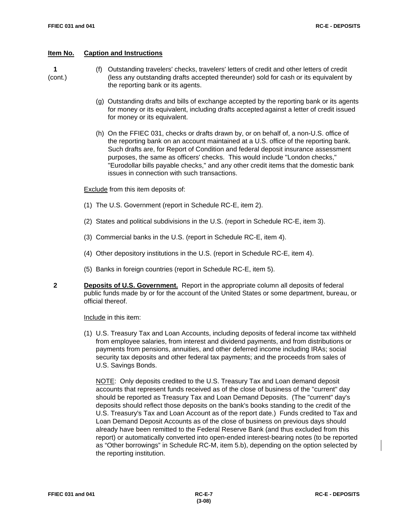- **1** (f) Outstanding travelers' checks, travelers' letters of credit and other letters of credit (cont.) (less any outstanding drafts accepted thereunder) sold for cash or its equivalent by the reporting bank or its agents.
	- (g) Outstanding drafts and bills of exchange accepted by the reporting bank or its agents for money or its equivalent, including drafts accepted against a letter of credit issued for money or its equivalent.
	- (h) On the FFIEC 031, checks or drafts drawn by, or on behalf of, a non-U.S. office of the reporting bank on an account maintained at a U.S. office of the reporting bank. Such drafts are, for Report of Condition and federal deposit insurance assessment purposes, the same as officers' checks. This would include "London checks," "Eurodollar bills payable checks," and any other credit items that the domestic bank issues in connection with such transactions.

Exclude from this item deposits of:

- (1) The U.S. Government (report in Schedule RC-E, item 2).
- (2) States and political subdivisions in the U.S. (report in Schedule RC-E, item 3).
- (3) Commercial banks in the U.S. (report in Schedule RC-E, item 4).
- (4) Other depository institutions in the U.S. (report in Schedule RC-E, item 4).
- (5) Banks in foreign countries (report in Schedule RC-E, item 5).
- **2 Deposits of U.S. Government.** Report in the appropriate column all deposits of federal public funds made by or for the account of the United States or some department, bureau, or official thereof.

Include in this item:

(1) U.S. Treasury Tax and Loan Accounts, including deposits of federal income tax withheld from employee salaries, from interest and dividend payments, and from distributions or payments from pensions, annuities, and other deferred income including IRAs; social security tax deposits and other federal tax payments; and the proceeds from sales of U.S. Savings Bonds.

 NOTE: Only deposits credited to the U.S. Treasury Tax and Loan demand deposit accounts that represent funds received as of the close of business of the "current" day should be reported as Treasury Tax and Loan Demand Deposits. (The "current" day's deposits should reflect those deposits on the bank's books standing to the credit of the U.S. Treasury's Tax and Loan Account as of the report date.) Funds credited to Tax and Loan Demand Deposit Accounts as of the close of business on previous days should already have been remitted to the Federal Reserve Bank (and thus excluded from this report) or automatically converted into open-ended interest-bearing notes (to be reported as "Other borrowings" in Schedule RC-M, item 5.b), depending on the option selected by the reporting institution.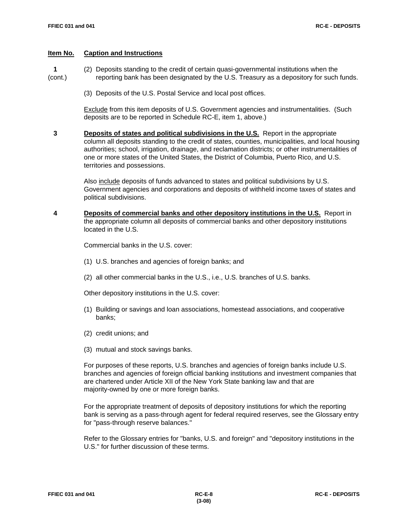- **1** (2) Deposits standing to the credit of certain quasi-governmental institutions when the (cont.) reporting bank has been designated by the U.S. Treasury as a depository for such funds.
	- (3) Deposits of the U.S. Postal Service and local post offices.

 Exclude from this item deposits of U.S. Government agencies and instrumentalities. (Such deposits are to be reported in Schedule RC-E, item 1, above.)

 **3 Deposits of states and political subdivisions in the U.S.** Report in the appropriate column all deposits standing to the credit of states, counties, municipalities, and local housing authorities; school, irrigation, drainage, and reclamation districts; or other instrumentalities of one or more states of the United States, the District of Columbia, Puerto Rico, and U.S. territories and possessions.

 Also include deposits of funds advanced to states and political subdivisions by U.S. Government agencies and corporations and deposits of withheld income taxes of states and political subdivisions.

 **4 Deposits of commercial banks and other depository institutions in the U.S.** Report in the appropriate column all deposits of commercial banks and other depository institutions located in the U.S.

Commercial banks in the U.S. cover:

- (1) U.S. branches and agencies of foreign banks; and
- (2) all other commercial banks in the U.S., i.e., U.S. branches of U.S. banks.

Other depository institutions in the U.S. cover:

- (1) Building or savings and loan associations, homestead associations, and cooperative banks;
- (2) credit unions; and
- (3) mutual and stock savings banks.

For purposes of these reports, U.S. branches and agencies of foreign banks include U.S. branches and agencies of foreign official banking institutions and investment companies that are chartered under Article XII of the New York State banking law and that are majority-owned by one or more foreign banks.

For the appropriate treatment of deposits of depository institutions for which the reporting bank is serving as a pass-through agent for federal required reserves, see the Glossary entry for "pass-through reserve balances."

Refer to the Glossary entries for "banks, U.S. and foreign" and "depository institutions in the U.S." for further discussion of these terms.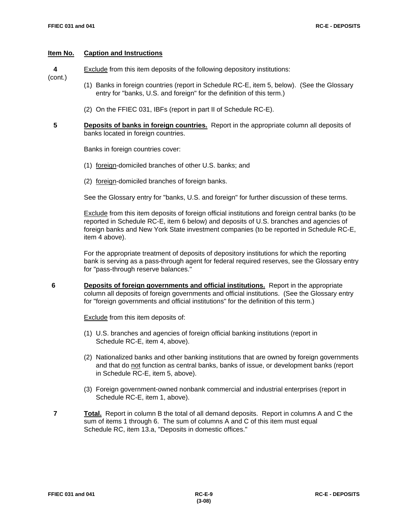**4** Exclude from this item deposits of the following depository institutions:

(cont.)

- (1) Banks in foreign countries (report in Schedule RC-E, item 5, below). (See the Glossary entry for "banks, U.S. and foreign" for the definition of this term.)
- (2) On the FFIEC 031, IBFs (report in part II of Schedule RC-E).
- **5 Deposits of banks in foreign countries.** Report in the appropriate column all deposits of banks located in foreign countries.

Banks in foreign countries cover:

- (1) foreign-domiciled branches of other U.S. banks; and
- (2) foreign-domiciled branches of foreign banks.

See the Glossary entry for "banks, U.S. and foreign" for further discussion of these terms.

 Exclude from this item deposits of foreign official institutions and foreign central banks (to be reported in Schedule RC-E, item 6 below) and deposits of U.S. branches and agencies of foreign banks and New York State investment companies (to be reported in Schedule RC-E, item 4 above).

For the appropriate treatment of deposits of depository institutions for which the reporting bank is serving as a pass-through agent for federal required reserves, see the Glossary entry for "pass-through reserve balances."

 **6 Deposits of foreign governments and official institutions.** Report in the appropriate column all deposits of foreign governments and official institutions. (See the Glossary entry for "foreign governments and official institutions" for the definition of this term.)

Exclude from this item deposits of:

- (1) U.S. branches and agencies of foreign official banking institutions (report in Schedule RC-E, item 4, above).
- (2) Nationalized banks and other banking institutions that are owned by foreign governments and that do not function as central banks, banks of issue, or development banks (report in Schedule RC-E, item 5, above).
- (3) Foreign government-owned nonbank commercial and industrial enterprises (report in Schedule RC-E, item 1, above).
- **7 Total.** Report in column B the total of all demand deposits. Report in columns A and C the sum of items 1 through 6. The sum of columns A and C of this item must equal Schedule RC, item 13.a, "Deposits in domestic offices."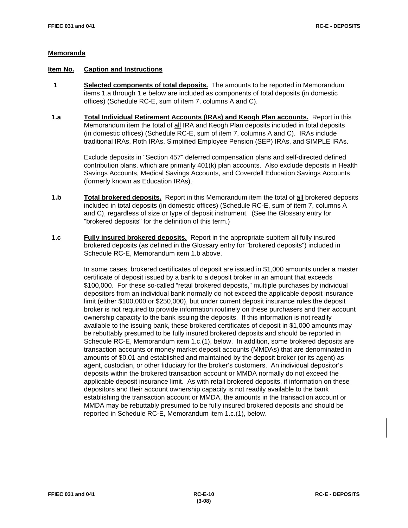## **Item No. Caption and Instructions**

- **1 Selected components of total deposits.** The amounts to be reported in Memorandum items 1.a through 1.e below are included as components of total deposits (in domestic offices) (Schedule RC-E, sum of item 7, columns A and C).
- **1.a Total Individual Retirement Accounts (IRAs) and Keogh Plan accounts.** Report in this Memorandum item the total of all IRA and Keogh Plan deposits included in total deposits (in domestic offices) (Schedule RC-E, sum of item 7, columns A and C). IRAs include traditional IRAs, Roth IRAs, Simplified Employee Pension (SEP) IRAs, and SIMPLE IRAs.

Exclude deposits in "Section 457" deferred compensation plans and self-directed defined contribution plans, which are primarily 401(k) plan accounts. Also exclude deposits in Health Savings Accounts, Medical Savings Accounts, and Coverdell Education Savings Accounts (formerly known as Education IRAs).

- **1.b Total brokered deposits.** Report in this Memorandum item the total of all brokered deposits included in total deposits (in domestic offices) (Schedule RC-E, sum of item 7, columns A and C), regardless of size or type of deposit instrument. (See the Glossary entry for "brokered deposits" for the definition of this term.)
- **1.c Fully insured brokered deposits.** Report in the appropriate subitem all fully insured brokered deposits (as defined in the Glossary entry for "brokered deposits") included in Schedule RC-E, Memorandum item 1.b above.

In some cases, brokered certificates of deposit are issued in \$1,000 amounts under a master certificate of deposit issued by a bank to a deposit broker in an amount that exceeds \$100,000. For these so-called "retail brokered deposits," multiple purchases by individual depositors from an individual bank normally do not exceed the applicable deposit insurance limit (either \$100,000 or \$250,000), but under current deposit insurance rules the deposit broker is not required to provide information routinely on these purchasers and their account ownership capacity to the bank issuing the deposits. If this information is not readily available to the issuing bank, these brokered certificates of deposit in \$1,000 amounts may be rebuttably presumed to be fully insured brokered deposits and should be reported in Schedule RC-E, Memorandum item 1.c.(1), below. In addition, some brokered deposits are transaction accounts or money market deposit accounts (MMDAs) that are denominated in amounts of \$0.01 and established and maintained by the deposit broker (or its agent) as agent, custodian, or other fiduciary for the broker's customers. An individual depositor's deposits within the brokered transaction account or MMDA normally do not exceed the applicable deposit insurance limit. As with retail brokered deposits, if information on these depositors and their account ownership capacity is not readily available to the bank establishing the transaction account or MMDA, the amounts in the transaction account or MMDA may be rebuttably presumed to be fully insured brokered deposits and should be reported in Schedule RC-E, Memorandum item 1.c.(1), below.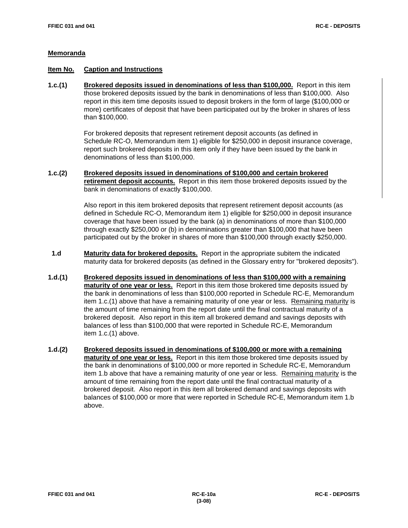#### **Item No. Caption and Instructions**

**1.c.(1) Brokered deposits issued in denominations of less than \$100,000.** Report in this item those brokered deposits issued by the bank in denominations of less than \$100,000. Also report in this item time deposits issued to deposit brokers in the form of large (\$100,000 or more) certificates of deposit that have been participated out by the broker in shares of less than \$100,000.

> For brokered deposits that represent retirement deposit accounts (as defined in Schedule RC-O, Memorandum item 1) eligible for \$250,000 in deposit insurance coverage, report such brokered deposits in this item only if they have been issued by the bank in denominations of less than \$100,000.

**1.c.(2) Brokered deposits issued in denominations of \$100,000 and certain brokered retirement deposit accounts.** Report in this item those brokered deposits issued by the bank in denominations of exactly \$100,000.

> Also report in this item brokered deposits that represent retirement deposit accounts (as defined in Schedule RC-O, Memorandum item 1) eligible for \$250,000 in deposit insurance coverage that have been issued by the bank (a) in denominations of more than \$100,000 through exactly \$250,000 or (b) in denominations greater than \$100,000 that have been participated out by the broker in shares of more than \$100,000 through exactly \$250,000.

- **1.d Maturity data for brokered deposits.** Report in the appropriate subitem the indicated maturity data for brokered deposits (as defined in the Glossary entry for "brokered deposits").
- **1.d.(1) Brokered deposits issued in denominations of less than \$100,000 with a remaining maturity of one year or less.** Report in this item those brokered time deposits issued by the bank in denominations of less than \$100,000 reported in Schedule RC-E, Memorandum item 1.c.(1) above that have a remaining maturity of one year or less. Remaining maturity is the amount of time remaining from the report date until the final contractual maturity of a brokered deposit. Also report in this item all brokered demand and savings deposits with balances of less than \$100,000 that were reported in Schedule RC-E, Memorandum item 1.c.(1) above.
- **1.d.(2) Brokered deposits issued in denominations of \$100,000 or more with a remaining maturity of one year or less.** Report in this item those brokered time deposits issued by the bank in denominations of \$100,000 or more reported in Schedule RC-E, Memorandum item 1.b above that have a remaining maturity of one year or less. Remaining maturity is the amount of time remaining from the report date until the final contractual maturity of a brokered deposit. Also report in this item all brokered demand and savings deposits with balances of \$100,000 or more that were reported in Schedule RC-E, Memorandum item 1.b above.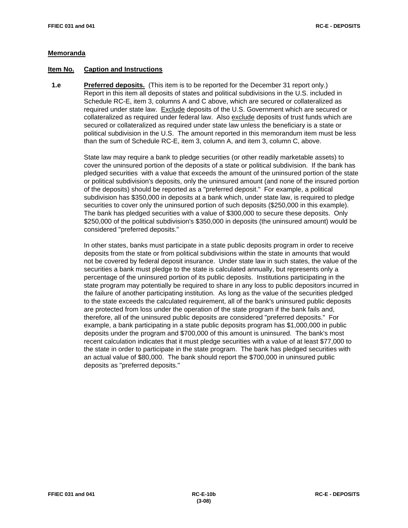#### **Item No. Caption and Instructions**

 **1.e Preferred deposits.** (This item is to be reported for the December 31 report only.) Report in this item all deposits of states and political subdivisions in the U.S. included in Schedule RC-E, item 3, columns A and C above, which are secured or collateralized as required under state law. Exclude deposits of the U.S. Government which are secured or collateralized as required under federal law. Also exclude deposits of trust funds which are secured or collateralized as required under state law unless the beneficiary is a state or political subdivision in the U.S. The amount reported in this memorandum item must be less than the sum of Schedule RC-E, item 3, column A, and item 3, column C, above.

> State law may require a bank to pledge securities (or other readily marketable assets) to cover the uninsured portion of the deposits of a state or political subdivision. If the bank has pledged securities with a value that exceeds the amount of the uninsured portion of the state or political subdivision's deposits, only the uninsured amount (and none of the insured portion of the deposits) should be reported as a "preferred deposit." For example, a political subdivision has \$350,000 in deposits at a bank which, under state law, is required to pledge securities to cover only the uninsured portion of such deposits (\$250,000 in this example). The bank has pledged securities with a value of \$300,000 to secure these deposits. Only \$250,000 of the political subdivision's \$350,000 in deposits (the uninsured amount) would be considered "preferred deposits."

> In other states, banks must participate in a state public deposits program in order to receive deposits from the state or from political subdivisions within the state in amounts that would not be covered by federal deposit insurance. Under state law in such states, the value of the securities a bank must pledge to the state is calculated annually, but represents only a percentage of the uninsured portion of its public deposits. Institutions participating in the state program may potentially be required to share in any loss to public depositors incurred in the failure of another participating institution. As long as the value of the securities pledged to the state exceeds the calculated requirement, all of the bank's uninsured public deposits are protected from loss under the operation of the state program if the bank fails and, therefore, all of the uninsured public deposits are considered "preferred deposits." For example, a bank participating in a state public deposits program has \$1,000,000 in public deposits under the program and \$700,000 of this amount is uninsured. The bank's most recent calculation indicates that it must pledge securities with a value of at least \$77,000 to the state in order to participate in the state program. The bank has pledged securities with an actual value of \$80,000. The bank should report the \$700,000 in uninsured public deposits as "preferred deposits."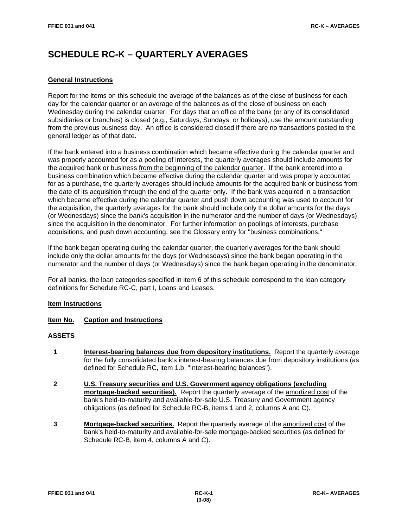# **SCHEDULE RC-K – QUARTERLY AVERAGES**

## **General Instructions**

Report for the items on this schedule the average of the balances as of the close of business for each day for the calendar quarter or an average of the balances as of the close of business on each Wednesday during the calendar quarter. For days that an office of the bank (or any of its consolidated subsidiaries or branches) is closed (e.g., Saturdays, Sundays, or holidays), use the amount outstanding from the previous business day. An office is considered closed if there are no transactions posted to the general ledger as of that date.

If the bank entered into a business combination which became effective during the calendar quarter and was properly accounted for as a pooling of interests, the quarterly averages should include amounts for the acquired bank or business from the beginning of the calendar quarter. If the bank entered into a business combination which became effective during the calendar quarter and was properly accounted for as a purchase, the quarterly averages should include amounts for the acquired bank or business from the date of its acquisition through the end of the quarter only. If the bank was acquired in a transaction which became effective during the calendar quarter and push down accounting was used to account for the acquisition, the quarterly averages for the bank should include only the dollar amounts for the days (or Wednesdays) since the bank's acquisition in the numerator and the number of days (or Wednesdays) since the acquisition in the denominator. For further information on poolings of interests, purchase acquisitions, and push down accounting, see the Glossary entry for "business combinations."

If the bank began operating during the calendar quarter, the quarterly averages for the bank should include only the dollar amounts for the days (or Wednesdays) since the bank began operating in the numerator and the number of days (or Wednesdays) since the bank began operating in the denominator.

For all banks, the loan categories specified in item 6 of this schedule correspond to the loan category definitions for Schedule RC-C, part I, Loans and Leases.

## **Item Instructions**

## **Item No. Caption and Instructions**

## **ASSETS**

- **1 Interest-bearing balances due from depository institutions.** Report the quarterly average for the fully consolidated bank's interest-bearing balances due from depository institutions (as defined for Schedule RC, item 1.b, "Interest-bearing balances").
- **2 U.S. Treasury securities and U.S. Government agency obligations (excluding mortgage-backed securities).** Report the quarterly average of the amortized cost of the bank's held-to-maturity and available-for-sale U.S. Treasury and Government agency obligations (as defined for Schedule RC-B, items 1 and 2, columns A and C).
- **3 Mortgage-backed securities.** Report the quarterly average of the amortized cost of the bank's held-to-maturity and available-for-sale mortgage-backed securities (as defined for Schedule RC-B, item 4, columns A and C).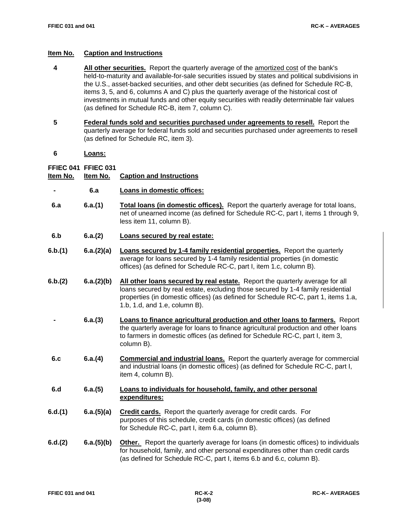- **4 All other securities.** Report the quarterly average of the amortized cost of the bank's held-to-maturity and available-for-sale securities issued by states and political subdivisions in the U.S., asset-backed securities, and other debt securities (as defined for Schedule RC-B, items 3, 5, and 6, columns A and C) plus the quarterly average of the historical cost of investments in mutual funds and other equity securities with readily determinable fair values (as defined for Schedule RC-B, item 7, column C).
- **5 Federal funds sold and securities purchased under agreements to resell.** Report the quarterly average for federal funds sold and securities purchased under agreements to resell (as defined for Schedule RC, item 3).
- **6 Loans:**

| FFIEC 041 FFIEC 031<br>Item No. | Item No.   | <b>Caption and Instructions</b>                                                                                                                                                                                                                                                        |
|---------------------------------|------------|----------------------------------------------------------------------------------------------------------------------------------------------------------------------------------------------------------------------------------------------------------------------------------------|
|                                 | 6.a        | Loans in domestic offices:                                                                                                                                                                                                                                                             |
| 6.a                             | 6.a.(1)    | Total loans (in domestic offices). Report the quarterly average for total loans,<br>net of unearned income (as defined for Schedule RC-C, part I, items 1 through 9,<br>less item 11, column B).                                                                                       |
| 6.b                             | 6.a.(2)    | Loans secured by real estate:                                                                                                                                                                                                                                                          |
| 6.b.(1)                         | 6.a.(2)(a) | Loans secured by 1-4 family residential properties. Report the quarterly<br>average for loans secured by 1-4 family residential properties (in domestic<br>offices) (as defined for Schedule RC-C, part I, item 1.c, column B).                                                        |
| 6.b.(2)                         | 6.a.(2)(b) | All other loans secured by real estate. Report the quarterly average for all<br>loans secured by real estate, excluding those secured by 1-4 family residential<br>properties (in domestic offices) (as defined for Schedule RC-C, part 1, items 1.a,<br>1.b, 1.d, and 1.e, column B). |
|                                 | 6.a.(3)    | <b>Loans to finance agricultural production and other loans to farmers.</b> Report<br>the quarterly average for loans to finance agricultural production and other loans<br>to farmers in domestic offices (as defined for Schedule RC-C, part I, item 3,<br>column B).                |
| 6.c                             | 6.a.(4)    | <b>Commercial and industrial loans.</b> Report the quarterly average for commercial<br>and industrial loans (in domestic offices) (as defined for Schedule RC-C, part I,<br>item 4, column B).                                                                                         |
| 6.d                             | 6.a.(5)    | Loans to individuals for household, family, and other personal<br>expenditures:                                                                                                                                                                                                        |
| 6.d.(1)                         | 6.a.(5)(a) | <b>Credit cards.</b> Report the quarterly average for credit cards. For<br>purposes of this schedule, credit cards (in domestic offices) (as defined<br>for Schedule RC-C, part I, item 6.a, column B).                                                                                |
| 6.d.(2)                         | 6.a.(5)(b) | <b>Other.</b> Report the quarterly average for loans (in domestic offices) to individuals<br>for household, family, and other personal expenditures other than credit cards<br>(as defined for Schedule RC-C, part I, items 6.b and 6.c, column B).                                    |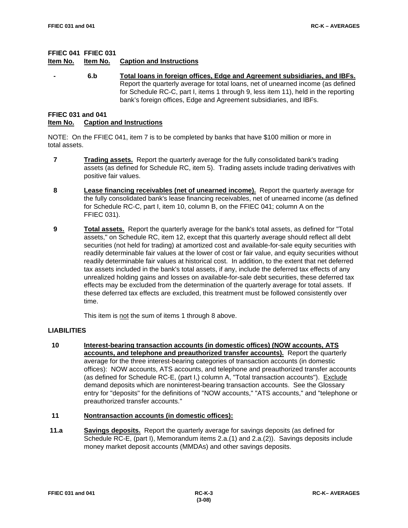## **FFIEC 041 FFIEC 031**

## **Item No. Item No. Caption and Instructions**

 **- 6.b Total loans in foreign offices, Edge and Agreement subsidiaries, and IBFs.**  Report the quarterly average for total loans, net of unearned income (as defined for Schedule RC-C, part I, items 1 through 9, less item 11), held in the reporting bank's foreign offices, Edge and Agreement subsidiaries, and IBFs.

## **FFIEC 031 and 041 Item No. Caption and Instructions**

NOTE: On the FFIEC 041, item 7 is to be completed by banks that have \$100 million or more in total assets.

- **7 Trading assets.** Report the quarterly average for the fully consolidated bank's trading assets (as defined for Schedule RC, item 5). Trading assets include trading derivatives with positive fair values.
- **8 Lease financing receivables (net of unearned income).** Report the quarterly average for the fully consolidated bank's lease financing receivables, net of unearned income (as defined for Schedule RC-C, part I, item 10, column B, on the FFIEC 041; column A on the FFIEC 031).
- **9** Total assets. Report the quarterly average for the bank's total assets, as defined for "Total assets," on Schedule RC, item 12, except that this quarterly average should reflect all debt securities (not held for trading) at amortized cost and available-for-sale equity securities with readily determinable fair values at the lower of cost or fair value, and equity securities without readily determinable fair values at historical cost. In addition, to the extent that net deferred tax assets included in the bank's total assets, if any, include the deferred tax effects of any unrealized holding gains and losses on available-for-sale debt securities, these deferred tax effects may be excluded from the determination of the quarterly average for total assets. If these deferred tax effects are excluded, this treatment must be followed consistently over time.

This item is not the sum of items 1 through 8 above.

## **LIABILITIES**

 **10 Interest-bearing transaction accounts (in domestic offices) (NOW accounts, ATS accounts, and telephone and preauthorized transfer accounts).** Report the quarterly average for the three interest-bearing categories of transaction accounts (in domestic offices): NOW accounts, ATS accounts, and telephone and preauthorized transfer accounts (as defined for Schedule RC-E, (part I,) column A, "Total transaction accounts"). Exclude demand deposits which are noninterest-bearing transaction accounts. See the Glossary entry for "deposits" for the definitions of "NOW accounts," "ATS accounts," and "telephone or preauthorized transfer accounts."

## **11 Nontransaction accounts (in domestic offices):**

**11.a Savings deposits.** Report the quarterly average for savings deposits (as defined for Schedule RC-E, (part I), Memorandum items 2.a.(1) and 2.a.(2)). Savings deposits include money market deposit accounts (MMDAs) and other savings deposits.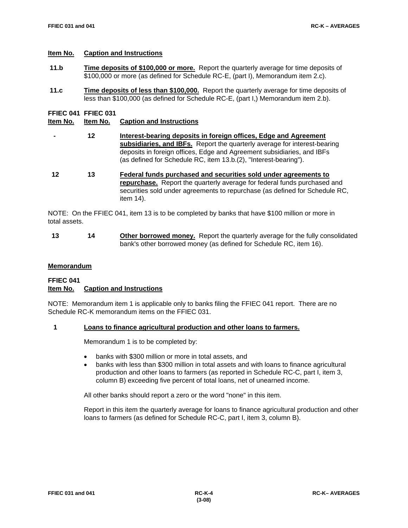- **11.b Time deposits of \$100,000 or more.** Report the quarterly average for time deposits of \$100,000 or more (as defined for Schedule RC-E, (part I), Memorandum item 2.c).
- **11.c Time deposits of less than \$100,000.** Report the quarterly average for time deposits of less than \$100,000 (as defined for Schedule RC-E, (part I,) Memorandum item 2.b).

**FFIEC 041 FFIEC 031** 

#### **Item No. Item No. Caption and Instructions**

- **- 12 Interest-bearing deposits in foreign offices, Edge and Agreement subsidiaries, and IBFs.** Report the quarterly average for interest-bearing deposits in foreign offices, Edge and Agreement subsidiaries, and IBFs (as defined for Schedule RC, item 13.b.(2), "Interest-bearing").
- **12 13 Federal funds purchased and securities sold under agreements to repurchase.** Report the quarterly average for federal funds purchased and securities sold under agreements to repurchase (as defined for Schedule RC, item 14).

NOTE: On the FFIEC 041, item 13 is to be completed by banks that have \$100 million or more in total assets.

 **13 14 Other borrowed money.** Report the quarterly average for the fully consolidated bank's other borrowed money (as defined for Schedule RC, item 16).

#### **Memorandum**

## **FFIEC 041 Item No. Caption and Instructions**

NOTE: Memorandum item 1 is applicable only to banks filing the FFIEC 041 report. There are no Schedule RC-K memorandum items on the FFIEC 031.

## **1 Loans to finance agricultural production and other loans to farmers.**

Memorandum 1 is to be completed by:

- banks with \$300 million or more in total assets, and
- banks with less than \$300 million in total assets and with loans to finance agricultural production and other loans to farmers (as reported in Schedule RC-C, part I, item 3, column B) exceeding five percent of total loans, net of unearned income.

All other banks should report a zero or the word "none" in this item.

Report in this item the quarterly average for loans to finance agricultural production and other loans to farmers (as defined for Schedule RC-C, part I, item 3, column B).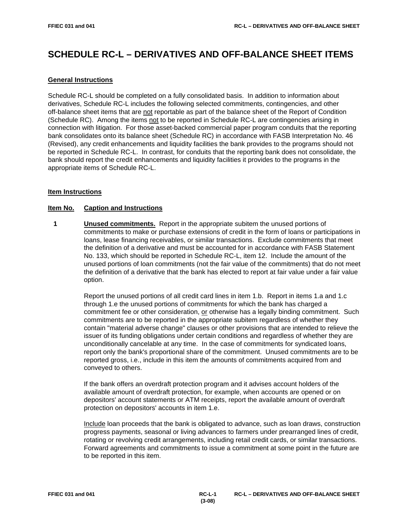## **SCHEDULE RC-L – DERIVATIVES AND OFF-BALANCE SHEET ITEMS**

## **General Instructions**

Schedule RC-L should be completed on a fully consolidated basis. In addition to information about derivatives, Schedule RC-L includes the following selected commitments, contingencies, and other off-balance sheet items that are not reportable as part of the balance sheet of the Report of Condition (Schedule RC). Among the items not to be reported in Schedule RC-L are contingencies arising in connection with litigation. For those asset-backed commercial paper program conduits that the reporting bank consolidates onto its balance sheet (Schedule RC) in accordance with FASB Interpretation No. 46 (Revised), any credit enhancements and liquidity facilities the bank provides to the programs should not be reported in Schedule RC-L. In contrast, for conduits that the reporting bank does not consolidate, the bank should report the credit enhancements and liquidity facilities it provides to the programs in the appropriate items of Schedule RC-L.

## **Item Instructions**

## **Item No. Caption and Instructions**

 **1 Unused commitments.** Report in the appropriate subitem the unused portions of commitments to make or purchase extensions of credit in the form of loans or participations in loans, lease financing receivables, or similar transactions. Exclude commitments that meet the definition of a derivative and must be accounted for in accordance with FASB Statement No. 133, which should be reported in Schedule RC-L, item 12. Include the amount of the unused portions of loan commitments (not the fair value of the commitments) that do not meet the definition of a derivative that the bank has elected to report at fair value under a fair value option.

Report the unused portions of all credit card lines in item 1.b. Report in items 1.a and 1.c through 1.e the unused portions of commitments for which the bank has charged a commitment fee or other consideration, or otherwise has a legally binding commitment. Such commitments are to be reported in the appropriate subitem regardless of whether they contain "material adverse change" clauses or other provisions that are intended to relieve the issuer of its funding obligations under certain conditions and regardless of whether they are unconditionally cancelable at any time. In the case of commitments for syndicated loans, report only the bank's proportional share of the commitment. Unused commitments are to be reported gross, i.e., include in this item the amounts of commitments acquired from and conveyed to others.

If the bank offers an overdraft protection program and it advises account holders of the available amount of overdraft protection, for example, when accounts are opened or on depositors' account statements or ATM receipts, report the available amount of overdraft protection on depositors' accounts in item 1.e.

 Include loan proceeds that the bank is obligated to advance, such as loan draws, construction progress payments, seasonal or living advances to farmers under prearranged lines of credit, rotating or revolving credit arrangements, including retail credit cards, or similar transactions. Forward agreements and commitments to issue a commitment at some point in the future are to be reported in this item.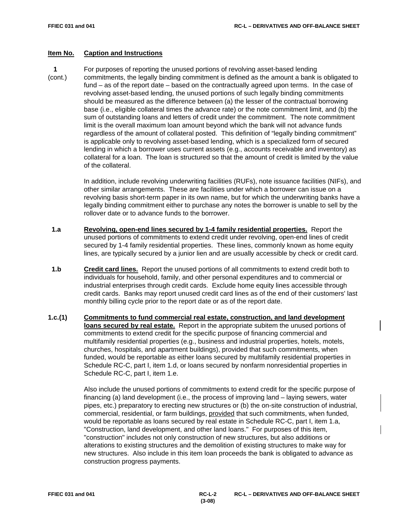**1** For purposes of reporting the unused portions of revolving asset-based lending

(cont.) commitments, the legally binding commitment is defined as the amount a bank is obligated to fund – as of the report date – based on the contractually agreed upon terms. In the case of revolving asset-based lending, the unused portions of such legally binding commitments should be measured as the difference between (a) the lesser of the contractual borrowing base (i.e., eligible collateral times the advance rate) or the note commitment limit, and (b) the sum of outstanding loans and letters of credit under the commitment. The note commitment limit is the overall maximum loan amount beyond which the bank will not advance funds regardless of the amount of collateral posted. This definition of "legally binding commitment" is applicable only to revolving asset-based lending, which is a specialized form of secured lending in which a borrower uses current assets (e.g., accounts receivable and inventory) as collateral for a loan. The loan is structured so that the amount of credit is limited by the value of the collateral.

> In addition, include revolving underwriting facilities (RUFs), note issuance facilities (NIFs), and other similar arrangements. These are facilities under which a borrower can issue on a revolving basis short-term paper in its own name, but for which the underwriting banks have a legally binding commitment either to purchase any notes the borrower is unable to sell by the rollover date or to advance funds to the borrower.

- **1.a Revolving, open-end lines secured by 1-4 family residential properties.** Report the unused portions of commitments to extend credit under revolving, open-end lines of credit secured by 1-4 family residential properties. These lines, commonly known as home equity lines, are typically secured by a junior lien and are usually accessible by check or credit card.
- **1.b Credit card lines.** Report the unused portions of all commitments to extend credit both to individuals for household, family, and other personal expenditures and to commercial or industrial enterprises through credit cards. Exclude home equity lines accessible through credit cards. Banks may report unused credit card lines as of the end of their customers' last monthly billing cycle prior to the report date or as of the report date.
- **1.c.(1) Commitments to fund commercial real estate, construction, and land development loans secured by real estate.** Report in the appropriate subitem the unused portions of commitments to extend credit for the specific purpose of financing commercial and multifamily residential properties (e.g., business and industrial properties, hotels, motels, churches, hospitals, and apartment buildings), provided that such commitments, when funded, would be reportable as either loans secured by multifamily residential properties in Schedule RC-C, part I, item 1.d, or loans secured by nonfarm nonresidential properties in Schedule RC-C, part I, item 1.e.

Also include the unused portions of commitments to extend credit for the specific purpose of financing (a) land development (i.e., the process of improving land – laying sewers, water pipes, etc.) preparatory to erecting new structures or (b) the on-site construction of industrial, commercial, residential, or farm buildings, provided that such commitments, when funded, would be reportable as loans secured by real estate in Schedule RC-C, part I, item 1.a, "Construction, land development, and other land loans." For purposes of this item, "construction" includes not only construction of new structures, but also additions or alterations to existing structures and the demolition of existing structures to make way for new structures. Also include in this item loan proceeds the bank is obligated to advance as construction progress payments.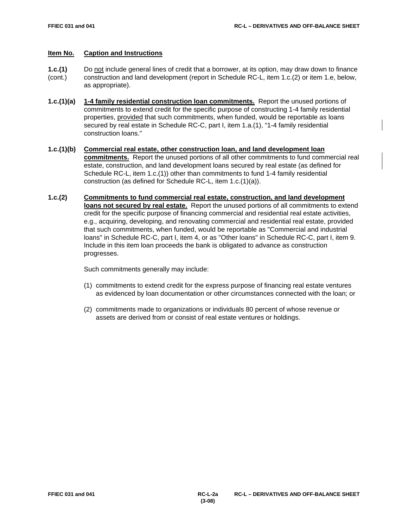- **1.c.(1)** Do not include general lines of credit that a borrower, at its option, may draw down to finance (cont.) construction and land development (report in Schedule RC-L, item 1.c.(2) or item 1.e, below, as appropriate).
- **1.c.(1)(a) 1-4 family residential construction loan commitments.** Report the unused portions of commitments to extend credit for the specific purpose of constructing 1-4 family residential properties, provided that such commitments, when funded, would be reportable as loans secured by real estate in Schedule RC-C, part I, item 1.a.(1), "1-4 family residential construction loans."
- **1.c.(1)(b) Commercial real estate, other construction loan, and land development loan commitments.** Report the unused portions of all other commitments to fund commercial real estate, construction, and land development loans secured by real estate (as defined for Schedule RC-L, item 1.c.(1)) other than commitments to fund 1-4 family residential construction (as defined for Schedule RC-L, item 1.c.(1)(a)).
- **1.c.(2) Commitments to fund commercial real estate, construction, and land development loans not secured by real estate.** Report the unused portions of all commitments to extend credit for the specific purpose of financing commercial and residential real estate activities, e.g., acquiring, developing, and renovating commercial and residential real estate, provided that such commitments, when funded, would be reportable as "Commercial and industrial loans" in Schedule RC-C, part I, item 4, or as "Other loans" in Schedule RC-C, part I, item 9. Include in this item loan proceeds the bank is obligated to advance as construction progresses.

Such commitments generally may include:

- (1) commitments to extend credit for the express purpose of financing real estate ventures as evidenced by loan documentation or other circumstances connected with the loan; or
- (2) commitments made to organizations or individuals 80 percent of whose revenue or assets are derived from or consist of real estate ventures or holdings.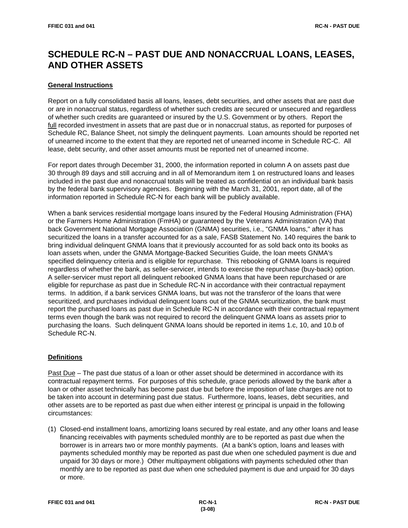# **SCHEDULE RC-N – PAST DUE AND NONACCRUAL LOANS, LEASES, AND OTHER ASSETS**

## **General Instructions**

Report on a fully consolidated basis all loans, leases, debt securities, and other assets that are past due or are in nonaccrual status, regardless of whether such credits are secured or unsecured and regardless of whether such credits are guaranteed or insured by the U.S. Government or by others. Report the full recorded investment in assets that are past due or in nonaccrual status, as reported for purposes of Schedule RC, Balance Sheet, not simply the delinquent payments. Loan amounts should be reported net of unearned income to the extent that they are reported net of unearned income in Schedule RC-C. All lease, debt security, and other asset amounts must be reported net of unearned income.

For report dates through December 31, 2000, the information reported in column A on assets past due 30 through 89 days and still accruing and in all of Memorandum item 1 on restructured loans and leases included in the past due and nonaccrual totals will be treated as confidential on an individual bank basis by the federal bank supervisory agencies. Beginning with the March 31, 2001, report date, all of the information reported in Schedule RC-N for each bank will be publicly available.

When a bank services residential mortgage loans insured by the Federal Housing Administration (FHA) or the Farmers Home Administration (FmHA) or guaranteed by the Veterans Administration (VA) that back Government National Mortgage Association (GNMA) securities, i.e., "GNMA loans," after it has securitized the loans in a transfer accounted for as a sale, FASB Statement No. 140 requires the bank to bring individual delinquent GNMA loans that it previously accounted for as sold back onto its books as loan assets when, under the GNMA Mortgage-Backed Securities Guide, the loan meets GNMA's specified delinquency criteria and is eligible for repurchase. This rebooking of GNMA loans is required regardless of whether the bank, as seller-servicer, intends to exercise the repurchase (buy-back) option. A seller-servicer must report all delinquent rebooked GNMA loans that have been repurchased or are eligible for repurchase as past due in Schedule RC-N in accordance with their contractual repayment terms. In addition, if a bank services GNMA loans, but was not the transferor of the loans that were securitized, and purchases individual delinquent loans out of the GNMA securitization, the bank must report the purchased loans as past due in Schedule RC-N in accordance with their contractual repayment terms even though the bank was not required to record the delinquent GNMA loans as assets prior to purchasing the loans. Such delinquent GNMA loans should be reported in items 1.c, 10, and 10.b of Schedule RC-N.

## **Definitions**

Past Due – The past due status of a loan or other asset should be determined in accordance with its contractual repayment terms. For purposes of this schedule, grace periods allowed by the bank after a loan or other asset technically has become past due but before the imposition of late charges are not to be taken into account in determining past due status. Furthermore, loans, leases, debt securities, and other assets are to be reported as past due when either interest or principal is unpaid in the following circumstances:

(1) Closed-end installment loans, amortizing loans secured by real estate, and any other loans and lease financing receivables with payments scheduled monthly are to be reported as past due when the borrower is in arrears two or more monthly payments. (At a bank's option, loans and leases with payments scheduled monthly may be reported as past due when one scheduled payment is due and unpaid for 30 days or more.) Other multipayment obligations with payments scheduled other than monthly are to be reported as past due when one scheduled payment is due and unpaid for 30 days or more.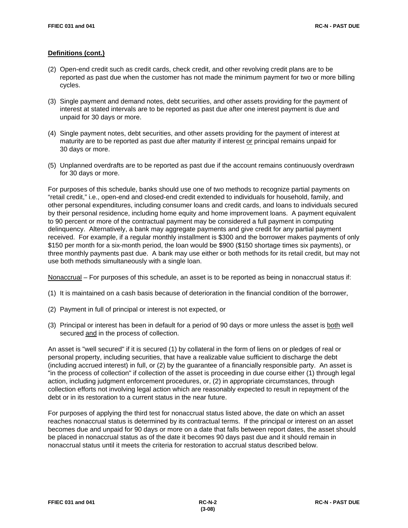## **Definitions (cont.)**

- (2) Open-end credit such as credit cards, check credit, and other revolving credit plans are to be reported as past due when the customer has not made the minimum payment for two or more billing cycles.
- (3) Single payment and demand notes, debt securities, and other assets providing for the payment of interest at stated intervals are to be reported as past due after one interest payment is due and unpaid for 30 days or more.
- (4) Single payment notes, debt securities, and other assets providing for the payment of interest at maturity are to be reported as past due after maturity if interest or principal remains unpaid for 30 days or more.
- (5) Unplanned overdrafts are to be reported as past due if the account remains continuously overdrawn for 30 days or more.

For purposes of this schedule, banks should use one of two methods to recognize partial payments on "retail credit," i.e., open-end and closed-end credit extended to individuals for household, family, and other personal expenditures, including consumer loans and credit cards, and loans to individuals secured by their personal residence, including home equity and home improvement loans. A payment equivalent to 90 percent or more of the contractual payment may be considered a full payment in computing delinquency. Alternatively, a bank may aggregate payments and give credit for any partial payment received. For example, if a regular monthly installment is \$300 and the borrower makes payments of only \$150 per month for a six-month period, the loan would be \$900 (\$150 shortage times six payments), or three monthly payments past due. A bank may use either or both methods for its retail credit, but may not use both methods simultaneously with a single loan.

Nonaccrual – For purposes of this schedule, an asset is to be reported as being in nonaccrual status if:

- (1) It is maintained on a cash basis because of deterioration in the financial condition of the borrower,
- (2) Payment in full of principal or interest is not expected, or
- (3) Principal or interest has been in default for a period of 90 days or more unless the asset is both well secured and in the process of collection.

An asset is "well secured" if it is secured (1) by collateral in the form of liens on or pledges of real or personal property, including securities, that have a realizable value sufficient to discharge the debt (including accrued interest) in full, or (2) by the guarantee of a financially responsible party. An asset is "in the process of collection" if collection of the asset is proceeding in due course either (1) through legal action, including judgment enforcement procedures, or, (2) in appropriate circumstances, through collection efforts not involving legal action which are reasonably expected to result in repayment of the debt or in its restoration to a current status in the near future.

For purposes of applying the third test for nonaccrual status listed above, the date on which an asset reaches nonaccrual status is determined by its contractual terms. If the principal or interest on an asset becomes due and unpaid for 90 days or more on a date that falls between report dates, the asset should be placed in nonaccrual status as of the date it becomes 90 days past due and it should remain in nonaccrual status until it meets the criteria for restoration to accrual status described below.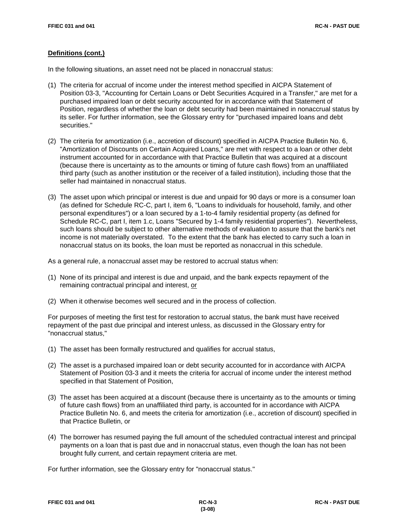## **Definitions (cont.)**

In the following situations, an asset need not be placed in nonaccrual status:

- (1) The criteria for accrual of income under the interest method specified in AICPA Statement of Position 03-3, "Accounting for Certain Loans or Debt Securities Acquired in a Transfer," are met for a purchased impaired loan or debt security accounted for in accordance with that Statement of Position, regardless of whether the loan or debt security had been maintained in nonaccrual status by its seller. For further information, see the Glossary entry for "purchased impaired loans and debt securities."
- (2) The criteria for amortization (i.e., accretion of discount) specified in AICPA Practice Bulletin No. 6, "Amortization of Discounts on Certain Acquired Loans," are met with respect to a loan or other debt instrument accounted for in accordance with that Practice Bulletin that was acquired at a discount (because there is uncertainty as to the amounts or timing of future cash flows) from an unaffiliated third party (such as another institution or the receiver of a failed institution), including those that the seller had maintained in nonaccrual status.
- (3) The asset upon which principal or interest is due and unpaid for 90 days or more is a consumer loan (as defined for Schedule RC-C, part I, item 6, "Loans to individuals for household, family, and other personal expenditures") or a loan secured by a 1-to-4 family residential property (as defined for Schedule RC-C, part I, item 1.c, Loans "Secured by 1-4 family residential properties"). Nevertheless, such loans should be subject to other alternative methods of evaluation to assure that the bank's net income is not materially overstated. To the extent that the bank has elected to carry such a loan in nonaccrual status on its books, the loan must be reported as nonaccrual in this schedule.

As a general rule, a nonaccrual asset may be restored to accrual status when:

- (1) None of its principal and interest is due and unpaid, and the bank expects repayment of the remaining contractual principal and interest, or
- (2) When it otherwise becomes well secured and in the process of collection.

For purposes of meeting the first test for restoration to accrual status, the bank must have received repayment of the past due principal and interest unless, as discussed in the Glossary entry for "nonaccrual status,"

- (1) The asset has been formally restructured and qualifies for accrual status,
- (2) The asset is a purchased impaired loan or debt security accounted for in accordance with AICPA Statement of Position 03-3 and it meets the criteria for accrual of income under the interest method specified in that Statement of Position,
- (3) The asset has been acquired at a discount (because there is uncertainty as to the amounts or timing of future cash flows) from an unaffiliated third party, is accounted for in accordance with AICPA Practice Bulletin No. 6, and meets the criteria for amortization (i.e., accretion of discount) specified in that Practice Bulletin, or
- (4) The borrower has resumed paying the full amount of the scheduled contractual interest and principal payments on a loan that is past due and in nonaccrual status, even though the loan has not been brought fully current, and certain repayment criteria are met.

For further information, see the Glossary entry for "nonaccrual status."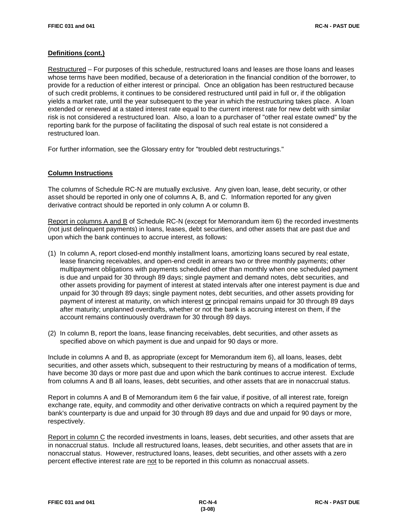## **Definitions (cont.)**

Restructured – For purposes of this schedule, restructured loans and leases are those loans and leases whose terms have been modified, because of a deterioration in the financial condition of the borrower, to provide for a reduction of either interest or principal. Once an obligation has been restructured because of such credit problems, it continues to be considered restructured until paid in full or, if the obligation yields a market rate, until the year subsequent to the year in which the restructuring takes place. A loan extended or renewed at a stated interest rate equal to the current interest rate for new debt with similar risk is not considered a restructured loan. Also, a loan to a purchaser of "other real estate owned" by the reporting bank for the purpose of facilitating the disposal of such real estate is not considered a restructured loan.

For further information, see the Glossary entry for "troubled debt restructurings."

## **Column Instructions**

The columns of Schedule RC-N are mutually exclusive. Any given loan, lease, debt security, or other asset should be reported in only one of columns A, B, and C. Information reported for any given derivative contract should be reported in only column A or column B.

Report in columns A and B of Schedule RC-N (except for Memorandum item 6) the recorded investments (not just delinquent payments) in loans, leases, debt securities, and other assets that are past due and upon which the bank continues to accrue interest, as follows:

- (1) In column A, report closed-end monthly installment loans, amortizing loans secured by real estate, lease financing receivables, and open-end credit in arrears two or three monthly payments; other multipayment obligations with payments scheduled other than monthly when one scheduled payment is due and unpaid for 30 through 89 days; single payment and demand notes, debt securities, and other assets providing for payment of interest at stated intervals after one interest payment is due and unpaid for 30 through 89 days; single payment notes, debt securities, and other assets providing for payment of interest at maturity, on which interest or principal remains unpaid for 30 through 89 days after maturity; unplanned overdrafts, whether or not the bank is accruing interest on them, if the account remains continuously overdrawn for 30 through 89 days.
- (2) In column B, report the loans, lease financing receivables, debt securities, and other assets as specified above on which payment is due and unpaid for 90 days or more.

Include in columns A and B, as appropriate (except for Memorandum item 6), all loans, leases, debt securities, and other assets which, subsequent to their restructuring by means of a modification of terms, have become 30 days or more past due and upon which the bank continues to accrue interest. Exclude from columns A and B all loans, leases, debt securities, and other assets that are in nonaccrual status.

Report in columns A and B of Memorandum item 6 the fair value, if positive, of all interest rate, foreign exchange rate, equity, and commodity and other derivative contracts on which a required payment by the bank's counterparty is due and unpaid for 30 through 89 days and due and unpaid for 90 days or more, respectively.

Report in column C the recorded investments in loans, leases, debt securities, and other assets that are in nonaccrual status. Include all restructured loans, leases, debt securities, and other assets that are in nonaccrual status. However, restructured loans, leases, debt securities, and other assets with a zero percent effective interest rate are not to be reported in this column as nonaccrual assets.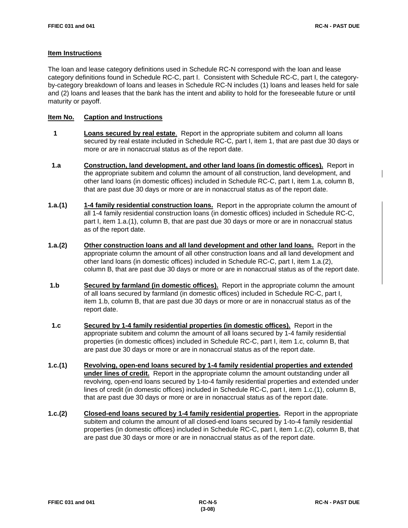## **Item Instructions**

The loan and lease category definitions used in Schedule RC-N correspond with the loan and lease category definitions found in Schedule RC-C, part I. Consistent with Schedule RC-C, part I, the categoryby-category breakdown of loans and leases in Schedule RC-N includes (1) loans and leases held for sale and (2) loans and leases that the bank has the intent and ability to hold for the foreseeable future or until maturity or payoff.

- **1 Loans secured by real estate**. Report in the appropriate subitem and column all loans secured by real estate included in Schedule RC-C, part I, item 1, that are past due 30 days or more or are in nonaccrual status as of the report date.
- **1.a Construction, land development, and other land loans (in domestic offices).** Report in the appropriate subitem and column the amount of all construction, land development, and other land loans (in domestic offices) included in Schedule RC-C, part I, item 1.a, column B, that are past due 30 days or more or are in nonaccrual status as of the report date.
- **1.a.(1) 1-4 family residential construction loans.** Report in the appropriate column the amount of all 1-4 family residential construction loans (in domestic offices) included in Schedule RC-C, part I, item 1.a.(1), column B, that are past due 30 days or more or are in nonaccrual status as of the report date.
- **1.a.(2) Other construction loans and all land development and other land loans.** Report in the appropriate column the amount of all other construction loans and all land development and other land loans (in domestic offices) included in Schedule RC-C, part I, item 1.a.(2), column B, that are past due 30 days or more or are in nonaccrual status as of the report date.
- **1.b** Secured by farmland (in domestic offices). Report in the appropriate column the amount of all loans secured by farmland (in domestic offices) included in Schedule RC-C, part I, item 1.b, column B, that are past due 30 days or more or are in nonaccrual status as of the report date.
- **1.c Secured by 1-4 family residential properties (in domestic offices).** Report in the appropriate subitem and column the amount of all loans secured by 1-4 family residential properties (in domestic offices) included in Schedule RC-C, part I, item 1.c, column B, that are past due 30 days or more or are in nonaccrual status as of the report date.
- **1.c.(1) Revolving, open-end loans secured by 1-4 family residential properties and extended under lines of credit.** Report in the appropriate column the amount outstanding under all revolving, open-end loans secured by 1-to-4 family residential properties and extended under lines of credit (in domestic offices) included in Schedule RC-C, part I, item 1.c.(1), column B, that are past due 30 days or more or are in nonaccrual status as of the report date.
- **1.c.(2) Closed-end loans secured by 1-4 family residential properties.** Report in the appropriate subitem and column the amount of all closed-end loans secured by 1-to-4 family residential properties (in domestic offices) included in Schedule RC-C, part I, item 1.c.(2), column B, that are past due 30 days or more or are in nonaccrual status as of the report date.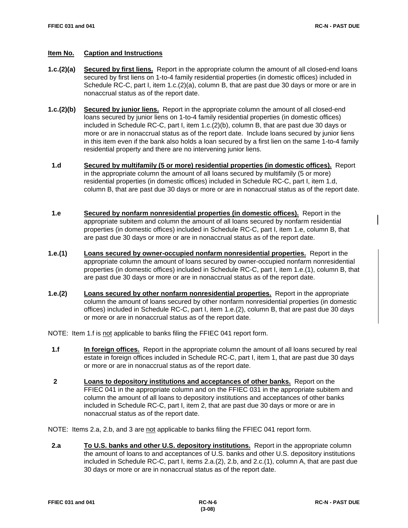- **1.c.(2)(a) Secured by first liens.** Report in the appropriate column the amount of all closed-end loans secured by first liens on 1-to-4 family residential properties (in domestic offices) included in Schedule RC-C, part I, item 1.c.(2)(a), column B, that are past due 30 days or more or are in nonaccrual status as of the report date.
- **1.c.(2)(b) Secured by junior liens.** Report in the appropriate column the amount of all closed-end loans secured by junior liens on 1-to-4 family residential properties (in domestic offices) included in Schedule RC-C, part I, item 1.c.(2)(b), column B, that are past due 30 days or more or are in nonaccrual status as of the report date. Include loans secured by junior liens in this item even if the bank also holds a loan secured by a first lien on the same 1-to-4 family residential property and there are no intervening junior liens.
- **1.d Secured by multifamily (5 or more) residential properties (in domestic offices).** Report in the appropriate column the amount of all loans secured by multifamily (5 or more) residential properties (in domestic offices) included in Schedule RC-C, part I, item 1.d, column B, that are past due 30 days or more or are in nonaccrual status as of the report date.
- **1.e Secured by nonfarm nonresidential properties (in domestic offices).** Report in the appropriate subitem and column the amount of all loans secured by nonfarm residential properties (in domestic offices) included in Schedule RC-C, part I, item 1.e, column B, that are past due 30 days or more or are in nonaccrual status as of the report date.
- **1.e.(1) Loans secured by owner-occupied nonfarm nonresidential properties.** Report in the appropriate column the amount of loans secured by owner-occupied nonfarm nonresidential properties (in domestic offices) included in Schedule RC-C, part I, item 1.e.(1), column B, that are past due 30 days or more or are in nonaccrual status as of the report date.
- **1.e.(2) Loans secured by other nonfarm nonresidential properties.** Report in the appropriate column the amount of loans secured by other nonfarm nonresidential properties (in domestic offices) included in Schedule RC-C, part I, item 1.e.(2), column B, that are past due 30 days or more or are in nonaccrual status as of the report date.
- NOTE: Item 1.f is not applicable to banks filing the FFIEC 041 report form.
- **1.f** In foreign offices. Report in the appropriate column the amount of all loans secured by real estate in foreign offices included in Schedule RC-C, part I, item 1, that are past due 30 days or more or are in nonaccrual status as of the report date.
- **2 Loans to depository institutions and acceptances of other banks.** Report on the FFIEC 041 in the appropriate column and on the FFIEC 031 in the appropriate subitem and column the amount of all loans to depository institutions and acceptances of other banks included in Schedule RC-C, part I, item 2, that are past due 30 days or more or are in nonaccrual status as of the report date.
- NOTE: Items 2.a, 2.b, and 3 are not applicable to banks filing the FFIEC 041 report form.
- **2.a To U.S. banks and other U.S. depository institutions.** Report in the appropriate column the amount of loans to and acceptances of U.S. banks and other U.S. depository institutions included in Schedule RC-C, part I, items 2.a.(2), 2.b, and 2.c.(1), column A, that are past due 30 days or more or are in nonaccrual status as of the report date.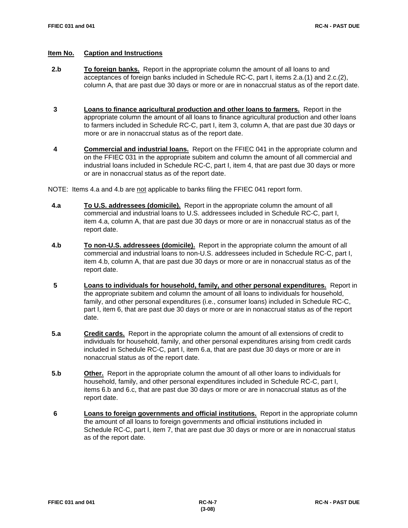- **2.b To foreign banks.** Report in the appropriate column the amount of all loans to and acceptances of foreign banks included in Schedule RC-C, part I, items 2.a.(1) and 2.c.(2), column A, that are past due 30 days or more or are in nonaccrual status as of the report date.
- **3 Loans to finance agricultural production and other loans to farmers.** Report in the appropriate column the amount of all loans to finance agricultural production and other loans to farmers included in Schedule RC-C, part I, item 3, column A, that are past due 30 days or more or are in nonaccrual status as of the report date.
- **4 Commercial and industrial loans.** Report on the FFIEC 041 in the appropriate column and on the FFIEC 031 in the appropriate subitem and column the amount of all commercial and industrial loans included in Schedule RC-C, part I, item 4, that are past due 30 days or more or are in nonaccrual status as of the report date.
- NOTE: Items 4.a and 4.b are not applicable to banks filing the FFIEC 041 report form.
- **4.a To U.S. addressees (domicile).** Report in the appropriate column the amount of all commercial and industrial loans to U.S. addressees included in Schedule RC-C, part I, item 4.a, column A, that are past due 30 days or more or are in nonaccrual status as of the report date.
- **4.b To non-U.S. addressees (domicile).** Report in the appropriate column the amount of all commercial and industrial loans to non-U.S. addressees included in Schedule RC-C, part I, item 4.b, column A, that are past due 30 days or more or are in nonaccrual status as of the report date.
- **5 Loans to individuals for household, family, and other personal expenditures.** Report in the appropriate subitem and column the amount of all loans to individuals for household, family, and other personal expenditures (i.e., consumer loans) included in Schedule RC-C, part I, item 6, that are past due 30 days or more or are in nonaccrual status as of the report date.
- **5.a Credit cards.** Report in the appropriate column the amount of all extensions of credit to individuals for household, family, and other personal expenditures arising from credit cards included in Schedule RC-C, part I, item 6.a, that are past due 30 days or more or are in nonaccrual status as of the report date.
- **5.b** Other. Report in the appropriate column the amount of all other loans to individuals for household, family, and other personal expenditures included in Schedule RC-C, part I, items 6.b and 6.c, that are past due 30 days or more or are in nonaccrual status as of the report date.
- **6 Loans to foreign governments and official institutions.** Report in the appropriate column the amount of all loans to foreign governments and official institutions included in Schedule RC-C, part I, item 7, that are past due 30 days or more or are in nonaccrual status as of the report date.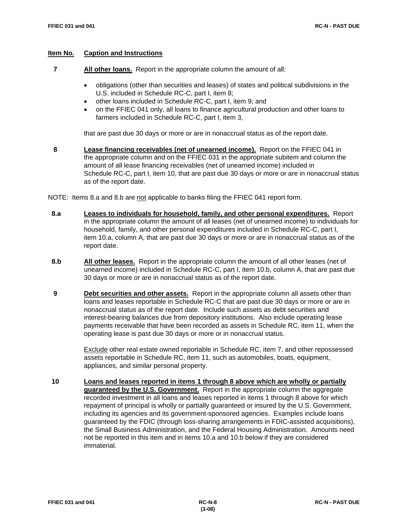- **7 All other loans.** Report in the appropriate column the amount of all:
	- obligations (other than securities and leases) of states and political subdivisions in the U.S. included in Schedule RC-C, part I, item 8;
	- other loans included in Schedule RC-C, part I, item 9; and
	- on the FFIEC 041 only, all loans to finance agricultural production and other loans to farmers included in Schedule RC-C, part I, item 3,

that are past due 30 days or more or are in nonaccrual status as of the report date.

 **8 Lease financing receivables (net of unearned income).** Report on the FFIEC 041 in the appropriate column and on the FFIEC 031 in the appropriate subitem and column the amount of all lease financing receivables (net of unearned income) included in Schedule RC-C, part I, item 10, that are past due 30 days or more or are in nonaccrual status as of the report date.

NOTE: Items 8.a and 8.b are not applicable to banks filing the FFIEC 041 report form.

- **8.a Leases to individuals for household, family, and other personal expenditures.** Report in the appropriate column the amount of all leases (net of unearned income) to individuals for household, family, and other personal expenditures included in Schedule RC-C, part I, item 10.a, column A, that are past due 30 days or more or are in nonaccrual status as of the report date.
- **8.b All other leases.** Report in the appropriate column the amount of all other leases (net of unearned income) included in Schedule RC-C, part I, item 10.b, column A, that are past due 30 days or more or are in nonaccrual status as of the report date.
- **9 Debt securities and other assets.** Report in the appropriate column all assets other than loans and leases reportable in Schedule RC-C that are past due 30 days or more or are in nonaccrual status as of the report date. Include such assets as debt securities and interest-bearing balances due from depository institutions. Also include operating lease payments receivable that have been recorded as assets in Schedule RC, item 11, when the operating lease is past due 30 days or more or in nonaccrual status.

 Exclude other real estate owned reportable in Schedule RC, item 7, and other repossessed assets reportable in Schedule RC, item 11, such as automobiles, boats, equipment, appliances, and similar personal property.

 **10 Loans and leases reported in items 1 through 8 above which are wholly or partially guaranteed by the U.S. Government.** Report in the appropriate column the aggregate recorded investment in all loans and leases reported in items 1 through 8 above for which repayment of principal is wholly or partially guaranteed or insured by the U.S. Government, including its agencies and its government-sponsored agencies. Examples include loans guaranteed by the FDIC (through loss-sharing arrangements in FDIC-assisted acquisitions), the Small Business Administration, and the Federal Housing Administration. Amounts need not be reported in this item and in items 10.a and 10.b below if they are considered immaterial.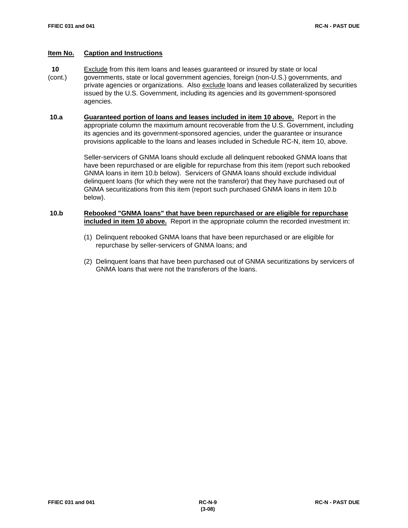- **10** Exclude from this item loans and leases guaranteed or insured by state or local
- (cont.) governments, state or local government agencies, foreign (non-U.S.) governments, and private agencies or organizations. Also exclude loans and leases collateralized by securities issued by the U.S. Government, including its agencies and its government-sponsored agencies.
- **10.a Guaranteed portion of loans and leases included in item 10 above.** Report in the appropriate column the maximum amount recoverable from the U.S. Government, including its agencies and its government-sponsored agencies, under the guarantee or insurance provisions applicable to the loans and leases included in Schedule RC-N, item 10, above.

Seller-servicers of GNMA loans should exclude all delinquent rebooked GNMA loans that have been repurchased or are eligible for repurchase from this item (report such rebooked GNMA loans in item 10.b below). Servicers of GNMA loans should exclude individual delinquent loans (for which they were not the transferor) that they have purchased out of GNMA securitizations from this item (report such purchased GNMA loans in item 10.b below).

## **10.b Rebooked "GNMA loans" that have been repurchased or are eligible for repurchase included in item 10 above.** Report in the appropriate column the recorded investment in:

- (1) Delinquent rebooked GNMA loans that have been repurchased or are eligible for repurchase by seller-servicers of GNMA loans; and
- (2) Delinquent loans that have been purchased out of GNMA securitizations by servicers of GNMA loans that were not the transferors of the loans.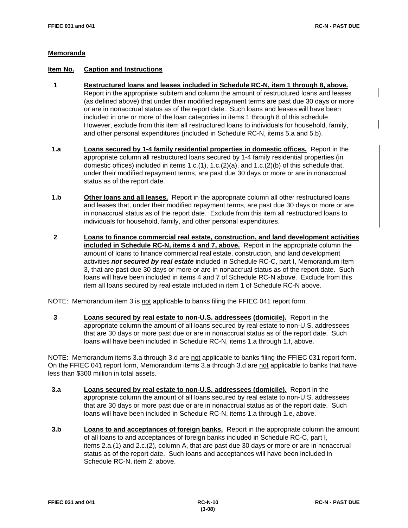## **Item No. Caption and Instructions**

- **1 Restructured loans and leases included in Schedule RC-N, item 1 through 8, above.** Report in the appropriate subitem and column the amount of restructured loans and leases (as defined above) that under their modified repayment terms are past due 30 days or more or are in nonaccrual status as of the report date. Such loans and leases will have been included in one or more of the loan categories in items 1 through 8 of this schedule. However, exclude from this item all restructured loans to individuals for household, family, and other personal expenditures (included in Schedule RC-N, items 5.a and 5.b).
- **1.a Loans secured by 1-4 family residential properties in domestic offices.** Report in the appropriate column all restructured loans secured by 1-4 family residential properties (in domestic offices) included in items 1.c.(1), 1.c.(2)(a), and 1.c.(2)(b) of this schedule that, under their modified repayment terms, are past due 30 days or more or are in nonaccrual status as of the report date.
- **1.b Other loans and all leases.** Report in the appropriate column all other restructured loans and leases that, under their modified repayment terms, are past due 30 days or more or are in nonaccrual status as of the report date. Exclude from this item all restructured loans to individuals for household, family, and other personal expenditures.
- **2 Loans to finance commercial real estate, construction, and land development activities included in Schedule RC-N, items 4 and 7, above.** Report in the appropriate column the amount of loans to finance commercial real estate, construction, and land development activities *not secured by real estate* included in Schedule RC-C, part I, Memorandum item 3, that are past due 30 days or more or are in nonaccrual status as of the report date. Such loans will have been included in items 4 and 7 of Schedule RC-N above. Exclude from this item all loans secured by real estate included in item 1 of Schedule RC-N above.
- NOTE: Memorandum item 3 is not applicable to banks filing the FFIEC 041 report form.
	- **3 Loans secured by real estate to non-U.S. addressees (domicile).** Report in the appropriate column the amount of all loans secured by real estate to non-U.S. addressees that are 30 days or more past due or are in nonaccrual status as of the report date. Such loans will have been included in Schedule RC-N, items 1.a through 1.f, above.

NOTE: Memorandum items 3.a through 3.d are not applicable to banks filing the FFIEC 031 report form. On the FFIEC 041 report form, Memorandum items 3.a through 3.d are not applicable to banks that have less than \$300 million in total assets.

- **3.a Loans secured by real estate to non-U.S. addressees (domicile).** Report in the appropriate column the amount of all loans secured by real estate to non-U.S. addressees that are 30 days or more past due or are in nonaccrual status as of the report date. Such loans will have been included in Schedule RC-N, items 1.a through 1.e, above.
- **3.b Loans to and acceptances of foreign banks.** Report in the appropriate column the amount of all loans to and acceptances of foreign banks included in Schedule RC-C, part I, items 2.a.(1) and 2.c.(2), column A, that are past due 30 days or more or are in nonaccrual status as of the report date. Such loans and acceptances will have been included in Schedule RC-N, item 2, above.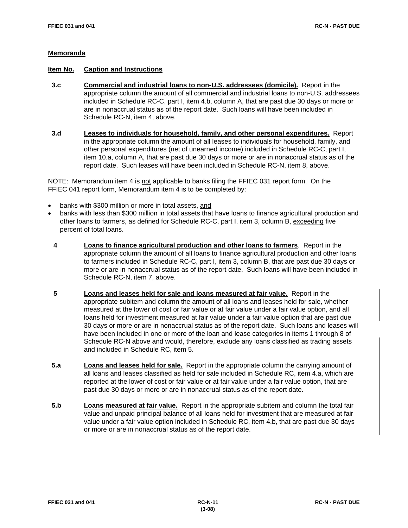#### **Item No. Caption and Instructions**

- **3.c Commercial and industrial loans to non-U.S. addressees (domicile).** Report in the appropriate column the amount of all commercial and industrial loans to non-U.S. addressees included in Schedule RC-C, part I, item 4.b, column A, that are past due 30 days or more or are in nonaccrual status as of the report date. Such loans will have been included in Schedule RC-N, item 4, above.
- **3.d Leases to individuals for household, family, and other personal expenditures.** Report in the appropriate column the amount of all leases to individuals for household, family, and other personal expenditures (net of unearned income) included in Schedule RC-C, part I, item 10.a, column A, that are past due 30 days or more or are in nonaccrual status as of the report date. Such leases will have been included in Schedule RC-N, item 8, above.

NOTE: Memorandum item 4 is not applicable to banks filing the FFIEC 031 report form. On the FFIEC 041 report form, Memorandum item 4 is to be completed by:

- banks with \$300 million or more in total assets, and
- banks with less than \$300 million in total assets that have loans to finance agricultural production and other loans to farmers, as defined for Schedule RC-C, part I, item 3, column B, exceeding five percent of total loans.
- **4 Loans to finance agricultural production and other loans to farmers**. Report in the appropriate column the amount of all loans to finance agricultural production and other loans to farmers included in Schedule RC-C, part I, item 3, column B, that are past due 30 days or more or are in nonaccrual status as of the report date. Such loans will have been included in Schedule RC-N, item 7, above.
- **5 Loans and leases held for sale and loans measured at fair value.** Report in the appropriate subitem and column the amount of all loans and leases held for sale, whether measured at the lower of cost or fair value or at fair value under a fair value option, and all loans held for investment measured at fair value under a fair value option that are past due 30 days or more or are in nonaccrual status as of the report date. Such loans and leases will have been included in one or more of the loan and lease categories in items 1 through 8 of Schedule RC-N above and would, therefore, exclude any loans classified as trading assets and included in Schedule RC, item 5.
- **5.a Loans and leases held for sale.** Report in the appropriate column the carrying amount of all loans and leases classified as held for sale included in Schedule RC, item 4.a, which are reported at the lower of cost or fair value or at fair value under a fair value option, that are past due 30 days or more or are in nonaccrual status as of the report date.
- **5.b Loans measured at fair value.** Report in the appropriate subitem and column the total fair value and unpaid principal balance of all loans held for investment that are measured at fair value under a fair value option included in Schedule RC, item 4.b, that are past due 30 days or more or are in nonaccrual status as of the report date.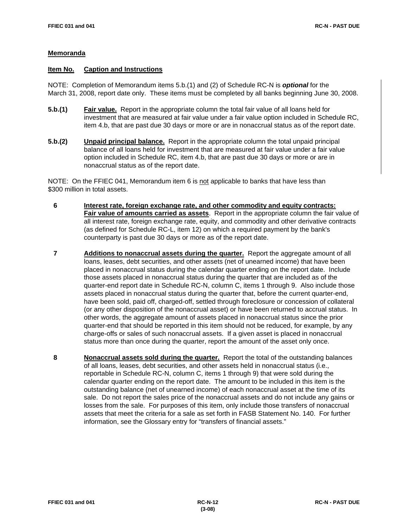#### **Item No. Caption and Instructions**

NOTE: Completion of Memorandum items 5.b.(1) and (2) of Schedule RC-N is *optional* for the March 31, 2008, report date only. These items must be completed by all banks beginning June 30, 2008.

- **5.b.(1) Fair value.** Report in the appropriate column the total fair value of all loans held for investment that are measured at fair value under a fair value option included in Schedule RC, item 4.b, that are past due 30 days or more or are in nonaccrual status as of the report date.
- **5.b.(2) Unpaid principal balance.** Report in the appropriate column the total unpaid principal balance of all loans held for investment that are measured at fair value under a fair value option included in Schedule RC, item 4.b, that are past due 30 days or more or are in nonaccrual status as of the report date.

NOTE: On the FFIEC 041, Memorandum item 6 is not applicable to banks that have less than \$300 million in total assets.

- **6 Interest rate, foreign exchange rate, and other commodity and equity contracts: Fair value of amounts carried as assets**. Report in the appropriate column the fair value of all interest rate, foreign exchange rate, equity, and commodity and other derivative contracts (as defined for Schedule RC-L, item 12) on which a required payment by the bank's counterparty is past due 30 days or more as of the report date.
- **7 Additions to nonaccrual assets during the quarter.** Report the aggregate amount of all loans, leases, debt securities, and other assets (net of unearned income) that have been placed in nonaccrual status during the calendar quarter ending on the report date. Include those assets placed in nonaccrual status during the quarter that are included as of the quarter-end report date in Schedule RC-N, column C, items 1 through 9. Also include those assets placed in nonaccrual status during the quarter that, before the current quarter-end, have been sold, paid off, charged-off, settled through foreclosure or concession of collateral (or any other disposition of the nonaccrual asset) or have been returned to accrual status. In other words, the aggregate amount of assets placed in nonaccrual status since the prior quarter-end that should be reported in this item should not be reduced, for example, by any charge-offs or sales of such nonaccrual assets. If a given asset is placed in nonaccrual status more than once during the quarter, report the amount of the asset only once.
- **8 Nonaccrual assets sold during the quarter.** Report the total of the outstanding balances of all loans, leases, debt securities, and other assets held in nonaccrual status (i.e., reportable in Schedule RC-N, column C, items 1 through 9) that were sold during the calendar quarter ending on the report date. The amount to be included in this item is the outstanding balance (net of unearned income) of each nonaccrual asset at the time of its sale. Do not report the sales price of the nonaccrual assets and do not include any gains or losses from the sale. For purposes of this item, only include those transfers of nonaccrual assets that meet the criteria for a sale as set forth in FASB Statement No. 140. For further information, see the Glossary entry for "transfers of financial assets."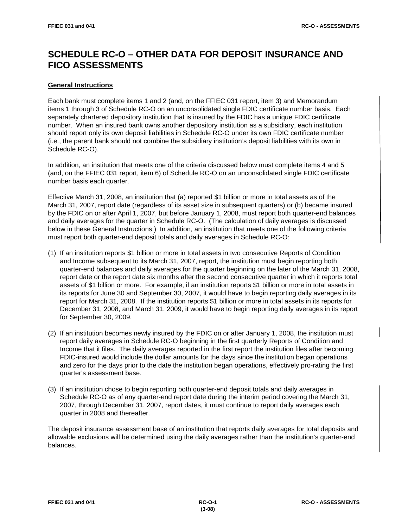# **SCHEDULE RC-O – OTHER DATA FOR DEPOSIT INSURANCE AND FICO ASSESSMENTS**

## **General Instructions**

Each bank must complete items 1 and 2 (and, on the FFIEC 031 report, item 3) and Memorandum items 1 through 3 of Schedule RC-O on an unconsolidated single FDIC certificate number basis. Each separately chartered depository institution that is insured by the FDIC has a unique FDIC certificate number. When an insured bank owns another depository institution as a subsidiary, each institution should report only its own deposit liabilities in Schedule RC-O under its own FDIC certificate number (i.e., the parent bank should not combine the subsidiary institution's deposit liabilities with its own in Schedule RC-O).

In addition, an institution that meets one of the criteria discussed below must complete items 4 and 5 (and, on the FFIEC 031 report, item 6) of Schedule RC-O on an unconsolidated single FDIC certificate number basis each quarter.

Effective March 31, 2008, an institution that (a) reported \$1 billion or more in total assets as of the March 31, 2007, report date (regardless of its asset size in subsequent quarters) or (b) became insured by the FDIC on or after April 1, 2007, but before January 1, 2008, must report both quarter-end balances and daily averages for the quarter in Schedule RC-O. (The calculation of daily averages is discussed below in these General Instructions.) In addition, an institution that meets one of the following criteria must report both quarter-end deposit totals and daily averages in Schedule RC-O:

- (1) If an institution reports \$1 billion or more in total assets in two consecutive Reports of Condition and Income subsequent to its March 31, 2007, report, the institution must begin reporting both quarter-end balances and daily averages for the quarter beginning on the later of the March 31, 2008, report date or the report date six months after the second consecutive quarter in which it reports total assets of \$1 billion or more. For example, if an institution reports \$1 billion or more in total assets in its reports for June 30 and September 30, 2007, it would have to begin reporting daily averages in its report for March 31, 2008. If the institution reports \$1 billion or more in total assets in its reports for December 31, 2008, and March 31, 2009, it would have to begin reporting daily averages in its report for September 30, 2009.
- (2) If an institution becomes newly insured by the FDIC on or after January 1, 2008, the institution must report daily averages in Schedule RC-O beginning in the first quarterly Reports of Condition and Income that it files. The daily averages reported in the first report the institution files after becoming FDIC-insured would include the dollar amounts for the days since the institution began operations and zero for the days prior to the date the institution began operations, effectively pro-rating the first quarter's assessment base.
- (3) If an institution chose to begin reporting both quarter-end deposit totals and daily averages in Schedule RC-O as of any quarter-end report date during the interim period covering the March 31, 2007, through December 31, 2007, report dates, it must continue to report daily averages each quarter in 2008 and thereafter.

The deposit insurance assessment base of an institution that reports daily averages for total deposits and allowable exclusions will be determined using the daily averages rather than the institution's quarter-end balances.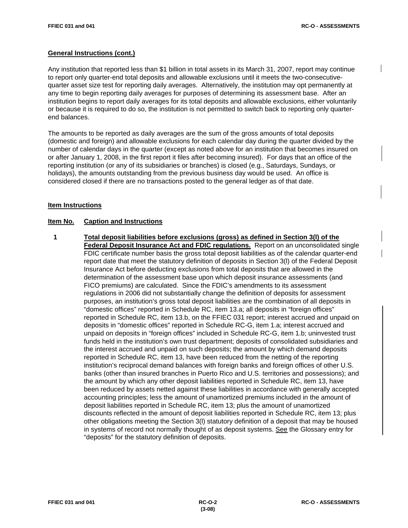## **General Instructions (cont.)**

Any institution that reported less than \$1 billion in total assets in its March 31, 2007, report may continue to report only quarter-end total deposits and allowable exclusions until it meets the two-consecutivequarter asset size test for reporting daily averages. Alternatively, the institution may opt permanently at any time to begin reporting daily averages for purposes of determining its assessment base. After an institution begins to report daily averages for its total deposits and allowable exclusions, either voluntarily or because it is required to do so, the institution is not permitted to switch back to reporting only quarterend balances.

The amounts to be reported as daily averages are the sum of the gross amounts of total deposits (domestic and foreign) and allowable exclusions for each calendar day during the quarter divided by the number of calendar days in the quarter (except as noted above for an institution that becomes insured on or after January 1, 2008, in the first report it files after becoming insured). For days that an office of the reporting institution (or any of its subsidiaries or branches) is closed (e.g., Saturdays, Sundays, or holidays), the amounts outstanding from the previous business day would be used. An office is considered closed if there are no transactions posted to the general ledger as of that date.

## **Item Instructions**

#### **Item No. Caption and Instructions**

 **1 Total deposit liabilities before exclusions (gross) as defined in Section 3(l) of the Federal Deposit Insurance Act and FDIC regulations.** Report on an unconsolidated single FDIC certificate number basis the gross total deposit liabilities as of the calendar quarter-end report date that meet the statutory definition of deposits in Section 3(l) of the Federal Deposit Insurance Act before deducting exclusions from total deposits that are allowed in the determination of the assessment base upon which deposit insurance assessments (and FICO premiums) are calculated. Since the FDIC's amendments to its assessment regulations in 2006 did not substantially change the definition of deposits for assessment purposes, an institution's gross total deposit liabilities are the combination of all deposits in "domestic offices" reported in Schedule RC, item 13.a; all deposits in "foreign offices" reported in Schedule RC, item 13.b, on the FFIEC 031 report; interest accrued and unpaid on deposits in "domestic offices" reported in Schedule RC-G, item 1.a; interest accrued and unpaid on deposits in "foreign offices" included in Schedule RC-G, item 1.b; uninvested trust funds held in the institution's own trust department; deposits of consolidated subsidiaries and the interest accrued and unpaid on such deposits; the amount by which demand deposits reported in Schedule RC, item 13, have been reduced from the netting of the reporting institution's reciprocal demand balances with foreign banks and foreign offices of other U.S. banks (other than insured branches in Puerto Rico and U.S. territories and possessions); and the amount by which any other deposit liabilities reported in Schedule RC, item 13, have been reduced by assets netted against these liabilities in accordance with generally accepted accounting principles; less the amount of unamortized premiums included in the amount of deposit liabilities reported in Schedule RC, item 13; plus the amount of unamortized discounts reflected in the amount of deposit liabilities reported in Schedule RC, item 13; plus other obligations meeting the Section 3(l) statutory definition of a deposit that may be housed in systems of record not normally thought of as deposit systems. See the Glossary entry for "deposits" for the statutory definition of deposits.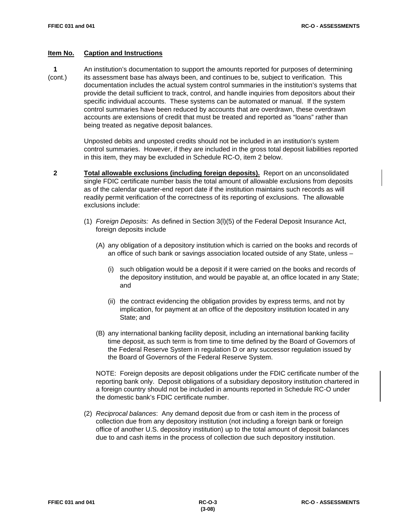**1** An institution's documentation to support the amounts reported for purposes of determining

(cont.) its assessment base has always been, and continues to be, subject to verification. This documentation includes the actual system control summaries in the institution's systems that provide the detail sufficient to track, control, and handle inquiries from depositors about their specific individual accounts. These systems can be automated or manual. If the system control summaries have been reduced by accounts that are overdrawn, these overdrawn accounts are extensions of credit that must be treated and reported as "loans" rather than being treated as negative deposit balances.

> Unposted debits and unposted credits should not be included in an institution's system control summaries. However, if they are included in the gross total deposit liabilities reported in this item, they may be excluded in Schedule RC-O, item 2 below.

- **2 Total allowable exclusions (including foreign deposits).** Report on an unconsolidated single FDIC certificate number basis the total amount of allowable exclusions from deposits as of the calendar quarter-end report date if the institution maintains such records as will readily permit verification of the correctness of its reporting of exclusions. The allowable exclusions include:
	- (1) *Foreign Deposits:* As defined in Section 3(l)(5) of the Federal Deposit Insurance Act, foreign deposits include
		- (A) any obligation of a depository institution which is carried on the books and records of an office of such bank or savings association located outside of any State, unless –
			- (i) such obligation would be a deposit if it were carried on the books and records of the depository institution, and would be payable at, an office located in any State; and
			- (ii) the contract evidencing the obligation provides by express terms, and not by implication, for payment at an office of the depository institution located in any State; and
		- (B) any international banking facility deposit, including an international banking facility time deposit, as such term is from time to time defined by the Board of Governors of the Federal Reserve System in regulation D or any successor regulation issued by the Board of Governors of the Federal Reserve System.

 NOTE: Foreign deposits are deposit obligations under the FDIC certificate number of the reporting bank only. Deposit obligations of a subsidiary depository institution chartered in a foreign country should not be included in amounts reported in Schedule RC-O under the domestic bank's FDIC certificate number.

(2) *Reciprocal balances*: Any demand deposit due from or cash item in the process of collection due from any depository institution (not including a foreign bank or foreign office of another U.S. depository institution) up to the total amount of deposit balances due to and cash items in the process of collection due such depository institution.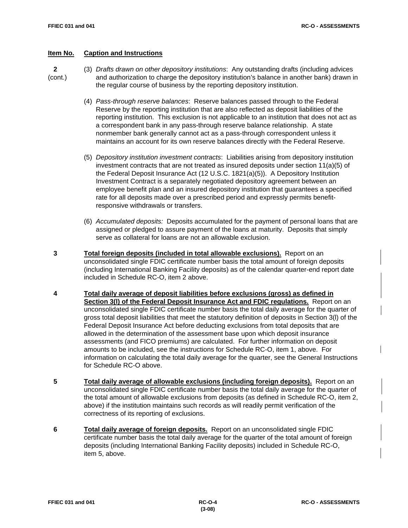- **2** (3) *Drafts drawn on other depository institutions*: Any outstanding drafts (including advices (cont.) and authorization to charge the depository institution's balance in another bank) drawn in the regular course of business by the reporting depository institution.
	- (4) *Pass-through reserve balances*: Reserve balances passed through to the Federal Reserve by the reporting institution that are also reflected as deposit liabilities of the reporting institution. This exclusion is not applicable to an institution that does not act as a correspondent bank in any pass-through reserve balance relationship. A state nonmember bank generally cannot act as a pass-through correspondent unless it maintains an account for its own reserve balances directly with the Federal Reserve.
	- (5) *Depository institution investment contracts*: Liabilities arising from depository institution investment contracts that are not treated as insured deposits under section 11(a)(5) of the Federal Deposit Insurance Act (12 U.S.C. 1821(a)(5)). A Depository Institution Investment Contract is a separately negotiated depository agreement between an employee benefit plan and an insured depository institution that guarantees a specified rate for all deposits made over a prescribed period and expressly permits benefitresponsive withdrawals or transfers.
	- (6) *Accumulated deposits:* Deposits accumulated for the payment of personal loans that are assigned or pledged to assure payment of the loans at maturity. Deposits that simply serve as collateral for loans are not an allowable exclusion.
	- **3 12 Total foreign deposits (included in total allowable exclusions).** Report on an unconsolidated single FDIC certificate number basis the total amount of foreign deposits (including International Banking Facility deposits) as of the calendar quarter-end report date included in Schedule RC-O, item 2 above.
	- **4 Total daily average of deposit liabilities before exclusions (gross) as defined in Section 3(l) of the Federal Deposit Insurance Act and FDIC regulations.** Report on an unconsolidated single FDIC certificate number basis the total daily average for the quarter of gross total deposit liabilities that meet the statutory definition of deposits in Section 3(l) of the Federal Deposit Insurance Act before deducting exclusions from total deposits that are allowed in the determination of the assessment base upon which deposit insurance assessments (and FICO premiums) are calculated. For further information on deposit amounts to be included, see the instructions for Schedule RC-O, item 1, above. For information on calculating the total daily average for the quarter, see the General Instructions for Schedule RC-O above.
	- **5 Total daily average of allowable exclusions (including foreign deposits).** Report on an unconsolidated single FDIC certificate number basis the total daily average for the quarter of the total amount of allowable exclusions from deposits (as defined in Schedule RC-O, item 2, above) if the institution maintains such records as will readily permit verification of the correctness of its reporting of exclusions.
	- **6 Total daily average of foreign deposits.** Report on an unconsolidated single FDIC certificate number basis the total daily average for the quarter of the total amount of foreign deposits (including International Banking Facility deposits) included in Schedule RC-O, item 5, above.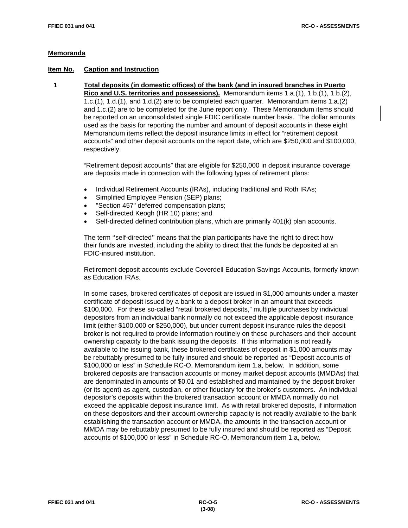## **Item No. Caption and Instruction**

 **1 Total deposits (in domestic offices) of the bank (and in insured branches in Puerto Rico and U.S. territories and possessions).** Memorandum items 1.a.(1), 1.b.(1), 1.b.(2), 1.c.(1), 1.d.(1), and 1.d.(2) are to be completed each quarter. Memorandum items 1.a.(2) and 1.c.(2) are to be completed for the June report only. These Memorandum items should be reported on an unconsolidated single FDIC certificate number basis. The dollar amounts used as the basis for reporting the number and amount of deposit accounts in these eight Memorandum items reflect the deposit insurance limits in effect for "retirement deposit accounts" and other deposit accounts on the report date, which are \$250,000 and \$100,000, respectively.

> "Retirement deposit accounts" that are eligible for \$250,000 in deposit insurance coverage are deposits made in connection with the following types of retirement plans:

- Individual Retirement Accounts (IRAs), including traditional and Roth IRAs;
- Simplified Employee Pension (SEP) plans;
- "Section 457" deferred compensation plans;
- Self-directed Keogh (HR 10) plans; and
- Self-directed defined contribution plans, which are primarily 401(k) plan accounts.

The term "self-directed" means that the plan participants have the right to direct how their funds are invested, including the ability to direct that the funds be deposited at an FDIC-insured institution.

Retirement deposit accounts exclude Coverdell Education Savings Accounts, formerly known as Education IRAs.

In some cases, brokered certificates of deposit are issued in \$1,000 amounts under a master certificate of deposit issued by a bank to a deposit broker in an amount that exceeds \$100,000. For these so-called "retail brokered deposits," multiple purchases by individual depositors from an individual bank normally do not exceed the applicable deposit insurance limit (either \$100,000 or \$250,000), but under current deposit insurance rules the deposit broker is not required to provide information routinely on these purchasers and their account ownership capacity to the bank issuing the deposits. If this information is not readily available to the issuing bank, these brokered certificates of deposit in \$1,000 amounts may be rebuttably presumed to be fully insured and should be reported as "Deposit accounts of \$100,000 or less" in Schedule RC-O, Memorandum item 1.a, below. In addition, some brokered deposits are transaction accounts or money market deposit accounts (MMDAs) that are denominated in amounts of \$0.01 and established and maintained by the deposit broker (or its agent) as agent, custodian, or other fiduciary for the broker's customers. An individual depositor's deposits within the brokered transaction account or MMDA normally do not exceed the applicable deposit insurance limit. As with retail brokered deposits, if information on these depositors and their account ownership capacity is not readily available to the bank establishing the transaction account or MMDA, the amounts in the transaction account or MMDA may be rebuttably presumed to be fully insured and should be reported as "Deposit accounts of \$100,000 or less" in Schedule RC-O, Memorandum item 1.a, below.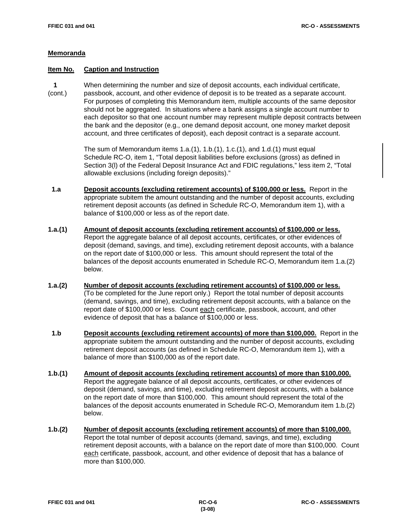## **Item No. Caption and Instruction**

- **1** When determining the number and size of deposit accounts, each individual certificate,
- (cont.) passbook, account, and other evidence of deposit is to be treated as a separate account. For purposes of completing this Memorandum item, multiple accounts of the same depositor should not be aggregated. In situations where a bank assigns a single account number to each depositor so that one account number may represent multiple deposit contracts between the bank and the depositor (e.g., one demand deposit account, one money market deposit account, and three certificates of deposit), each deposit contract is a separate account.

The sum of Memorandum items  $1.a.(1), 1.b.(1), 1.c.(1),$  and  $1.d.(1)$  must equal Schedule RC-O, item 1, "Total deposit liabilities before exclusions (gross) as defined in Section 3(l) of the Federal Deposit Insurance Act and FDIC regulations," less item 2, "Total allowable exclusions (including foreign deposits)."

- **1.a Deposit accounts (excluding retirement accounts) of \$100,000 or less.** Report in the appropriate subitem the amount outstanding and the number of deposit accounts, excluding retirement deposit accounts (as defined in Schedule RC-O, Memorandum item 1), with a balance of \$100,000 or less as of the report date.
- **1.a.(1) Amount of deposit accounts (excluding retirement accounts) of \$100,000 or less.** Report the aggregate balance of all deposit accounts, certificates, or other evidences of deposit (demand, savings, and time), excluding retirement deposit accounts, with a balance on the report date of \$100,000 or less. This amount should represent the total of the balances of the deposit accounts enumerated in Schedule RC-O, Memorandum item 1.a.(2) below.
- **1.a.(2) Number of deposit accounts (excluding retirement accounts) of \$100,000 or less.** (To be completed for the June report only.) Report the total number of deposit accounts (demand, savings, and time), excluding retirement deposit accounts, with a balance on the report date of \$100,000 or less. Count each certificate, passbook, account, and other evidence of deposit that has a balance of \$100,000 or less.
- **1.b Deposit accounts (excluding retirement accounts) of more than \$100,000.** Report in the appropriate subitem the amount outstanding and the number of deposit accounts, excluding retirement deposit accounts (as defined in Schedule RC-O, Memorandum item 1), with a balance of more than \$100,000 as of the report date.
- **1.b.(1) Amount of deposit accounts (excluding retirement accounts) of more than \$100,000.** Report the aggregate balance of all deposit accounts, certificates, or other evidences of deposit (demand, savings, and time), excluding retirement deposit accounts, with a balance on the report date of more than \$100,000. This amount should represent the total of the balances of the deposit accounts enumerated in Schedule RC-O, Memorandum item 1.b.(2) below.
- **1.b.(2) Number of deposit accounts (excluding retirement accounts) of more than \$100,000.** Report the total number of deposit accounts (demand, savings, and time), excluding retirement deposit accounts, with a balance on the report date of more than \$100,000. Count each certificate, passbook, account, and other evidence of deposit that has a balance of more than \$100,000.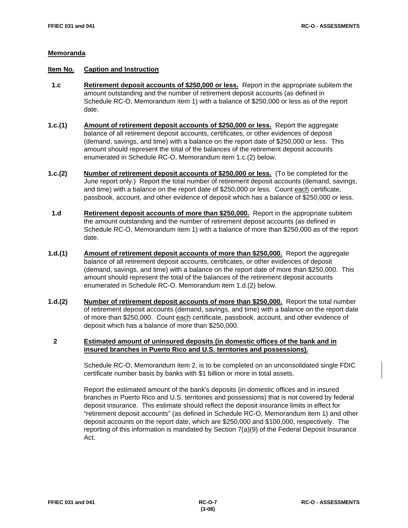## **Item No. Caption and Instruction**

- **1.c** Retirement deposit accounts of \$250,000 or less. Report in the appropriate subitem the amount outstanding and the number of retirement deposit accounts (as defined in Schedule RC-O, Memorandum item 1) with a balance of \$250,000 or less as of the report date.
- **1.c.(1) Amount of retirement deposit accounts of \$250,000 or less.** Report the aggregate balance of all retirement deposit accounts, certificates, or other evidences of deposit (demand, savings, and time) with a balance on the report date of \$250,000 or less. This amount should represent the total of the balances of the retirement deposit accounts enumerated in Schedule RC-O, Memorandum item 1.c.(2) below.
- **1.c.(2) Number of retirement deposit accounts of \$250,000 or less.** (To be completed for the June report only.) Report the total number of retirement deposit accounts (demand, savings, and time) with a balance on the report date of \$250,000 or less. Count each certificate, passbook, account, and other evidence of deposit which has a balance of \$250,000 or less.
- **1.d Retirement deposit accounts of more than \$250,000.** Report in the appropriate subitem the amount outstanding and the number of retirement deposit accounts (as defined in Schedule RC-O, Memorandum item 1) with a balance of more than \$250,000 as of the report date.
- **1.d.(1) Amount of retirement deposit accounts of more than \$250,000.** Report the aggregate balance of all retirement deposit accounts, certificates, or other evidences of deposit (demand, savings, and time) with a balance on the report date of more than \$250,000. This amount should represent the total of the balances of the retirement deposit accounts enumerated in Schedule RC-O. Memorandum item 1.d.(2) below.
- **1.d.(2) Number of retirement deposit accounts of more than \$250,000.** Report the total number of retirement deposit accounts (demand, savings, and time) with a balance on the report date of more than \$250,000. Count each certificate, passbook, account, and other evidence of deposit which has a balance of more than \$250,000.

## **2 Estimated amount of uninsured deposits (in domestic offices of the bank and in insured branches in Puerto Rico and U.S. territories and possessions).**

Schedule RC-O, Memorandum item 2, is to be completed on an unconsolidated single FDIC certificate number basis by banks with \$1 billion or more in total assets.

Report the estimated amount of the bank's deposits (in domestic offices and in insured branches in Puerto Rico and U.S. territories and possessions) that is not covered by federal deposit insurance. This estimate should reflect the deposit insurance limits in effect for "retirement deposit accounts" (as defined in Schedule RC-O, Memorandum item 1) and other deposit accounts on the report date, which are \$250,000 and \$100,000, respectively. The reporting of this information is mandated by Section 7(a)(9) of the Federal Deposit Insurance Act.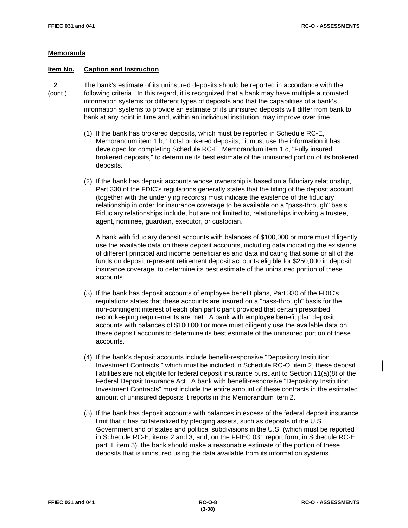#### **Item No. Caption and Instruction**

- **2** The bank's estimate of its uninsured deposits should be reported in accordance with the (cont.) following criteria. In this regard, it is recognized that a bank may have multiple automated information systems for different types of deposits and that the capabilities of a bank's information systems to provide an estimate of its uninsured deposits will differ from bank to bank at any point in time and, within an individual institution, may improve over time.
	- (1) If the bank has brokered deposits, which must be reported in Schedule RC-E, Memorandum item 1.b, "Total brokered deposits," it must use the information it has developed for completing Schedule RC-E, Memorandum item 1.c, "Fully insured brokered deposits," to determine its best estimate of the uninsured portion of its brokered deposits.
	- (2) If the bank has deposit accounts whose ownership is based on a fiduciary relationship, Part 330 of the FDIC's regulations generally states that the titling of the deposit account (together with the underlying records) must indicate the existence of the fiduciary relationship in order for insurance coverage to be available on a "pass-through" basis. Fiduciary relationships include, but are not limited to, relationships involving a trustee, agent, nominee, guardian, executor, or custodian.

 A bank with fiduciary deposit accounts with balances of \$100,000 or more must diligently use the available data on these deposit accounts, including data indicating the existence of different principal and income beneficiaries and data indicating that some or all of the funds on deposit represent retirement deposit accounts eligible for \$250,000 in deposit insurance coverage, to determine its best estimate of the uninsured portion of these accounts.

- (3) If the bank has deposit accounts of employee benefit plans, Part 330 of the FDIC's regulations states that these accounts are insured on a "pass-through" basis for the non-contingent interest of each plan participant provided that certain prescribed recordkeeping requirements are met. A bank with employee benefit plan deposit accounts with balances of \$100,000 or more must diligently use the available data on these deposit accounts to determine its best estimate of the uninsured portion of these accounts.
- (4) If the bank's deposit accounts include benefit-responsive "Depository Institution Investment Contracts," which must be included in Schedule RC-O, item 2, these deposit liabilities are not eligible for federal deposit insurance pursuant to Section 11(a)(8) of the Federal Deposit Insurance Act. A bank with benefit-responsive "Depository Institution Investment Contracts" must include the entire amount of these contracts in the estimated amount of uninsured deposits it reports in this Memorandum item 2.
- (5) If the bank has deposit accounts with balances in excess of the federal deposit insurance limit that it has collateralized by pledging assets, such as deposits of the U.S. Government and of states and political subdivisions in the U.S. (which must be reported in Schedule RC-E, items 2 and 3, and, on the FFIEC 031 report form, in Schedule RC-E, part II, item 5), the bank should make a reasonable estimate of the portion of these deposits that is uninsured using the data available from its information systems.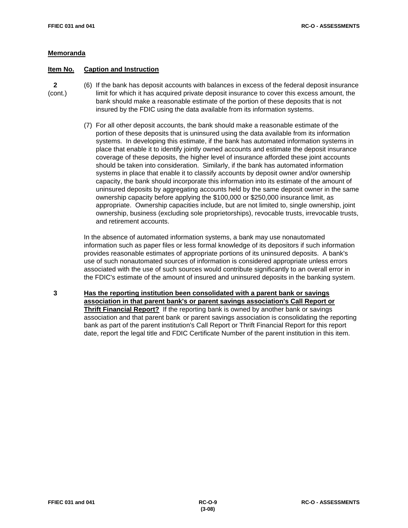## **Item No. Caption and Instruction**

- **2** (6) If the bank has deposit accounts with balances in excess of the federal deposit insurance (cont.) limit for which it has acquired private deposit insurance to cover this excess amount, the bank should make a reasonable estimate of the portion of these deposits that is not insured by the FDIC using the data available from its information systems.
	- (7) For all other deposit accounts, the bank should make a reasonable estimate of the portion of these deposits that is uninsured using the data available from its information systems. In developing this estimate, if the bank has automated information systems in place that enable it to identify jointly owned accounts and estimate the deposit insurance coverage of these deposits, the higher level of insurance afforded these joint accounts should be taken into consideration. Similarly, if the bank has automated information systems in place that enable it to classify accounts by deposit owner and/or ownership capacity, the bank should incorporate this information into its estimate of the amount of uninsured deposits by aggregating accounts held by the same deposit owner in the same ownership capacity before applying the \$100,000 or \$250,000 insurance limit, as appropriate. Ownership capacities include, but are not limited to, single ownership, joint ownership, business (excluding sole proprietorships), revocable trusts, irrevocable trusts, and retirement accounts.

In the absence of automated information systems, a bank may use nonautomated information such as paper files or less formal knowledge of its depositors if such information provides reasonable estimates of appropriate portions of its uninsured deposits. A bank's use of such nonautomated sources of information is considered appropriate unless errors associated with the use of such sources would contribute significantly to an overall error in the FDIC's estimate of the amount of insured and uninsured deposits in the banking system.

 **3 Has the reporting institution been consolidated with a parent bank or savings association in that parent bank's or parent savings association's Call Report or Thrift Financial Report?** If the reporting bank is owned by another bank or savings association and that parent bank or parent savings association is consolidating the reporting bank as part of the parent institution's Call Report or Thrift Financial Report for this report date, report the legal title and FDIC Certificate Number of the parent institution in this item.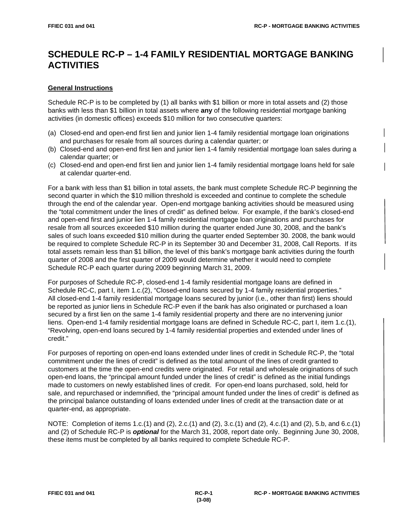# **SCHEDULE RC-P – 1-4 FAMILY RESIDENTIAL MORTGAGE BANKING ACTIVITIES**

# **General Instructions**

Schedule RC-P is to be completed by (1) all banks with \$1 billion or more in total assets and (2) those banks with less than \$1 billion in total assets where **any** of the following residential mortgage banking activities (in domestic offices) exceeds \$10 million for two consecutive quarters:

- (a) Closed-end and open-end first lien and junior lien 1-4 family residential mortgage loan originations and purchases for resale from all sources during a calendar quarter; or
- (b) Closed-end and open-end first lien and junior lien 1-4 family residential mortgage loan sales during a calendar quarter; or
- (c) Closed-end and open-end first lien and junior lien 1-4 family residential mortgage loans held for sale at calendar quarter-end.

For a bank with less than \$1 billion in total assets, the bank must complete Schedule RC-P beginning the second quarter in which the \$10 million threshold is exceeded and continue to complete the schedule through the end of the calendar year. Open-end mortgage banking activities should be measured using the "total commitment under the lines of credit" as defined below. For example, if the bank's closed-end and open-end first and junior lien 1-4 family residential mortgage loan originations and purchases for resale from all sources exceeded \$10 million during the quarter ended June 30, 2008, and the bank's sales of such loans exceeded \$10 million during the quarter ended September 30. 2008, the bank would be required to complete Schedule RC-P in its September 30 and December 31, 2008, Call Reports. If its total assets remain less than \$1 billion, the level of this bank's mortgage bank activities during the fourth quarter of 2008 and the first quarter of 2009 would determine whether it would need to complete Schedule RC-P each quarter during 2009 beginning March 31, 2009.

For purposes of Schedule RC-P, closed-end 1-4 family residential mortgage loans are defined in Schedule RC-C, part I, item 1.c.(2), "Closed-end loans secured by 1-4 family residential properties." All closed-end 1-4 family residential mortgage loans secured by junior (i.e., other than first) liens should be reported as junior liens in Schedule RC-P even if the bank has also originated or purchased a loan secured by a first lien on the same 1-4 family residential property and there are no intervening junior liens. Open-end 1-4 family residential mortgage loans are defined in Schedule RC-C, part I, item 1.c.(1), "Revolving, open-end loans secured by 1-4 family residential properties and extended under lines of credit."

For purposes of reporting on open-end loans extended under lines of credit in Schedule RC-P, the "total commitment under the lines of credit" is defined as the total amount of the lines of credit granted to customers at the time the open-end credits were originated. For retail and wholesale originations of such open-end loans, the "principal amount funded under the lines of credit" is defined as the initial fundings made to customers on newly established lines of credit. For open-end loans purchased, sold, held for sale, and repurchased or indemnified, the "principal amount funded under the lines of credit" is defined as the principal balance outstanding of loans extended under lines of credit at the transaction date or at quarter-end, as appropriate.

NOTE: Completion of items 1.c.(1) and (2), 2.c.(1) and (2), 3.c.(1) and (2), 4.c.(1) and (2), 5.b, and 6.c.(1) and (2) of Schedule RC-P is *optional* for the March 31, 2008, report date only. Beginning June 30, 2008, these items must be completed by all banks required to complete Schedule RC-P.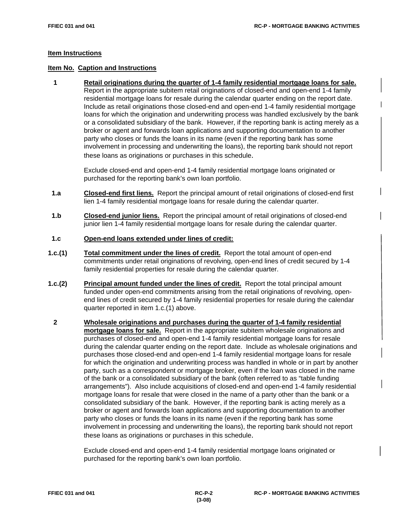## **Item Instructions**

## **Item No. Caption and Instructions**

 **1 Retail originations during the quarter of 1-4 family residential mortgage loans for sale.** Report in the appropriate subitem retail originations of closed-end and open-end 1-4 family residential mortgage loans for resale during the calendar quarter ending on the report date. Include as retail originations those closed-end and open-end 1-4 family residential mortgage loans for which the origination and underwriting process was handled exclusively by the bank or a consolidated subsidiary of the bank. However, if the reporting bank is acting merely as a broker or agent and forwards loan applications and supporting documentation to another party who closes or funds the loans in its name (even if the reporting bank has some involvement in processing and underwriting the loans), the reporting bank should not report these loans as originations or purchases in this schedule.

Exclude closed-end and open-end 1-4 family residential mortgage loans originated or purchased for the reporting bank's own loan portfolio.

- **1.a Closed-end first liens.** Report the principal amount of retail originations of closed-end first lien 1-4 family residential mortgage loans for resale during the calendar quarter.
- **1.b Closed-end junior liens.** Report the principal amount of retail originations of closed-end junior lien 1-4 family residential mortgage loans for resale during the calendar quarter.

## **1.c Open-end loans extended under lines of credit:**

- **1.c.(1) Total commitment under the lines of credit.** Report the total amount of open-end commitments under retail originations of revolving, open-end lines of credit secured by 1-4 family residential properties for resale during the calendar quarter.
- **1.c.(2) Principal amount funded under the lines of credit.** Report the total principal amount funded under open-end commitments arising from the retail originations of revolving, openend lines of credit secured by 1-4 family residential properties for resale during the calendar quarter reported in item 1.c.(1) above.
	- **2 Wholesale originations and purchases during the quarter of 1-4 family residential mortgage loans for sale.** Report in the appropriate subitem wholesale originations and purchases of closed-end and open-end 1-4 family residential mortgage loans for resale during the calendar quarter ending on the report date. Include as wholesale originations and purchases those closed-end and open-end 1-4 family residential mortgage loans for resale for which the origination and underwriting process was handled in whole or in part by another party, such as a correspondent or mortgage broker, even if the loan was closed in the name of the bank or a consolidated subsidiary of the bank (often referred to as "table funding arrangements"). Also include acquisitions of closed-end and open-end 1-4 family residential mortgage loans for resale that were closed in the name of a party other than the bank or a consolidated subsidiary of the bank. However, if the reporting bank is acting merely as a broker or agent and forwards loan applications and supporting documentation to another party who closes or funds the loans in its name (even if the reporting bank has some involvement in processing and underwriting the loans), the reporting bank should not report these loans as originations or purchases in this schedule.

Exclude closed-end and open-end 1-4 family residential mortgage loans originated or purchased for the reporting bank's own loan portfolio.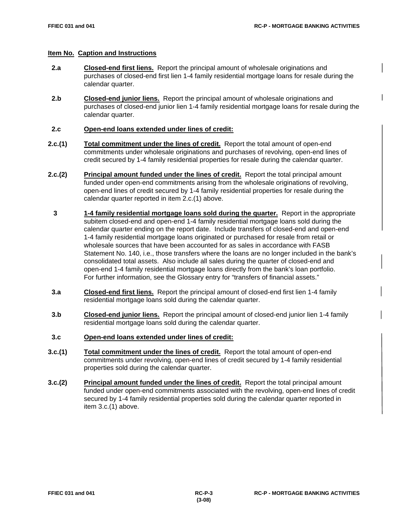- **2.a Closed-end first liens.** Report the principal amount of wholesale originations and purchases of closed-end first lien 1-4 family residential mortgage loans for resale during the calendar quarter.
- **2.b Closed-end junior liens.** Report the principal amount of wholesale originations and purchases of closed-end junior lien 1-4 family residential mortgage loans for resale during the calendar quarter.

#### **2.c Open-end loans extended under lines of credit:**

- **2.c.(1) Total commitment under the lines of credit.** Report the total amount of open-end commitments under wholesale originations and purchases of revolving, open-end lines of credit secured by 1-4 family residential properties for resale during the calendar quarter.
- **2.c.(2) Principal amount funded under the lines of credit.** Report the total principal amount funded under open-end commitments arising from the wholesale originations of revolving, open-end lines of credit secured by 1-4 family residential properties for resale during the calendar quarter reported in item 2.c.(1) above.
	- **3 1-4 family residential mortgage loans sold during the quarter.** Report in the appropriate subitem closed-end and open-end 1-4 family residential mortgage loans sold during the calendar quarter ending on the report date. Include transfers of closed-end and open-end 1-4 family residential mortgage loans originated or purchased for resale from retail or wholesale sources that have been accounted for as sales in accordance with FASB Statement No. 140, i.e., those transfers where the loans are no longer included in the bank's consolidated total assets. Also include all sales during the quarter of closed-end and open-end 1-4 family residential mortgage loans directly from the bank's loan portfolio. For further information, see the Glossary entry for "transfers of financial assets."
- **3.a Closed-end first liens.** Report the principal amount of closed-end first lien 1-4 family residential mortgage loans sold during the calendar quarter.
- **3.b Closed-end junior liens.** Report the principal amount of closed-end junior lien 1-4 family residential mortgage loans sold during the calendar quarter.
- **3.c Open-end loans extended under lines of credit:**
- **3.c.(1) Total commitment under the lines of credit.** Report the total amount of open-end commitments under revolving, open-end lines of credit secured by 1-4 family residential properties sold during the calendar quarter.
- **3.c.(2) Principal amount funded under the lines of credit.** Report the total principal amount funded under open-end commitments associated with the revolving, open-end lines of credit secured by 1-4 family residential properties sold during the calendar quarter reported in item 3.c.(1) above.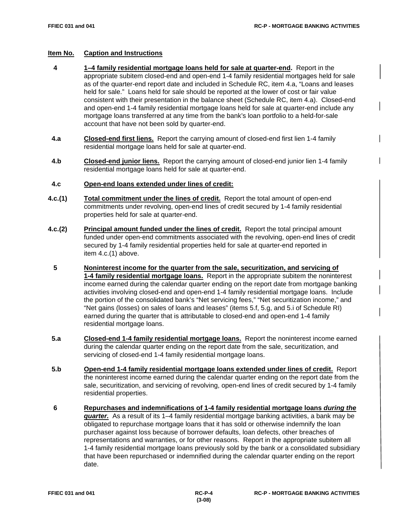- **4 1–4 family residential mortgage loans held for sale at quarter-end.** Report in the appropriate subitem closed-end and open-end 1-4 family residential mortgages held for sale as of the quarter-end report date and included in Schedule RC, item 4.a, "Loans and leases held for sale." Loans held for sale should be reported at the lower of cost or fair value consistent with their presentation in the balance sheet (Schedule RC, item 4.a). Closed-end and open-end 1-4 family residential mortgage loans held for sale at quarter-end include any mortgage loans transferred at any time from the bank's loan portfolio to a held-for-sale account that have not been sold by quarter-end.
- **4.a Closed-end first liens.** Report the carrying amount of closed-end first lien 1-4 family residential mortgage loans held for sale at quarter-end.
- **4.b Closed-end junior liens.** Report the carrying amount of closed-end junior lien 1-4 family residential mortgage loans held for sale at quarter-end.

#### **4.c Open-end loans extended under lines of credit:**

- **4.c.(1) Total commitment under the lines of credit.** Report the total amount of open-end commitments under revolving, open-end lines of credit secured by 1-4 family residential properties held for sale at quarter-end.
- **4.c.(2) Principal amount funded under the lines of credit.** Report the total principal amount funded under open-end commitments associated with the revolving, open-end lines of credit secured by 1-4 family residential properties held for sale at quarter-end reported in item 4.c.(1) above.
	- **5 Noninterest income for the quarter from the sale, securitization, and servicing of 1-4 family residential mortgage loans.** Report in the appropriate subitem the noninterest income earned during the calendar quarter ending on the report date from mortgage banking activities involving closed-end and open-end 1-4 family residential mortgage loans. Include the portion of the consolidated bank's "Net servicing fees," "Net securitization income," and "Net gains (losses) on sales of loans and leases" (items 5.f, 5.g, and 5.i of Schedule RI) earned during the quarter that is attributable to closed-end and open-end 1-4 family residential mortgage loans.
- **5.a Closed-end 1-4 family residential mortgage loans.** Report the noninterest income earned during the calendar quarter ending on the report date from the sale, securitization, and servicing of closed-end 1-4 family residential mortgage loans.
- **5.b Open-end 1-4 family residential mortgage loans extended under lines of credit.** Report the noninterest income earned during the calendar quarter ending on the report date from the sale, securitization, and servicing of revolving, open-end lines of credit secured by 1-4 family residential properties.
- **6 Repurchases and indemnifications of 1-4 family residential mortgage loans** *during the quarter.* As a result of its 1–4 family residential mortgage banking activities, a bank may be obligated to repurchase mortgage loans that it has sold or otherwise indemnify the loan purchaser against loss because of borrower defaults, loan defects, other breaches of representations and warranties, or for other reasons. Report in the appropriate subitem all 1-4 family residential mortgage loans previously sold by the bank or a consolidated subsidiary that have been repurchased or indemnified during the calendar quarter ending on the report date.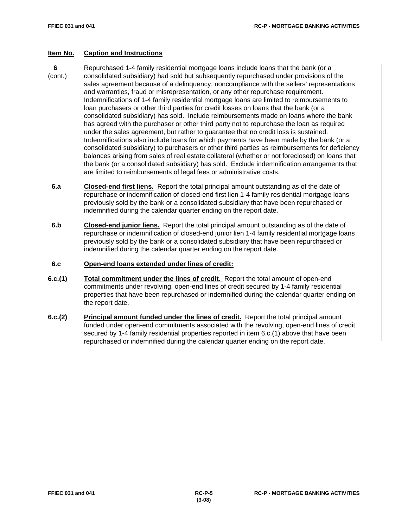**6** Repurchased 1-4 family residential mortgage loans include loans that the bank (or a (cont.) consolidated subsidiary) had sold but subsequently repurchased under provisions of the sales agreement because of a delinquency, noncompliance with the sellers' representations and warranties, fraud or misrepresentation, or any other repurchase requirement. Indemnifications of 1-4 family residential mortgage loans are limited to reimbursements to loan purchasers or other third parties for credit losses on loans that the bank (or a consolidated subsidiary) has sold. Include reimbursements made on loans where the bank has agreed with the purchaser or other third party not to repurchase the loan as required under the sales agreement, but rather to guarantee that no credit loss is sustained. Indemnifications also include loans for which payments have been made by the bank (or a consolidated subsidiary) to purchasers or other third parties as reimbursements for deficiency balances arising from sales of real estate collateral (whether or not foreclosed) on loans that the bank (or a consolidated subsidiary) has sold. Exclude indemnification arrangements that are limited to reimbursements of legal fees or administrative costs.

- **6.a Closed-end first liens.** Report the total principal amount outstanding as of the date of repurchase or indemnification of closed-end first lien 1-4 family residential mortgage loans previously sold by the bank or a consolidated subsidiary that have been repurchased or indemnified during the calendar quarter ending on the report date.
- **6.b Closed-end junior liens.** Report the total principal amount outstanding as of the date of repurchase or indemnification of closed-end junior lien 1-4 family residential mortgage loans previously sold by the bank or a consolidated subsidiary that have been repurchased or indemnified during the calendar quarter ending on the report date.

#### **6.c Open-end loans extended under lines of credit:**

- **6.c.(1) Total commitment under the lines of credit.** Report the total amount of open-end commitments under revolving, open-end lines of credit secured by 1-4 family residential properties that have been repurchased or indemnified during the calendar quarter ending on the report date.
- **6.c.(2) Principal amount funded under the lines of credit.** Report the total principal amount funded under open-end commitments associated with the revolving, open-end lines of credit secured by 1-4 family residential properties reported in item 6.c.(1) above that have been repurchased or indemnified during the calendar quarter ending on the report date.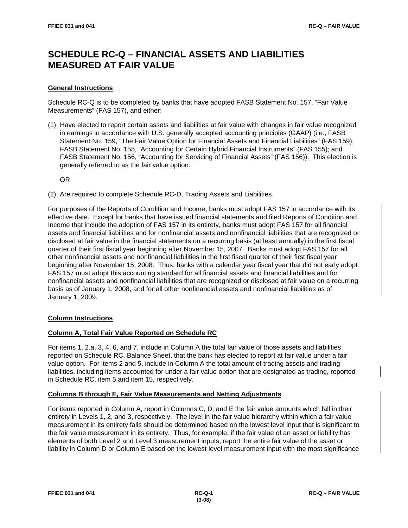# **SCHEDULE RC-Q – FINANCIAL ASSETS AND LIABILITIES MEASURED AT FAIR VALUE**

## **General Instructions**

Schedule RC-Q is to be completed by banks that have adopted FASB Statement No. 157, "Fair Value Measurements" (FAS 157), and either:

(1) Have elected to report certain assets and liabilities at fair value with changes in fair value recognized in earnings in accordance with U.S. generally accepted accounting principles (GAAP) (i.e., FASB Statement No. 159, "The Fair Value Option for Financial Assets and Financial Liabilities" (FAS 159); FASB Statement No. 155, "Accounting for Certain Hybrid Financial Instruments" (FAS 155); and FASB Statement No. 156, "Accounting for Servicing of Financial Assets" (FAS 156)). This election is generally referred to as the fair value option.

OR

(2) Are required to complete Schedule RC-D, Trading Assets and Liabilities.

For purposes of the Reports of Condition and Income, banks must adopt FAS 157 in accordance with its effective date. Except for banks that have issued financial statements and filed Reports of Condition and Income that include the adoption of FAS 157 in its entirety, banks must adopt FAS 157 for all financial assets and financial liabilities and for nonfinancial assets and nonfinancial liabilities that are recognized or disclosed at fair value in the financial statements on a recurring basis (at least annually) in the first fiscal quarter of their first fiscal year beginning after November 15, 2007. Banks must adopt FAS 157 for all other nonfinancial assets and nonfinancial liabilities in the first fiscal quarter of their first fiscal year beginning after November 15, 2008. Thus, banks with a calendar year fiscal year that did not early adopt FAS 157 must adopt this accounting standard for all financial assets and financial liabilities and for nonfinancial assets and nonfinancial liabilities that are recognized or disclosed at fair value on a recurring basis as of January 1, 2008, and for all other nonfinancial assets and nonfinancial liabilities as of January 1, 2009.

## **Column Instructions**

## **Column A, Total Fair Value Reported on Schedule RC**

For items 1, 2.a, 3, 4, 6, and 7, include in Column A the total fair value of those assets and liabilities reported on Schedule RC, Balance Sheet, that the bank has elected to report at fair value under a fair value option. For items 2 and 5, include in Column A the total amount of trading assets and trading liabilities, including items accounted for under a fair value option that are designated as trading, reported in Schedule RC, item 5 and item 15, respectively.

#### **Columns B through E, Fair Value Measurements and Netting Adjustments**

For items reported in Column A, report in Columns C, D, and E the fair value amounts which fall in their entirety in Levels 1, 2, and 3, respectively. The level in the fair value hierarchy within which a fair value measurement in its entirety falls should be determined based on the lowest level input that is significant to the fair value measurement in its entirety. Thus, for example, if the fair value of an asset or liability has elements of both Level 2 and Level 3 measurement inputs, report the entire fair value of the asset or liability in Column D or Column E based on the lowest level measurement input with the most significance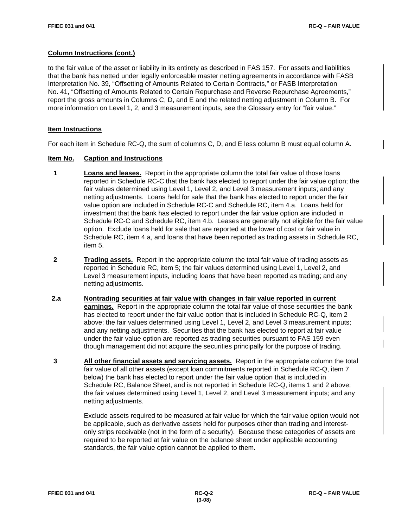# **Column Instructions (cont.)**

to the fair value of the asset or liability in its entirety as described in FAS 157. For assets and liabilities that the bank has netted under legally enforceable master netting agreements in accordance with FASB Interpretation No. 39, "Offsetting of Amounts Related to Certain Contracts," or FASB Interpretation No. 41, "Offsetting of Amounts Related to Certain Repurchase and Reverse Repurchase Agreements," report the gross amounts in Columns C, D, and E and the related netting adjustment in Column B. For more information on Level 1, 2, and 3 measurement inputs, see the Glossary entry for "fair value."

## **Item Instructions**

For each item in Schedule RC-Q, the sum of columns C, D, and E less column B must equal column A.

# **Item No. Caption and Instructions**

- **1 1 Loans and leases.** Report in the appropriate column the total fair value of those loans reported in Schedule RC-C that the bank has elected to report under the fair value option; the fair values determined using Level 1, Level 2, and Level 3 measurement inputs; and any netting adjustments. Loans held for sale that the bank has elected to report under the fair value option are included in Schedule RC-C and Schedule RC, item 4.a. Loans held for investment that the bank has elected to report under the fair value option are included in Schedule RC-C and Schedule RC, item 4.b. Leases are generally not eligible for the fair value option. Exclude loans held for sale that are reported at the lower of cost or fair value in Schedule RC, item 4.a, and loans that have been reported as trading assets in Schedule RC, item 5.
- **2 1 Trading assets.** Report in the appropriate column the total fair value of trading assets as reported in Schedule RC, item 5; the fair values determined using Level 1, Level 2, and Level 3 measurement inputs, including loans that have been reported as trading; and any netting adjustments.
- **2.a Nontrading securities at fair value with changes in fair value reported in current earnings.** Report in the appropriate column the total fair value of those securities the bank has elected to report under the fair value option that is included in Schedule RC-Q, item 2 above; the fair values determined using Level 1, Level 2, and Level 3 measurement inputs; and any netting adjustments. Securities that the bank has elected to report at fair value under the fair value option are reported as trading securities pursuant to FAS 159 even though management did not acquire the securities principally for the purpose of trading.
- **3 All other financial assets and servicing assets.** Report in the appropriate column the total fair value of all other assets (except loan commitments reported in Schedule RC-Q, item 7 below) the bank has elected to report under the fair value option that is included in Schedule RC, Balance Sheet, and is not reported in Schedule RC-Q, items 1 and 2 above; the fair values determined using Level 1, Level 2, and Level 3 measurement inputs; and any netting adjustments.

Exclude assets required to be measured at fair value for which the fair value option would not be applicable, such as derivative assets held for purposes other than trading and interestonly strips receivable (not in the form of a security). Because these categories of assets are required to be reported at fair value on the balance sheet under applicable accounting standards, the fair value option cannot be applied to them.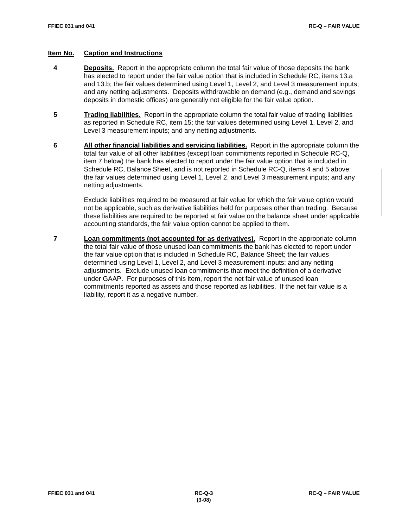- **4 Deposits.** Report in the appropriate column the total fair value of those deposits the bank has elected to report under the fair value option that is included in Schedule RC, items 13.a and 13.b; the fair values determined using Level 1, Level 2, and Level 3 measurement inputs; and any netting adjustments. Deposits withdrawable on demand (e.g., demand and savings deposits in domestic offices) are generally not eligible for the fair value option.
- **5 15 Trading liabilities.** Report in the appropriate column the total fair value of trading liabilities as reported in Schedule RC, item 15; the fair values determined using Level 1, Level 2, and Level 3 measurement inputs; and any netting adjustments.
- **6 All other financial liabilities and servicing liabilities.** Report in the appropriate column the total fair value of all other liabilities (except loan commitments reported in Schedule RC-Q, item 7 below) the bank has elected to report under the fair value option that is included in Schedule RC, Balance Sheet, and is not reported in Schedule RC-Q, items 4 and 5 above; the fair values determined using Level 1, Level 2, and Level 3 measurement inputs; and any netting adjustments.

Exclude liabilities required to be measured at fair value for which the fair value option would not be applicable, such as derivative liabilities held for purposes other than trading. Because these liabilities are required to be reported at fair value on the balance sheet under applicable accounting standards, the fair value option cannot be applied to them.

**7 Loan commitments (not accounted for as derivatives).** Report in the appropriate column the total fair value of those unused loan commitments the bank has elected to report under the fair value option that is included in Schedule RC, Balance Sheet; the fair values determined using Level 1, Level 2, and Level 3 measurement inputs; and any netting adjustments. Exclude unused loan commitments that meet the definition of a derivative under GAAP. For purposes of this item, report the net fair value of unused loan commitments reported as assets and those reported as liabilities. If the net fair value is a liability, report it as a negative number.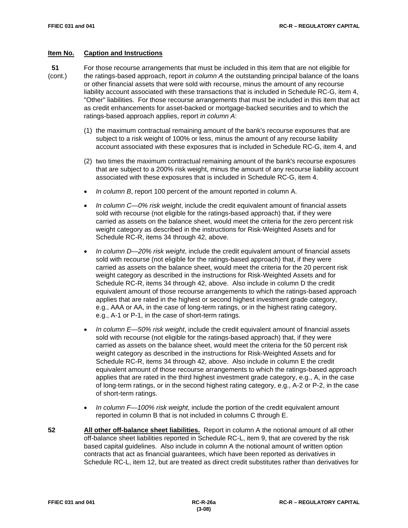**51** For those recourse arrangements that must be included in this item that are not eligible for (cont.) the ratings-based approach, report *in column A* the outstanding principal balance of the loans or other financial assets that were sold with recourse, minus the amount of any recourse liability account associated with these transactions that is included in Schedule RC-G, item 4, "Other" liabilities. For those recourse arrangements that must be included in this item that act as credit enhancements for asset-backed or mortgage-backed securities and to which the ratings-based approach applies, report *in column A*:

- (1) the maximum contractual remaining amount of the bank's recourse exposures that are subject to a risk weight of 100% or less, minus the amount of any recourse liability account associated with these exposures that is included in Schedule RC-G, item 4, and
- (2) two times the maximum contractual remaining amount of the bank's recourse exposures that are subject to a 200% risk weight, minus the amount of any recourse liability account associated with these exposures that is included in Schedule RC-G, item 4.
- *In column B*, report 100 percent of the amount reported in column A.
- *In column C—0% risk weight*, include the credit equivalent amount of financial assets sold with recourse (not eligible for the ratings-based approach) that, if they were carried as assets on the balance sheet, would meet the criteria for the zero percent risk weight category as described in the instructions for Risk-Weighted Assets and for Schedule RC-R, items 34 through 42, above.
- *In column D—20% risk weight*, include the credit equivalent amount of financial assets sold with recourse (not eligible for the ratings-based approach) that, if they were carried as assets on the balance sheet, would meet the criteria for the 20 percent risk weight category as described in the instructions for Risk-Weighted Assets and for Schedule RC-R, items 34 through 42, above. Also include in column D the credit equivalent amount of those recourse arrangements to which the ratings-based approach applies that are rated in the highest or second highest investment grade category, e.g., AAA or AA, in the case of long-term ratings, or in the highest rating category, e.g., A-1 or P-1, in the case of short-term ratings.
- *In column E—50% risk weight*, include the credit equivalent amount of financial assets sold with recourse (not eligible for the ratings-based approach) that, if they were carried as assets on the balance sheet, would meet the criteria for the 50 percent risk weight category as described in the instructions for Risk-Weighted Assets and for Schedule RC-R, items 34 through 42, above. Also include in column E the credit equivalent amount of those recourse arrangements to which the ratings-based approach applies that are rated in the third highest investment grade category, e.g., A, in the case of long-term ratings, or in the second highest rating category, e.g., A-2 or P-2, in the case of short-term ratings.
- *In column F—100% risk weight*, include the portion of the credit equivalent amount reported in column B that is not included in columns C through E.
- **52 All other off-balance sheet liabilities.** Report in column A the notional amount of all other off-balance sheet liabilities reported in Schedule RC-L, item 9, that are covered by the risk based capital guidelines. Also include in column A the notional amount of written option contracts that act as financial guarantees, which have been reported as derivatives in Schedule RC-L, item 12, but are treated as direct credit substitutes rather than derivatives for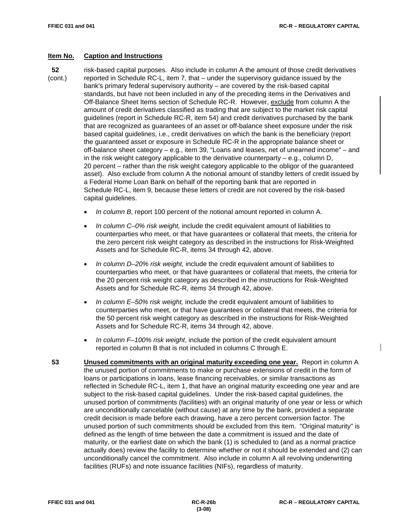**52** risk-based capital purposes. Also include in column A the amount of those credit derivatives (cont.) reported in Schedule RC-L, item 7, that – under the supervisory guidance issued by the bank's primary federal supervisory authority – are covered by the risk-based capital standards, but have not been included in any of the preceding items in the Derivatives and Off-Balance Sheet Items section of Schedule RC-R. However, exclude from column A the amount of credit derivatives classified as trading that are subject to the market risk capital guidelines (report in Schedule RC-R, item 54) and credit derivatives purchased by the bank that are recognized as guarantees of an asset or off-balance sheet exposure under the risk based capital guidelines, i.e., credit derivatives on which the bank is the beneficiary (report the guaranteed asset or exposure in Schedule RC-R in the appropriate balance sheet or off-balance sheet category – e.g., item 39, "Loans and leases, net of unearned income" – and in the risk weight category applicable to the derivative counterparty – e.g., column D, 20 percent – rather than the risk weight category applicable to the obligor of the guaranteed asset). Also exclude from column A the notional amount of standby letters of credit issued by a Federal Home Loan Bank on behalf of the reporting bank that are reported in Schedule RC-L, item 9, because these letters of credit are not covered by the risk-based capital guidelines.

- In column B, report 100 percent of the notional amount reported in column A.
- *In column C–0% risk weight,* include the credit equivalent amount of liabilities to counterparties who meet, or that have guarantees or collateral that meets, the criteria for the zero percent risk weight category as described in the instructions for Risk-Weighted Assets and for Schedule RC-R, items 34 through 42, above.
- *In column D–20% risk weight,* include the credit equivalent amount of liabilities to counterparties who meet, or that have guarantees or collateral that meets, the criteria for the 20 percent risk weight category as described in the instructions for Risk-Weighted Assets and for Schedule RC-R, items 34 through 42, above.
- *In column E–50% risk weight,* include the credit equivalent amount of liabilities to counterparties who meet, or that have guarantees or collateral that meets, the criteria for the 50 percent risk weight category as described in the instructions for Risk-Weighted Assets and for Schedule RC-R, items 34 through 42, above.
- *In column F–100% risk weight*, include the portion of the credit equivalent amount reported in column B that is not included in columns C through E.
- **53 Unused commitments with an original maturity exceeding one year.** Report in column A the unused portion of commitments to make or purchase extensions of credit in the form of loans or participations in loans, lease financing receivables, or similar transactions as reflected in Schedule RC-L, item 1, that have an original maturity exceeding one year and are subject to the risk-based capital guidelines. Under the risk-based capital guidelines, the unused portion of commitments (facilities) with an original maturity of one year or less or which are unconditionally cancelable (without cause) at any time by the bank, provided a separate credit decision is made before each drawing, have a zero percent conversion factor. The unused portion of such commitments should be excluded from this item. "Original maturity" is defined as the length of time between the date a commitment is issued and the date of maturity, or the earliest date on which the bank (1) is scheduled to (and as a normal practice actually does) review the facility to determine whether or not it should be extended and (2) can unconditionally cancel the commitment. Also include in column A all revolving underwriting facilities (RUFs) and note issuance facilities (NIFs), regardless of maturity.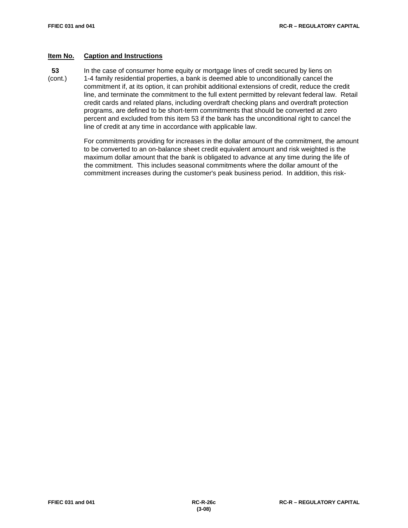**53** In the case of consumer home equity or mortgage lines of credit secured by liens on (cont.) 1-4 family residential properties, a bank is deemed able to unconditionally cancel the commitment if, at its option, it can prohibit additional extensions of credit, reduce the credit line, and terminate the commitment to the full extent permitted by relevant federal law. Retail credit cards and related plans, including overdraft checking plans and overdraft protection programs, are defined to be short-term commitments that should be converted at zero percent and excluded from this item 53 if the bank has the unconditional right to cancel the line of credit at any time in accordance with applicable law.

> For commitments providing for increases in the dollar amount of the commitment, the amount to be converted to an on-balance sheet credit equivalent amount and risk weighted is the maximum dollar amount that the bank is obligated to advance at any time during the life of the commitment. This includes seasonal commitments where the dollar amount of the commitment increases during the customer's peak business period. In addition, this risk-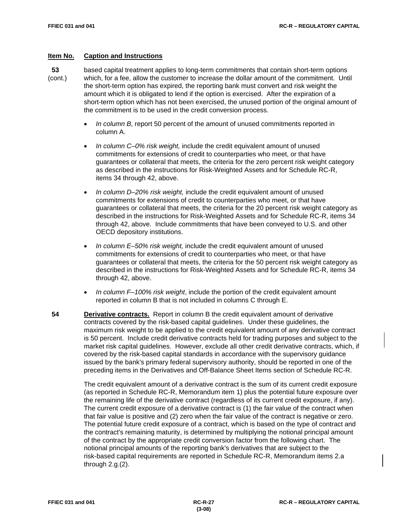**53** based capital treatment applies to long-term commitments that contain short-term options (cont.) which, for a fee, allow the customer to increase the dollar amount of the commitment. Until the short-term option has expired, the reporting bank must convert and risk weight the amount which it is obligated to lend if the option is exercised. After the expiration of a short-term option which has not been exercised, the unused portion of the original amount of the commitment is to be used in the credit conversion process.

- *In column B*, report 50 percent of the amount of unused commitments reported in column A.
- *In column C–0% risk weight,* include the credit equivalent amount of unused commitments for extensions of credit to counterparties who meet, or that have guarantees or collateral that meets, the criteria for the zero percent risk weight category as described in the instructions for Risk-Weighted Assets and for Schedule RC-R, items 34 through 42, above.
- *In column D–20% risk weight,* include the credit equivalent amount of unused commitments for extensions of credit to counterparties who meet, or that have guarantees or collateral that meets, the criteria for the 20 percent risk weight category as described in the instructions for Risk-Weighted Assets and for Schedule RC-R, items 34 through 42, above. Include commitments that have been conveyed to U.S. and other OECD depository institutions.
- *In column E–50% risk weight,* include the credit equivalent amount of unused commitments for extensions of credit to counterparties who meet, or that have guarantees or collateral that meets, the criteria for the 50 percent risk weight category as described in the instructions for Risk-Weighted Assets and for Schedule RC-R, items 34 through 42, above.
- *In column F–100% risk weight*, include the portion of the credit equivalent amount reported in column B that is not included in columns C through E.
- **54 Derivative contracts.** Report in column B the credit equivalent amount of derivative contracts covered by the risk-based capital guidelines. Under these guidelines, the maximum risk weight to be applied to the credit equivalent amount of any derivative contract is 50 percent. Include credit derivative contracts held for trading purposes and subject to the market risk capital guidelines. However, exclude all other credit derivative contracts, which, if covered by the risk-based capital standards in accordance with the supervisory guidance issued by the bank's primary federal supervisory authority, should be reported in one of the preceding items in the Derivatives and Off-Balance Sheet Items section of Schedule RC-R.

The credit equivalent amount of a derivative contract is the sum of its current credit exposure (as reported in Schedule RC-R, Memorandum item 1) plus the potential future exposure over the remaining life of the derivative contract (regardless of its current credit exposure, if any). The current credit exposure of a derivative contract is (1) the fair value of the contract when that fair value is positive and (2) zero when the fair value of the contract is negative or zero. The potential future credit exposure of a contract, which is based on the type of contract and the contract's remaining maturity, is determined by multiplying the notional principal amount of the contract by the appropriate credit conversion factor from the following chart. The notional principal amounts of the reporting bank's derivatives that are subject to the risk-based capital requirements are reported in Schedule RC-R, Memorandum items 2.a through 2.g.(2).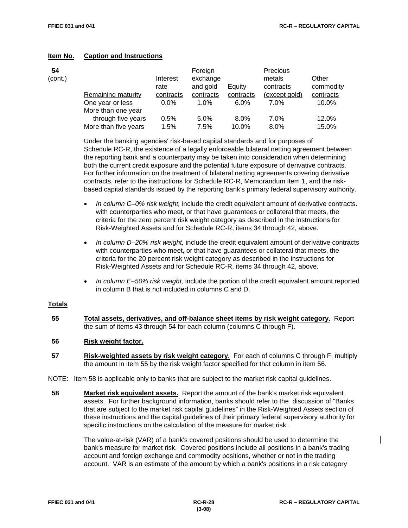| 54<br>(cont.) |                      | Interest<br>rate | Foreign<br>exchange<br>and gold | Equity    | Precious<br>metals<br>contracts | Other<br>commodity |
|---------------|----------------------|------------------|---------------------------------|-----------|---------------------------------|--------------------|
|               | Remaining maturity   | contracts        | contracts                       | contracts | (except gold)                   | contracts          |
|               | One year or less     | $0.0\%$          | 1.0%                            | 6.0%      | $7.0\%$                         | 10.0%              |
|               | More than one year   |                  |                                 |           |                                 |                    |
|               | through five years   | 0.5%             | 5.0%                            | $8.0\%$   | $7.0\%$                         | 12.0%              |
|               | More than five years | 1.5%             | 7.5%                            | 10.0%     | 8.0%                            | 15.0%              |

Under the banking agencies' risk-based capital standards and for purposes of Schedule RC-R, the existence of a legally enforceable bilateral netting agreement between the reporting bank and a counterparty may be taken into consideration when determining both the current credit exposure and the potential future exposure of derivative contracts. For further information on the treatment of bilateral netting agreements covering derivative contracts, refer to the instructions for Schedule RC-R, Memorandum item 1, and the riskbased capital standards issued by the reporting bank's primary federal supervisory authority.

- *In column C–0% risk weight,* include the credit equivalent amount of derivative contracts. with counterparties who meet, or that have guarantees or collateral that meets, the criteria for the zero percent risk weight category as described in the instructions for Risk-Weighted Assets and for Schedule RC-R, items 34 through 42, above.
- *In column D–20% risk weight,* include the credit equivalent amount of derivative contracts with counterparties who meet, or that have guarantees or collateral that meets, the criteria for the 20 percent risk weight category as described in the instructions for Risk-Weighted Assets and for Schedule RC-R, items 34 through 42, above.
- *In column E–50% risk weight,* include the portion of the credit equivalent amount reported in column B that is not included in columns C and D.

# **Totals**

 **55 Total assets, derivatives, and off-balance sheet items by risk weight category.** Report the sum of items 43 through 54 for each column (columns C through F).

# **56 Risk weight factor.**

- **57 Risk-weighted assets by risk weight category.** For each of columns C through F, multiply the amount in item 55 by the risk weight factor specified for that column in item 56.
- NOTE: Item 58 is applicable only to banks that are subject to the market risk capital guidelines.
- **58 Market risk equivalent assets.** Report the amount of the bank's market risk equivalent assets. For further background information, banks should refer to the discussion of "Banks that are subject to the market risk capital guidelines" in the Risk-Weighted Assets section of these instructions and the capital guidelines of their primary federal supervisory authority for specific instructions on the calculation of the measure for market risk.

The value-at-risk (VAR) of a bank's covered positions should be used to determine the bank's measure for market risk. Covered positions include all positions in a bank's trading account and foreign exchange and commodity positions, whether or not in the trading account. VAR is an estimate of the amount by which a bank's positions in a risk category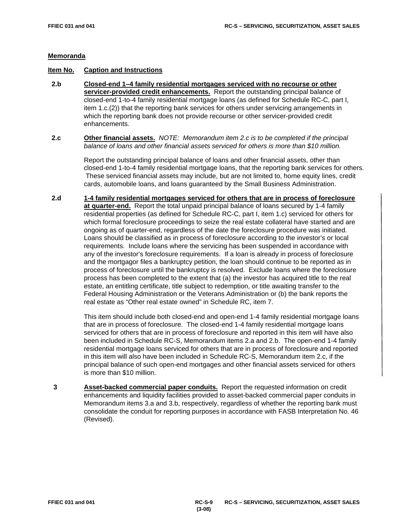# **Memoranda**

### **Item No. Caption and Instructions**

- **2.b Closed-end 1–4 family residential mortgages serviced with no recourse or other servicer-provided credit enhancements.** Report the outstanding principal balance of closed-end 1-to-4 family residential mortgage loans (as defined for Schedule RC-C, part I, item 1.c.(2)) that the reporting bank services for others under servicing arrangements in which the reporting bank does not provide recourse or other servicer-provided credit enhancements.
- **2.c Other financial assets.** *NOTE: Memorandum item 2.c is to be completed if the principal balance of loans and other financial assets serviced for others is more than \$10 million.*

Report the outstanding principal balance of loans and other financial assets, other than closed-end 1-to-4 family residential mortgage loans, that the reporting bank services for others. These serviced financial assets may include, but are not limited to, home equity lines, credit cards, automobile loans, and loans guaranteed by the Small Business Administration.

 **2.d 1-4 family residential mortgages serviced for others that are in process of foreclosure at quarter-end.** Report the total unpaid principal balance of loans secured by 1-4 family residential properties (as defined for Schedule RC-C, part I, item 1.c) serviced for others for which formal foreclosure proceedings to seize the real estate collateral have started and are ongoing as of quarter-end, regardless of the date the foreclosure procedure was initiated. Loans should be classified as in process of foreclosure according to the investor's or local requirements. Include loans where the servicing has been suspended in accordance with any of the investor's foreclosure requirements. If a loan is already in process of foreclosure and the mortgagor files a bankruptcy petition, the loan should continue to be reported as in process of foreclosure until the bankruptcy is resolved. Exclude loans where the foreclosure process has been completed to the extent that (a) the investor has acquired title to the real estate, an entitling certificate, title subject to redemption, or title awaiting transfer to the Federal Housing Administration or the Veterans Administration or (b) the bank reports the real estate as "Other real estate owned" in Schedule RC, item 7.

> This item should include both closed-end and open-end 1-4 family residential mortgage loans that are in process of foreclosure. The closed-end 1-4 family residential mortgage loans serviced for others that are in process of foreclosure and reported in this item will have also been included in Schedule RC-S, Memorandum items 2.a and 2.b. The open-end 1-4 family residential mortgage loans serviced for others that are in process of foreclosure and reported in this item will also have been included in Schedule RC-S, Memorandum item 2.c, if the principal balance of such open-end mortgages and other financial assets serviced for others is more than \$10 million.

**3 Asset-backed commercial paper conduits.** Report the requested information on credit enhancements and liquidity facilities provided to asset-backed commercial paper conduits in Memorandum items 3.a and 3.b, respectively, regardless of whether the reporting bank must consolidate the conduit for reporting purposes in accordance with FASB Interpretation No. 46 (Revised).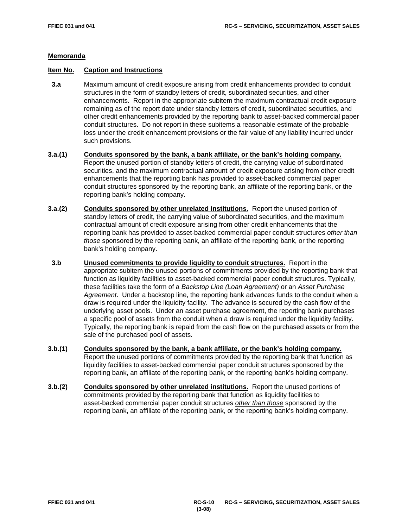# **Memoranda**

### **Item No. Caption and Instructions**

- **3.a** Maximum amount of credit exposure arising from credit enhancements provided to conduit structures in the form of standby letters of credit, subordinated securities, and other enhancements. Report in the appropriate subitem the maximum contractual credit exposure remaining as of the report date under standby letters of credit, subordinated securities, and other credit enhancements provided by the reporting bank to asset-backed commercial paper conduit structures. Do not report in these subitems a reasonable estimate of the probable loss under the credit enhancement provisions or the fair value of any liability incurred under such provisions.
- **3.a.(1) Conduits sponsored by the bank, a bank affiliate, or the bank's holding company.** Report the unused portion of standby letters of credit, the carrying value of subordinated securities, and the maximum contractual amount of credit exposure arising from other credit enhancements that the reporting bank has provided to asset-backed commercial paper conduit structures sponsored by the reporting bank, an affiliate of the reporting bank, or the reporting bank's holding company.
- **3.a.(2) Conduits sponsored by other unrelated institutions.** Report the unused portion of standby letters of credit, the carrying value of subordinated securities, and the maximum contractual amount of credit exposure arising from other credit enhancements that the reporting bank has provided to asset-backed commercial paper conduit structures *other than those* sponsored by the reporting bank, an affiliate of the reporting bank, or the reporting bank's holding company.
- **3.b Unused commitments to provide liquidity to conduit structures.** Report in the appropriate subitem the unused portions of commitments provided by the reporting bank that function as liquidity facilities to asset-backed commercial paper conduit structures. Typically, these facilities take the form of a *Backstop Line (Loan Agreement)* or an *Asset Purchase Agreement*. Under a backstop line, the reporting bank advances funds to the conduit when a draw is required under the liquidity facility. The advance is secured by the cash flow of the underlying asset pools. Under an asset purchase agreement, the reporting bank purchases a specific pool of assets from the conduit when a draw is required under the liquidity facility. Typically, the reporting bank is repaid from the cash flow on the purchased assets or from the sale of the purchased pool of assets.
- **3.b.(1) Conduits sponsored by the bank, a bank affiliate, or the bank's holding company.** Report the unused portions of commitments provided by the reporting bank that function as liquidity facilities to asset-backed commercial paper conduit structures sponsored by the reporting bank, an affiliate of the reporting bank, or the reporting bank's holding company.
- **3.b.(2) Conduits sponsored by other unrelated institutions.** Report the unused portions of commitments provided by the reporting bank that function as liquidity facilities to asset-backed commercial paper conduit structures *other than those* sponsored by the reporting bank, an affiliate of the reporting bank, or the reporting bank's holding company.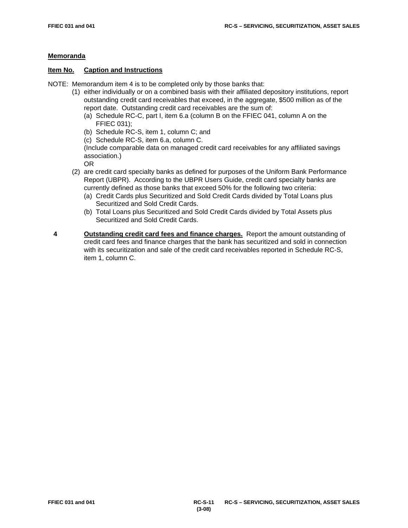## **Memoranda**

### **Item No. Caption and Instructions**

NOTE: Memorandum item 4 is to be completed only by those banks that:

- (1) either individually or on a combined basis with their affiliated depository institutions, report outstanding credit card receivables that exceed, in the aggregate, \$500 million as of the report date. Outstanding credit card receivables are the sum of:
	- (a) Schedule RC-C, part I, item 6.a (column B on the FFIEC 041, column A on the FFIEC 031);
	- (b) Schedule RC-S, item 1, column C; and
	- (c) Schedule RC-S, item 6.a, column C.

 (Include comparable data on managed credit card receivables for any affiliated savings association.)

OR

- (2) are credit card specialty banks as defined for purposes of the Uniform Bank Performance Report (UBPR). According to the UBPR Users Guide, credit card specialty banks are currently defined as those banks that exceed 50% for the following two criteria:
	- (a) Credit Cards plus Securitized and Sold Credit Cards divided by Total Loans plus Securitized and Sold Credit Cards.
	- (b) Total Loans plus Securitized and Sold Credit Cards divided by Total Assets plus Securitized and Sold Credit Cards.
- **4 Outstanding credit card fees and finance charges.** Report the amount outstanding of credit card fees and finance charges that the bank has securitized and sold in connection with its securitization and sale of the credit card receivables reported in Schedule RC-S, item 1, column C.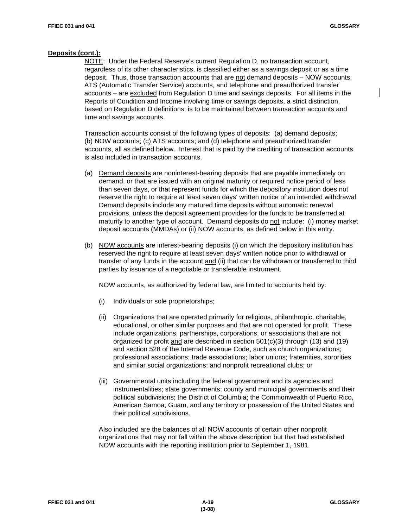NOTE: Under the Federal Reserve's current Regulation D, no transaction account, regardless of its other characteristics, is classified either as a savings deposit or as a time deposit. Thus, those transaction accounts that are not demand deposits – NOW accounts, ATS (Automatic Transfer Service) accounts, and telephone and preauthorized transfer accounts – are excluded from Regulation D time and savings deposits. For all items in the Reports of Condition and Income involving time or savings deposits, a strict distinction, based on Regulation D definitions, is to be maintained between transaction accounts and time and savings accounts.

 Transaction accounts consist of the following types of deposits: (a) demand deposits; (b) NOW accounts; (c) ATS accounts; and (d) telephone and preauthorized transfer accounts, all as defined below. Interest that is paid by the crediting of transaction accounts is also included in transaction accounts.

- (a) Demand deposits are noninterest-bearing deposits that are payable immediately on demand, or that are issued with an original maturity or required notice period of less than seven days, or that represent funds for which the depository institution does not reserve the right to require at least seven days' written notice of an intended withdrawal. Demand deposits include any matured time deposits without automatic renewal provisions, unless the deposit agreement provides for the funds to be transferred at maturity to another type of account. Demand deposits do not include: (i) money market deposit accounts (MMDAs) or (ii) NOW accounts, as defined below in this entry.
- (b) NOW accounts are interest-bearing deposits (i) on which the depository institution has reserved the right to require at least seven days' written notice prior to withdrawal or transfer of any funds in the account and (ii) that can be withdrawn or transferred to third parties by issuance of a negotiable or transferable instrument.

NOW accounts, as authorized by federal law, are limited to accounts held by:

- (i) Individuals or sole proprietorships;
- (ii) Organizations that are operated primarily for religious, philanthropic, charitable, educational, or other similar purposes and that are not operated for profit. These include organizations, partnerships, corporations, or associations that are not organized for profit and are described in section  $501(c)(3)$  through (13) and (19) and section 528 of the Internal Revenue Code, such as church organizations; professional associations; trade associations; labor unions; fraternities, sororities and similar social organizations; and nonprofit recreational clubs; or
- (iii) Governmental units including the federal government and its agencies and instrumentalities; state governments; county and municipal governments and their political subdivisions; the District of Columbia; the Commonwealth of Puerto Rico, American Samoa, Guam, and any territory or possession of the United States and their political subdivisions.

 Also included are the balances of all NOW accounts of certain other nonprofit organizations that may not fall within the above description but that had established NOW accounts with the reporting institution prior to September 1, 1981.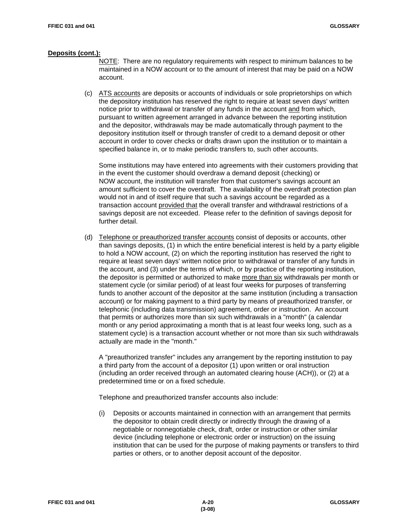NOTE: There are no regulatory requirements with respect to minimum balances to be maintained in a NOW account or to the amount of interest that may be paid on a NOW account.

 (c) ATS accounts are deposits or accounts of individuals or sole proprietorships on which the depository institution has reserved the right to require at least seven days' written notice prior to withdrawal or transfer of any funds in the account and from which, pursuant to written agreement arranged in advance between the reporting institution and the depositor, withdrawals may be made automatically through payment to the depository institution itself or through transfer of credit to a demand deposit or other account in order to cover checks or drafts drawn upon the institution or to maintain a specified balance in, or to make periodic transfers to, such other accounts.

 Some institutions may have entered into agreements with their customers providing that in the event the customer should overdraw a demand deposit (checking) or NOW account, the institution will transfer from that customer's savings account an amount sufficient to cover the overdraft. The availability of the overdraft protection plan would not in and of itself require that such a savings account be regarded as a transaction account provided that the overall transfer and withdrawal restrictions of a savings deposit are not exceeded. Please refer to the definition of savings deposit for further detail.

 (d) Telephone or preauthorized transfer accounts consist of deposits or accounts, other than savings deposits, (1) in which the entire beneficial interest is held by a party eligible to hold a NOW account, (2) on which the reporting institution has reserved the right to require at least seven days' written notice prior to withdrawal or transfer of any funds in the account, and (3) under the terms of which, or by practice of the reporting institution, the depositor is permitted or authorized to make more than six withdrawals per month or statement cycle (or similar period) of at least four weeks for purposes of transferring funds to another account of the depositor at the same institution (including a transaction account) or for making payment to a third party by means of preauthorized transfer, or telephonic (including data transmission) agreement, order or instruction. An account that permits or authorizes more than six such withdrawals in a "month" (a calendar month or any period approximating a month that is at least four weeks long, such as a statement cycle) is a transaction account whether or not more than six such withdrawals actually are made in the "month."

 A "preauthorized transfer" includes any arrangement by the reporting institution to pay a third party from the account of a depositor (1) upon written or oral instruction (including an order received through an automated clearing house (ACH)), or (2) at a predetermined time or on a fixed schedule.

Telephone and preauthorized transfer accounts also include:

 (i) Deposits or accounts maintained in connection with an arrangement that permits the depositor to obtain credit directly or indirectly through the drawing of a negotiable or nonnegotiable check, draft, order or instruction or other similar device (including telephone or electronic order or instruction) on the issuing institution that can be used for the purpose of making payments or transfers to third parties or others, or to another deposit account of the depositor.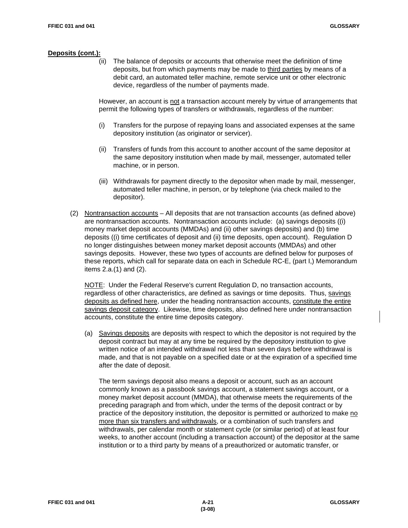(ii) The balance of deposits or accounts that otherwise meet the definition of time deposits, but from which payments may be made to third parties by means of a debit card, an automated teller machine, remote service unit or other electronic device, regardless of the number of payments made.

 However, an account is not a transaction account merely by virtue of arrangements that permit the following types of transfers or withdrawals, regardless of the number:

- (i) Transfers for the purpose of repaying loans and associated expenses at the same depository institution (as originator or servicer).
- (ii) Transfers of funds from this account to another account of the same depositor at the same depository institution when made by mail, messenger, automated teller machine, or in person.
- (iii) Withdrawals for payment directly to the depositor when made by mail, messenger, automated teller machine, in person, or by telephone (via check mailed to the depositor).
- (2) Nontransaction accounts All deposits that are not transaction accounts (as defined above) are nontransaction accounts. Nontransaction accounts include: (a) savings deposits ((i) money market deposit accounts (MMDAs) and (ii) other savings deposits) and (b) time deposits ((i) time certificates of deposit and (ii) time deposits, open account). Regulation D no longer distinguishes between money market deposit accounts (MMDAs) and other savings deposits. However, these two types of accounts are defined below for purposes of these reports, which call for separate data on each in Schedule RC-E, (part I,) Memorandum items 2.a.(1) and (2).

NOTE: Under the Federal Reserve's current Regulation D, no transaction accounts, regardless of other characteristics, are defined as savings or time deposits. Thus, savings deposits as defined here, under the heading nontransaction accounts, constitute the entire savings deposit category. Likewise, time deposits, also defined here under nontransaction accounts, constitute the entire time deposits category.

 (a) Savings deposits are deposits with respect to which the depositor is not required by the deposit contract but may at any time be required by the depository institution to give written notice of an intended withdrawal not less than seven days before withdrawal is made, and that is not payable on a specified date or at the expiration of a specified time after the date of deposit.

 The term savings deposit also means a deposit or account, such as an account commonly known as a passbook savings account, a statement savings account, or a money market deposit account (MMDA), that otherwise meets the requirements of the preceding paragraph and from which, under the terms of the deposit contract or by practice of the depository institution, the depositor is permitted or authorized to make no more than six transfers and withdrawals, or a combination of such transfers and withdrawals, per calendar month or statement cycle (or similar period) of at least four weeks, to another account (including a transaction account) of the depositor at the same institution or to a third party by means of a preauthorized or automatic transfer, or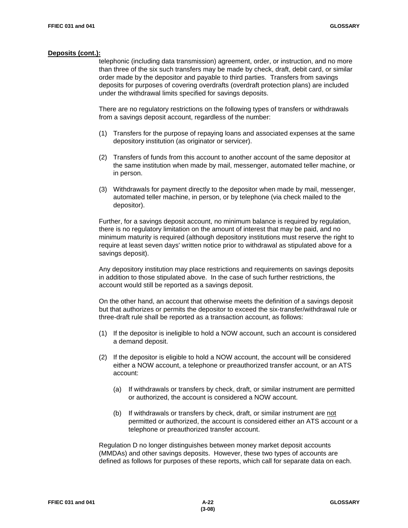telephonic (including data transmission) agreement, order, or instruction, and no more than three of the six such transfers may be made by check, draft, debit card, or similar order made by the depositor and payable to third parties. Transfers from savings deposits for purposes of covering overdrafts (overdraft protection plans) are included under the withdrawal limits specified for savings deposits.

 There are no regulatory restrictions on the following types of transfers or withdrawals from a savings deposit account, regardless of the number:

- (1) Transfers for the purpose of repaying loans and associated expenses at the same depository institution (as originator or servicer).
- (2) Transfers of funds from this account to another account of the same depositor at the same institution when made by mail, messenger, automated teller machine, or in person.
- (3) Withdrawals for payment directly to the depositor when made by mail, messenger, automated teller machine, in person, or by telephone (via check mailed to the depositor).

 Further, for a savings deposit account, no minimum balance is required by regulation, there is no regulatory limitation on the amount of interest that may be paid, and no minimum maturity is required (although depository institutions must reserve the right to require at least seven days' written notice prior to withdrawal as stipulated above for a savings deposit).

 Any depository institution may place restrictions and requirements on savings deposits in addition to those stipulated above. In the case of such further restrictions, the account would still be reported as a savings deposit.

 On the other hand, an account that otherwise meets the definition of a savings deposit but that authorizes or permits the depositor to exceed the six-transfer/withdrawal rule or three-draft rule shall be reported as a transaction account, as follows:

- (1) If the depositor is ineligible to hold a NOW account, such an account is considered a demand deposit.
- (2) If the depositor is eligible to hold a NOW account, the account will be considered either a NOW account, a telephone or preauthorized transfer account, or an ATS account:
	- (a) If withdrawals or transfers by check, draft, or similar instrument are permitted or authorized, the account is considered a NOW account.
	- (b) If withdrawals or transfers by check, draft, or similar instrument are not permitted or authorized, the account is considered either an ATS account or a telephone or preauthorized transfer account.

 Regulation D no longer distinguishes between money market deposit accounts (MMDAs) and other savings deposits. However, these two types of accounts are defined as follows for purposes of these reports, which call for separate data on each.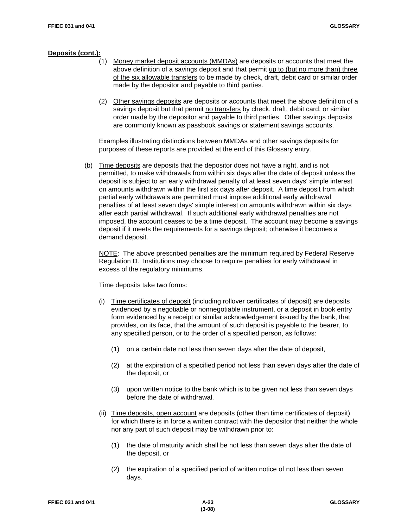- (1) Money market deposit accounts (MMDAs) are deposits or accounts that meet the above definition of a savings deposit and that permit up to (but no more than) three of the six allowable transfers to be made by check, draft, debit card or similar order made by the depositor and payable to third parties.
- (2) Other savings deposits are deposits or accounts that meet the above definition of a savings deposit but that permit no transfers by check, draft, debit card, or similar order made by the depositor and payable to third parties. Other savings deposits are commonly known as passbook savings or statement savings accounts.

 Examples illustrating distinctions between MMDAs and other savings deposits for purposes of these reports are provided at the end of this Glossary entry.

 (b) Time deposits are deposits that the depositor does not have a right, and is not permitted, to make withdrawals from within six days after the date of deposit unless the deposit is subject to an early withdrawal penalty of at least seven days' simple interest on amounts withdrawn within the first six days after deposit. A time deposit from which partial early withdrawals are permitted must impose additional early withdrawal penalties of at least seven days' simple interest on amounts withdrawn within six days after each partial withdrawal. If such additional early withdrawal penalties are not imposed, the account ceases to be a time deposit. The account may become a savings deposit if it meets the requirements for a savings deposit; otherwise it becomes a demand deposit.

 NOTE: The above prescribed penalties are the minimum required by Federal Reserve Regulation D. Institutions may choose to require penalties for early withdrawal in excess of the regulatory minimums.

Time deposits take two forms:

- (i) Time certificates of deposit (including rollover certificates of deposit) are deposits evidenced by a negotiable or nonnegotiable instrument, or a deposit in book entry form evidenced by a receipt or similar acknowledgement issued by the bank, that provides, on its face, that the amount of such deposit is payable to the bearer, to any specified person, or to the order of a specified person, as follows:
	- (1) on a certain date not less than seven days after the date of deposit,
	- (2) at the expiration of a specified period not less than seven days after the date of the deposit, or
	- (3) upon written notice to the bank which is to be given not less than seven days before the date of withdrawal.
- (ii) Time deposits, open account are deposits (other than time certificates of deposit) for which there is in force a written contract with the depositor that neither the whole nor any part of such deposit may be withdrawn prior to:
	- (1) the date of maturity which shall be not less than seven days after the date of the deposit, or
	- (2) the expiration of a specified period of written notice of not less than seven days.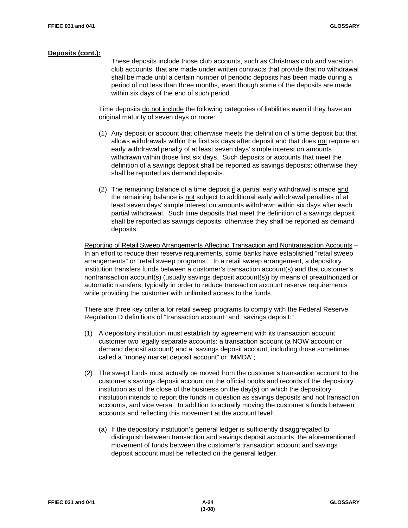These deposits include those club accounts, such as Christmas club and vacation club accounts, that are made under written contracts that provide that no withdrawal shall be made until a certain number of periodic deposits has been made during a period of not less than three months, even though some of the deposits are made within six days of the end of such period.

Time deposits do not include the following categories of liabilities even if they have an original maturity of seven days or more:

- (1) Any deposit or account that otherwise meets the definition of a time deposit but that allows withdrawals within the first six days after deposit and that does not require an early withdrawal penalty of at least seven days' simple interest on amounts withdrawn within those first six days. Such deposits or accounts that meet the definition of a savings deposit shall be reported as savings deposits; otherwise they shall be reported as demand deposits.
- (2) The remaining balance of a time deposit if a partial early withdrawal is made  $and$ the remaining balance is not subject to additional early withdrawal penalties of at least seven days' simple interest on amounts withdrawn within six days after each partial withdrawal. Such time deposits that meet the definition of a savings deposit shall be reported as savings deposits; otherwise they shall be reported as demand deposits.

Reporting of Retail Sweep Arrangements Affecting Transaction and Nontransaction Accounts – In an effort to reduce their reserve requirements, some banks have established "retail sweep arrangements" or "retail sweep programs." In a retail sweep arrangement, a depository institution transfers funds between a customer's transaction account(s) and that customer's nontransaction account(s) (usually savings deposit account(s)) by means of preauthorized or automatic transfers, typically in order to reduce transaction account reserve requirements while providing the customer with unlimited access to the funds.

There are three key criteria for retail sweep programs to comply with the Federal Reserve Regulation D definitions of "transaction account" and "savings deposit:"

- (1) A depository institution must establish by agreement with its transaction account customer two legally separate accounts: a transaction account (a NOW account or demand deposit account) and a savings deposit account, including those sometimes called a "money market deposit account" or "MMDA";
- (2) The swept funds must actually be moved from the customer's transaction account to the customer's savings deposit account on the official books and records of the depository institution as of the close of the business on the day(s) on which the depository institution intends to report the funds in question as savings deposits and not transaction accounts, and vice versa. In addition to actually moving the customer's funds between accounts and reflecting this movement at the account level:
	- (a) If the depository institution's general ledger is sufficiently disaggregated to distinguish between transaction and savings deposit accounts, the aforementioned movement of funds between the customer's transaction account and savings deposit account must be reflected on the general ledger.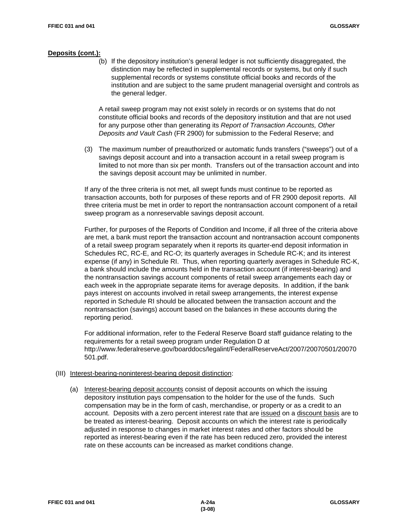(b) If the depository institution's general ledger is not sufficiently disaggregated, the distinction may be reflected in supplemental records or systems, but only if such supplemental records or systems constitute official books and records of the institution and are subject to the same prudent managerial oversight and controls as the general ledger.

 A retail sweep program may not exist solely in records or on systems that do not constitute official books and records of the depository institution and that are not used for any purpose other than generating its *Report of Transaction Accounts, Other Deposits and Vault Cash* (FR 2900) for submission to the Federal Reserve; and

(3) The maximum number of preauthorized or automatic funds transfers ("sweeps") out of a savings deposit account and into a transaction account in a retail sweep program is limited to not more than six per month. Transfers out of the transaction account and into the savings deposit account may be unlimited in number.

If any of the three criteria is not met, all swept funds must continue to be reported as transaction accounts, both for purposes of these reports and of FR 2900 deposit reports. All three criteria must be met in order to report the nontransaction account component of a retail sweep program as a nonreservable savings deposit account.

Further, for purposes of the Reports of Condition and Income, if all three of the criteria above are met, a bank must report the transaction account and nontransaction account components of a retail sweep program separately when it reports its quarter-end deposit information in Schedules RC, RC-E, and RC-O; its quarterly averages in Schedule RC-K; and its interest expense (if any) in Schedule RI. Thus, when reporting quarterly averages in Schedule RC-K, a bank should include the amounts held in the transaction account (if interest-bearing) and the nontransaction savings account components of retail sweep arrangements each day or each week in the appropriate separate items for average deposits. In addition, if the bank pays interest on accounts involved in retail sweep arrangements, the interest expense reported in Schedule RI should be allocated between the transaction account and the nontransaction (savings) account based on the balances in these accounts during the reporting period.

For additional information, refer to the Federal Reserve Board staff guidance relating to the requirements for a retail sweep program under Regulation D at http://www.federalreserve.gov/boarddocs/legalint/FederalReserveAct/2007/20070501/20070 501.pdf.

### (III) Interest-bearing-noninterest-bearing deposit distinction:

 (a) Interest-bearing deposit accounts consist of deposit accounts on which the issuing depository institution pays compensation to the holder for the use of the funds. Such compensation may be in the form of cash, merchandise, or property or as a credit to an account. Deposits with a zero percent interest rate that are issued on a discount basis are to be treated as interest-bearing. Deposit accounts on which the interest rate is periodically adjusted in response to changes in market interest rates and other factors should be reported as interest-bearing even if the rate has been reduced zero, provided the interest rate on these accounts can be increased as market conditions change.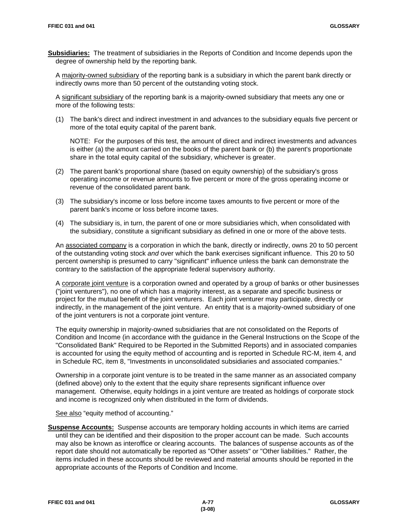**Subsidiaries:** The treatment of subsidiaries in the Reports of Condition and Income depends upon the degree of ownership held by the reporting bank.

 A majority-owned subsidiary of the reporting bank is a subsidiary in which the parent bank directly or indirectly owns more than 50 percent of the outstanding voting stock.

 A significant subsidiary of the reporting bank is a majority-owned subsidiary that meets any one or more of the following tests:

 (1) The bank's direct and indirect investment in and advances to the subsidiary equals five percent or more of the total equity capital of the parent bank.

 NOTE: For the purposes of this test, the amount of direct and indirect investments and advances is either (a) the amount carried on the books of the parent bank or (b) the parent's proportionate share in the total equity capital of the subsidiary, whichever is greater.

- (2) The parent bank's proportional share (based on equity ownership) of the subsidiary's gross operating income or revenue amounts to five percent or more of the gross operating income or revenue of the consolidated parent bank.
- (3) The subsidiary's income or loss before income taxes amounts to five percent or more of the parent bank's income or loss before income taxes.
- (4) The subsidiary is, in turn, the parent of one or more subsidiaries which, when consolidated with the subsidiary, constitute a significant subsidiary as defined in one or more of the above tests.

 An associated company is a corporation in which the bank, directly or indirectly, owns 20 to 50 percent of the outstanding voting stock *and* over which the bank exercises significant influence. This 20 to 50 percent ownership is presumed to carry "significant" influence unless the bank can demonstrate the contrary to the satisfaction of the appropriate federal supervisory authority.

 A corporate joint venture is a corporation owned and operated by a group of banks or other businesses ("joint venturers"), no one of which has a majority interest, as a separate and specific business or project for the mutual benefit of the joint venturers. Each joint venturer may participate, directly or indirectly, in the management of the joint venture. An entity that is a majority-owned subsidiary of one of the joint venturers is not a corporate joint venture.

 The equity ownership in majority-owned subsidiaries that are not consolidated on the Reports of Condition and Income (in accordance with the guidance in the General Instructions on the Scope of the "Consolidated Bank" Required to be Reported in the Submitted Reports) and in associated companies is accounted for using the equity method of accounting and is reported in Schedule RC-M, item 4, and in Schedule RC, item 8, "Investments in unconsolidated subsidiaries and associated companies."

 Ownership in a corporate joint venture is to be treated in the same manner as an associated company (defined above) only to the extent that the equity share represents significant influence over management. Otherwise, equity holdings in a joint venture are treated as holdings of corporate stock and income is recognized only when distributed in the form of dividends.

See also "equity method of accounting."

**Suspense Accounts:** Suspense accounts are temporary holding accounts in which items are carried until they can be identified and their disposition to the proper account can be made. Such accounts may also be known as interoffice or clearing accounts. The balances of suspense accounts as of the report date should not automatically be reported as "Other assets" or "Other liabilities." Rather, the items included in these accounts should be reviewed and material amounts should be reported in the appropriate accounts of the Reports of Condition and Income.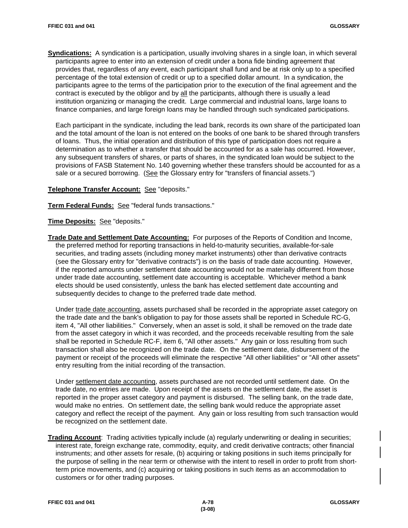**Syndications:** A syndication is a participation, usually involving shares in a single loan, in which several participants agree to enter into an extension of credit under a bona fide binding agreement that provides that, regardless of any event, each participant shall fund and be at risk only up to a specified percentage of the total extension of credit or up to a specified dollar amount. In a syndication, the participants agree to the terms of the participation prior to the execution of the final agreement and the contract is executed by the obligor and by all the participants, although there is usually a lead institution organizing or managing the credit. Large commercial and industrial loans, large loans to finance companies, and large foreign loans may be handled through such syndicated participations.

 Each participant in the syndicate, including the lead bank, records its own share of the participated loan and the total amount of the loan is not entered on the books of one bank to be shared through transfers of loans. Thus, the initial operation and distribution of this type of participation does not require a determination as to whether a transfer that should be accounted for as a sale has occurred. However, any subsequent transfers of shares, or parts of shares, in the syndicated loan would be subject to the provisions of FASB Statement No. 140 governing whether these transfers should be accounted for as a sale or a secured borrowing. (See the Glossary entry for "transfers of financial assets.")

### **Telephone Transfer Account:** See "deposits."

**Term Federal Funds:** See "federal funds transactions."

### **Time Deposits:** See "deposits."

**Trade Date and Settlement Date Accounting:** For purposes of the Reports of Condition and Income, the preferred method for reporting transactions in held-to-maturity securities, available-for-sale securities, and trading assets (including money market instruments) other than derivative contracts (see the Glossary entry for "derivative contracts") is on the basis of trade date accounting. However, if the reported amounts under settlement date accounting would not be materially different from those under trade date accounting, settlement date accounting is acceptable. Whichever method a bank elects should be used consistently, unless the bank has elected settlement date accounting and subsequently decides to change to the preferred trade date method.

 Under trade date accounting, assets purchased shall be recorded in the appropriate asset category on the trade date and the bank's obligation to pay for those assets shall be reported in Schedule RC-G, item 4, "All other liabilities." Conversely, when an asset is sold, it shall be removed on the trade date from the asset category in which it was recorded, and the proceeds receivable resulting from the sale shall be reported in Schedule RC-F, item 6, "All other assets." Any gain or loss resulting from such transaction shall also be recognized on the trade date. On the settlement date, disbursement of the payment or receipt of the proceeds will eliminate the respective "All other liabilities" or "All other assets" entry resulting from the initial recording of the transaction.

 Under settlement date accounting, assets purchased are not recorded until settlement date. On the trade date, no entries are made. Upon receipt of the assets on the settlement date, the asset is reported in the proper asset category and payment is disbursed. The selling bank, on the trade date, would make no entries. On settlement date, the selling bank would reduce the appropriate asset category and reflect the receipt of the payment. Any gain or loss resulting from such transaction would be recognized on the settlement date.

**Trading Account**: Trading activities typically include (a) regularly underwriting or dealing in securities; interest rate, foreign exchange rate, commodity, equity, and credit derivative contracts; other financial instruments; and other assets for resale, (b) acquiring or taking positions in such items principally for the purpose of selling in the near term or otherwise with the intent to resell in order to profit from shortterm price movements, and (c) acquiring or taking positions in such items as an accommodation to customers or for other trading purposes.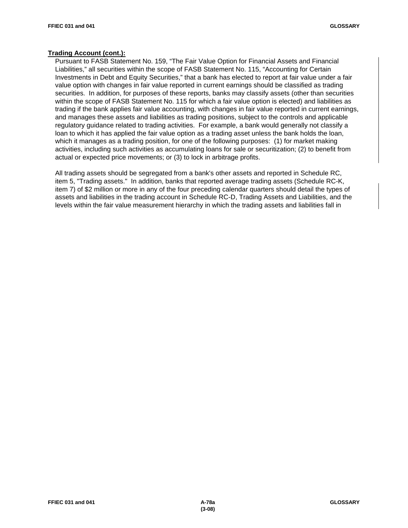### **Trading Account (cont.):**

 Pursuant to FASB Statement No. 159, "The Fair Value Option for Financial Assets and Financial Liabilities," all securities within the scope of FASB Statement No. 115, "Accounting for Certain Investments in Debt and Equity Securities," that a bank has elected to report at fair value under a fair value option with changes in fair value reported in current earnings should be classified as trading securities. In addition, for purposes of these reports, banks may classify assets (other than securities within the scope of FASB Statement No. 115 for which a fair value option is elected) and liabilities as trading if the bank applies fair value accounting, with changes in fair value reported in current earnings, and manages these assets and liabilities as trading positions, subject to the controls and applicable regulatory guidance related to trading activities. For example, a bank would generally not classify a loan to which it has applied the fair value option as a trading asset unless the bank holds the loan, which it manages as a trading position, for one of the following purposes: (1) for market making activities, including such activities as accumulating loans for sale or securitization; (2) to benefit from actual or expected price movements; or (3) to lock in arbitrage profits.

 All trading assets should be segregated from a bank's other assets and reported in Schedule RC, item 5, "Trading assets." In addition, banks that reported average trading assets (Schedule RC-K, item 7) of \$2 million or more in any of the four preceding calendar quarters should detail the types of assets and liabilities in the trading account in Schedule RC-D, Trading Assets and Liabilities, and the levels within the fair value measurement hierarchy in which the trading assets and liabilities fall in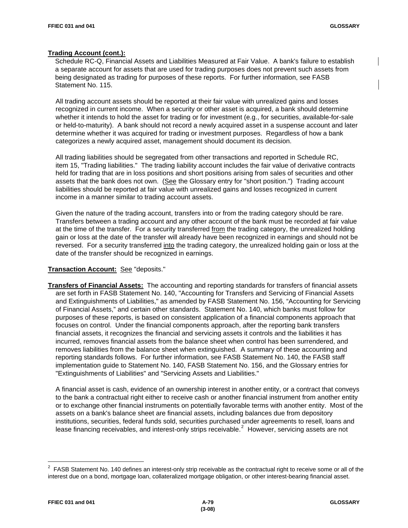### <span id="page-165-0"></span>**Trading Account (cont.):**

 Schedule RC-Q, Financial Assets and Liabilities Measured at Fair Value. A bank's failure to establish a separate account for assets that are used for trading purposes does not prevent such assets from being designated as trading for purposes of these reports. For further information, see FASB Statement No. 115.

 All trading account assets should be reported at their fair value with unrealized gains and losses recognized in current income. When a security or other asset is acquired, a bank should determine whether it intends to hold the asset for trading or for investment (e.g., for securities, available-for-sale or held-to-maturity). A bank should not record a newly acquired asset in a suspense account and later determine whether it was acquired for trading or investment purposes. Regardless of how a bank categorizes a newly acquired asset, management should document its decision.

 All trading liabilities should be segregated from other transactions and reported in Schedule RC, item 15, "Trading liabilities." The trading liability account includes the fair value of derivative contracts held for trading that are in loss positions and short positions arising from sales of securities and other assets that the bank does not own. (See the Glossary entry for "short position.") Trading account liabilities should be reported at fair value with unrealized gains and losses recognized in current income in a manner similar to trading account assets.

 Given the nature of the trading account, transfers into or from the trading category should be rare. Transfers between a trading account and any other account of the bank must be recorded at fair value at the time of the transfer. For a security transferred from the trading category, the unrealized holding gain or loss at the date of the transfer will already have been recognized in earnings and should not be reversed. For a security transferred into the trading category, the unrealized holding gain or loss at the date of the transfer should be recognized in earnings.

# **Transaction Account:** See "deposits."

**Transfers of Financial Assets:** The accounting and reporting standards for transfers of financial assets are set forth in FASB Statement No. 140, "Accounting for Transfers and Servicing of Financial Assets and Extinguishments of Liabilities," as amended by FASB Statement No. 156, "Accounting for Servicing of Financial Assets," and certain other standards. Statement No. 140, which banks must follow for purposes of these reports, is based on consistent application of a financial components approach that focuses on control. Under the financial components approach, after the reporting bank transfers financial assets, it recognizes the financial and servicing assets it controls and the liabilities it has incurred, removes financial assets from the balance sheet when control has been surrendered, and removes liabilities from the balance sheet when extinguished. A summary of these accounting and reporting standards follows. For further information, see FASB Statement No. 140, the FASB staff implementation guide to Statement No. 140, FASB Statement No. 156, and the Glossary entries for "Extinguishments of Liabilities" and "Servicing Assets and Liabilities."

 A financial asset is cash, evidence of an ownership interest in another entity, or a contract that conveys to the bank a contractual right either to receive cash or another financial instrument from another entity or to exchange other financial instruments on potentially favorable terms with another entity. Most of the assets on a bank's balance sheet are financial assets, including balances due from depository institutions, securities, federal funds sold, securities purchased under agreements to resell, loans and lease financing receivables, and interest-only strips receivable. $2$  However, servicing assets are not

 $\overline{a}$ 

 $2$  FASB Statement No. 140 defines an interest-only strip receivable as the contractual right to receive some or all of the interest due on a bond, mortgage loan, collateralized mortgage obligation, or other interest-bearing financial asset.